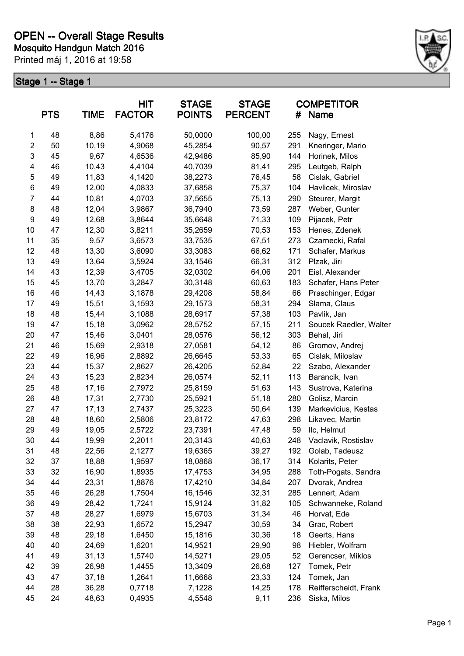

|                         | <b>PTS</b> | <b>TIME</b> | HIT<br><b>FACTOR</b> | <b>STAGE</b><br><b>STAGE</b><br><b>POINTS</b><br><b>PERCENT</b><br># |        | <b>COMPETITOR</b><br>Name |                        |
|-------------------------|------------|-------------|----------------------|----------------------------------------------------------------------|--------|---------------------------|------------------------|
| 1                       | 48         | 8,86        | 5,4176               | 50,0000                                                              | 100,00 | 255                       | Nagy, Ernest           |
| $\overline{\mathbf{c}}$ | 50         | 10,19       | 4,9068               | 45,2854                                                              | 90,57  | 291                       | Kneringer, Mario       |
| 3                       | 45         | 9,67        | 4,6536               | 42,9486                                                              | 85,90  | 144                       | Horinek, Milos         |
| 4                       | 46         | 10,43       | 4,4104               | 40,7039                                                              | 81,41  | 295                       | Leutgeb, Ralph         |
| 5                       | 49         | 11,83       | 4,1420               | 38,2273                                                              | 76,45  | 58                        | Cislak, Gabriel        |
| 6                       | 49         | 12,00       | 4,0833               | 37,6858                                                              | 75,37  | 104                       | Havlicek, Miroslav     |
| $\overline{7}$          | 44         | 10,81       | 4,0703               | 37,5655                                                              | 75,13  | 290                       | Steurer, Margit        |
| 8                       | 48         | 12,04       | 3,9867               | 36,7940                                                              | 73,59  | 287                       | Weber, Gunter          |
| $\boldsymbol{9}$        | 49         | 12,68       | 3,8644               | 35,6648                                                              | 71,33  | 109                       | Pijacek, Petr          |
| 10                      | 47         | 12,30       | 3,8211               | 35,2659                                                              | 70,53  | 153                       | Henes, Zdenek          |
| 11                      | 35         | 9,57        | 3,6573               | 33,7535                                                              | 67,51  | 273                       | Czarnecki, Rafal       |
| 12                      | 48         | 13,30       | 3,6090               | 33,3083                                                              | 66,62  | 171                       | Schafer, Markus        |
| 13                      | 49         | 13,64       | 3,5924               | 33,1546                                                              | 66,31  | 312                       | Plzak, Jiri            |
| 14                      | 43         | 12,39       | 3,4705               | 32,0302                                                              | 64,06  | 201                       | Eisl, Alexander        |
| 15                      | 45         | 13,70       | 3,2847               | 30,3148                                                              | 60,63  | 183                       | Schafer, Hans Peter    |
| 16                      | 46         | 14,43       | 3,1878               | 29,4208                                                              | 58,84  | 66                        | Praschinger, Edgar     |
| 17                      | 49         | 15,51       | 3,1593               | 29,1573                                                              | 58,31  | 294                       | Slama, Claus           |
| 18                      | 48         | 15,44       | 3,1088               | 28,6917                                                              | 57,38  | 103                       | Pavlik, Jan            |
| 19                      | 47         | 15,18       | 3,0962               | 28,5752                                                              | 57,15  | 211                       | Soucek Raedler, Walter |
| 20                      | 47         | 15,46       | 3,0401               | 28,0576                                                              | 56,12  | 303                       | Behal, Jiri            |
| 21                      | 46         | 15,69       | 2,9318               | 27,0581                                                              | 54,12  | 86                        | Gromov, Andrej         |
| 22                      | 49         | 16,96       | 2,8892               | 26,6645                                                              | 53,33  | 65                        | Cislak, Miloslav       |
| 23                      | 44         | 15,37       | 2,8627               | 26,4205                                                              | 52,84  | 22                        | Szabo, Alexander       |
| 24                      | 43         | 15,23       | 2,8234               | 26,0574                                                              | 52,11  | 113                       | Barancik, Ivan         |
| 25                      | 48         | 17,16       | 2,7972               | 25,8159                                                              | 51,63  | 143                       | Sustrova, Katerina     |
| 26                      | 48         | 17,31       | 2,7730               | 25,5921                                                              | 51,18  | 280                       | Golisz, Marcin         |
| 27                      | 47         | 17,13       | 2,7437               | 25,3223                                                              | 50,64  | 139                       | Markevicius, Kestas    |
| 28                      | 48         | 18,60       | 2,5806               | 23,8172                                                              | 47,63  | 298                       | Likavec, Martin        |
| 29                      | 49         | 19,05       | 2,5722               | 23,7391                                                              | 47,48  | 59                        | Ilc, Helmut            |
| 30                      | 44         | 19,99       | 2,2011               | 20,3143                                                              | 40,63  | 248                       | Vaclavik, Rostislav    |
| 31                      | 48         | 22,56       | 2,1277               | 19,6365                                                              | 39,27  | 192                       | Golab, Tadeusz         |
| 32                      | 37         | 18,88       | 1,9597               | 18,0868                                                              | 36,17  | 314                       | Kolarits, Peter        |
| 33                      | 32         | 16,90       | 1,8935               | 17,4753                                                              | 34,95  | 288                       | Toth-Pogats, Sandra    |
| 34                      | 44         | 23,31       | 1,8876               | 17,4210                                                              | 34,84  | 207                       | Dvorak, Andrea         |
| 35                      | 46         | 26,28       | 1,7504               | 16,1546                                                              | 32,31  | 285                       | Lennert, Adam          |
| 36                      | 49         | 28,42       | 1,7241               | 15,9124                                                              | 31,82  | 105                       | Schwanneke, Roland     |
| 37                      | 48         | 28,27       | 1,6979               | 15,6703                                                              | 31,34  | 46                        | Horvat, Ede            |
| 38                      | 38         | 22,93       | 1,6572               | 15,2947                                                              | 30,59  | 34                        | Grac, Robert           |
| 39                      | 48         | 29,18       | 1,6450               | 15,1816                                                              | 30,36  | 18                        | Geerts, Hans           |
| 40                      | 40         | 24,69       | 1,6201               | 14,9521                                                              | 29,90  | 98                        | Hiebler, Wolfram       |
| 41                      | 49         | 31,13       | 1,5740               | 14,5271                                                              | 29,05  | 52                        | Gerencser, Miklos      |
| 42                      | 39         | 26,98       | 1,4455               | 13,3409                                                              | 26,68  | 127                       | Tomek, Petr            |
| 43                      | 47         | 37,18       | 1,2641               | 11,6668                                                              | 23,33  | 124                       | Tomek, Jan             |
| 44                      | 28         | 36,28       | 0,7718               | 7,1228                                                               | 14,25  | 178                       | Reifferscheidt, Frank  |
| 45                      | 24         |             |                      |                                                                      |        | 236                       |                        |
|                         |            | 48,63       | 0,4935               | 4,5548                                                               | 9,11   |                           | Siska, Milos           |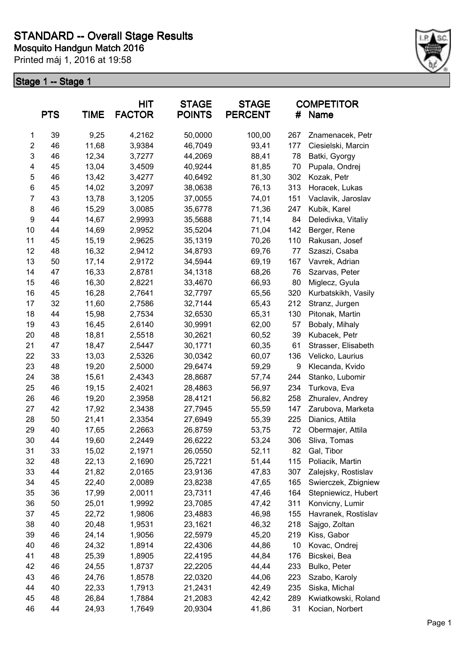

|                | <b>PTS</b> | <b>TIME</b> | <b>HIT</b><br><b>FACTOR</b> | <b>STAGE</b><br><b>POINTS</b> | <b>STAGE</b><br><b>PERCENT</b> | #   | <b>COMPETITOR</b><br>Name |
|----------------|------------|-------------|-----------------------------|-------------------------------|--------------------------------|-----|---------------------------|
| 1              | 39         | 9,25        | 4,2162                      | 50,0000                       | 100,00                         | 267 | Znamenacek, Petr          |
| $\overline{c}$ | 46         | 11,68       | 3,9384                      | 46,7049                       | 93,41                          | 177 | Ciesielski, Marcin        |
| 3              | 46         | 12,34       | 3,7277                      | 44,2069                       | 88,41                          | 78  | Batki, Gyorgy             |
| 4              | 45         | 13,04       | 3,4509                      | 40,9244                       | 81,85                          | 70  | Pupala, Ondrej            |
| 5              | 46         | 13,42       | 3,4277                      | 40,6492                       | 81,30                          | 302 | Kozak, Petr               |
| $\,6$          | 45         | 14,02       | 3,2097                      | 38,0638                       | 76,13                          | 313 | Horacek, Lukas            |
| 7              | 43         | 13,78       | 3,1205                      | 37,0055                       | 74,01                          | 151 | Vaclavik, Jaroslav        |
| 8              | 46         | 15,29       | 3,0085                      | 35,6778                       | 71,36                          | 247 | Kubik, Karel              |
| 9              | 44         | 14,67       | 2,9993                      | 35,5688                       | 71,14                          | 84  | Deledivka, Vitaliy        |
| 10             | 44         | 14,69       | 2,9952                      | 35,5204                       | 71,04                          | 142 | Berger, Rene              |
| 11             | 45         | 15,19       | 2,9625                      | 35,1319                       | 70,26                          | 110 | Rakusan, Josef            |
| 12             | 48         | 16,32       | 2,9412                      | 34,8793                       | 69,76                          | 77  | Szaszi, Csaba             |
| 13             | 50         | 17,14       | 2,9172                      | 34,5944                       | 69,19                          | 167 | Vavrek, Adrian            |
| 14             | 47         | 16,33       | 2,8781                      | 34,1318                       | 68,26                          | 76  | Szarvas, Peter            |
| 15             | 46         | 16,30       | 2,8221                      | 33,4670                       | 66,93                          | 80  | Miglecz, Gyula            |
| 16             | 45         | 16,28       | 2,7641                      | 32,7797                       | 65,56                          | 320 | Kurbatskikh, Vasily       |
| 17             | 32         | 11,60       | 2,7586                      | 32,7144                       | 65,43                          | 212 | Stranz, Jurgen            |
| 18             | 44         | 15,98       | 2,7534                      | 32,6530                       | 65,31                          | 130 | Pitonak, Martin           |
| 19             | 43         | 16,45       | 2,6140                      | 30,9991                       | 62,00                          | 57  | Bobaly, Mihaly            |
| 20             | 48         | 18,81       | 2,5518                      | 30,2621                       | 60,52                          | 39  | Kubacek, Petr             |
| 21             | 47         | 18,47       | 2,5447                      | 30,1771                       | 60,35                          | 61  | Strasser, Elisabeth       |
| 22             | 33         | 13,03       | 2,5326                      | 30,0342                       | 60,07                          | 136 | Velicko, Laurius          |
| 23             | 48         | 19,20       | 2,5000                      | 29,6474                       | 59,29                          | 9   | Klecanda, Kvido           |
| 24             | 38         | 15,61       | 2,4343                      | 28,8687                       | 57,74                          | 244 | Stanko, Lubomir           |
| 25             | 46         | 19,15       | 2,4021                      | 28,4863                       | 56,97                          | 234 | Turkova, Eva              |
| 26             | 46         | 19,20       | 2,3958                      | 28,4121                       | 56,82                          | 258 | Zhuralev, Andrey          |
| 27             | 42         | 17,92       | 2,3438                      | 27,7945                       | 55,59                          | 147 | Zarubova, Marketa         |
| 28             | 50         | 21,41       | 2,3354                      | 27,6949                       | 55,39                          | 225 | Dianics, Attila           |
| 29             | 40         | 17,65       | 2,2663                      | 26,8759                       | 53,75                          | 72  | Obermajer, Attila         |
| 30             | 44         | 19,60       | 2,2449                      | 26,6222                       | 53,24                          | 306 | Sliva, Tomas              |
| 31             | 33         | 15,02       | 2,1971                      | 26,0550                       | 52,11                          | 82  | Gal, Tibor                |
| 32             | 48         | 22,13       | 2,1690                      | 25,7221                       | 51,44                          | 115 | Poliacik, Martin          |
| 33             | 44         | 21,82       | 2,0165                      | 23,9136                       | 47,83                          | 307 | Zalejsky, Rostislav       |
| 34             | 45         | 22,40       | 2,0089                      | 23,8238                       | 47,65                          | 165 | Swierczek, Zbigniew       |
| 35             | 36         | 17,99       | 2,0011                      | 23,7311                       | 47,46                          | 164 | Stepniewicz, Hubert       |
| 36             | 50         | 25,01       | 1,9992                      | 23,7085                       | 47,42                          | 311 | Konvicny, Lumir           |
| 37             | 45         | 22,72       | 1,9806                      | 23,4883                       | 46,98                          | 155 | Havranek, Rostislav       |
| 38             | 40         | 20,48       | 1,9531                      | 23,1621                       | 46,32                          | 218 | Sajgo, Zoltan             |
| 39             | 46         | 24,14       | 1,9056                      | 22,5979                       | 45,20                          | 219 | Kiss, Gabor               |
| 40             | 46         | 24,32       | 1,8914                      | 22,4306                       | 44,86                          | 10  | Kovac, Ondrej             |
| 41             | 48         | 25,39       | 1,8905                      | 22,4195                       | 44,84                          | 176 | Bicskei, Bea              |
| 42             | 46         | 24,55       | 1,8737                      | 22,2205                       | 44,44                          | 233 | Bulko, Peter              |
| 43             | 46         | 24,76       | 1,8578                      | 22,0320                       | 44,06                          | 223 | Szabo, Karoly             |
| 44             | 40         | 22,33       | 1,7913                      | 21,2431                       | 42,49                          | 235 | Siska, Michal             |
| 45             | 48         | 26,84       | 1,7884                      | 21,2083                       | 42,42                          | 289 | Kwiatkowski, Roland       |
| 46             | 44         | 24,93       | 1,7649                      | 20,9304                       | 41,86                          | 31  | Kocian, Norbert           |
|                |            |             |                             |                               |                                |     |                           |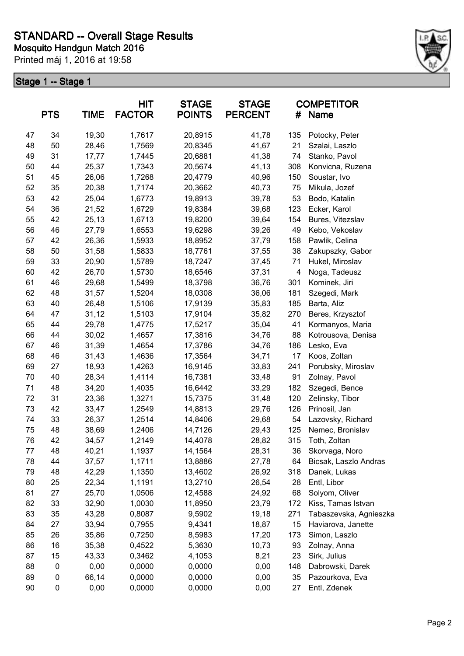

|    | <b>PTS</b> | <b>TIME</b> | <b>HIT</b><br><b>FACTOR</b> | <b>STAGE</b><br><b>POINTS</b> | <b>STAGE</b><br><b>PERCENT</b> | #   | <b>COMPETITOR</b><br>Name |
|----|------------|-------------|-----------------------------|-------------------------------|--------------------------------|-----|---------------------------|
| 47 | 34         | 19,30       | 1,7617                      | 20,8915                       | 41,78                          | 135 | Potocky, Peter            |
| 48 | 50         | 28,46       | 1,7569                      | 20,8345                       | 41,67                          | 21  | Szalai, Laszlo            |
| 49 | 31         | 17,77       | 1,7445                      | 20,6881                       | 41,38                          | 74  | Stanko, Pavol             |
| 50 | 44         | 25,37       | 1,7343                      | 20,5674                       | 41,13                          | 308 | Konvicna, Ruzena          |
| 51 | 45         | 26,06       | 1,7268                      | 20,4779                       | 40,96                          | 150 | Soustar, Ivo              |
| 52 | 35         | 20,38       | 1,7174                      | 20,3662                       | 40,73                          | 75  | Mikula, Jozef             |
| 53 | 42         | 25,04       | 1,6773                      | 19,8913                       | 39,78                          | 53  | Bodo, Katalin             |
| 54 | 36         | 21,52       | 1,6729                      | 19,8384                       | 39,68                          | 123 | Ecker, Karol              |
| 55 | 42         | 25,13       | 1,6713                      | 19,8200                       | 39,64                          | 154 | Bures, Vitezslav          |
| 56 | 46         | 27,79       | 1,6553                      | 19,6298                       | 39,26                          | 49  | Kebo, Vekoslav            |
| 57 | 42         | 26,36       | 1,5933                      | 18,8952                       | 37,79                          | 158 | Pawlik, Celina            |
| 58 | 50         | 31,58       | 1,5833                      | 18,7761                       | 37,55                          | 38  | Zakupszky, Gabor          |
| 59 | 33         | 20,90       | 1,5789                      | 18,7247                       | 37,45                          | 71  | Hukel, Miroslav           |
| 60 | 42         | 26,70       | 1,5730                      | 18,6546                       | 37,31                          | 4   | Noga, Tadeusz             |
| 61 | 46         | 29,68       | 1,5499                      | 18,3798                       | 36,76                          | 301 | Kominek, Jiri             |
| 62 | 48         | 31,57       | 1,5204                      | 18,0308                       | 36,06                          | 181 | Szegedi, Mark             |
| 63 | 40         | 26,48       | 1,5106                      | 17,9139                       | 35,83                          | 185 | Barta, Aliz               |
| 64 | 47         | 31,12       | 1,5103                      | 17,9104                       | 35,82                          | 270 | Beres, Krzysztof          |
| 65 | 44         | 29,78       | 1,4775                      | 17,5217                       | 35,04                          | 41  | Kormanyos, Maria          |
| 66 | 44         | 30,02       | 1,4657                      | 17,3816                       | 34,76                          | 88  | Kotrousova, Denisa        |
| 67 | 46         | 31,39       | 1,4654                      | 17,3786                       | 34,76                          | 186 | Lesko, Eva                |
| 68 | 46         | 31,43       | 1,4636                      | 17,3564                       | 34,71                          | 17  | Koos, Zoltan              |
| 69 | 27         | 18,93       | 1,4263                      | 16,9145                       | 33,83                          | 241 | Porubsky, Miroslav        |
| 70 | 40         | 28,34       | 1,4114                      | 16,7381                       | 33,48                          | 91  | Zolnay, Pavol             |
| 71 | 48         | 34,20       | 1,4035                      | 16,6442                       | 33,29                          | 182 | Szegedi, Bence            |
| 72 | 31         | 23,36       | 1,3271                      | 15,7375                       | 31,48                          | 120 | Zelinsky, Tibor           |
| 73 | 42         | 33,47       | 1,2549                      | 14,8813                       | 29,76                          | 126 | Prinosil, Jan             |
| 74 | 33         | 26,37       | 1,2514                      | 14,8406                       | 29,68                          | 54  | Lazovsky, Richard         |
| 75 | 48         | 38,69       | 1,2406                      | 14,7126                       | 29,43                          | 125 | Nemec, Bronislav          |
| 76 | 42         | 34,57       | 1,2149                      | 14,4078                       | 28,82                          | 315 | Toth, Zoltan              |
| 77 | 48         | 40,21       | 1,1937                      | 14,1564                       | 28,31                          | 36  | Skorvaga, Noro            |
| 78 | 44         | 37,57       | 1,1711                      | 13,8886                       | 27,78                          | 64  | Bicsak, Laszlo Andras     |
| 79 | 48         | 42,29       | 1,1350                      | 13,4602                       | 26,92                          | 318 | Danek, Lukas              |
| 80 | 25         | 22,34       | 1,1191                      | 13,2710                       | 26,54                          | 28  | Entl, Libor               |
| 81 | 27         | 25,70       | 1,0506                      | 12,4588                       | 24,92                          | 68  | Solyom, Oliver            |
| 82 | 33         | 32,90       | 1,0030                      | 11,8950                       | 23,79                          | 172 | Kiss, Tamas Istvan        |
| 83 | 35         | 43,28       | 0,8087                      | 9,5902                        | 19,18                          | 271 | Tabaszevska, Agnieszka    |
| 84 | 27         | 33,94       | 0,7955                      | 9,4341                        | 18,87                          | 15  | Haviarova, Janette        |
| 85 | 26         | 35,86       | 0,7250                      | 8,5983                        | 17,20                          | 173 | Simon, Laszlo             |
| 86 | 16         | 35,38       | 0,4522                      | 5,3630                        | 10,73                          | 93  | Zolnay, Anna              |
| 87 | 15         | 43,33       | 0,3462                      | 4,1053                        | 8,21                           | 23  | Sirk, Julius              |
| 88 | 0          | 0,00        | 0,0000                      | 0,0000                        | 0,00                           | 148 | Dabrowski, Darek          |
| 89 | 0          | 66,14       | 0,0000                      | 0,0000                        | 0,00                           | 35  | Pazourkova, Eva           |
| 90 | 0          | 0,00        | 0,0000                      | 0,0000                        | 0,00                           | 27  | Entl, Zdenek              |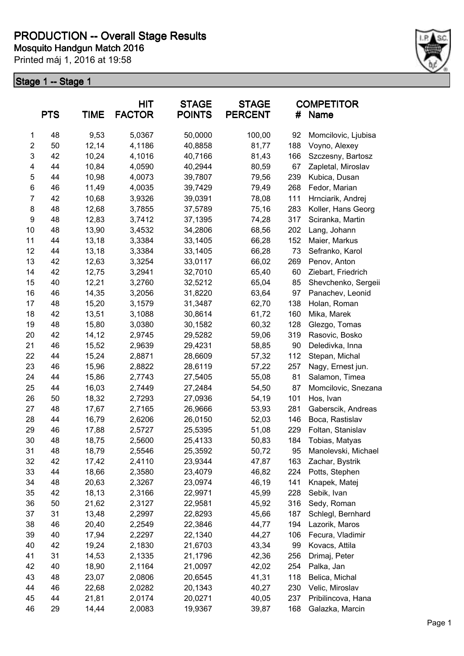

|                  | <b>PTS</b> | <b>TIME</b> | HIT<br><b>FACTOR</b> | <b>STAGE</b><br><b>POINTS</b> | <b>STAGE</b><br><b>PERCENT</b> | #   | <b>COMPETITOR</b><br>Name |
|------------------|------------|-------------|----------------------|-------------------------------|--------------------------------|-----|---------------------------|
| $\mathbf{1}$     | 48         | 9,53        | 5,0367               | 50,0000                       | 100,00                         | 92  | Momcilovic, Ljubisa       |
| $\overline{c}$   | 50         | 12,14       | 4,1186               | 40,8858                       | 81,77                          | 188 | Voyno, Alexey             |
| 3                | 42         | 10,24       | 4,1016               | 40,7166                       | 81,43                          | 166 | Szczesny, Bartosz         |
| 4                | 44         | 10,84       | 4,0590               | 40,2944                       | 80,59                          | 67  | Zapletal, Miroslav        |
| 5                | 44         | 10,98       | 4,0073               | 39,7807                       | 79,56                          | 239 | Kubica, Dusan             |
| $\,6$            | 46         | 11,49       | 4,0035               | 39,7429                       | 79,49                          | 268 | Fedor, Marian             |
| $\overline{7}$   | 42         | 10,68       | 3,9326               | 39,0391                       | 78,08                          | 111 | Hrnciarik, Andrej         |
| 8                | 48         | 12,68       | 3,7855               | 37,5789                       | 75,16                          | 283 | Koller, Hans Georg        |
| $\boldsymbol{9}$ | 48         | 12,83       | 3,7412               | 37,1395                       | 74,28                          | 317 | Sciranka, Martin          |
| 10               | 48         | 13,90       | 3,4532               | 34,2806                       | 68,56                          | 202 | Lang, Johann              |
| 11               | 44         | 13,18       | 3,3384               | 33,1405                       | 66,28                          | 152 | Maier, Markus             |
| 12               | 44         | 13,18       | 3,3384               | 33,1405                       | 66,28                          | 73  | Sefranko, Karol           |
| 13               | 42         | 12,63       | 3,3254               | 33,0117                       | 66,02                          | 269 | Penov, Anton              |
| 14               | 42         | 12,75       | 3,2941               | 32,7010                       | 65,40                          | 60  | Ziebart, Friedrich        |
| 15               | 40         | 12,21       | 3,2760               | 32,5212                       | 65,04                          | 85  | Shevchenko, Sergeii       |
| 16               | 46         | 14,35       | 3,2056               | 31,8220                       | 63,64                          | 97  | Panachev, Leonid          |
| 17               | 48         | 15,20       | 3,1579               | 31,3487                       | 62,70                          | 138 | Holan, Roman              |
| 18               | 42         | 13,51       | 3,1088               | 30,8614                       | 61,72                          | 160 | Mika, Marek               |
| 19               | 48         | 15,80       | 3,0380               | 30,1582                       | 60,32                          | 128 | Glezgo, Tomas             |
| 20               | 42         | 14,12       | 2,9745               | 29,5282                       | 59,06                          | 319 | Rasovic, Bosko            |
| 21               | 46         | 15,52       | 2,9639               | 29,4231                       | 58,85                          | 90  | Deledivka, Inna           |
| 22               | 44         | 15,24       | 2,8871               | 28,6609                       | 57,32                          | 112 | Stepan, Michal            |
| 23               | 46         | 15,96       | 2,8822               | 28,6119                       | 57,22                          | 257 | Nagy, Ernest jun.         |
| 24               | 44         | 15,86       | 2,7743               | 27,5405                       | 55,08                          | 81  | Salamon, Timea            |
| 25               | 44         | 16,03       | 2,7449               | 27,2484                       | 54,50                          | 87  | Momcilovic, Snezana       |
| 26               | 50         | 18,32       | 2,7293               | 27,0936                       | 54,19                          | 101 | Hos, Ivan                 |
| 27               | 48         | 17,67       | 2,7165               | 26,9666                       | 53,93                          | 281 | Gaberscik, Andreas        |
| 28               | 44         | 16,79       | 2,6206               | 26,0150                       | 52,03                          | 146 | Boca, Rastislav           |
| 29               | 46         | 17,88       | 2,5727               | 25,5395                       | 51,08                          | 229 | Foltan, Stanislav         |
| 30               | 48         | 18,75       | 2,5600               | 25,4133                       | 50,83                          | 184 | Tobias, Matyas            |
| 31               | 48         | 18,79       | 2,5546               | 25,3592                       | 50,72                          | 95  | Manolevski, Michael       |
| 32               | 42         | 17,42       | 2,4110               | 23,9344                       | 47,87                          | 163 | Zachar, Bystrik           |
| 33               | 44         | 18,66       | 2,3580               | 23,4079                       | 46,82                          | 224 | Potts, Stephen            |
| 34               | 48         | 20,63       | 2,3267               | 23,0974                       | 46,19                          | 141 | Knapek, Matej             |
| 35               | 42         | 18,13       | 2,3166               | 22,9971                       | 45,99                          | 228 | Sebik, Ivan               |
| 36               | 50         | 21,62       | 2,3127               | 22,9581                       | 45,92                          | 316 | Sedy, Roman               |
| 37               | 31         | 13,48       | 2,2997               | 22,8293                       | 45,66                          | 187 | Schlegl, Bernhard         |
| 38               | 46         | 20,40       | 2,2549               | 22,3846                       | 44,77                          | 194 | Lazorik, Maros            |
| 39               | 40         | 17,94       | 2,2297               | 22,1340                       | 44,27                          | 106 | Fecura, Vladimir          |
| 40               | 42         | 19,24       | 2,1830               | 21,6703                       | 43,34                          | 99  | Kovacs, Attila            |
| 41               | 31         | 14,53       | 2,1335               | 21,1796                       | 42,36                          | 256 | Drimaj, Peter             |
| 42               | 40         | 18,90       | 2,1164               | 21,0097                       | 42,02                          | 254 | Palka, Jan                |
| 43               | 48         | 23,07       | 2,0806               | 20,6545                       | 41,31                          | 118 | Belica, Michal            |
| 44               | 46         | 22,68       | 2,0282               | 20,1343                       | 40,27                          | 230 | Velic, Miroslav           |
| 45               | 44         | 21,81       | 2,0174               | 20,0271                       | 40,05                          | 237 | Pribilincova, Hana        |
| 46               | 29         | 14,44       | 2,0083               | 19,9367                       | 39,87                          | 168 | Galazka, Marcin           |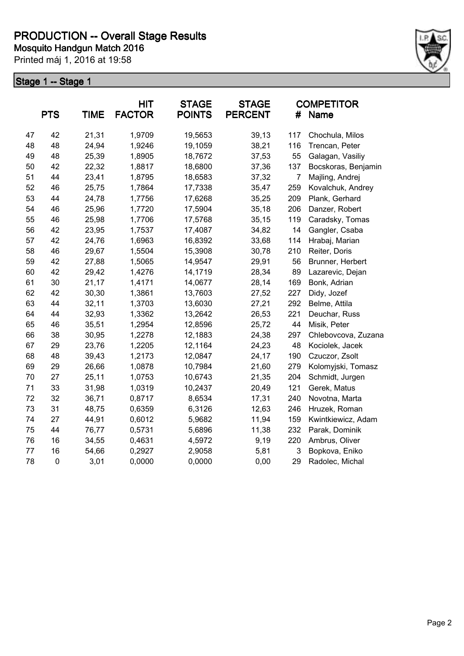

|    | <b>PTS</b>  | <b>TIME</b> | <b>HIT</b><br><b>FACTOR</b> | <b>STAGE</b><br><b>POINTS</b> | <b>STAGE</b><br><b>PERCENT</b> | #              | <b>COMPETITOR</b><br><b>Name</b> |
|----|-------------|-------------|-----------------------------|-------------------------------|--------------------------------|----------------|----------------------------------|
| 47 | 42          | 21,31       | 1,9709                      | 19,5653                       | 39,13                          | 117            | Chochula, Milos                  |
| 48 | 48          | 24,94       | 1,9246                      | 19,1059                       | 38,21                          | 116            | Trencan, Peter                   |
| 49 | 48          | 25,39       | 1,8905                      | 18,7672                       | 37,53                          | 55             | Galagan, Vasiliy                 |
| 50 | 42          | 22,32       | 1,8817                      | 18,6800                       | 37,36                          | 137            | Bocskoras, Benjamin              |
| 51 | 44          | 23,41       | 1,8795                      | 18,6583                       | 37,32                          | $\overline{7}$ | Majling, Andrej                  |
| 52 | 46          | 25,75       | 1,7864                      | 17,7338                       | 35,47                          | 259            | Kovalchuk, Andrey                |
| 53 | 44          | 24,78       | 1,7756                      | 17,6268                       | 35,25                          | 209            | Plank, Gerhard                   |
| 54 | 46          | 25,96       | 1,7720                      | 17,5904                       | 35,18                          | 206            | Danzer, Robert                   |
| 55 | 46          | 25,98       | 1,7706                      | 17,5768                       | 35, 15                         | 119            | Caradsky, Tomas                  |
| 56 | 42          | 23,95       | 1,7537                      | 17,4087                       | 34,82                          | 14             | Gangler, Csaba                   |
| 57 | 42          | 24,76       | 1,6963                      | 16,8392                       | 33,68                          | 114            | Hrabaj, Marian                   |
| 58 | 46          | 29,67       | 1,5504                      | 15,3908                       | 30,78                          | 210            | Reiter, Doris                    |
| 59 | 42          | 27,88       | 1,5065                      | 14,9547                       | 29,91                          | 56             | Brunner, Herbert                 |
| 60 | 42          | 29,42       | 1,4276                      | 14,1719                       | 28,34                          | 89             | Lazarevic, Dejan                 |
| 61 | 30          | 21,17       | 1,4171                      | 14,0677                       | 28,14                          | 169            | Bonk, Adrian                     |
| 62 | 42          | 30,30       | 1,3861                      | 13,7603                       | 27,52                          | 227            | Didy, Jozef                      |
| 63 | 44          | 32,11       | 1,3703                      | 13,6030                       | 27,21                          | 292            | Belme, Attila                    |
| 64 | 44          | 32,93       | 1,3362                      | 13,2642                       | 26,53                          | 221            | Deuchar, Russ                    |
| 65 | 46          | 35,51       | 1,2954                      | 12,8596                       | 25,72                          | 44             | Misik, Peter                     |
| 66 | 38          | 30,95       | 1,2278                      | 12,1883                       | 24,38                          | 297            | Chlebovcova, Zuzana              |
| 67 | 29          | 23,76       | 1,2205                      | 12,1164                       | 24,23                          | 48             | Kociolek, Jacek                  |
| 68 | 48          | 39,43       | 1,2173                      | 12,0847                       | 24,17                          | 190            | Czuczor, Zsolt                   |
| 69 | 29          | 26,66       | 1,0878                      | 10,7984                       | 21,60                          | 279            | Kolomyjski, Tomasz               |
| 70 | 27          | 25,11       | 1,0753                      | 10,6743                       | 21,35                          | 204            | Schmidt, Jurgen                  |
| 71 | 33          | 31,98       | 1,0319                      | 10,2437                       | 20,49                          | 121            | Gerek, Matus                     |
| 72 | 32          | 36,71       | 0,8717                      | 8,6534                        | 17,31                          | 240            | Novotna, Marta                   |
| 73 | 31          | 48,75       | 0,6359                      | 6,3126                        | 12,63                          | 246            | Hruzek, Roman                    |
| 74 | 27          | 44,91       | 0,6012                      | 5,9682                        | 11,94                          | 159            | Kwintkiewicz, Adam               |
| 75 | 44          | 76,77       | 0,5731                      | 5,6896                        | 11,38                          | 232            | Parak, Dominik                   |
| 76 | 16          | 34,55       | 0,4631                      | 4,5972                        | 9,19                           | 220            | Ambrus, Oliver                   |
| 77 | 16          | 54,66       | 0,2927                      | 2,9058                        | 5,81                           | 3              | Bopkova, Eniko                   |
| 78 | $\mathbf 0$ | 3,01        | 0,0000                      | 0,0000                        | 0,00                           | 29             | Radolec, Michal                  |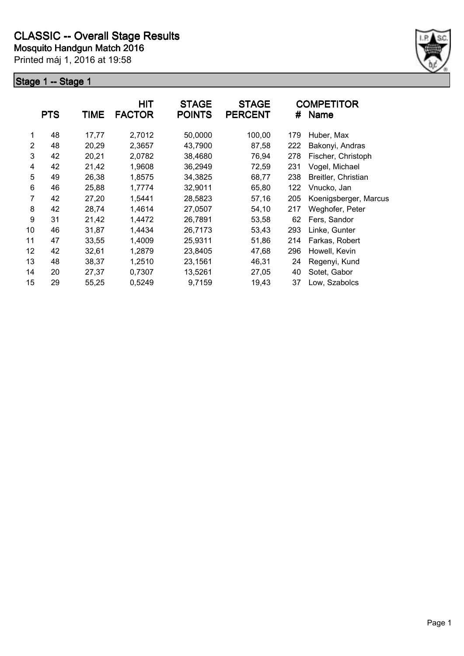

|                | <b>PTS</b> | TIME  | <b>HIT</b><br><b>FACTOR</b> | <b>STAGE</b><br><b>POINTS</b> | <b>STAGE</b><br><b>PERCENT</b> | #   | <b>COMPETITOR</b><br><b>Name</b> |
|----------------|------------|-------|-----------------------------|-------------------------------|--------------------------------|-----|----------------------------------|
| 1              | 48         | 17,77 | 2,7012                      | 50,0000                       | 100,00                         | 179 | Huber, Max                       |
| $\overline{2}$ | 48         | 20,29 | 2,3657                      | 43,7900                       | 87,58                          | 222 | Bakonyi, Andras                  |
| 3              | 42         | 20,21 | 2,0782                      | 38,4680                       | 76,94                          | 278 | Fischer, Christoph               |
| 4              | 42         | 21,42 | 1,9608                      | 36,2949                       | 72,59                          | 231 | Vogel, Michael                   |
| 5              | 49         | 26,38 | 1,8575                      | 34,3825                       | 68,77                          | 238 | Breitler, Christian              |
| 6              | 46         | 25,88 | 1,7774                      | 32,9011                       | 65,80                          | 122 | Vnucko, Jan                      |
| 7              | 42         | 27,20 | 1,5441                      | 28,5823                       | 57,16                          | 205 | Koenigsberger, Marcus            |
| 8              | 42         | 28,74 | 1,4614                      | 27,0507                       | 54,10                          | 217 | Weghofer, Peter                  |
| 9              | 31         | 21,42 | 1,4472                      | 26,7891                       | 53,58                          | 62  | Fers, Sandor                     |
| 10             | 46         | 31,87 | 1,4434                      | 26,7173                       | 53,43                          | 293 | Linke, Gunter                    |
| 11             | 47         | 33,55 | 1,4009                      | 25,9311                       | 51,86                          | 214 | Farkas, Robert                   |
| 12             | 42         | 32,61 | 1,2879                      | 23,8405                       | 47,68                          | 296 | Howell, Kevin                    |
| 13             | 48         | 38,37 | 1,2510                      | 23,1561                       | 46,31                          | 24  | Regenyi, Kund                    |
| 14             | 20         | 27,37 | 0,7307                      | 13,5261                       | 27,05                          | 40  | Sotet, Gabor                     |
| 15             | 29         | 55,25 | 0,5249                      | 9,7159                        | 19,43                          | 37  | Low, Szabolcs                    |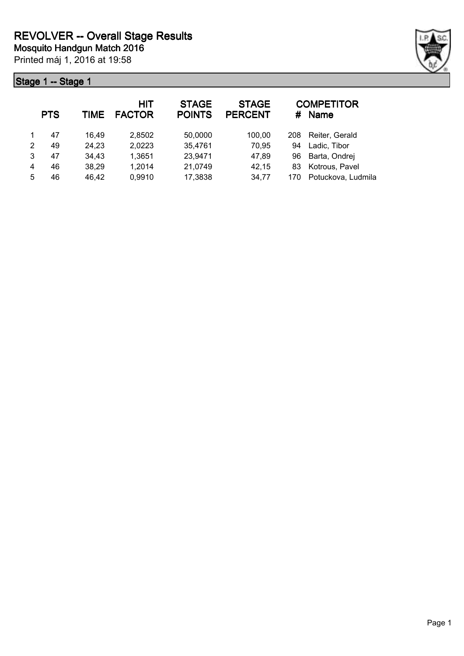

|   | <b>PTS</b> | <b>TIME</b> | <b>HIT</b><br><b>FACTOR</b> | <b>STAGE</b><br><b>POINTS</b> | <b>STAGE</b><br><b>PERCENT</b> | #   | <b>COMPETITOR</b><br><b>Name</b> |
|---|------------|-------------|-----------------------------|-------------------------------|--------------------------------|-----|----------------------------------|
|   | 47         | 16.49       | 2,8502                      | 50,0000                       | 100,00                         | 208 | Reiter, Gerald                   |
| 2 | 49         | 24,23       | 2,0223                      | 35,4761                       | 70,95                          | 94  | Ladic, Tibor                     |
| 3 | 47         | 34,43       | 1,3651                      | 23,9471                       | 47,89                          | 96  | Barta, Ondrej                    |
| 4 | 46         | 38,29       | 1,2014                      | 21,0749                       | 42,15                          | 83  | Kotrous, Pavel                   |
| 5 | 46         | 46,42       | 0,9910                      | 17,3838                       | 34,77                          | 170 | Potuckova, Ludmila               |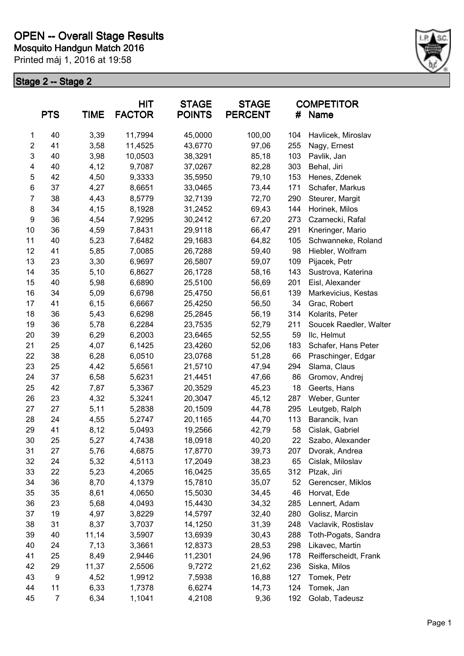

|                           |            | <b>HIT</b><br><b>STAGE</b> |               | <b>STAGE</b>  | <b>COMPETITOR</b> |     |                        |
|---------------------------|------------|----------------------------|---------------|---------------|-------------------|-----|------------------------|
|                           | <b>PTS</b> | <b>TIME</b>                | <b>FACTOR</b> | <b>POINTS</b> | <b>PERCENT</b>    |     | # Name                 |
| 1                         | 40         | 3,39                       | 11,7994       | 45,0000       | 100,00            | 104 | Havlicek, Miroslav     |
| $\mathbf{2}$              | 41         | 3,58                       | 11,4525       | 43,6770       | 97,06             | 255 | Nagy, Ernest           |
| $\ensuremath{\mathsf{3}}$ | 40         | 3,98                       | 10,0503       | 38,3291       | 85,18             | 103 | Pavlik, Jan            |
| 4                         | 40         | 4,12                       | 9,7087        | 37,0267       | 82,28             | 303 | Behal, Jiri            |
| 5                         | 42         | 4,50                       | 9,3333        | 35,5950       | 79,10             | 153 | Henes, Zdenek          |
| 6                         | 37         | 4,27                       | 8,6651        | 33,0465       | 73,44             | 171 | Schafer, Markus        |
| 7                         | 38         | 4,43                       | 8,5779        | 32,7139       | 72,70             | 290 | Steurer, Margit        |
| 8                         | 34         | 4,15                       | 8,1928        | 31,2452       | 69,43             | 144 | Horinek, Milos         |
| 9                         | 36         | 4,54                       | 7,9295        | 30,2412       | 67,20             | 273 | Czarnecki, Rafal       |
| 10                        | 36         | 4,59                       | 7,8431        | 29,9118       | 66,47             | 291 | Kneringer, Mario       |
| 11                        | 40         | 5,23                       | 7,6482        | 29,1683       | 64,82             | 105 | Schwanneke, Roland     |
| 12                        | 41         | 5,85                       | 7,0085        | 26,7288       | 59,40             | 98  | Hiebler, Wolfram       |
| 13                        | 23         | 3,30                       | 6,9697        | 26,5807       | 59,07             | 109 | Pijacek, Petr          |
| 14                        | 35         | 5,10                       | 6,8627        | 26,1728       | 58,16             | 143 | Sustrova, Katerina     |
| 15                        | 40         | 5,98                       | 6,6890        | 25,5100       | 56,69             | 201 | Eisl, Alexander        |
| 16                        | 34         | 5,09                       | 6,6798        | 25,4750       | 56,61             | 139 | Markevicius, Kestas    |
| 17                        | 41         | 6, 15                      | 6,6667        | 25,4250       | 56,50             | 34  | Grac, Robert           |
| 18                        | 36         | 5,43                       | 6,6298        | 25,2845       | 56,19             | 314 | Kolarits, Peter        |
| 19                        | 36         | 5,78                       | 6,2284        | 23,7535       | 52,79             | 211 | Soucek Raedler, Walter |
| 20                        | 39         | 6,29                       | 6,2003        | 23,6465       | 52,55             | 59  | IIc, Helmut            |
| 21                        | 25         | 4,07                       | 6,1425        | 23,4260       | 52,06             | 183 | Schafer, Hans Peter    |
| 22                        | 38         | 6,28                       | 6,0510        | 23,0768       | 51,28             | 66  | Praschinger, Edgar     |
| 23                        | 25         | 4,42                       | 5,6561        | 21,5710       | 47,94             | 294 | Slama, Claus           |
| 24                        | 37         | 6,58                       | 5,6231        | 21,4451       | 47,66             | 86  | Gromov, Andrej         |
| 25                        | 42         | 7,87                       | 5,3367        | 20,3529       | 45,23             | 18  | Geerts, Hans           |
| 26                        | 23         | 4,32                       | 5,3241        | 20,3047       | 45,12             | 287 | Weber, Gunter          |
| 27                        | 27         | 5,11                       | 5,2838        | 20,1509       | 44,78             | 295 | Leutgeb, Ralph         |
| 28                        | 24         | 4,55                       | 5,2747        | 20,1165       | 44,70             | 113 | Barancik, Ivan         |
| 29                        | 41         | 8,12                       | 5,0493        | 19,2566       | 42,79             | 58  | Cislak, Gabriel        |
| 30                        | 25         | 5,27                       | 4,7438        | 18,0918       | 40,20             | 22  | Szabo, Alexander       |
| 31                        | 27         | 5,76                       | 4,6875        | 17,8770       | 39,73             | 207 | Dvorak, Andrea         |
| 32                        | 24         | 5,32                       | 4,5113        | 17,2049       | 38,23             | 65  | Cislak, Miloslav       |
| 33                        | 22         | 5,23                       | 4,2065        | 16,0425       | 35,65             | 312 | Plzak, Jiri            |
| 34                        | 36         | 8,70                       | 4,1379        | 15,7810       | 35,07             | 52  | Gerencser, Miklos      |
| 35                        | 35         | 8,61                       | 4,0650        | 15,5030       | 34,45             | 46  | Horvat, Ede            |
| 36                        | 23         | 5,68                       | 4,0493        | 15,4430       | 34,32             | 285 | Lennert, Adam          |
| 37                        | 19         | 4,97                       | 3,8229        | 14,5797       | 32,40             | 280 | Golisz, Marcin         |
| 38                        | 31         | 8,37                       | 3,7037        | 14,1250       | 31,39             | 248 | Vaclavik, Rostislav    |
| 39                        | 40         | 11,14                      | 3,5907        | 13,6939       | 30,43             | 288 | Toth-Pogats, Sandra    |
| 40                        | 24         | 7,13                       | 3,3661        | 12,8373       | 28,53             | 298 | Likavec, Martin        |
| 41                        | 25         | 8,49                       | 2,9446        | 11,2301       | 24,96             | 178 | Reifferscheidt, Frank  |
| 42                        | 29         | 11,37                      | 2,5506        | 9,7272        | 21,62             | 236 | Siska, Milos           |
| 43                        | 9          | 4,52                       | 1,9912        | 7,5938        | 16,88             | 127 | Tomek, Petr            |
| 44                        | 11         | 6,33                       | 1,7378        | 6,6274        | 14,73             | 124 | Tomek, Jan             |
| 45                        | 7          | 6,34                       | 1,1041        | 4,2108        | 9,36              | 192 | Golab, Tadeusz         |
|                           |            |                            |               |               |                   |     |                        |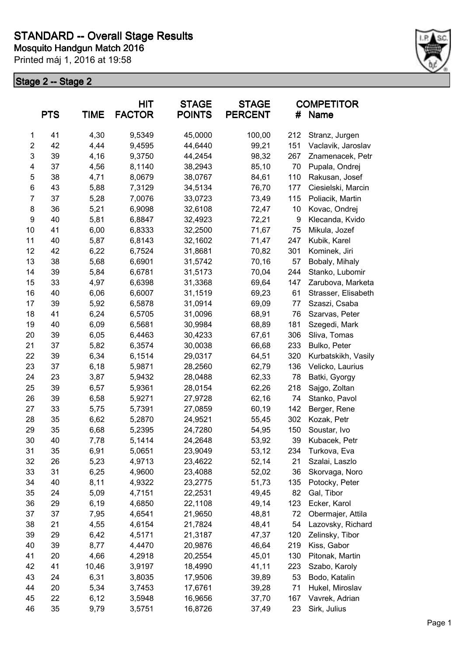

|                | <b>PTS</b> | <b>TIME</b> | HIT<br><b>FACTOR</b> | <b>STAGE</b><br><b>POINTS</b> | <b>STAGE</b><br><b>PERCENT</b> | #   | <b>COMPETITOR</b><br>Name |
|----------------|------------|-------------|----------------------|-------------------------------|--------------------------------|-----|---------------------------|
| 1              | 41         | 4,30        | 9,5349               | 45,0000                       | 100,00                         | 212 | Stranz, Jurgen            |
| $\overline{c}$ | 42         | 4,44        | 9,4595               | 44,6440                       | 99,21                          | 151 | Vaclavik, Jaroslav        |
| 3              | 39         | 4,16        | 9,3750               | 44,2454                       | 98,32                          | 267 | Znamenacek, Petr          |
| 4              | 37         | 4,56        | 8,1140               | 38,2943                       | 85,10                          | 70  | Pupala, Ondrej            |
| 5              | 38         | 4,71        | 8,0679               | 38,0767                       | 84,61                          | 110 | Rakusan, Josef            |
| 6              | 43         | 5,88        | 7,3129               | 34,5134                       | 76,70                          | 177 | Ciesielski, Marcin        |
| $\overline{7}$ | 37         | 5,28        | 7,0076               | 33,0723                       | 73,49                          | 115 | Poliacik, Martin          |
| 8              | 36         | 5,21        | 6,9098               | 32,6108                       | 72,47                          | 10  | Kovac, Ondrej             |
| 9              | 40         | 5,81        | 6,8847               | 32,4923                       | 72,21                          | 9   | Klecanda, Kvido           |
| 10             | 41         | 6,00        | 6,8333               | 32,2500                       | 71,67                          | 75  | Mikula, Jozef             |
| 11             | 40         | 5,87        | 6,8143               | 32,1602                       | 71,47                          | 247 | Kubik, Karel              |
| 12             | 42         | 6,22        | 6,7524               | 31,8681                       | 70,82                          | 301 | Kominek, Jiri             |
| 13             | 38         | 5,68        | 6,6901               | 31,5742                       | 70,16                          | 57  | Bobaly, Mihaly            |
| 14             | 39         | 5,84        | 6,6781               | 31,5173                       | 70,04                          | 244 | Stanko, Lubomir           |
| 15             | 33         | 4,97        | 6,6398               | 31,3368                       | 69,64                          | 147 | Zarubova, Marketa         |
| 16             | 40         | 6,06        | 6,6007               | 31,1519                       | 69,23                          | 61  | Strasser, Elisabeth       |
| 17             | 39         | 5,92        | 6,5878               | 31,0914                       | 69,09                          | 77  | Szaszi, Csaba             |
| 18             | 41         | 6,24        | 6,5705               | 31,0096                       | 68,91                          | 76  | Szarvas, Peter            |
| 19             | 40         | 6,09        | 6,5681               | 30,9984                       | 68,89                          | 181 | Szegedi, Mark             |
| 20             | 39         | 6,05        | 6,4463               | 30,4233                       | 67,61                          | 306 | Sliva, Tomas              |
| 21             | 37         | 5,82        | 6,3574               | 30,0038                       | 66,68                          | 233 | Bulko, Peter              |
| 22             | 39         | 6,34        | 6,1514               | 29,0317                       | 64,51                          | 320 | Kurbatskikh, Vasily       |
| 23             | 37         | 6,18        | 5,9871               | 28,2560                       | 62,79                          | 136 | Velicko, Laurius          |
| 24             | 23         | 3,87        | 5,9432               | 28,0488                       | 62,33                          | 78  | Batki, Gyorgy             |
| 25             | 39         | 6,57        | 5,9361               | 28,0154                       | 62,26                          | 218 | Sajgo, Zoltan             |
| 26             | 39         | 6,58        | 5,9271               | 27,9728                       | 62,16                          | 74  | Stanko, Pavol             |
| 27             | 33         | 5,75        | 5,7391               | 27,0859                       | 60,19                          | 142 | Berger, Rene              |
| 28             | 35         | 6,62        | 5,2870               | 24,9521                       | 55,45                          | 302 | Kozak, Petr               |
| 29             | 35         | 6,68        | 5,2395               | 24,7280                       | 54,95                          | 150 | Soustar, Ivo              |
| 30             | 40         | 7,78        | 5,1414               | 24,2648                       | 53,92                          | 39  | Kubacek, Petr             |
| 31             | 35         | 6,91        | 5,0651               | 23,9049                       | 53,12                          | 234 | Turkova, Eva              |
| 32             | 26         | 5,23        | 4,9713               | 23,4622                       | 52,14                          | 21  | Szalai, Laszlo            |
| 33             | 31         | 6,25        | 4,9600               | 23,4088                       | 52,02                          | 36  | Skorvaga, Noro            |
| 34             | 40         | 8,11        | 4,9322               | 23,2775                       | 51,73                          | 135 | Potocky, Peter            |
| 35             | 24         | 5,09        | 4,7151               | 22,2531                       | 49,45                          | 82  | Gal, Tibor                |
| 36             | 29         | 6,19        | 4,6850               | 22,1108                       | 49,14                          | 123 | Ecker, Karol              |
| 37             | 37         | 7,95        | 4,6541               | 21,9650                       | 48,81                          | 72  | Obermajer, Attila         |
| 38             | 21         | 4,55        | 4,6154               | 21,7824                       | 48,41                          | 54  | Lazovsky, Richard         |
| 39             | 29         | 6,42        | 4,5171               | 21,3187                       | 47,37                          | 120 | Zelinsky, Tibor           |
| 40             | 39         | 8,77        | 4,4470               | 20,9876                       | 46,64                          | 219 | Kiss, Gabor               |
| 41             | 20         | 4,66        | 4,2918               | 20,2554                       | 45,01                          | 130 | Pitonak, Martin           |
| 42             | 41         | 10,46       | 3,9197               | 18,4990                       | 41,11                          | 223 | Szabo, Karoly             |
| 43             | 24         | 6,31        | 3,8035               | 17,9506                       | 39,89                          | 53  | Bodo, Katalin             |
| 44             | 20         | 5,34        | 3,7453               | 17,6761                       | 39,28                          | 71  | Hukel, Miroslav           |
| 45             | 22         | 6,12        | 3,5948               | 16,9656                       | 37,70                          | 167 | Vavrek, Adrian            |
| 46             | 35         | 9,79        | 3,5751               | 16,8726                       | 37,49                          | 23  | Sirk, Julius              |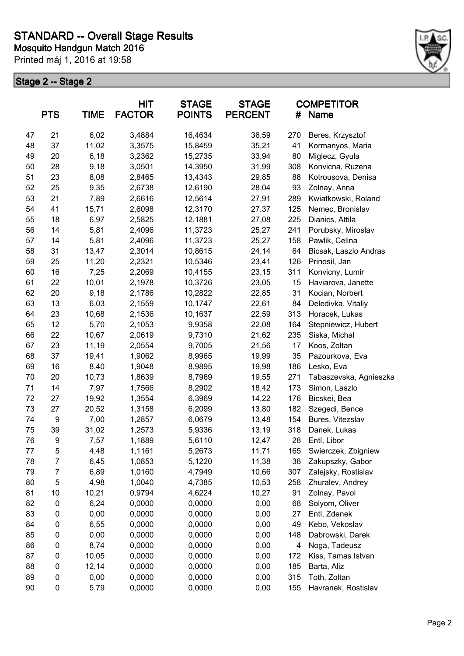

| <b>PTS</b><br><b>TIME</b> |                | <b>HIT</b><br><b>FACTOR</b> | <b>STAGE</b><br><b>POINTS</b> | <b>STAGE</b><br><b>PERCENT</b> | #            | <b>COMPETITOR</b><br>Name |                                    |
|---------------------------|----------------|-----------------------------|-------------------------------|--------------------------------|--------------|---------------------------|------------------------------------|
| 47                        | 21             | 6,02                        | 3,4884                        | 16,4634                        | 36,59        | 270                       | Beres, Krzysztof                   |
| 48                        | 37             | 11,02                       | 3,3575                        | 15,8459                        | 35,21        | 41                        | Kormanyos, Maria                   |
| 49                        | 20             | 6,18                        | 3,2362                        | 15,2735                        | 33,94        | 80                        | Miglecz, Gyula                     |
| 50                        | 28             | 9,18                        | 3,0501                        | 14,3950                        | 31,99        | 308                       | Konvicna, Ruzena                   |
| 51                        | 23             | 8,08                        | 2,8465                        | 13,4343                        | 29,85        | 88                        | Kotrousova, Denisa                 |
| 52                        | 25             | 9,35                        | 2,6738                        | 12,6190                        | 28,04        | 93                        | Zolnay, Anna                       |
| 53                        | 21             | 7,89                        | 2,6616                        | 12,5614                        | 27,91        | 289                       | Kwiatkowski, Roland                |
| 54                        | 41             | 15,71                       | 2,6098                        | 12,3170                        | 27,37        | 125                       | Nemec, Bronislav                   |
| 55                        | 18             | 6,97                        | 2,5825                        | 12,1881                        | 27,08        | 225                       | Dianics, Attila                    |
| 56                        | 14             | 5,81                        | 2,4096                        | 11,3723                        | 25,27        | 241                       | Porubsky, Miroslav                 |
| 57                        | 14             | 5,81                        | 2,4096                        | 11,3723                        | 25,27        | 158                       | Pawlik, Celina                     |
| 58                        | 31             | 13,47                       | 2,3014                        | 10,8615                        | 24,14        | 64                        | Bicsak, Laszlo Andras              |
| 59                        | 25             | 11,20                       | 2,2321                        | 10,5346                        | 23,41        | 126                       | Prinosil, Jan                      |
| 60                        | 16             | 7,25                        | 2,2069                        | 10,4155                        | 23,15        | 311                       | Konvicny, Lumir                    |
| 61                        | 22             | 10,01                       | 2,1978                        | 10,3726                        | 23,05        | 15                        | Haviarova, Janette                 |
| 62                        | 20             | 9,18                        | 2,1786                        | 10,2822                        | 22,85        | 31                        | Kocian, Norbert                    |
| 63                        | 13             | 6,03                        | 2,1559                        | 10,1747                        | 22,61        | 84                        | Deledivka, Vitaliy                 |
| 64                        | 23             | 10,68                       | 2,1536                        | 10,1637                        | 22,59        | 313                       | Horacek, Lukas                     |
| 65                        | 12             | 5,70                        | 2,1053                        | 9,9358                         | 22,08        | 164                       | Stepniewicz, Hubert                |
| 66                        | 22             | 10,67                       | 2,0619                        | 9,7310                         | 21,62        | 235                       | Siska, Michal                      |
| 67                        | 23             | 11,19                       | 2,0554                        | 9,7005                         | 21,56        | 17                        | Koos, Zoltan                       |
| 68                        | 37             | 19,41                       | 1,9062                        | 8,9965                         | 19,99        | 35                        | Pazourkova, Eva                    |
| 69                        | 16             | 8,40                        | 1,9048                        | 8,9895                         | 19,98        | 186                       | Lesko, Eva                         |
| 70                        | 20             | 10,73                       | 1,8639                        | 8,7969                         | 19,55        | 271                       | Tabaszevska, Agnieszka             |
| 71                        | 14             | 7,97                        | 1,7566                        | 8,2902                         | 18,42        | 173                       | Simon, Laszlo                      |
| 72                        | 27             | 19,92                       | 1,3554                        | 6,3969                         | 14,22        | 176                       | Bicskei, Bea                       |
| 73                        | 27             | 20,52                       | 1,3158                        | 6,2099                         | 13,80        | 182                       | Szegedi, Bence                     |
| 74                        | 9              | 7,00                        | 1,2857                        | 6,0679                         | 13,48        | 154                       | Bures, Vitezslav                   |
| 75                        | 39             | 31,02                       | 1,2573                        | 5,9336                         | 13,19        | 318                       | Danek, Lukas                       |
| 76                        | 9              | 7,57                        | 1,1889                        | 5,6110                         | 12,47        | 28                        | Entl, Libor                        |
| 77                        | 5              | 4,48                        | 1,1161                        | 5,2673                         | 11,71        | 165                       | Swierczek, Zbigniew                |
| 78                        | $\overline{7}$ | 6,45                        | 1,0853                        | 5,1220                         | 11,38        | 38                        | Zakupszky, Gabor                   |
| 79                        | 7              | 6,89                        | 1,0160                        | 4,7949                         | 10,66        | 307                       | Zalejsky, Rostislav                |
| 80                        | 5              | 4,98                        | 1,0040                        | 4,7385                         | 10,53        | 258                       | Zhuralev, Andrey                   |
| 81                        | 10             | 10,21                       | 0,9794<br>0,0000              | 4,6224                         | 10,27        | 91                        | Zolnay, Pavol                      |
| 82                        | 0              | 6,24                        |                               | 0,0000                         | 0,00         | 68                        | Solyom, Oliver                     |
| 83                        | 0              | 0,00                        | 0,0000                        | 0,0000<br>0,0000               | 0,00         | 27                        | Entl, Zdenek                       |
| 84                        | 0              | 6,55                        | 0,0000                        |                                | 0,00         | 49                        | Kebo, Vekoslav<br>Dabrowski, Darek |
| 85                        | 0              | 0,00                        | 0,0000                        | 0,0000                         | 0,00         | 148                       |                                    |
| 86<br>87                  | 0              | 8,74                        | 0,0000                        | 0,0000                         | 0,00         | 4                         | Noga, Tadeusz                      |
| 88                        | 0<br>0         | 10,05<br>12,14              | 0,0000<br>0,0000              | 0,0000<br>0,0000               | 0,00<br>0,00 | 172<br>185                | Kiss, Tamas Istvan<br>Barta, Aliz  |
| 89                        | 0              | 0,00                        | 0,0000                        | 0,0000                         | 0,00         | 315                       | Toth, Zoltan                       |
| 90                        |                |                             |                               |                                |              |                           |                                    |
|                           | 0              | 5,79                        | 0,0000                        | 0,0000                         | 0,00         | 155                       | Havranek, Rostislav                |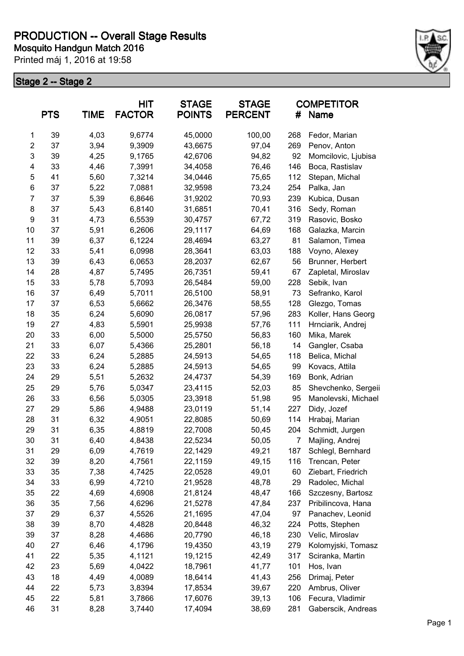

|                | <b>PTS</b> | <b>TIME</b> | <b>HIT</b><br><b>FACTOR</b> | <b>STAGE</b><br><b>POINTS</b> | <b>STAGE</b><br><b>PERCENT</b> | #              | <b>COMPETITOR</b><br>Name |
|----------------|------------|-------------|-----------------------------|-------------------------------|--------------------------------|----------------|---------------------------|
| 1              | 39         | 4,03        | 9,6774                      | 45,0000                       | 100,00                         | 268            | Fedor, Marian             |
| $\overline{c}$ | 37         | 3,94        | 9,3909                      | 43,6675                       | 97,04                          | 269            | Penov, Anton              |
| 3              | 39         | 4,25        | 9,1765                      | 42,6706                       | 94,82                          | 92             | Momcilovic, Ljubisa       |
| 4              | 33         | 4,46        | 7,3991                      | 34,4058                       | 76,46                          | 146            | Boca, Rastislav           |
| 5              | 41         | 5,60        | 7,3214                      | 34,0446                       | 75,65                          | 112            | Stepan, Michal            |
| 6              | 37         | 5,22        | 7,0881                      | 32,9598                       | 73,24                          | 254            | Palka, Jan                |
| $\overline{7}$ | 37         | 5,39        | 6,8646                      | 31,9202                       | 70,93                          | 239            | Kubica, Dusan             |
| 8              | 37         | 5,43        | 6,8140                      | 31,6851                       | 70,41                          | 316            | Sedy, Roman               |
| 9              | 31         | 4,73        | 6,5539                      | 30,4757                       | 67,72                          | 319            | Rasovic, Bosko            |
| 10             | 37         | 5,91        | 6,2606                      | 29,1117                       | 64,69                          | 168            | Galazka, Marcin           |
| 11             | 39         | 6,37        | 6,1224                      | 28,4694                       | 63,27                          | 81             | Salamon, Timea            |
| 12             | 33         | 5,41        | 6,0998                      | 28,3641                       | 63,03                          | 188            | Voyno, Alexey             |
| 13             | 39         | 6,43        | 6,0653                      | 28,2037                       | 62,67                          | 56             | Brunner, Herbert          |
| 14             | 28         | 4,87        | 5,7495                      | 26,7351                       | 59,41                          | 67             | Zapletal, Miroslav        |
| 15             | 33         | 5,78        | 5,7093                      | 26,5484                       | 59,00                          | 228            | Sebik, Ivan               |
| 16             | 37         | 6,49        | 5,7011                      | 26,5100                       | 58,91                          | 73             | Sefranko, Karol           |
| 17             | 37         | 6,53        | 5,6662                      | 26,3476                       | 58,55                          | 128            | Glezgo, Tomas             |
| 18             | 35         | 6,24        | 5,6090                      | 26,0817                       | 57,96                          | 283            | Koller, Hans Georg        |
| 19             | 27         | 4,83        | 5,5901                      | 25,9938                       | 57,76                          | 111            | Hrnciarik, Andrej         |
| 20             | 33         | 6,00        | 5,5000                      | 25,5750                       | 56,83                          | 160            | Mika, Marek               |
| 21             | 33         | 6,07        | 5,4366                      | 25,2801                       | 56,18                          | 14             | Gangler, Csaba            |
| 22             | 33         | 6,24        | 5,2885                      | 24,5913                       | 54,65                          | 118            | Belica, Michal            |
| 23             | 33         | 6,24        | 5,2885                      | 24,5913                       | 54,65                          | 99             | Kovacs, Attila            |
| 24             | 29         | 5,51        | 5,2632                      | 24,4737                       | 54,39                          | 169            | Bonk, Adrian              |
| 25             | 29         | 5,76        | 5,0347                      | 23,4115                       | 52,03                          | 85             | Shevchenko, Sergeii       |
| 26             | 33         | 6,56        | 5,0305                      | 23,3918                       | 51,98                          | 95             | Manolevski, Michael       |
| 27             | 29         | 5,86        | 4,9488                      | 23,0119                       | 51,14                          | 227            | Didy, Jozef               |
| 28             | 31         | 6,32        | 4,9051                      | 22,8085                       | 50,69                          | 114            | Hrabaj, Marian            |
| 29             | 31         | 6,35        | 4,8819                      | 22,7008                       | 50,45                          | 204            | Schmidt, Jurgen           |
| 30             | 31         | 6,40        | 4,8438                      | 22,5234                       | 50,05                          | $\overline{7}$ | Majling, Andrej           |
| 31             | 29         | 6,09        | 4,7619                      | 22,1429                       | 49,21                          | 187            | Schlegl, Bernhard         |
| 32             | 39         | 8,20        | 4,7561                      | 22,1159                       | 49,15                          | 116            | Trencan, Peter            |
| 33             | 35         | 7,38        | 4,7425                      | 22,0528                       | 49,01                          | 60             | Ziebart, Friedrich        |
| 34             | 33         | 6,99        | 4,7210                      | 21,9528                       | 48,78                          | 29             | Radolec, Michal           |
| 35             | 22         | 4,69        | 4,6908                      | 21,8124                       | 48,47                          | 166            | Szczesny, Bartosz         |
| 36             | 35         | 7,56        | 4,6296                      | 21,5278                       | 47,84                          | 237            | Pribilincova, Hana        |
| 37             | 29         | 6,37        | 4,5526                      | 21,1695                       | 47,04                          | 97             | Panachev, Leonid          |
| 38             | 39         | 8,70        | 4,4828                      | 20,8448                       | 46,32                          | 224            | Potts, Stephen            |
| 39             | 37         | 8,28        | 4,4686                      | 20,7790                       | 46,18                          | 230            | Velic, Miroslav           |
| 40             | 27         | 6,46        | 4,1796                      | 19,4350                       | 43,19                          | 279            | Kolomyjski, Tomasz        |
| 41             | 22         | 5,35        | 4,1121                      | 19,1215                       | 42,49                          | 317            | Sciranka, Martin          |
| 42             | 23         | 5,69        | 4,0422                      | 18,7961                       | 41,77                          | 101            | Hos, Ivan                 |
| 43             | 18         | 4,49        | 4,0089                      | 18,6414                       | 41,43                          | 256            | Drimaj, Peter             |
| 44             | 22         | 5,73        | 3,8394                      | 17,8534                       | 39,67                          | 220            | Ambrus, Oliver            |
| 45             | 22         | 5,81        | 3,7866                      | 17,6076                       | 39,13                          | 106            | Fecura, Vladimir          |
| 46             | 31         | 8,28        | 3,7440                      | 17,4094                       | 38,69                          | 281            | Gaberscik, Andreas        |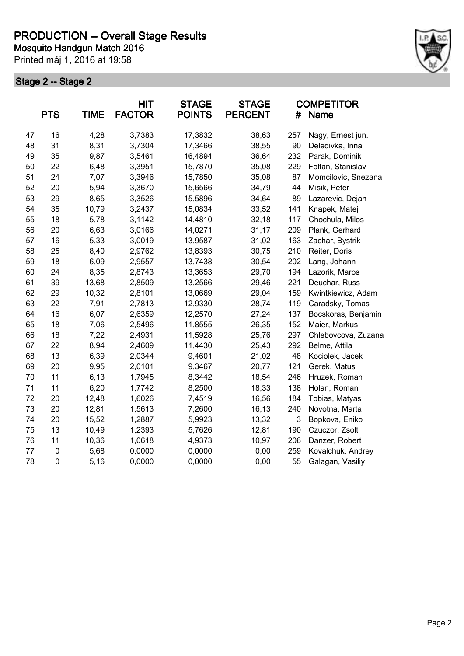

|    | <b>PTS</b>          | <b>TIME</b> | <b>HIT</b><br><b>FACTOR</b> | <b>STAGE</b><br><b>POINTS</b> | <b>STAGE</b><br><b>PERCENT</b> | #   | <b>COMPETITOR</b><br><b>Name</b> |
|----|---------------------|-------------|-----------------------------|-------------------------------|--------------------------------|-----|----------------------------------|
| 47 | 16                  | 4,28        | 3,7383                      | 17,3832                       | 38,63                          | 257 | Nagy, Ernest jun.                |
| 48 | 31                  | 8,31        | 3,7304                      | 17,3466                       | 38,55                          | 90  | Deledivka, Inna                  |
| 49 | 35                  | 9,87        | 3,5461                      | 16,4894                       | 36,64                          | 232 | Parak, Dominik                   |
| 50 | 22                  | 6,48        | 3,3951                      | 15,7870                       | 35,08                          | 229 | Foltan, Stanislav                |
| 51 | 24                  | 7,07        | 3,3946                      | 15,7850                       | 35,08                          | 87  | Momcilovic, Snezana              |
| 52 | 20                  | 5,94        | 3,3670                      | 15,6566                       | 34,79                          | 44  | Misik, Peter                     |
| 53 | 29                  | 8,65        | 3,3526                      | 15,5896                       | 34,64                          | 89  | Lazarevic, Dejan                 |
| 54 | 35                  | 10,79       | 3,2437                      | 15,0834                       | 33,52                          | 141 | Knapek, Matej                    |
| 55 | 18                  | 5,78        | 3,1142                      | 14,4810                       | 32,18                          | 117 | Chochula, Milos                  |
| 56 | 20                  | 6,63        | 3,0166                      | 14,0271                       | 31,17                          | 209 | Plank, Gerhard                   |
| 57 | 16                  | 5,33        | 3,0019                      | 13,9587                       | 31,02                          | 163 | Zachar, Bystrik                  |
| 58 | 25                  | 8,40        | 2,9762                      | 13,8393                       | 30,75                          | 210 | Reiter, Doris                    |
| 59 | 18                  | 6,09        | 2,9557                      | 13,7438                       | 30,54                          | 202 | Lang, Johann                     |
| 60 | 24                  | 8,35        | 2,8743                      | 13,3653                       | 29,70                          | 194 | Lazorik, Maros                   |
| 61 | 39                  | 13,68       | 2,8509                      | 13,2566                       | 29,46                          | 221 | Deuchar, Russ                    |
| 62 | 29                  | 10,32       | 2,8101                      | 13,0669                       | 29,04                          | 159 | Kwintkiewicz, Adam               |
| 63 | 22                  | 7,91        | 2,7813                      | 12,9330                       | 28,74                          | 119 | Caradsky, Tomas                  |
| 64 | 16                  | 6,07        | 2,6359                      | 12,2570                       | 27,24                          | 137 | Bocskoras, Benjamin              |
| 65 | 18                  | 7,06        | 2,5496                      | 11,8555                       | 26,35                          | 152 | Maier, Markus                    |
| 66 | 18                  | 7,22        | 2,4931                      | 11,5928                       | 25,76                          | 297 | Chlebovcova, Zuzana              |
| 67 | 22                  | 8,94        | 2,4609                      | 11,4430                       | 25,43                          | 292 | Belme, Attila                    |
| 68 | 13                  | 6,39        | 2,0344                      | 9,4601                        | 21,02                          | 48  | Kociolek, Jacek                  |
| 69 | 20                  | 9,95        | 2,0101                      | 9,3467                        | 20,77                          | 121 | Gerek, Matus                     |
| 70 | 11                  | 6,13        | 1,7945                      | 8,3442                        | 18,54                          | 246 | Hruzek, Roman                    |
| 71 | 11                  | 6,20        | 1,7742                      | 8,2500                        | 18,33                          | 138 | Holan, Roman                     |
| 72 | 20                  | 12,48       | 1,6026                      | 7,4519                        | 16,56                          | 184 | Tobias, Matyas                   |
| 73 | 20                  | 12,81       | 1,5613                      | 7,2600                        | 16,13                          | 240 | Novotna, Marta                   |
| 74 | 20                  | 15,52       | 1,2887                      | 5,9923                        | 13,32                          | 3   | Bopkova, Eniko                   |
| 75 | 13                  | 10,49       | 1,2393                      | 5,7626                        | 12,81                          | 190 | Czuczor, Zsolt                   |
| 76 | 11                  | 10,36       | 1,0618                      | 4,9373                        | 10,97                          | 206 | Danzer, Robert                   |
| 77 | $\pmb{0}$           | 5,68        | 0,0000                      | 0,0000                        | 0,00                           | 259 | Kovalchuk, Andrey                |
| 78 | $\mathsf{O}\xspace$ | 5,16        | 0,0000                      | 0,0000                        | 0,00                           | 55  | Galagan, Vasiliy                 |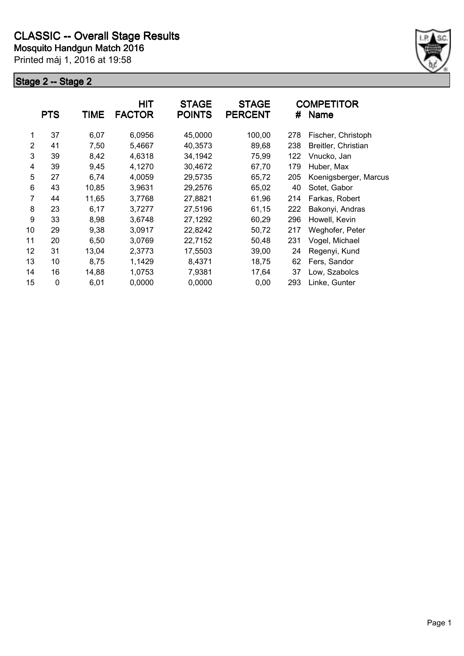

|                | <b>PTS</b> | <b>TIME</b> | <b>HIT</b><br><b>FACTOR</b> | <b>STAGE</b><br><b>POINTS</b> | <b>STAGE</b><br><b>PERCENT</b> | #   | <b>COMPETITOR</b><br><b>Name</b> |
|----------------|------------|-------------|-----------------------------|-------------------------------|--------------------------------|-----|----------------------------------|
| 1              | 37         | 6,07        | 6,0956                      | 45,0000                       | 100,00                         | 278 | Fischer, Christoph               |
| $\overline{2}$ | 41         | 7,50        | 5,4667                      | 40,3573                       | 89,68                          | 238 | Breitler, Christian              |
| 3              | 39         | 8,42        | 4,6318                      | 34,1942                       | 75,99                          | 122 | Vnucko, Jan                      |
| 4              | 39         | 9,45        | 4,1270                      | 30,4672                       | 67,70                          | 179 | Huber, Max                       |
| 5              | 27         | 6,74        | 4,0059                      | 29,5735                       | 65,72                          | 205 | Koenigsberger, Marcus            |
| 6              | 43         | 10,85       | 3,9631                      | 29,2576                       | 65,02                          | 40  | Sotet, Gabor                     |
| 7              | 44         | 11,65       | 3,7768                      | 27,8821                       | 61,96                          | 214 | Farkas, Robert                   |
| 8              | 23         | 6,17        | 3,7277                      | 27,5196                       | 61,15                          | 222 | Bakonyi, Andras                  |
| 9              | 33         | 8,98        | 3,6748                      | 27,1292                       | 60,29                          | 296 | Howell, Kevin                    |
| 10             | 29         | 9,38        | 3,0917                      | 22,8242                       | 50,72                          | 217 | Weghofer, Peter                  |
| 11             | 20         | 6,50        | 3,0769                      | 22,7152                       | 50,48                          | 231 | Vogel, Michael                   |
| 12             | 31         | 13,04       | 2,3773                      | 17,5503                       | 39,00                          | 24  | Regenyi, Kund                    |
| 13             | 10         | 8,75        | 1,1429                      | 8,4371                        | 18,75                          | 62  | Fers, Sandor                     |
| 14             | 16         | 14,88       | 1,0753                      | 7,9381                        | 17,64                          | 37  | Low, Szabolcs                    |
| 15             | 0          | 6,01        | 0,0000                      | 0,0000                        | 0,00                           | 293 | Linke, Gunter                    |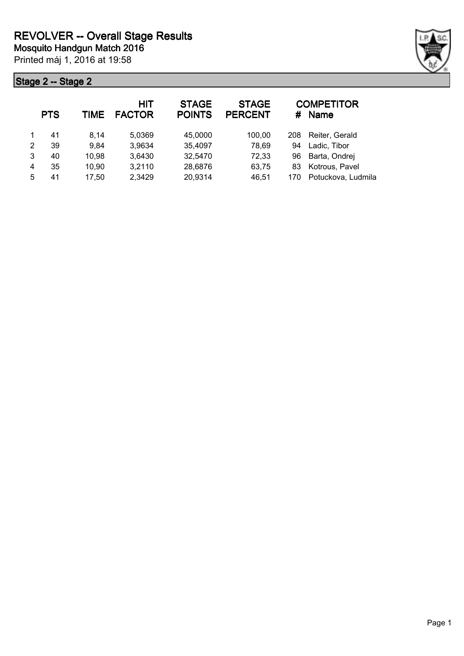

|   | <b>PTS</b> | TIME  | HIT<br><b>FACTOR</b> | <b>STAGE</b><br><b>POINTS</b> | <b>STAGE</b><br><b>PERCENT</b> | #   | <b>COMPETITOR</b><br><b>Name</b> |
|---|------------|-------|----------------------|-------------------------------|--------------------------------|-----|----------------------------------|
|   | 41         | 8.14  | 5,0369               | 45,0000                       | 100.00                         | 208 | Reiter, Gerald                   |
| 2 | 39         | 9,84  | 3,9634               | 35,4097                       | 78,69                          | 94  | Ladic, Tibor                     |
| 3 | 40         | 10,98 | 3,6430               | 32,5470                       | 72,33                          | 96  | Barta, Ondrej                    |
| 4 | 35         | 10,90 | 3,2110               | 28,6876                       | 63,75                          | 83  | Kotrous, Pavel                   |
| 5 | 41         | 17,50 | 2,3429               | 20,9314                       | 46,51                          | 170 | Potuckova, Ludmila               |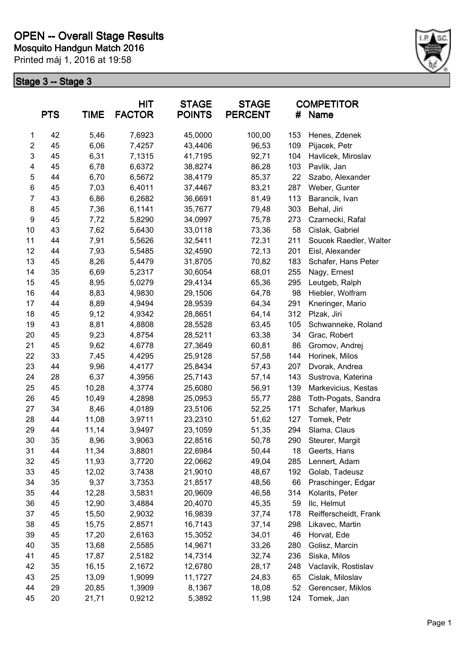

|                  | <b>PTS</b> | <b>TIME</b> | <b>HIT</b><br><b>FACTOR</b> | <b>STAGE</b><br><b>POINTS</b> | <b>STAGE</b><br><b>PERCENT</b> | #   | <b>COMPETITOR</b><br><b>Name</b> |
|------------------|------------|-------------|-----------------------------|-------------------------------|--------------------------------|-----|----------------------------------|
| 1                | 42         | 5,46        | 7,6923                      | 45,0000                       | 100,00                         | 153 | Henes, Zdenek                    |
| $\overline{2}$   | 45         | 6,06        | 7,4257                      | 43,4406                       | 96,53                          | 109 | Pijacek, Petr                    |
| 3                | 45         | 6,31        | 7,1315                      | 41,7195                       | 92,71                          | 104 | Havlicek, Miroslav               |
| 4                | 45         | 6,78        | 6,6372                      | 38,8274                       | 86,28                          | 103 | Pavlik, Jan                      |
| 5                | 44         | 6,70        | 6,5672                      | 38,4179                       | 85,37                          | 22  | Szabo, Alexander                 |
| 6                | 45         | 7,03        | 6,4011                      | 37,4467                       | 83,21                          | 287 | Weber, Gunter                    |
| $\overline{7}$   | 43         | 6,86        | 6,2682                      | 36,6691                       | 81,49                          | 113 | Barancik, Ivan                   |
| 8                | 45         | 7,36        | 6,1141                      | 35,7677                       | 79,48                          | 303 | Behal, Jiri                      |
| $\boldsymbol{9}$ | 45         | 7,72        | 5,8290                      | 34,0997                       | 75,78                          | 273 | Czarnecki, Rafal                 |
| 10               | 43         | 7,62        | 5,6430                      | 33,0118                       | 73,36                          | 58  | Cislak, Gabriel                  |
| 11               | 44         | 7,91        | 5,5626                      | 32,5411                       | 72,31                          | 211 | Soucek Raedler, Walter           |
| 12               | 44         | 7,93        | 5,5485                      | 32,4590                       | 72,13                          | 201 | Eisl, Alexander                  |
| 13               | 45         | 8,26        | 5,4479                      | 31,8705                       | 70,82                          | 183 | Schafer, Hans Peter              |
| 14               | 35         | 6,69        | 5,2317                      | 30,6054                       | 68,01                          | 255 | Nagy, Ernest                     |
| 15               | 45         | 8,95        | 5,0279                      | 29,4134                       | 65,36                          | 295 | Leutgeb, Ralph                   |
| 16               | 44         | 8,83        | 4,9830                      | 29,1506                       | 64,78                          | 98  | Hiebler, Wolfram                 |
| 17               | 44         | 8,89        | 4,9494                      | 28,9539                       | 64,34                          | 291 | Kneringer, Mario                 |
| 18               | 45         | 9,12        | 4,9342                      | 28,8651                       | 64,14                          | 312 | Plzak, Jiri                      |
| 19               | 43         | 8,81        | 4,8808                      | 28,5528                       | 63,45                          | 105 | Schwanneke, Roland               |
| 20               | 45         | 9,23        | 4,8754                      | 28,5211                       | 63,38                          | 34  | Grac, Robert                     |
| 21               | 45         | 9,62        | 4,6778                      | 27,3649                       | 60,81                          | 86  | Gromov, Andrej                   |
| 22               | 33         | 7,45        | 4,4295                      | 25,9128                       | 57,58                          | 144 | Horinek, Milos                   |
| 23               | 44         | 9,96        | 4,4177                      | 25,8434                       | 57,43                          | 207 | Dvorak, Andrea                   |
| 24               | 28         | 6,37        | 4,3956                      | 25,7143                       | 57,14                          | 143 | Sustrova, Katerina               |
| 25               | 45         | 10,28       | 4,3774                      | 25,6080                       | 56,91                          | 139 | Markevicius, Kestas              |
| 26               | 45         | 10,49       | 4,2898                      | 25,0953                       | 55,77                          | 288 | Toth-Pogats, Sandra              |
| 27               | 34         | 8,46        | 4,0189                      | 23,5106                       | 52,25                          | 171 | Schafer, Markus                  |
| 28               | 44         | 11,08       | 3,9711                      | 23,2310                       | 51,62                          | 127 | Tomek, Petr                      |
| 29               | 44         | 11,14       | 3,9497                      | 23,1059                       | 51,35                          | 294 | Slama, Claus                     |
| 30               | 35         | 8,96        | 3,9063                      | 22,8516                       | 50,78                          | 290 | Steurer, Margit                  |
| 31               | 44         | 11,34       | 3,8801                      | 22,6984                       | 50,44                          | 18  | Geerts, Hans                     |
| 32               | 45         | 11,93       | 3,7720                      | 22,0662                       | 49,04                          | 285 | Lennert, Adam                    |
| 33               | 45         | 12,02       | 3,7438                      | 21,9010                       | 48,67                          | 192 | Golab, Tadeusz                   |
| 34               | 35         | 9,37        | 3,7353                      | 21,8517                       | 48,56                          | 66  | Praschinger, Edgar               |
| 35               | 44         | 12,28       | 3,5831                      | 20,9609                       | 46,58                          | 314 | Kolarits, Peter                  |
| 36               | 45         | 12,90       | 3,4884                      | 20,4070                       | 45,35                          | 59  | IIc, Helmut                      |
| 37               | 45         | 15,50       | 2,9032                      | 16,9839                       | 37,74                          | 178 | Reifferscheidt, Frank            |
| 38               | 45         | 15,75       | 2,8571                      | 16,7143                       | 37,14                          | 298 | Likavec, Martin                  |
| 39               | 45         | 17,20       | 2,6163                      | 15,3052                       | 34,01                          | 46  | Horvat, Ede                      |
| 40               | 35         | 13,68       | 2,5585                      | 14,9671                       | 33,26                          | 280 | Golisz, Marcin                   |
| 41               | 45         | 17,87       | 2,5182                      | 14,7314                       | 32,74                          | 236 | Siska, Milos                     |
| 42               | 35         | 16,15       | 2,1672                      | 12,6780                       | 28,17                          | 248 | Vaclavik, Rostislav              |
| 43               | 25         | 13,09       | 1,9099                      | 11,1727                       | 24,83                          | 65  | Cislak, Miloslav                 |
| 44               | 29         | 20,85       | 1,3909                      | 8,1367                        | 18,08                          | 52  | Gerencser, Miklos                |
| 45               | 20         | 21,71       | 0,9212                      | 5,3892                        | 11,98                          | 124 | Tomek, Jan                       |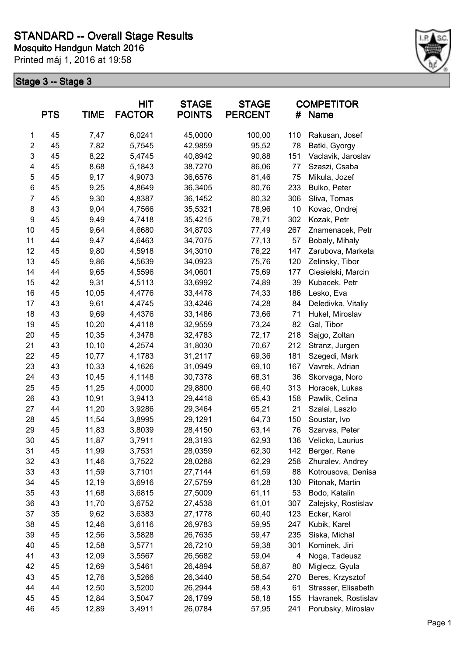

|                         | <b>PTS</b> | <b>TIME</b> | <b>HIT</b><br><b>FACTOR</b> | <b>STAGE</b><br><b>POINTS</b> | <b>STAGE</b><br><b>PERCENT</b> | #   | <b>COMPETITOR</b><br><b>Name</b> |
|-------------------------|------------|-------------|-----------------------------|-------------------------------|--------------------------------|-----|----------------------------------|
| 1                       | 45         | 7,47        | 6,0241                      | 45,0000                       | 100,00                         | 110 | Rakusan, Josef                   |
| $\overline{\mathbf{c}}$ | 45         | 7,82        | 5,7545                      | 42,9859                       | 95,52                          | 78  | Batki, Gyorgy                    |
| $\mathsf 3$             | 45         | 8,22        | 5,4745                      | 40,8942                       | 90,88                          | 151 | Vaclavik, Jaroslav               |
| 4                       | 45         | 8,68        | 5,1843                      | 38,7270                       | 86,06                          | 77  | Szaszi, Csaba                    |
| 5                       | 45         | 9,17        | 4,9073                      | 36,6576                       | 81,46                          | 75  | Mikula, Jozef                    |
| 6                       | 45         | 9,25        | 4,8649                      | 36,3405                       | 80,76                          | 233 | Bulko, Peter                     |
| $\overline{7}$          | 45         | 9,30        | 4,8387                      | 36,1452                       | 80,32                          | 306 | Sliva, Tomas                     |
| 8                       | 43         | 9,04        | 4,7566                      | 35,5321                       | 78,96                          | 10  | Kovac, Ondrej                    |
| 9                       | 45         | 9,49        | 4,7418                      | 35,4215                       | 78,71                          | 302 | Kozak, Petr                      |
| 10                      | 45         | 9,64        | 4,6680                      | 34,8703                       | 77,49                          | 267 | Znamenacek, Petr                 |
| 11                      | 44         | 9,47        | 4,6463                      | 34,7075                       | 77,13                          | 57  | Bobaly, Mihaly                   |
| 12                      | 45         | 9,80        | 4,5918                      | 34,3010                       | 76,22                          | 147 | Zarubova, Marketa                |
| 13                      | 45         | 9,86        | 4,5639                      | 34,0923                       | 75,76                          | 120 | Zelinsky, Tibor                  |
| 14                      | 44         | 9,65        | 4,5596                      | 34,0601                       | 75,69                          | 177 | Ciesielski, Marcin               |
| 15                      | 42         | 9,31        | 4,5113                      | 33,6992                       | 74,89                          | 39  | Kubacek, Petr                    |
| 16                      | 45         | 10,05       | 4,4776                      | 33,4478                       | 74,33                          | 186 | Lesko, Eva                       |
| 17                      | 43         | 9,61        | 4,4745                      | 33,4246                       | 74,28                          | 84  | Deledivka, Vitaliy               |
| 18                      | 43         | 9,69        | 4,4376                      | 33,1486                       | 73,66                          | 71  | Hukel, Miroslav                  |
| 19                      | 45         | 10,20       | 4,4118                      | 32,9559                       | 73,24                          | 82  | Gal, Tibor                       |
| 20                      | 45         | 10,35       | 4,3478                      | 32,4783                       | 72,17                          | 218 | Sajgo, Zoltan                    |
| 21                      | 43         | 10,10       | 4,2574                      | 31,8030                       | 70,67                          | 212 | Stranz, Jurgen                   |
| 22                      | 45         | 10,77       | 4,1783                      | 31,2117                       | 69,36                          | 181 | Szegedi, Mark                    |
| 23                      | 43         | 10,33       | 4,1626                      | 31,0949                       | 69,10                          | 167 | Vavrek, Adrian                   |
| 24                      | 43         | 10,45       | 4,1148                      | 30,7378                       | 68,31                          | 36  | Skorvaga, Noro                   |
| 25                      | 45         | 11,25       | 4,0000                      | 29,8800                       | 66,40                          | 313 | Horacek, Lukas                   |
| 26                      | 43         | 10,91       | 3,9413                      | 29,4418                       | 65,43                          | 158 | Pawlik, Celina                   |
| 27                      | 44         | 11,20       | 3,9286                      | 29,3464                       | 65,21                          | 21  | Szalai, Laszlo                   |
| 28                      | 45         | 11,54       | 3,8995                      | 29,1291                       | 64,73                          | 150 | Soustar, Ivo                     |
| 29                      | 45         | 11,83       | 3,8039                      | 28,4150                       | 63,14                          | 76  | Szarvas, Peter                   |
| 30                      | 45         | 11,87       | 3,7911                      | 28,3193                       | 62,93                          | 136 | Velicko, Laurius                 |
| 31                      | 45         | 11,99       | 3,7531                      | 28,0359                       | 62,30                          | 142 | Berger, Rene                     |
| 32                      | 43         | 11,46       | 3,7522                      | 28,0288                       | 62,29                          | 258 | Zhuralev, Andrey                 |
| 33                      | 43         | 11,59       | 3,7101                      | 27,7144                       | 61,59                          | 88  | Kotrousova, Denisa               |
| 34                      | 45         | 12,19       | 3,6916                      | 27,5759                       | 61,28                          | 130 | Pitonak, Martin                  |
| 35                      | 43         | 11,68       | 3,6815                      | 27,5009                       | 61,11                          | 53  | Bodo, Katalin                    |
| 36                      | 43         | 11,70       | 3,6752                      | 27,4538                       | 61,01                          | 307 | Zalejsky, Rostislav              |
| 37                      | 35         | 9,62        | 3,6383                      | 27,1778                       | 60,40                          | 123 | Ecker, Karol                     |
| 38                      | 45         | 12,46       | 3,6116                      | 26,9783                       | 59,95                          | 247 | Kubik, Karel                     |
| 39                      | 45         | 12,56       | 3,5828                      | 26,7635                       | 59,47                          | 235 | Siska, Michal                    |
| 40                      | 45         | 12,58       | 3,5771                      | 26,7210                       | 59,38                          | 301 | Kominek, Jiri                    |
| 41                      | 43         | 12,09       | 3,5567                      | 26,5682                       | 59,04                          | 4   | Noga, Tadeusz                    |
| 42                      | 45         | 12,69       | 3,5461                      | 26,4894                       | 58,87                          | 80  | Miglecz, Gyula                   |
| 43                      | 45         | 12,76       | 3,5266                      | 26,3440                       | 58,54                          | 270 | Beres, Krzysztof                 |
| 44                      | 44         | 12,50       | 3,5200                      | 26,2944                       | 58,43                          | 61  | Strasser, Elisabeth              |
| 45                      | 45         | 12,84       | 3,5047                      | 26,1799                       | 58,18                          | 155 | Havranek, Rostislav              |
| 46                      | 45         | 12,89       | 3,4911                      | 26,0784                       | 57,95                          | 241 | Porubsky, Miroslav               |
|                         |            |             |                             |                               |                                |     |                                  |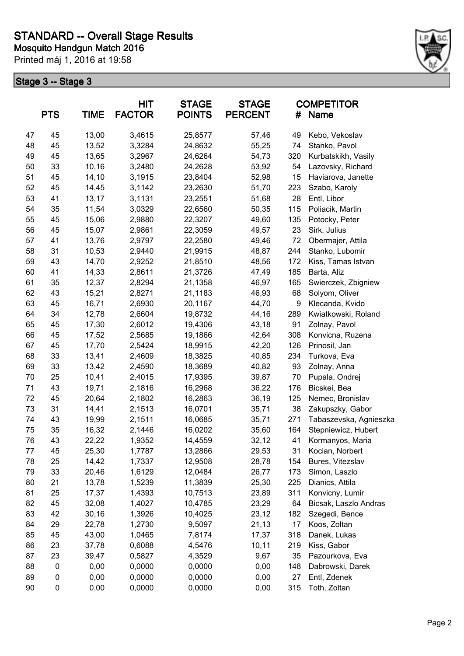

|    | <b>PTS</b> | <b>TIME</b> | <b>HIT</b><br><b>FACTOR</b> | <b>STAGE</b><br><b>POINTS</b> | <b>STAGE</b><br><b>PERCENT</b> | #   | <b>COMPETITOR</b><br>Name |
|----|------------|-------------|-----------------------------|-------------------------------|--------------------------------|-----|---------------------------|
| 47 | 45         | 13,00       | 3,4615                      | 25,8577                       | 57,46                          | 49  | Kebo, Vekoslav            |
| 48 | 45         | 13,52       | 3,3284                      | 24,8632                       | 55,25                          | 74  | Stanko, Pavol             |
| 49 | 45         | 13,65       | 3,2967                      | 24,6264                       | 54,73                          | 320 | Kurbatskikh, Vasily       |
| 50 | 33         | 10,16       | 3,2480                      | 24,2628                       | 53,92                          | 54  | Lazovsky, Richard         |
| 51 | 45         | 14,10       | 3,1915                      | 23,8404                       | 52,98                          | 15  | Haviarova, Janette        |
| 52 | 45         | 14,45       | 3,1142                      | 23,2630                       | 51,70                          | 223 | Szabo, Karoly             |
| 53 | 41         | 13,17       | 3,1131                      | 23,2551                       | 51,68                          | 28  | Entl, Libor               |
| 54 | 35         | 11,54       | 3,0329                      | 22,6560                       | 50,35                          | 115 | Poliacik, Martin          |
| 55 | 45         | 15,06       | 2,9880                      | 22,3207                       | 49,60                          | 135 | Potocky, Peter            |
| 56 | 45         | 15,07       | 2,9861                      | 22,3059                       | 49,57                          | 23  | Sirk, Julius              |
| 57 | 41         | 13,76       | 2,9797                      | 22,2580                       | 49,46                          | 72  | Obermajer, Attila         |
| 58 | 31         | 10,53       | 2,9440                      | 21,9915                       | 48,87                          | 244 | Stanko, Lubomir           |
| 59 | 43         | 14,70       | 2,9252                      | 21,8510                       | 48,56                          | 172 | Kiss, Tamas Istvan        |
| 60 | 41         | 14,33       | 2,8611                      | 21,3726                       | 47,49                          | 185 | Barta, Aliz               |
| 61 | 35         | 12,37       | 2,8294                      | 21,1358                       | 46,97                          | 165 | Swierczek, Zbigniew       |
| 62 | 43         | 15,21       | 2,8271                      | 21,1183                       | 46,93                          | 68  | Solyom, Oliver            |
| 63 | 45         | 16,71       | 2,6930                      | 20,1167                       | 44,70                          | 9   | Klecanda, Kvido           |
| 64 | 34         | 12,78       | 2,6604                      | 19,8732                       | 44,16                          | 289 | Kwiatkowski, Roland       |
| 65 | 45         | 17,30       | 2,6012                      | 19,4306                       | 43,18                          | 91  | Zolnay, Pavol             |
| 66 | 45         | 17,52       | 2,5685                      | 19,1866                       | 42,64                          | 308 | Konvicna, Ruzena          |
| 67 | 45         | 17,70       | 2,5424                      | 18,9915                       | 42,20                          | 126 | Prinosil, Jan             |
| 68 | 33         | 13,41       | 2,4609                      | 18,3825                       | 40,85                          | 234 | Turkova, Eva              |
| 69 | 33         | 13,42       | 2,4590                      | 18,3689                       | 40,82                          | 93  | Zolnay, Anna              |
| 70 | 25         | 10,41       | 2,4015                      | 17,9395                       | 39,87                          | 70  | Pupala, Ondrej            |
| 71 | 43         | 19,71       | 2,1816                      | 16,2968                       | 36,22                          | 176 | Bicskei, Bea              |
| 72 | 45         | 20,64       | 2,1802                      | 16,2863                       | 36,19                          | 125 | Nemec, Bronislav          |
| 73 | 31         | 14,41       | 2,1513                      | 16,0701                       | 35,71                          | 38  | Zakupszky, Gabor          |
| 74 | 43         | 19,99       | 2,1511                      | 16,0685                       | 35,71                          | 271 | Tabaszevska, Agnieszka    |
| 75 | 35         | 16,32       | 2,1446                      | 16,0202                       | 35,60                          | 164 | Stepniewicz, Hubert       |
| 76 | 43         | 22,22       | 1,9352                      | 14,4559                       | 32,12                          | 41  | Kormanyos, Maria          |
| 77 | 45         | 25,30       | 1,7787                      | 13,2866                       | 29,53                          | 31  | Kocian, Norbert           |
| 78 | 25         | 14,42       | 1,7337                      | 12,9508                       | 28,78                          | 154 | Bures, Vitezslav          |
| 79 | 33         | 20,46       | 1,6129                      | 12,0484                       | 26,77                          | 173 | Simon, Laszlo             |
| 80 | 21         | 13,78       | 1,5239                      | 11,3839                       | 25,30                          | 225 | Dianics, Attila           |
| 81 | 25         | 17,37       | 1,4393                      | 10,7513                       | 23,89                          | 311 | Konvicny, Lumir           |
| 82 | 45         | 32,08       | 1,4027                      | 10,4785                       | 23,29                          | 64  | Bicsak, Laszlo Andras     |
| 83 | 42         | 30, 16      | 1,3926                      | 10,4025                       | 23,12                          | 182 | Szegedi, Bence            |
| 84 | 29         | 22,78       | 1,2730                      | 9,5097                        | 21,13                          | 17  | Koos, Zoltan              |
| 85 | 45         | 43,00       | 1,0465                      | 7,8174                        | 17,37                          | 318 | Danek, Lukas              |
| 86 | 23         | 37,78       | 0,6088                      | 4,5476                        | 10,11                          | 219 | Kiss, Gabor               |
| 87 | 23         | 39,47       | 0,5827                      | 4,3529                        | 9,67                           | 35  | Pazourkova, Eva           |
| 88 | $\pmb{0}$  | 0,00        | 0,0000                      | 0,0000                        | 0,00                           | 148 | Dabrowski, Darek          |
| 89 | 0          | 0,00        | 0,0000                      | 0,0000                        | 0,00                           | 27  | Entl, Zdenek              |
| 90 | 0          | 0,00        | 0,0000                      | 0,0000                        | 0,00                           | 315 | Toth, Zoltan              |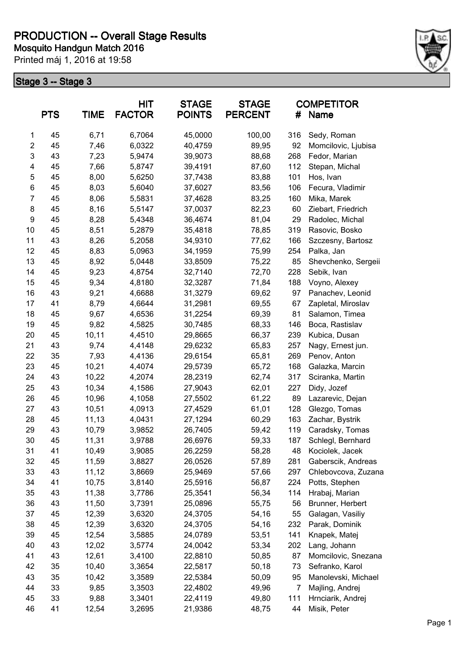

|                  | <b>PTS</b> | <b>TIME</b> | <b>HIT</b><br><b>FACTOR</b> | <b>STAGE</b><br><b>POINTS</b> | <b>STAGE</b><br><b>PERCENT</b> | #   | <b>COMPETITOR</b><br>Name |
|------------------|------------|-------------|-----------------------------|-------------------------------|--------------------------------|-----|---------------------------|
| 1                | 45         | 6,71        | 6,7064                      | 45,0000                       | 100,00                         | 316 | Sedy, Roman               |
| $\boldsymbol{2}$ | 45         | 7,46        | 6,0322                      | 40,4759                       | 89,95                          | 92  | Momcilovic, Ljubisa       |
| $\mathsf 3$      | 43         | 7,23        | 5,9474                      | 39,9073                       | 88,68                          | 268 | Fedor, Marian             |
| 4                | 45         | 7,66        | 5,8747                      | 39,4191                       | 87,60                          | 112 | Stepan, Michal            |
| 5                | 45         | 8,00        | 5,6250                      | 37,7438                       | 83,88                          | 101 | Hos, Ivan                 |
| $\,6$            | 45         | 8,03        | 5,6040                      | 37,6027                       | 83,56                          | 106 | Fecura, Vladimir          |
| $\overline{7}$   | 45         | 8,06        | 5,5831                      | 37,4628                       | 83,25                          | 160 | Mika, Marek               |
| 8                | 45         | 8,16        | 5,5147                      | 37,0037                       | 82,23                          | 60  | Ziebart, Friedrich        |
| $\boldsymbol{9}$ | 45         | 8,28        | 5,4348                      | 36,4674                       | 81,04                          | 29  | Radolec, Michal           |
| 10               | 45         | 8,51        | 5,2879                      | 35,4818                       | 78,85                          | 319 | Rasovic, Bosko            |
| 11               | 43         | 8,26        | 5,2058                      | 34,9310                       | 77,62                          | 166 | Szczesny, Bartosz         |
| 12               | 45         | 8,83        | 5,0963                      | 34,1959                       | 75,99                          | 254 | Palka, Jan                |
| 13               | 45         | 8,92        | 5,0448                      | 33,8509                       | 75,22                          | 85  | Shevchenko, Sergeii       |
| 14               | 45         | 9,23        | 4,8754                      | 32,7140                       | 72,70                          | 228 | Sebik, Ivan               |
| 15               | 45         | 9,34        | 4,8180                      | 32,3287                       | 71,84                          | 188 | Voyno, Alexey             |
| 16               | 43         | 9,21        | 4,6688                      | 31,3279                       | 69,62                          | 97  | Panachev, Leonid          |
| 17               | 41         | 8,79        | 4,6644                      | 31,2981                       | 69,55                          | 67  | Zapletal, Miroslav        |
| 18               | 45         | 9,67        | 4,6536                      | 31,2254                       | 69,39                          | 81  | Salamon, Timea            |
| 19               | 45         | 9,82        | 4,5825                      | 30,7485                       | 68,33                          | 146 | Boca, Rastislav           |
| 20               | 45         | 10,11       | 4,4510                      | 29,8665                       | 66,37                          | 239 | Kubica, Dusan             |
| 21               | 43         | 9,74        | 4,4148                      | 29,6232                       | 65,83                          | 257 | Nagy, Ernest jun.         |
| 22               | 35         | 7,93        | 4,4136                      | 29,6154                       | 65,81                          | 269 | Penov, Anton              |
| 23               | 45         | 10,21       | 4,4074                      | 29,5739                       | 65,72                          | 168 | Galazka, Marcin           |
| 24               | 43         | 10,22       | 4,2074                      | 28,2319                       | 62,74                          | 317 | Sciranka, Martin          |
| 25               | 43         | 10,34       | 4,1586                      | 27,9043                       | 62,01                          | 227 | Didy, Jozef               |
| 26               | 45         | 10,96       | 4,1058                      | 27,5502                       | 61,22                          | 89  | Lazarevic, Dejan          |
| 27               | 43         | 10,51       | 4,0913                      | 27,4529                       | 61,01                          | 128 | Glezgo, Tomas             |
| 28               | 45         | 11,13       | 4,0431                      | 27,1294                       | 60,29                          | 163 | Zachar, Bystrik           |
| 29               | 43         | 10,79       | 3,9852                      | 26,7405                       | 59,42                          | 119 | Caradsky, Tomas           |
| 30               | 45         | 11,31       | 3,9788                      | 26,6976                       | 59,33                          | 187 | Schlegl, Bernhard         |
| 31               | 41         | 10,49       | 3,9085                      | 26,2259                       | 58,28                          | 48  | Kociolek, Jacek           |
| 32               | 45         | 11,59       | 3,8827                      | 26,0526                       | 57,89                          | 281 | Gaberscik, Andreas        |
| 33               | 43         | 11,12       | 3,8669                      | 25,9469                       | 57,66                          | 297 | Chlebovcova, Zuzana       |
| 34               | 41         | 10,75       | 3,8140                      | 25,5916                       | 56,87                          | 224 | Potts, Stephen            |
| 35               | 43         | 11,38       | 3,7786                      | 25,3541                       | 56,34                          | 114 | Hrabaj, Marian            |
| 36               | 43         | 11,50       | 3,7391                      | 25,0896                       | 55,75                          | 56  | Brunner, Herbert          |
| 37               | 45         | 12,39       | 3,6320                      | 24,3705                       | 54,16                          | 55  | Galagan, Vasiliy          |
| 38               | 45         | 12,39       | 3,6320                      | 24,3705                       | 54,16                          | 232 | Parak, Dominik            |
| 39               | 45         | 12,54       | 3,5885                      | 24,0789                       | 53,51                          | 141 | Knapek, Matej             |
| 40               | 43         | 12,02       | 3,5774                      | 24,0042                       | 53,34                          | 202 | Lang, Johann              |
| 41               | 43         | 12,61       | 3,4100                      | 22,8810                       | 50,85                          | 87  | Momcilovic, Snezana       |
| 42               | 35         | 10,40       | 3,3654                      | 22,5817                       | 50,18                          | 73  | Sefranko, Karol           |
| 43               | 35         | 10,42       | 3,3589                      | 22,5384                       | 50,09                          | 95  | Manolevski, Michael       |
| 44               | 33         | 9,85        | 3,3503                      | 22,4802                       | 49,96                          | 7   | Majling, Andrej           |
| 45               | 33         | 9,88        | 3,3401                      | 22,4119                       | 49,80                          | 111 | Hrnciarik, Andrej         |
| 46               | 41         | 12,54       | 3,2695                      | 21,9386                       | 48,75                          | 44  | Misik, Peter              |
|                  |            |             |                             |                               |                                |     |                           |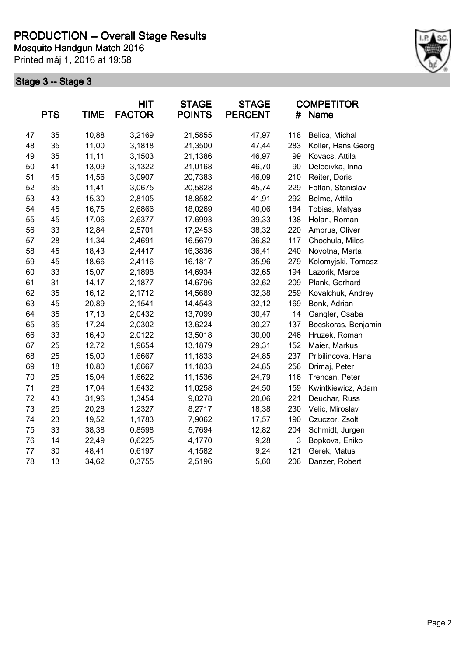

|    | <b>PTS</b> | <b>TIME</b> | <b>HIT</b><br><b>FACTOR</b> | <b>STAGE</b><br><b>POINTS</b> | <b>STAGE</b><br><b>PERCENT</b> | #   | <b>COMPETITOR</b><br>Name |
|----|------------|-------------|-----------------------------|-------------------------------|--------------------------------|-----|---------------------------|
| 47 | 35         | 10,88       | 3,2169                      | 21,5855                       | 47,97                          | 118 | Belica, Michal            |
| 48 | 35         | 11,00       | 3,1818                      | 21,3500                       | 47,44                          | 283 | Koller, Hans Georg        |
| 49 | 35         | 11,11       | 3,1503                      | 21,1386                       | 46,97                          | 99  | Kovacs, Attila            |
| 50 | 41         | 13,09       | 3,1322                      | 21,0168                       | 46,70                          | 90  | Deledivka, Inna           |
| 51 | 45         | 14,56       | 3,0907                      | 20,7383                       | 46,09                          | 210 | Reiter, Doris             |
| 52 | 35         | 11,41       | 3,0675                      | 20,5828                       | 45,74                          | 229 | Foltan, Stanislav         |
| 53 | 43         | 15,30       | 2,8105                      | 18,8582                       | 41,91                          | 292 | Belme, Attila             |
| 54 | 45         | 16,75       | 2,6866                      | 18,0269                       | 40,06                          | 184 | Tobias, Matyas            |
| 55 | 45         | 17,06       | 2,6377                      | 17,6993                       | 39,33                          | 138 | Holan, Roman              |
| 56 | 33         | 12,84       | 2,5701                      | 17,2453                       | 38,32                          | 220 | Ambrus, Oliver            |
| 57 | 28         | 11,34       | 2,4691                      | 16,5679                       | 36,82                          | 117 | Chochula, Milos           |
| 58 | 45         | 18,43       | 2,4417                      | 16,3836                       | 36,41                          | 240 | Novotna, Marta            |
| 59 | 45         | 18,66       | 2,4116                      | 16,1817                       | 35,96                          | 279 | Kolomyjski, Tomasz        |
| 60 | 33         | 15,07       | 2,1898                      | 14,6934                       | 32,65                          | 194 | Lazorik, Maros            |
| 61 | 31         | 14,17       | 2,1877                      | 14,6796                       | 32,62                          | 209 | Plank, Gerhard            |
| 62 | 35         | 16,12       | 2,1712                      | 14,5689                       | 32,38                          | 259 | Kovalchuk, Andrey         |
| 63 | 45         | 20,89       | 2,1541                      | 14,4543                       | 32,12                          | 169 | Bonk, Adrian              |
| 64 | 35         | 17,13       | 2,0432                      | 13,7099                       | 30,47                          | 14  | Gangler, Csaba            |
| 65 | 35         | 17,24       | 2,0302                      | 13,6224                       | 30,27                          | 137 | Bocskoras, Benjamin       |
| 66 | 33         | 16,40       | 2,0122                      | 13,5018                       | 30,00                          | 246 | Hruzek, Roman             |
| 67 | 25         | 12,72       | 1,9654                      | 13,1879                       | 29,31                          | 152 | Maier, Markus             |
| 68 | 25         | 15,00       | 1,6667                      | 11,1833                       | 24,85                          | 237 | Pribilincova, Hana        |
| 69 | 18         | 10,80       | 1,6667                      | 11,1833                       | 24,85                          | 256 | Drimaj, Peter             |
| 70 | 25         | 15,04       | 1,6622                      | 11,1536                       | 24,79                          | 116 | Trencan, Peter            |
| 71 | 28         | 17,04       | 1,6432                      | 11,0258                       | 24,50                          | 159 | Kwintkiewicz, Adam        |
| 72 | 43         | 31,96       | 1,3454                      | 9,0278                        | 20,06                          | 221 | Deuchar, Russ             |
| 73 | 25         | 20,28       | 1,2327                      | 8,2717                        | 18,38                          | 230 | Velic, Miroslav           |
| 74 | 23         | 19,52       | 1,1783                      | 7,9062                        | 17,57                          | 190 | Czuczor, Zsolt            |
| 75 | 33         | 38,38       | 0,8598                      | 5,7694                        | 12,82                          | 204 | Schmidt, Jurgen           |
| 76 | 14         | 22,49       | 0,6225                      | 4,1770                        | 9,28                           | 3   | Bopkova, Eniko            |
| 77 | 30         | 48,41       | 0,6197                      | 4,1582                        | 9,24                           | 121 | Gerek, Matus              |
| 78 | 13         | 34,62       | 0,3755                      | 2,5196                        | 5,60                           | 206 | Danzer, Robert            |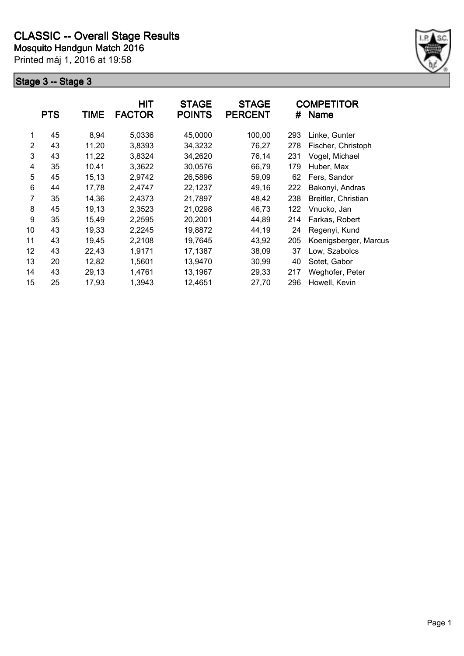

|                | <b>PTS</b> | <b>TIME</b> | <b>HIT</b><br><b>FACTOR</b> | <b>STAGE</b><br><b>POINTS</b> | <b>STAGE</b><br><b>PERCENT</b> | #   | <b>COMPETITOR</b><br><b>Name</b> |
|----------------|------------|-------------|-----------------------------|-------------------------------|--------------------------------|-----|----------------------------------|
| 1              | 45         | 8,94        | 5,0336                      | 45,0000                       | 100,00                         | 293 | Linke, Gunter                    |
| $\overline{2}$ | 43         | 11,20       | 3,8393                      | 34,3232                       | 76,27                          | 278 | Fischer, Christoph               |
| 3              | 43         | 11,22       | 3,8324                      | 34,2620                       | 76,14                          | 231 | Vogel, Michael                   |
| 4              | 35         | 10,41       | 3,3622                      | 30,0576                       | 66,79                          | 179 | Huber, Max                       |
| 5              | 45         | 15,13       | 2,9742                      | 26,5896                       | 59,09                          | 62  | Fers, Sandor                     |
| 6              | 44         | 17,78       | 2,4747                      | 22,1237                       | 49,16                          | 222 | Bakonyi, Andras                  |
| 7              | 35         | 14,36       | 2,4373                      | 21,7897                       | 48,42                          | 238 | Breitler, Christian              |
| 8              | 45         | 19,13       | 2,3523                      | 21,0298                       | 46,73                          | 122 | Vnucko, Jan                      |
| 9              | 35         | 15,49       | 2,2595                      | 20,2001                       | 44,89                          | 214 | Farkas, Robert                   |
| 10             | 43         | 19,33       | 2,2245                      | 19,8872                       | 44,19                          | 24  | Regenyi, Kund                    |
| 11             | 43         | 19,45       | 2,2108                      | 19,7645                       | 43,92                          | 205 | Koenigsberger, Marcus            |
| 12             | 43         | 22,43       | 1,9171                      | 17,1387                       | 38,09                          | 37  | Low, Szabolcs                    |
| 13             | 20         | 12,82       | 1,5601                      | 13,9470                       | 30,99                          | 40  | Sotet, Gabor                     |
| 14             | 43         | 29,13       | 1,4761                      | 13,1967                       | 29,33                          | 217 | Weghofer, Peter                  |
| 15             | 25         | 17,93       | 1,3943                      | 12,4651                       | 27,70                          | 296 | Howell, Kevin                    |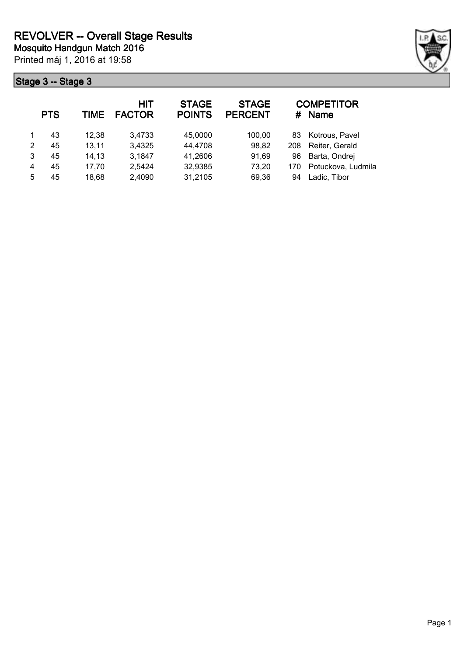

|   | <b>PTS</b> | TIME  | HIT<br><b>FACTOR</b> | <b>STAGE</b><br><b>POINTS</b> | <b>STAGE</b><br><b>PERCENT</b> | #   | <b>COMPETITOR</b><br><b>Name</b> |
|---|------------|-------|----------------------|-------------------------------|--------------------------------|-----|----------------------------------|
|   | 43         | 12,38 | 3,4733               | 45,0000                       | 100,00                         | 83. | Kotrous, Pavel                   |
| 2 | 45         | 13,11 | 3,4325               | 44,4708                       | 98,82                          | 208 | Reiter, Gerald                   |
| 3 | 45         | 14,13 | 3,1847               | 41,2606                       | 91,69                          | 96  | Barta, Ondrej                    |
| 4 | 45         | 17,70 | 2,5424               | 32,9385                       | 73,20                          | 170 | Potuckova, Ludmila               |
| 5 | 45         | 18,68 | 2,4090               | 31,2105                       | 69,36                          | 94  | Ladic, Tibor                     |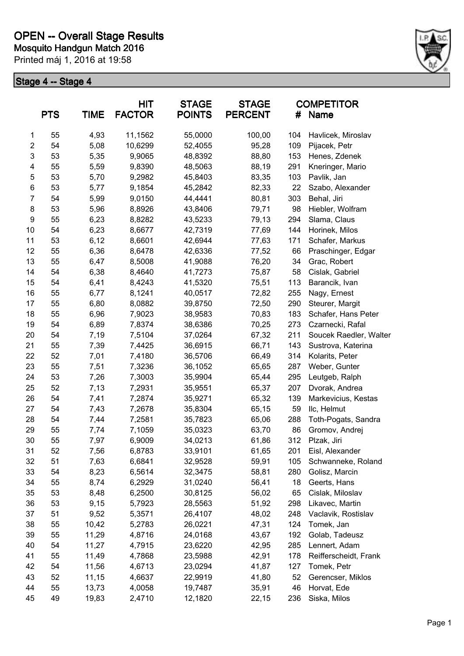

|                | <b>PTS</b> | <b>TIME</b> | <b>HIT</b><br><b>FACTOR</b> | <b>STAGE</b><br><b>POINTS</b> | <b>STAGE</b><br><b>PERCENT</b> | #   | <b>COMPETITOR</b><br><b>Name</b> |
|----------------|------------|-------------|-----------------------------|-------------------------------|--------------------------------|-----|----------------------------------|
| 1              | 55         | 4,93        | 11,1562                     | 55,0000                       | 100,00                         | 104 | Havlicek, Miroslav               |
| $\overline{2}$ | 54         | 5,08        | 10,6299                     | 52,4055                       | 95,28                          | 109 | Pijacek, Petr                    |
| 3              | 53         | 5,35        | 9,9065                      | 48,8392                       | 88,80                          | 153 | Henes, Zdenek                    |
| 4              | 55         | 5,59        | 9,8390                      | 48,5063                       | 88,19                          | 291 | Kneringer, Mario                 |
| 5              | 53         | 5,70        | 9,2982                      | 45,8403                       | 83,35                          | 103 | Pavlik, Jan                      |
| 6              | 53         | 5,77        | 9,1854                      | 45,2842                       | 82,33                          | 22  | Szabo, Alexander                 |
| $\overline{7}$ | 54         | 5,99        | 9,0150                      | 44,4441                       | 80,81                          | 303 | Behal, Jiri                      |
| 8              | 53         | 5,96        | 8,8926                      | 43,8406                       | 79,71                          | 98  | Hiebler, Wolfram                 |
| 9              | 55         | 6,23        | 8,8282                      | 43,5233                       | 79,13                          | 294 | Slama, Claus                     |
| 10             | 54         | 6,23        | 8,6677                      | 42,7319                       | 77,69                          | 144 | Horinek, Milos                   |
| 11             | 53         | 6,12        | 8,6601                      | 42,6944                       | 77,63                          | 171 | Schafer, Markus                  |
| 12             | 55         | 6,36        | 8,6478                      | 42,6336                       | 77,52                          | 66  | Praschinger, Edgar               |
| 13             | 55         | 6,47        | 8,5008                      | 41,9088                       | 76,20                          | 34  | Grac, Robert                     |
| 14             | 54         | 6,38        | 8,4640                      | 41,7273                       | 75,87                          | 58  | Cislak, Gabriel                  |
| 15             | 54         | 6,41        | 8,4243                      | 41,5320                       | 75,51                          | 113 | Barancik, Ivan                   |
| 16             | 55         | 6,77        | 8,1241                      | 40,0517                       | 72,82                          | 255 | Nagy, Ernest                     |
| 17             | 55         | 6,80        | 8,0882                      | 39,8750                       | 72,50                          | 290 | Steurer, Margit                  |
| 18             | 55         | 6,96        | 7,9023                      | 38,9583                       | 70,83                          | 183 | Schafer, Hans Peter              |
| 19             | 54         | 6,89        | 7,8374                      | 38,6386                       | 70,25                          | 273 | Czarnecki, Rafal                 |
| 20             | 54         | 7,19        | 7,5104                      | 37,0264                       | 67,32                          | 211 | Soucek Raedler, Walter           |
| 21             | 55         | 7,39        | 7,4425                      | 36,6915                       | 66,71                          | 143 | Sustrova, Katerina               |
| 22             | 52         | 7,01        | 7,4180                      | 36,5706                       | 66,49                          | 314 | Kolarits, Peter                  |
| 23             | 55         | 7,51        | 7,3236                      | 36,1052                       | 65,65                          | 287 | Weber, Gunter                    |
| 24             | 53         | 7,26        | 7,3003                      | 35,9904                       | 65,44                          | 295 | Leutgeb, Ralph                   |
| 25             | 52         | 7,13        | 7,2931                      | 35,9551                       | 65,37                          | 207 | Dvorak, Andrea                   |
| 26             | 54         | 7,41        | 7,2874                      | 35,9271                       | 65,32                          | 139 | Markevicius, Kestas              |
| 27             | 54         | 7,43        | 7,2678                      | 35,8304                       | 65,15                          | 59  | Ilc, Helmut                      |
| 28             | 54         | 7,44        | 7,2581                      | 35,7823                       | 65,06                          | 288 | Toth-Pogats, Sandra              |
| 29             | 55         | 7,74        | 7,1059                      | 35,0323                       | 63,70                          | 86  | Gromov, Andrej                   |
| 30             | 55         | 7,97        | 6,9009                      | 34,0213                       | 61,86                          | 312 | Plzak, Jiri                      |
| 31             | 52         | 7,56        | 6,8783                      | 33,9101                       | 61,65                          | 201 | Eisl, Alexander                  |
| 32             | 51         | 7,63        | 6,6841                      | 32,9528                       | 59,91                          | 105 | Schwanneke, Roland               |
| 33             | 54         | 8,23        | 6,5614                      | 32,3475                       | 58,81                          | 280 | Golisz, Marcin                   |
| 34             | 55         | 8,74        | 6,2929                      | 31,0240                       | 56,41                          | 18  | Geerts, Hans                     |
| 35             | 53         | 8,48        | 6,2500                      | 30,8125                       | 56,02                          | 65  | Cislak, Miloslav                 |
| 36             | 53         | 9,15        | 5,7923                      | 28,5563                       | 51,92                          | 298 | Likavec, Martin                  |
| 37             | 51         | 9,52        | 5,3571                      | 26,4107                       | 48,02                          | 248 | Vaclavik, Rostislav              |
| 38             | 55         | 10,42       | 5,2783                      | 26,0221                       | 47,31                          | 124 | Tomek, Jan                       |
| 39             | 55         | 11,29       | 4,8716                      | 24,0168                       | 43,67                          | 192 | Golab, Tadeusz                   |
| 40             | 54         | 11,27       | 4,7915                      | 23,6220                       | 42,95                          | 285 | Lennert, Adam                    |
| 41             | 55         | 11,49       | 4,7868                      | 23,5988                       | 42,91                          | 178 | Reifferscheidt, Frank            |
| 42             | 54         | 11,56       | 4,6713                      | 23,0294                       | 41,87                          | 127 | Tomek, Petr                      |
| 43             | 52         | 11,15       | 4,6637                      | 22,9919                       | 41,80                          | 52  | Gerencser, Miklos                |
| 44             | 55         | 13,73       | 4,0058                      | 19,7487                       | 35,91                          | 46  | Horvat, Ede                      |
| 45             | 49         | 19,83       | 2,4710                      | 12,1820                       | 22,15                          | 236 | Siska, Milos                     |
|                |            |             |                             |                               |                                |     |                                  |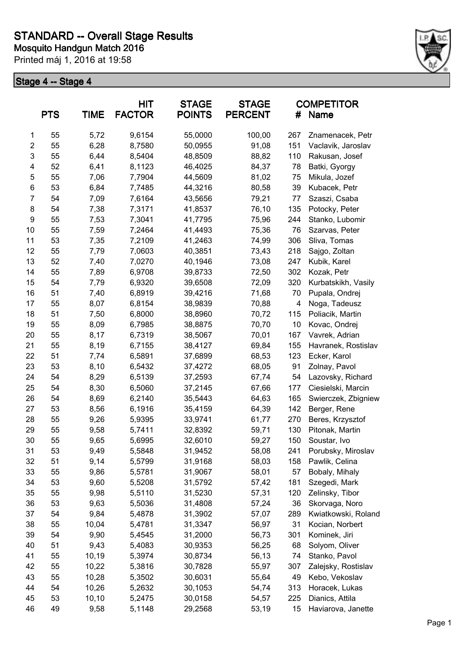

|                | <b>PTS</b> | <b>TIME</b> | <b>HIT</b><br><b>FACTOR</b> | <b>STAGE</b><br><b>POINTS</b> | <b>STAGE</b><br><b>PERCENT</b> | #   | <b>COMPETITOR</b><br>Name |
|----------------|------------|-------------|-----------------------------|-------------------------------|--------------------------------|-----|---------------------------|
| 1              | 55         | 5,72        | 9,6154                      | 55,0000                       | 100,00                         | 267 | Znamenacek, Petr          |
| $\overline{c}$ | 55         | 6,28        | 8,7580                      | 50,0955                       | 91,08                          | 151 | Vaclavik, Jaroslav        |
| 3              | 55         | 6,44        | 8,5404                      | 48,8509                       | 88,82                          | 110 | Rakusan, Josef            |
| 4              | 52         | 6,41        | 8,1123                      | 46,4025                       | 84,37                          | 78  | Batki, Gyorgy             |
| 5              | 55         | 7,06        | 7,7904                      | 44,5609                       | 81,02                          | 75  | Mikula, Jozef             |
| 6              | 53         | 6,84        | 7,7485                      | 44,3216                       | 80,58                          | 39  | Kubacek, Petr             |
| $\overline{7}$ | 54         | 7,09        | 7,6164                      | 43,5656                       | 79,21                          | 77  | Szaszi, Csaba             |
| 8              | 54         | 7,38        | 7,3171                      | 41,8537                       | 76,10                          | 135 | Potocky, Peter            |
| 9              | 55         | 7,53        | 7,3041                      | 41,7795                       | 75,96                          | 244 | Stanko, Lubomir           |
| 10             | 55         | 7,59        | 7,2464                      | 41,4493                       | 75,36                          | 76  | Szarvas, Peter            |
| 11             | 53         | 7,35        | 7,2109                      | 41,2463                       | 74,99                          | 306 | Sliva, Tomas              |
| 12             | 55         | 7,79        | 7,0603                      | 40,3851                       | 73,43                          | 218 | Sajgo, Zoltan             |
| 13             | 52         | 7,40        | 7,0270                      | 40,1946                       | 73,08                          | 247 | Kubik, Karel              |
| 14             | 55         | 7,89        | 6,9708                      | 39,8733                       | 72,50                          | 302 | Kozak, Petr               |
| 15             | 54         | 7,79        | 6,9320                      | 39,6508                       | 72,09                          | 320 | Kurbatskikh, Vasily       |
| 16             | 51         | 7,40        | 6,8919                      | 39,4216                       | 71,68                          | 70  | Pupala, Ondrej            |
| 17             | 55         | 8,07        | 6,8154                      | 38,9839                       | 70,88                          | 4   | Noga, Tadeusz             |
| 18             | 51         | 7,50        | 6,8000                      | 38,8960                       | 70,72                          | 115 | Poliacik, Martin          |
| 19             | 55         | 8,09        | 6,7985                      | 38,8875                       | 70,70                          | 10  | Kovac, Ondrej             |
| 20             | 55         | 8,17        | 6,7319                      | 38,5067                       | 70,01                          | 167 | Vavrek, Adrian            |
| 21             | 55         | 8,19        | 6,7155                      | 38,4127                       | 69,84                          | 155 | Havranek, Rostislav       |
| 22             | 51         | 7,74        | 6,5891                      | 37,6899                       | 68,53                          | 123 | Ecker, Karol              |
| 23             | 53         | 8,10        | 6,5432                      | 37,4272                       | 68,05                          | 91  | Zolnay, Pavol             |
| 24             | 54         | 8,29        | 6,5139                      | 37,2593                       | 67,74                          | 54  | Lazovsky, Richard         |
| 25             | 54         | 8,30        | 6,5060                      | 37,2145                       | 67,66                          | 177 | Ciesielski, Marcin        |
| 26             | 54         | 8,69        | 6,2140                      | 35,5443                       | 64,63                          | 165 | Swierczek, Zbigniew       |
| 27             | 53         | 8,56        | 6,1916                      | 35,4159                       | 64,39                          | 142 | Berger, Rene              |
| 28             | 55         | 9,26        | 5,9395                      | 33,9741                       | 61,77                          | 270 | Beres, Krzysztof          |
| 29             | 55         | 9,58        | 5,7411                      | 32,8392                       | 59,71                          | 130 | Pitonak, Martin           |
| 30             | 55         | 9,65        | 5,6995                      | 32,6010                       | 59,27                          | 150 | Soustar, Ivo              |
| 31             | 53         | 9,49        | 5,5848                      | 31,9452                       | 58,08                          | 241 | Porubsky, Miroslav        |
| 32             | 51         | 9,14        | 5,5799                      | 31,9168                       | 58,03                          | 158 | Pawlik, Celina            |
| 33             | 55         | 9,86        | 5,5781                      | 31,9067                       | 58,01                          | 57  | Bobaly, Mihaly            |
| 34             | 53         | 9,60        | 5,5208                      | 31,5792                       | 57,42                          | 181 | Szegedi, Mark             |
| 35             | 55         | 9,98        | 5,5110                      | 31,5230                       | 57,31                          | 120 | Zelinsky, Tibor           |
| 36             | 53         | 9,63        | 5,5036                      | 31,4808                       | 57,24                          | 36  | Skorvaga, Noro            |
| 37             | 54         | 9,84        | 5,4878                      | 31,3902                       | 57,07                          | 289 | Kwiatkowski, Roland       |
| 38             | 55         | 10,04       | 5,4781                      | 31,3347                       | 56,97                          | 31  | Kocian, Norbert           |
| 39             | 54         | 9,90        | 5,4545                      | 31,2000                       | 56,73                          | 301 | Kominek, Jiri             |
| 40             | 51         | 9,43        | 5,4083                      | 30,9353                       | 56,25                          | 68  | Solyom, Oliver            |
| 41             | 55         | 10,19       | 5,3974                      | 30,8734                       | 56,13                          | 74  | Stanko, Pavol             |
| 42             | 55         | 10,22       | 5,3816                      | 30,7828                       | 55,97                          | 307 | Zalejsky, Rostislav       |
| 43             | 55         | 10,28       | 5,3502                      | 30,6031                       | 55,64                          | 49  | Kebo, Vekoslav            |
| 44             | 54         | 10,26       | 5,2632                      | 30,1053                       | 54,74                          | 313 | Horacek, Lukas            |
| 45             | 53         | 10,10       | 5,2475                      | 30,0158                       | 54,57                          | 225 | Dianics, Attila           |
| 46             | 49         | 9,58        | 5,1148                      | 29,2568                       | 53,19                          | 15  | Haviarova, Janette        |
|                |            |             |                             |                               |                                |     |                           |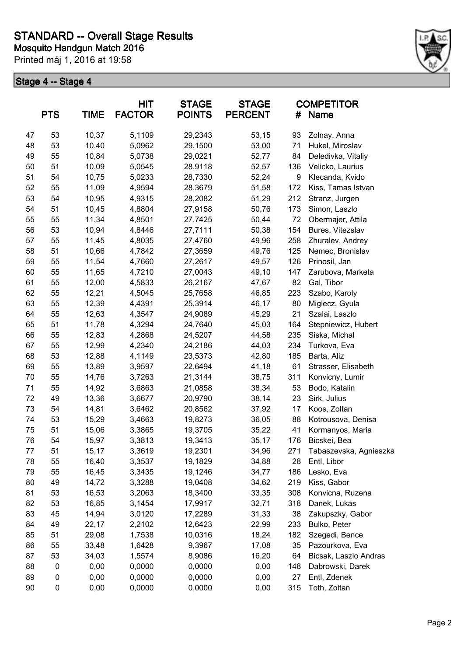

|    | <b>PTS</b> | <b>TIME</b> | <b>HIT</b><br><b>FACTOR</b> | <b>STAGE</b><br><b>POINTS</b> | <b>STAGE</b><br><b>PERCENT</b> | #   | <b>COMPETITOR</b><br>Name |
|----|------------|-------------|-----------------------------|-------------------------------|--------------------------------|-----|---------------------------|
| 47 | 53         | 10,37       | 5,1109                      | 29,2343                       | 53,15                          | 93  | Zolnay, Anna              |
| 48 | 53         | 10,40       | 5,0962                      | 29,1500                       | 53,00                          | 71  | Hukel, Miroslav           |
| 49 | 55         | 10,84       | 5,0738                      | 29,0221                       | 52,77                          | 84  | Deledivka, Vitaliy        |
| 50 | 51         | 10,09       | 5,0545                      | 28,9118                       | 52,57                          | 136 | Velicko, Laurius          |
| 51 | 54         | 10,75       | 5,0233                      | 28,7330                       | 52,24                          | 9   | Klecanda, Kvido           |
| 52 | 55         | 11,09       | 4,9594                      | 28,3679                       | 51,58                          | 172 | Kiss, Tamas Istvan        |
| 53 | 54         | 10,95       | 4,9315                      | 28,2082                       | 51,29                          | 212 | Stranz, Jurgen            |
| 54 | 51         | 10,45       | 4,8804                      | 27,9158                       | 50,76                          | 173 | Simon, Laszlo             |
| 55 | 55         | 11,34       | 4,8501                      | 27,7425                       | 50,44                          | 72  | Obermajer, Attila         |
| 56 | 53         | 10,94       | 4,8446                      | 27,7111                       | 50,38                          | 154 | Bures, Vitezslav          |
| 57 | 55         | 11,45       | 4,8035                      | 27,4760                       | 49,96                          | 258 | Zhuralev, Andrey          |
| 58 | 51         | 10,66       | 4,7842                      | 27,3659                       | 49,76                          | 125 | Nemec, Bronislav          |
| 59 | 55         | 11,54       | 4,7660                      | 27,2617                       | 49,57                          | 126 | Prinosil, Jan             |
| 60 | 55         | 11,65       | 4,7210                      | 27,0043                       | 49,10                          | 147 | Zarubova, Marketa         |
| 61 | 55         | 12,00       | 4,5833                      | 26,2167                       | 47,67                          | 82  | Gal, Tibor                |
| 62 | 55         | 12,21       | 4,5045                      | 25,7658                       | 46,85                          | 223 | Szabo, Karoly             |
| 63 | 55         | 12,39       | 4,4391                      | 25,3914                       | 46,17                          | 80  | Miglecz, Gyula            |
| 64 | 55         | 12,63       | 4,3547                      | 24,9089                       | 45,29                          | 21  | Szalai, Laszlo            |
| 65 | 51         | 11,78       | 4,3294                      | 24,7640                       | 45,03                          | 164 | Stepniewicz, Hubert       |
| 66 | 55         | 12,83       | 4,2868                      | 24,5207                       | 44,58                          | 235 | Siska, Michal             |
| 67 | 55         | 12,99       | 4,2340                      | 24,2186                       | 44,03                          | 234 | Turkova, Eva              |
| 68 | 53         | 12,88       | 4,1149                      | 23,5373                       | 42,80                          | 185 | Barta, Aliz               |
| 69 | 55         | 13,89       | 3,9597                      | 22,6494                       | 41,18                          | 61  | Strasser, Elisabeth       |
| 70 | 55         | 14,76       | 3,7263                      | 21,3144                       | 38,75                          | 311 | Konvicny, Lumir           |
| 71 | 55         | 14,92       | 3,6863                      | 21,0858                       | 38,34                          | 53  | Bodo, Katalin             |
| 72 | 49         | 13,36       | 3,6677                      | 20,9790                       | 38,14                          | 23  | Sirk, Julius              |
| 73 | 54         | 14,81       | 3,6462                      | 20,8562                       | 37,92                          | 17  | Koos, Zoltan              |
| 74 | 53         | 15,29       | 3,4663                      | 19,8273                       | 36,05                          | 88  | Kotrousova, Denisa        |
| 75 | 51         | 15,06       | 3,3865                      | 19,3705                       | 35,22                          | 41  | Kormanyos, Maria          |
| 76 | 54         | 15,97       | 3,3813                      | 19,3413                       | 35,17                          | 176 | Bicskei, Bea              |
| 77 | 51         | 15,17       | 3,3619                      | 19,2301                       | 34,96                          | 271 | Tabaszevska, Agnieszka    |
| 78 | 55         | 16,40       | 3,3537                      | 19,1829                       | 34,88                          | 28  | Entl, Libor               |
| 79 | 55         | 16,45       | 3,3435                      | 19,1246                       | 34,77                          | 186 | Lesko, Eva                |
| 80 | 49         | 14,72       | 3,3288                      | 19,0408                       | 34,62                          | 219 | Kiss, Gabor               |
| 81 | 53         | 16,53       | 3,2063                      | 18,3400                       | 33,35                          | 308 | Konvicna, Ruzena          |
| 82 | 53         | 16,85       | 3,1454                      | 17,9917                       | 32,71                          | 318 | Danek, Lukas              |
| 83 | 45         | 14,94       | 3,0120                      | 17,2289                       | 31,33                          | 38  | Zakupszky, Gabor          |
| 84 | 49         | 22,17       | 2,2102                      | 12,6423                       | 22,99                          | 233 | Bulko, Peter              |
| 85 | 51         | 29,08       | 1,7538                      | 10,0316                       | 18,24                          | 182 | Szegedi, Bence            |
| 86 | 55         | 33,48       | 1,6428                      | 9,3967                        | 17,08                          | 35  | Pazourkova, Eva           |
| 87 | 53         | 34,03       | 1,5574                      | 8,9086                        | 16,20                          | 64  | Bicsak, Laszlo Andras     |
| 88 | 0          | 0,00        | 0,0000                      | 0,0000                        | 0,00                           | 148 | Dabrowski, Darek          |
| 89 | 0          | 0,00        | 0,0000                      | 0,0000                        | 0,00                           | 27  | Entl, Zdenek              |
| 90 | 0          | 0,00        | 0,0000                      | 0,0000                        | 0,00                           | 315 | Toth, Zoltan              |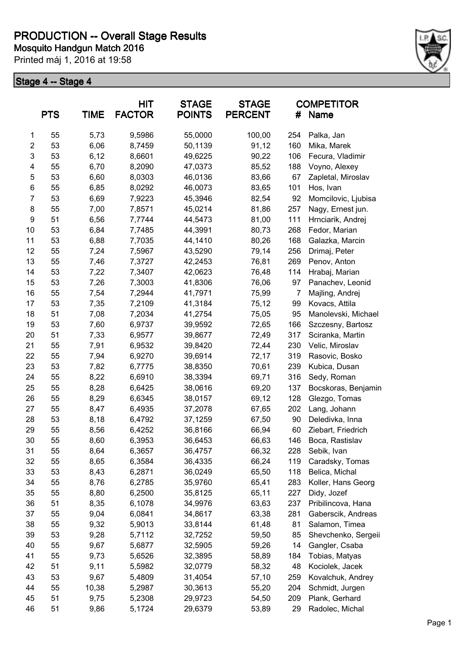

|                         | <b>PTS</b> | <b>TIME</b> | HIT<br><b>FACTOR</b> | <b>STAGE</b><br><b>POINTS</b> | <b>STAGE</b><br><b>PERCENT</b> | #              | <b>COMPETITOR</b><br>Name |
|-------------------------|------------|-------------|----------------------|-------------------------------|--------------------------------|----------------|---------------------------|
| 1                       | 55         | 5,73        | 9,5986               | 55,0000                       | 100,00                         | 254            | Palka, Jan                |
| $\overline{\mathbf{c}}$ | 53         | 6,06        | 8,7459               | 50,1139                       | 91,12                          | 160            | Mika, Marek               |
| 3                       | 53         | 6,12        | 8,6601               | 49,6225                       | 90,22                          | 106            | Fecura, Vladimir          |
| 4                       | 55         | 6,70        | 8,2090               | 47,0373                       | 85,52                          | 188            | Voyno, Alexey             |
| 5                       | 53         | 6,60        | 8,0303               | 46,0136                       | 83,66                          | 67             | Zapletal, Miroslav        |
| 6                       | 55         | 6,85        | 8,0292               | 46,0073                       | 83,65                          | 101            | Hos, Ivan                 |
| $\overline{7}$          | 53         | 6,69        | 7,9223               | 45,3946                       | 82,54                          | 92             | Momcilovic, Ljubisa       |
| 8                       | 55         | 7,00        | 7,8571               | 45,0214                       | 81,86                          | 257            | Nagy, Ernest jun.         |
| $\boldsymbol{9}$        | 51         | 6,56        | 7,7744               | 44,5473                       | 81,00                          | 111            | Hrnciarik, Andrej         |
| 10                      | 53         | 6,84        | 7,7485               | 44,3991                       | 80,73                          | 268            | Fedor, Marian             |
| 11                      | 53         | 6,88        | 7,7035               | 44,1410                       | 80,26                          | 168            | Galazka, Marcin           |
| 12                      | 55         | 7,24        | 7,5967               | 43,5290                       | 79,14                          | 256            | Drimaj, Peter             |
| 13                      | 55         | 7,46        | 7,3727               | 42,2453                       | 76,81                          | 269            | Penov, Anton              |
| 14                      | 53         | 7,22        | 7,3407               | 42,0623                       | 76,48                          | 114            | Hrabaj, Marian            |
| 15                      | 53         | 7,26        | 7,3003               | 41,8306                       | 76,06                          | 97             | Panachev, Leonid          |
| 16                      | 55         | 7,54        | 7,2944               | 41,7971                       | 75,99                          | $\overline{7}$ | Majling, Andrej           |
| 17                      | 53         | 7,35        | 7,2109               | 41,3184                       | 75,12                          | 99             | Kovacs, Attila            |
| 18                      | 51         | 7,08        | 7,2034               | 41,2754                       | 75,05                          | 95             | Manolevski, Michael       |
| 19                      | 53         | 7,60        | 6,9737               | 39,9592                       | 72,65                          | 166            | Szczesny, Bartosz         |
| 20                      | 51         | 7,33        | 6,9577               | 39,8677                       | 72,49                          | 317            | Sciranka, Martin          |
| 21                      | 55         | 7,91        | 6,9532               | 39,8420                       | 72,44                          | 230            | Velic, Miroslav           |
| 22                      | 55         | 7,94        | 6,9270               | 39,6914                       | 72,17                          | 319            | Rasovic, Bosko            |
| 23                      | 53         | 7,82        | 6,7775               | 38,8350                       | 70,61                          | 239            | Kubica, Dusan             |
| 24                      | 55         | 8,22        | 6,6910               | 38,3394                       | 69,71                          | 316            | Sedy, Roman               |
| 25                      | 55         | 8,28        | 6,6425               | 38,0616                       | 69,20                          | 137            | Bocskoras, Benjamin       |
| 26                      | 55         | 8,29        | 6,6345               | 38,0157                       | 69,12                          | 128            | Glezgo, Tomas             |
| 27                      | 55         | 8,47        | 6,4935               | 37,2078                       | 67,65                          | 202            | Lang, Johann              |
| 28                      | 53         | 8,18        | 6,4792               | 37,1259                       | 67,50                          | 90             | Deledivka, Inna           |
| 29                      | 55         | 8,56        | 6,4252               | 36,8166                       | 66,94                          | 60             | Ziebart, Friedrich        |
| 30                      | 55         | 8,60        | 6,3953               | 36,6453                       | 66,63                          | 146            | Boca, Rastislav           |
| 31                      | 55         | 8,64        | 6,3657               | 36,4757                       | 66,32                          | 228            | Sebik, Ivan               |
| 32                      | 55         | 8,65        | 6,3584               | 36,4335                       | 66,24                          | 119            | Caradsky, Tomas           |
| 33                      | 53         | 8,43        | 6,2871               | 36,0249                       | 65,50                          | 118            | Belica, Michal            |
| 34                      | 55         | 8,76        | 6,2785               | 35,9760                       | 65,41                          | 283            | Koller, Hans Georg        |
| 35                      | 55         | 8,80        | 6,2500               | 35,8125                       | 65,11                          | 227            | Didy, Jozef               |
| 36                      | 51         | 8,35        | 6,1078               | 34,9976                       | 63,63                          | 237            | Pribilincova, Hana        |
| 37                      | 55         | 9,04        | 6,0841               | 34,8617                       | 63,38                          | 281            | Gaberscik, Andreas        |
| 38                      | 55         | 9,32        | 5,9013               | 33,8144                       | 61,48                          | 81             | Salamon, Timea            |
| 39                      | 53         | 9,28        | 5,7112               | 32,7252                       | 59,50                          | 85             | Shevchenko, Sergeii       |
| 40                      | 55         | 9,67        | 5,6877               | 32,5905                       | 59,26                          | 14             | Gangler, Csaba            |
| 41                      | 55         | 9,73        | 5,6526               | 32,3895                       | 58,89                          | 184            | Tobias, Matyas            |
| 42                      | 51         | 9,11        | 5,5982               | 32,0779                       | 58,32                          | 48             | Kociolek, Jacek           |
| 43                      | 53         | 9,67        | 5,4809               | 31,4054                       | 57,10                          | 259            | Kovalchuk, Andrey         |
| 44                      | 55         | 10,38       | 5,2987               | 30,3613                       | 55,20                          | 204            | Schmidt, Jurgen           |
| 45                      | 51         | 9,75        | 5,2308               | 29,9723                       | 54,50                          | 209            | Plank, Gerhard            |
| 46                      | 51         | 9,86        | 5,1724               | 29,6379                       | 53,89                          | 29             | Radolec, Michal           |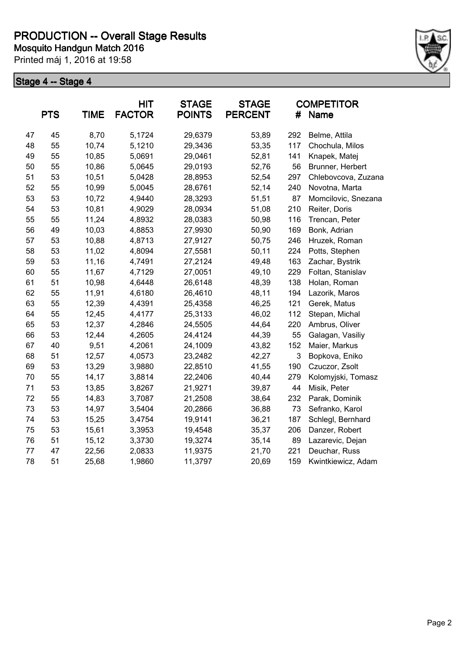

|    | <b>PTS</b> | <b>TIME</b> | <b>HIT</b><br><b>FACTOR</b> | <b>STAGE</b><br><b>POINTS</b> | <b>STAGE</b><br><b>PERCENT</b> | #   | <b>COMPETITOR</b><br>Name |
|----|------------|-------------|-----------------------------|-------------------------------|--------------------------------|-----|---------------------------|
| 47 | 45         | 8,70        | 5,1724                      | 29,6379                       | 53,89                          | 292 | Belme, Attila             |
| 48 | 55         | 10,74       | 5,1210                      | 29,3436                       | 53,35                          | 117 | Chochula, Milos           |
| 49 | 55         | 10,85       | 5,0691                      | 29,0461                       | 52,81                          | 141 | Knapek, Matej             |
| 50 | 55         | 10,86       | 5,0645                      | 29,0193                       | 52,76                          | 56  | Brunner, Herbert          |
| 51 | 53         | 10,51       | 5,0428                      | 28,8953                       | 52,54                          | 297 | Chlebovcova, Zuzana       |
| 52 | 55         | 10,99       | 5,0045                      | 28,6761                       | 52,14                          | 240 | Novotna, Marta            |
| 53 | 53         | 10,72       | 4,9440                      | 28,3293                       | 51,51                          | 87  | Momcilovic, Snezana       |
| 54 | 53         | 10,81       | 4,9029                      | 28,0934                       | 51,08                          | 210 | Reiter, Doris             |
| 55 | 55         | 11,24       | 4,8932                      | 28,0383                       | 50,98                          | 116 | Trencan, Peter            |
| 56 | 49         | 10,03       | 4,8853                      | 27,9930                       | 50,90                          | 169 | Bonk, Adrian              |
| 57 | 53         | 10,88       | 4,8713                      | 27,9127                       | 50,75                          | 246 | Hruzek, Roman             |
| 58 | 53         | 11,02       | 4,8094                      | 27,5581                       | 50,11                          | 224 | Potts, Stephen            |
| 59 | 53         | 11,16       | 4,7491                      | 27,2124                       | 49,48                          | 163 | Zachar, Bystrik           |
| 60 | 55         | 11,67       | 4,7129                      | 27,0051                       | 49,10                          | 229 | Foltan, Stanislav         |
| 61 | 51         | 10,98       | 4,6448                      | 26,6148                       | 48,39                          | 138 | Holan, Roman              |
| 62 | 55         | 11,91       | 4,6180                      | 26,4610                       | 48,11                          | 194 | Lazorik, Maros            |
| 63 | 55         | 12,39       | 4,4391                      | 25,4358                       | 46,25                          | 121 | Gerek, Matus              |
| 64 | 55         | 12,45       | 4,4177                      | 25,3133                       | 46,02                          | 112 | Stepan, Michal            |
| 65 | 53         | 12,37       | 4,2846                      | 24,5505                       | 44,64                          | 220 | Ambrus, Oliver            |
| 66 | 53         | 12,44       | 4,2605                      | 24,4124                       | 44,39                          | 55  | Galagan, Vasiliy          |
| 67 | 40         | 9,51        | 4,2061                      | 24,1009                       | 43,82                          | 152 | Maier, Markus             |
| 68 | 51         | 12,57       | 4,0573                      | 23,2482                       | 42,27                          | 3   | Bopkova, Eniko            |
| 69 | 53         | 13,29       | 3,9880                      | 22,8510                       | 41,55                          | 190 | Czuczor, Zsolt            |
| 70 | 55         | 14,17       | 3,8814                      | 22,2406                       | 40,44                          | 279 | Kolomyjski, Tomasz        |
| 71 | 53         | 13,85       | 3,8267                      | 21,9271                       | 39,87                          | 44  | Misik, Peter              |
| 72 | 55         | 14,83       | 3,7087                      | 21,2508                       | 38,64                          | 232 | Parak, Dominik            |
| 73 | 53         | 14,97       | 3,5404                      | 20,2866                       | 36,88                          | 73  | Sefranko, Karol           |
| 74 | 53         | 15,25       | 3,4754                      | 19,9141                       | 36,21                          | 187 | Schlegl, Bernhard         |
| 75 | 53         | 15,61       | 3,3953                      | 19,4548                       | 35,37                          | 206 | Danzer, Robert            |
| 76 | 51         | 15,12       | 3,3730                      | 19,3274                       | 35,14                          | 89  | Lazarevic, Dejan          |
| 77 | 47         | 22,56       | 2,0833                      | 11,9375                       | 21,70                          | 221 | Deuchar, Russ             |
| 78 | 51         | 25,68       | 1,9860                      | 11,3797                       | 20,69                          | 159 | Kwintkiewicz, Adam        |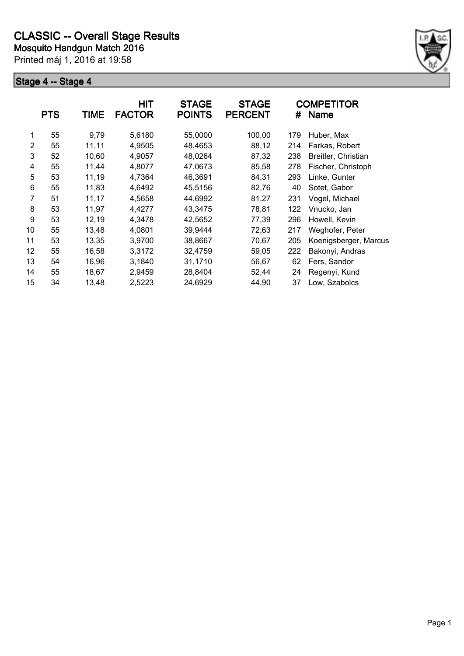

|                | <b>PTS</b> | <b>TIME</b> | <b>HIT</b><br><b>FACTOR</b> | <b>STAGE</b><br><b>POINTS</b> | <b>STAGE</b><br><b>PERCENT</b> | #   | <b>COMPETITOR</b><br>Name |
|----------------|------------|-------------|-----------------------------|-------------------------------|--------------------------------|-----|---------------------------|
| 1              | 55         | 9,79        | 5,6180                      | 55,0000                       | 100,00                         | 179 | Huber, Max                |
| 2              | 55         | 11,11       | 4,9505                      | 48,4653                       | 88,12                          | 214 | Farkas, Robert            |
| 3              | 52         | 10,60       | 4,9057                      | 48,0264                       | 87,32                          | 238 | Breitler, Christian       |
| 4              | 55         | 11,44       | 4,8077                      | 47,0673                       | 85,58                          | 278 | Fischer, Christoph        |
| 5              | 53         | 11,19       | 4,7364                      | 46,3691                       | 84,31                          | 293 | Linke, Gunter             |
| 6              | 55         | 11,83       | 4,6492                      | 45,5156                       | 82,76                          | 40  | Sotet, Gabor              |
| $\overline{7}$ | 51         | 11,17       | 4,5658                      | 44,6992                       | 81,27                          | 231 | Vogel, Michael            |
| 8              | 53         | 11,97       | 4,4277                      | 43,3475                       | 78,81                          | 122 | Vnucko, Jan               |
| 9              | 53         | 12,19       | 4,3478                      | 42,5652                       | 77,39                          | 296 | Howell, Kevin             |
| 10             | 55         | 13,48       | 4,0801                      | 39,9444                       | 72,63                          | 217 | Weghofer, Peter           |
| 11             | 53         | 13,35       | 3,9700                      | 38,8667                       | 70,67                          | 205 | Koenigsberger, Marcus     |
| 12             | 55         | 16,58       | 3,3172                      | 32,4759                       | 59,05                          | 222 | Bakonyi, Andras           |
| 13             | 54         | 16,96       | 3,1840                      | 31,1710                       | 56,67                          | 62  | Fers, Sandor              |
| 14             | 55         | 18,67       | 2,9459                      | 28,8404                       | 52,44                          | 24  | Regenyi, Kund             |
| 15             | 34         | 13,48       | 2,5223                      | 24,6929                       | 44,90                          | 37  | Low, Szabolcs             |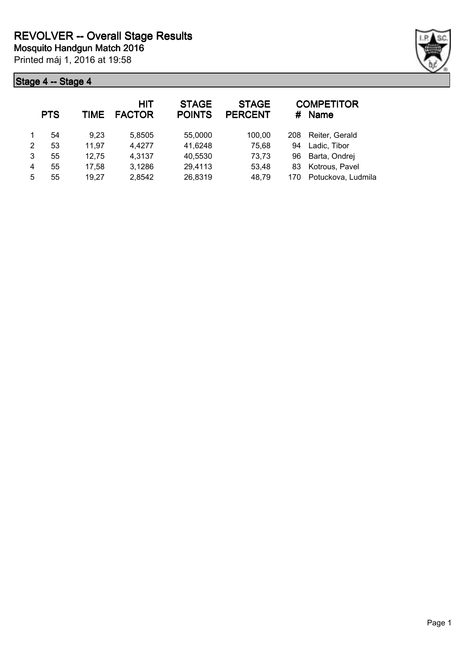

|   | <b>PTS</b> | TIME  | <b>HIT</b><br><b>FACTOR</b> | <b>STAGE</b><br><b>POINTS</b> | <b>STAGE</b><br><b>PERCENT</b> | #   | <b>COMPETITOR</b><br><b>Name</b> |
|---|------------|-------|-----------------------------|-------------------------------|--------------------------------|-----|----------------------------------|
|   | 54         | 9,23  | 5,8505                      | 55,0000                       | 100.00                         | 208 | Reiter, Gerald                   |
| 2 | 53         | 11,97 | 4,4277                      | 41,6248                       | 75,68                          | 94  | Ladic, Tibor                     |
| 3 | 55         | 12,75 | 4,3137                      | 40,5530                       | 73,73                          | 96  | Barta, Ondrej                    |
| 4 | 55         | 17,58 | 3,1286                      | 29,4113                       | 53,48                          | 83  | Kotrous, Pavel                   |
| 5 | 55         | 19,27 | 2,8542                      | 26,8319                       | 48,79                          | 170 | Potuckova, Ludmila               |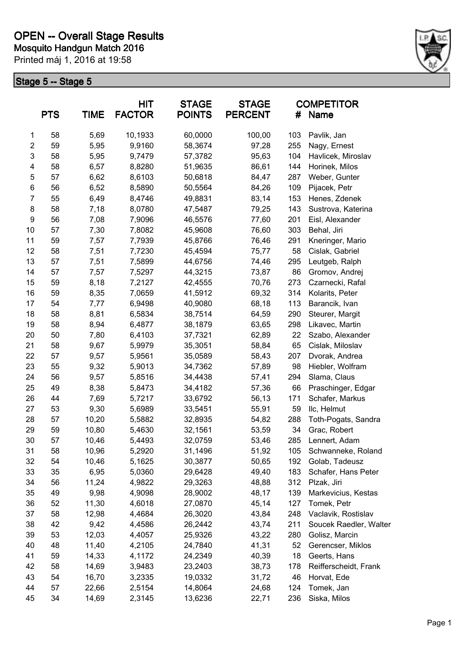

|                | <b>PTS</b> | <b>TIME</b> | <b>HIT</b><br><b>FACTOR</b> | <b>STAGE</b><br><b>POINTS</b> | <b>STAGE</b><br><b>PERCENT</b> | #   | <b>COMPETITOR</b><br>Name |
|----------------|------------|-------------|-----------------------------|-------------------------------|--------------------------------|-----|---------------------------|
| 1              | 58         | 5,69        | 10,1933                     | 60,0000                       | 100,00                         | 103 | Pavlik, Jan               |
| $\overline{2}$ | 59         | 5,95        | 9,9160                      | 58,3674                       | 97,28                          | 255 | Nagy, Ernest              |
| 3              | 58         | 5,95        | 9,7479                      | 57,3782                       | 95,63                          | 104 | Havlicek, Miroslav        |
| 4              | 58         | 6,57        | 8,8280                      | 51,9635                       | 86,61                          | 144 | Horinek, Milos            |
| 5              | 57         | 6,62        | 8,6103                      | 50,6818                       | 84,47                          | 287 | Weber, Gunter             |
| 6              | 56         | 6,52        | 8,5890                      | 50,5564                       | 84,26                          | 109 | Pijacek, Petr             |
| $\overline{7}$ | 55         | 6,49        | 8,4746                      | 49,8831                       | 83,14                          | 153 | Henes, Zdenek             |
| 8              | 58         | 7,18        | 8,0780                      | 47,5487                       | 79,25                          | 143 | Sustrova, Katerina        |
| 9              | 56         | 7,08        | 7,9096                      | 46,5576                       | 77,60                          | 201 | Eisl, Alexander           |
| 10             | 57         | 7,30        | 7,8082                      | 45,9608                       | 76,60                          | 303 | Behal, Jiri               |
| 11             | 59         | 7,57        | 7,7939                      | 45,8766                       | 76,46                          | 291 | Kneringer, Mario          |
| 12             | 58         | 7,51        | 7,7230                      | 45,4594                       | 75,77                          | 58  | Cislak, Gabriel           |
| 13             | 57         | 7,51        | 7,5899                      | 44,6756                       | 74,46                          | 295 | Leutgeb, Ralph            |
| 14             | 57         | 7,57        | 7,5297                      | 44,3215                       | 73,87                          | 86  | Gromov, Andrej            |
| 15             | 59         | 8,18        | 7,2127                      | 42,4555                       | 70,76                          | 273 | Czarnecki, Rafal          |
| 16             | 59         | 8,35        | 7,0659                      | 41,5912                       | 69,32                          | 314 | Kolarits, Peter           |
| 17             | 54         | 7,77        | 6,9498                      | 40,9080                       | 68,18                          | 113 | Barancik, Ivan            |
| 18             | 58         | 8,81        | 6,5834                      | 38,7514                       | 64,59                          | 290 | Steurer, Margit           |
| 19             | 58         | 8,94        | 6,4877                      | 38,1879                       | 63,65                          | 298 | Likavec, Martin           |
| 20             | 50         | 7,80        | 6,4103                      | 37,7321                       | 62,89                          | 22  | Szabo, Alexander          |
| 21             | 58         | 9,67        | 5,9979                      | 35,3051                       | 58,84                          | 65  | Cislak, Miloslav          |
| 22             | 57         | 9,57        | 5,9561                      | 35,0589                       | 58,43                          | 207 | Dvorak, Andrea            |
| 23             | 55         | 9,32        | 5,9013                      | 34,7362                       | 57,89                          | 98  | Hiebler, Wolfram          |
| 24             | 56         | 9,57        | 5,8516                      | 34,4438                       | 57,41                          | 294 | Slama, Claus              |
| 25             | 49         | 8,38        | 5,8473                      | 34,4182                       | 57,36                          | 66  | Praschinger, Edgar        |
| 26             | 44         | 7,69        | 5,7217                      | 33,6792                       | 56,13                          | 171 | Schafer, Markus           |
| 27             | 53         | 9,30        | 5,6989                      | 33,5451                       | 55,91                          | 59  | Ilc, Helmut               |
| 28             | 57         | 10,20       | 5,5882                      | 32,8935                       | 54,82                          | 288 | Toth-Pogats, Sandra       |
| 29             | 59         | 10,80       | 5,4630                      | 32,1561                       | 53,59                          | 34  | Grac, Robert              |
| 30             | 57         | 10,46       | 5,4493                      | 32,0759                       | 53,46                          | 285 | Lennert, Adam             |
| 31             | 58         | 10,96       | 5,2920                      | 31,1496                       | 51,92                          | 105 | Schwanneke, Roland        |
| 32             | 54         | 10,46       | 5,1625                      | 30,3877                       | 50,65                          | 192 | Golab, Tadeusz            |
| 33             | 35         | 6,95        | 5,0360                      | 29,6428                       | 49,40                          | 183 | Schafer, Hans Peter       |
| 34             | 56         | 11,24       | 4,9822                      | 29,3263                       | 48,88                          | 312 | Plzak, Jiri               |
| 35             | 49         | 9,98        | 4,9098                      | 28,9002                       | 48,17                          | 139 | Markevicius, Kestas       |
| 36             | 52         | 11,30       | 4,6018                      | 27,0870                       | 45,14                          | 127 | Tomek, Petr               |
| 37             | 58         | 12,98       | 4,4684                      | 26,3020                       | 43,84                          | 248 | Vaclavik, Rostislav       |
| 38             | 42         | 9,42        | 4,4586                      | 26,2442                       | 43,74                          | 211 | Soucek Raedler, Walter    |
| 39             | 53         | 12,03       | 4,4057                      | 25,9326                       | 43,22                          | 280 | Golisz, Marcin            |
| 40             | 48         | 11,40       | 4,2105                      | 24,7840                       | 41,31                          | 52  | Gerencser, Miklos         |
| 41             | 59         | 14,33       | 4,1172                      | 24,2349                       | 40,39                          | 18  | Geerts, Hans              |
| 42             | 58         | 14,69       | 3,9483                      | 23,2403                       | 38,73                          | 178 | Reifferscheidt, Frank     |
| 43             | 54         | 16,70       | 3,2335                      | 19,0332                       | 31,72                          | 46  | Horvat, Ede               |
| 44             | 57         | 22,66       | 2,5154                      | 14,8064                       | 24,68                          | 124 | Tomek, Jan                |
| 45             | 34         | 14,69       | 2,3145                      | 13,6236                       | 22,71                          | 236 | Siska, Milos              |
|                |            |             |                             |                               |                                |     |                           |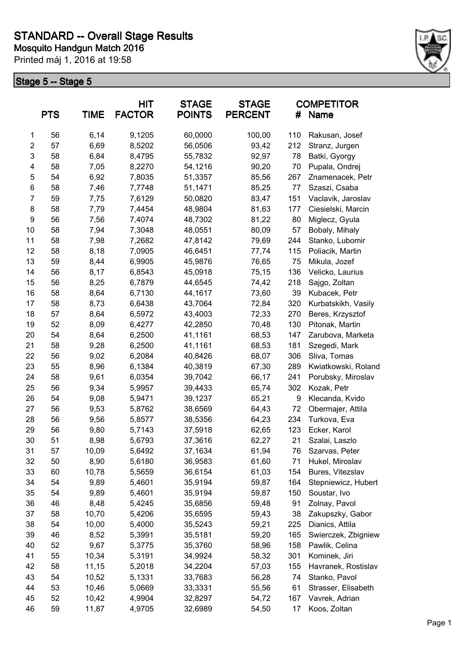

|                | <b>PTS</b> | <b>TIME</b> | <b>HIT</b><br><b>FACTOR</b> | <b>STAGE</b><br><b>POINTS</b> | <b>STAGE</b><br><b>PERCENT</b> | #   | <b>COMPETITOR</b><br>Name |
|----------------|------------|-------------|-----------------------------|-------------------------------|--------------------------------|-----|---------------------------|
| 1              | 56         | 6,14        | 9,1205                      | 60,0000                       | 100,00                         | 110 | Rakusan, Josef            |
| $\overline{2}$ | 57         | 6,69        | 8,5202                      | 56,0506                       | 93,42                          | 212 | Stranz, Jurgen            |
| 3              | 58         | 6,84        | 8,4795                      | 55,7832                       | 92,97                          | 78  | Batki, Gyorgy             |
| 4              | 58         | 7,05        | 8,2270                      | 54,1216                       | 90,20                          | 70  | Pupala, Ondrej            |
| 5              | 54         | 6,92        | 7,8035                      | 51,3357                       | 85,56                          | 267 | Znamenacek, Petr          |
| 6              | 58         | 7,46        | 7,7748                      | 51,1471                       | 85,25                          | 77  | Szaszi, Csaba             |
| $\overline{7}$ | 59         | 7,75        | 7,6129                      | 50,0820                       | 83,47                          | 151 | Vaclavik, Jaroslav        |
| 8              | 58         | 7,79        | 7,4454                      | 48,9804                       | 81,63                          | 177 | Ciesielski, Marcin        |
| 9              | 56         | 7,56        | 7,4074                      | 48,7302                       | 81,22                          | 80  | Miglecz, Gyula            |
| 10             | 58         | 7,94        | 7,3048                      | 48,0551                       | 80,09                          | 57  | Bobaly, Mihaly            |
| 11             | 58         | 7,98        | 7,2682                      | 47,8142                       | 79,69                          | 244 | Stanko, Lubomir           |
| 12             | 58         | 8,18        | 7,0905                      | 46,6451                       | 77,74                          | 115 | Poliacik, Martin          |
| 13             | 59         | 8,44        | 6,9905                      | 45,9876                       | 76,65                          | 75  | Mikula, Jozef             |
| 14             | 56         | 8,17        | 6,8543                      | 45,0918                       | 75,15                          | 136 | Velicko, Laurius          |
| 15             | 56         | 8,25        | 6,7879                      | 44,6545                       | 74,42                          | 218 | Sajgo, Zoltan             |
| 16             | 58         | 8,64        | 6,7130                      | 44,1617                       | 73,60                          | 39  | Kubacek, Petr             |
| 17             | 58         | 8,73        | 6,6438                      | 43,7064                       | 72,84                          | 320 | Kurbatskikh, Vasily       |
| 18             | 57         | 8,64        | 6,5972                      | 43,4003                       | 72,33                          | 270 | Beres, Krzysztof          |
| 19             | 52         | 8,09        | 6,4277                      | 42,2850                       | 70,48                          | 130 | Pitonak, Martin           |
| 20             | 54         | 8,64        | 6,2500                      | 41,1161                       | 68,53                          | 147 | Zarubova, Marketa         |
| 21             | 58         | 9,28        | 6,2500                      | 41,1161                       | 68,53                          | 181 | Szegedi, Mark             |
| 22             | 56         | 9,02        | 6,2084                      | 40,8426                       | 68,07                          | 306 | Sliva, Tomas              |
| 23             | 55         | 8,96        | 6,1384                      | 40,3819                       | 67,30                          | 289 | Kwiatkowski, Roland       |
| 24             | 58         | 9,61        | 6,0354                      | 39,7042                       | 66,17                          | 241 | Porubsky, Miroslav        |
| 25             | 56         | 9,34        | 5,9957                      | 39,4433                       | 65,74                          | 302 | Kozak, Petr               |
| 26             | 54         | 9,08        | 5,9471                      | 39,1237                       | 65,21                          | 9   | Klecanda, Kvido           |
| 27             | 56         | 9,53        | 5,8762                      | 38,6569                       | 64,43                          | 72  | Obermajer, Attila         |
| 28             | 56         | 9,56        | 5,8577                      | 38,5356                       | 64,23                          | 234 | Turkova, Eva              |
| 29             | 56         | 9,80        | 5,7143                      | 37,5918                       | 62,65                          | 123 | Ecker, Karol              |
| 30             | 51         | 8,98        | 5,6793                      | 37,3616                       | 62,27                          | 21  | Szalai, Laszlo            |
| 31             | 57         | 10,09       | 5,6492                      | 37,1634                       | 61,94                          | 76  | Szarvas, Peter            |
| 32             | 50         | 8,90        | 5,6180                      | 36,9583                       | 61,60                          | 71  | Hukel, Miroslav           |
| 33             | 60         | 10,78       | 5,5659                      | 36,6154                       | 61,03                          | 154 | Bures, Vitezslav          |
| 34             | 54         | 9,89        | 5,4601                      | 35,9194                       | 59,87                          | 164 | Stepniewicz, Hubert       |
| 35             | 54         | 9,89        | 5,4601                      | 35,9194                       | 59,87                          | 150 | Soustar, Ivo              |
| 36             | 46         | 8,48        | 5,4245                      | 35,6856                       | 59,48                          | 91  | Zolnay, Pavol             |
| 37             | 58         | 10,70       | 5,4206                      | 35,6595                       | 59,43                          | 38  | Zakupszky, Gabor          |
| 38             | 54         | 10,00       | 5,4000                      | 35,5243                       | 59,21                          | 225 | Dianics, Attila           |
| 39             | 46         | 8,52        | 5,3991                      | 35,5181                       | 59,20                          | 165 | Swierczek, Zbigniew       |
| 40             | 52         | 9,67        | 5,3775                      | 35,3760                       | 58,96                          | 158 | Pawlik, Celina            |
| 41             | 55         | 10,34       | 5,3191                      | 34,9924                       | 58,32                          | 301 | Kominek, Jiri             |
| 42             | 58         | 11,15       | 5,2018                      | 34,2204                       | 57,03                          | 155 | Havranek, Rostislav       |
| 43             | 54         | 10,52       | 5,1331                      | 33,7683                       | 56,28                          | 74  | Stanko, Pavol             |
| 44             | 53         | 10,46       | 5,0669                      | 33,3331                       | 55,56                          | 61  | Strasser, Elisabeth       |
| 45             | 52         | 10,42       | 4,9904                      | 32,8297                       | 54,72                          | 167 | Vavrek, Adrian            |
| 46             | 59         | 11,87       | 4,9705                      | 32,6989                       | 54,50                          | 17  | Koos, Zoltan              |
|                |            |             |                             |                               |                                |     |                           |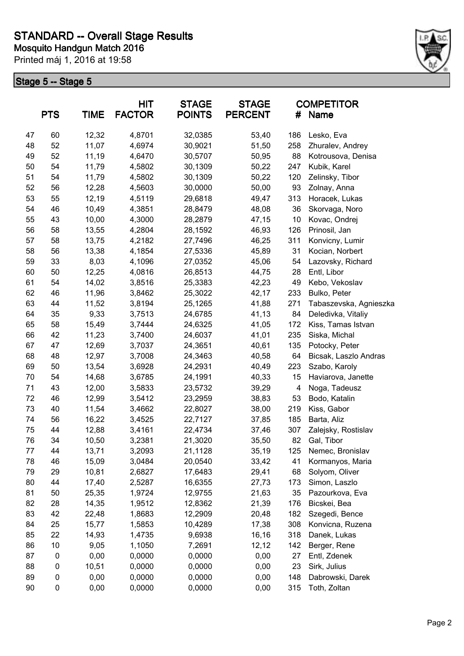

|    | <b>PTS</b>  | <b>TIME</b> | <b>HIT</b><br><b>FACTOR</b> | <b>STAGE</b><br><b>POINTS</b> | <b>STAGE</b><br><b>PERCENT</b> | #   | <b>COMPETITOR</b><br>Name |
|----|-------------|-------------|-----------------------------|-------------------------------|--------------------------------|-----|---------------------------|
| 47 | 60          | 12,32       | 4,8701                      | 32,0385                       | 53,40                          | 186 | Lesko, Eva                |
| 48 | 52          | 11,07       | 4,6974                      | 30,9021                       | 51,50                          | 258 | Zhuralev, Andrey          |
| 49 | 52          | 11,19       | 4,6470                      | 30,5707                       | 50,95                          | 88  | Kotrousova, Denisa        |
| 50 | 54          | 11,79       | 4,5802                      | 30,1309                       | 50,22                          | 247 | Kubik, Karel              |
| 51 | 54          | 11,79       | 4,5802                      | 30,1309                       | 50,22                          | 120 | Zelinsky, Tibor           |
| 52 | 56          | 12,28       | 4,5603                      | 30,0000                       | 50,00                          | 93  | Zolnay, Anna              |
| 53 | 55          | 12,19       | 4,5119                      | 29,6818                       | 49,47                          | 313 | Horacek, Lukas            |
| 54 | 46          | 10,49       | 4,3851                      | 28,8479                       | 48,08                          | 36  | Skorvaga, Noro            |
| 55 | 43          | 10,00       | 4,3000                      | 28,2879                       | 47,15                          | 10  | Kovac, Ondrej             |
| 56 | 58          | 13,55       | 4,2804                      | 28,1592                       | 46,93                          | 126 | Prinosil, Jan             |
| 57 | 58          | 13,75       | 4,2182                      | 27,7496                       | 46,25                          | 311 | Konvicny, Lumir           |
| 58 | 56          | 13,38       | 4,1854                      | 27,5336                       | 45,89                          | 31  | Kocian, Norbert           |
| 59 | 33          | 8,03        | 4,1096                      | 27,0352                       | 45,06                          | 54  | Lazovsky, Richard         |
| 60 | 50          | 12,25       | 4,0816                      | 26,8513                       | 44,75                          | 28  | Entl, Libor               |
| 61 | 54          | 14,02       | 3,8516                      | 25,3383                       | 42,23                          | 49  | Kebo, Vekoslav            |
| 62 | 46          | 11,96       | 3,8462                      | 25,3022                       | 42,17                          | 233 | Bulko, Peter              |
| 63 | 44          | 11,52       | 3,8194                      | 25,1265                       | 41,88                          | 271 | Tabaszevska, Agnieszka    |
| 64 | 35          | 9,33        | 3,7513                      | 24,6785                       | 41,13                          | 84  | Deledivka, Vitaliy        |
| 65 | 58          | 15,49       | 3,7444                      | 24,6325                       | 41,05                          | 172 | Kiss, Tamas Istvan        |
| 66 | 42          | 11,23       | 3,7400                      | 24,6037                       | 41,01                          | 235 | Siska, Michal             |
| 67 | 47          | 12,69       | 3,7037                      | 24,3651                       | 40,61                          | 135 | Potocky, Peter            |
| 68 | 48          | 12,97       | 3,7008                      | 24,3463                       | 40,58                          | 64  | Bicsak, Laszlo Andras     |
| 69 | 50          | 13,54       | 3,6928                      | 24,2931                       | 40,49                          | 223 | Szabo, Karoly             |
| 70 | 54          | 14,68       | 3,6785                      | 24,1991                       | 40,33                          | 15  | Haviarova, Janette        |
| 71 | 43          | 12,00       | 3,5833                      | 23,5732                       | 39,29                          | 4   | Noga, Tadeusz             |
| 72 | 46          | 12,99       | 3,5412                      | 23,2959                       | 38,83                          | 53  | Bodo, Katalin             |
| 73 | 40          | 11,54       | 3,4662                      | 22,8027                       | 38,00                          | 219 | Kiss, Gabor               |
| 74 | 56          | 16,22       | 3,4525                      | 22,7127                       | 37,85                          | 185 | Barta, Aliz               |
| 75 | 44          | 12,88       | 3,4161                      | 22,4734                       | 37,46                          | 307 | Zalejsky, Rostislav       |
| 76 | 34          | 10,50       | 3,2381                      | 21,3020                       | 35,50                          | 82  | Gal, Tibor                |
| 77 | 44          | 13,71       | 3,2093                      | 21,1128                       | 35,19                          | 125 | Nemec, Bronislav          |
| 78 | 46          | 15,09       | 3,0484                      | 20,0540                       | 33,42                          | 41  | Kormanyos, Maria          |
| 79 | 29          | 10,81       | 2,6827                      | 17,6483                       | 29,41                          | 68  | Solyom, Oliver            |
| 80 | 44          | 17,40       | 2,5287                      | 16,6355                       | 27,73                          | 173 | Simon, Laszlo             |
| 81 | 50          | 25,35       | 1,9724                      | 12,9755                       | 21,63                          | 35  | Pazourkova, Eva           |
| 82 | 28          | 14,35       | 1,9512                      | 12,8362                       | 21,39                          | 176 | Bicskei, Bea              |
| 83 | 42          | 22,48       | 1,8683                      | 12,2909                       | 20,48                          | 182 | Szegedi, Bence            |
| 84 | 25          | 15,77       | 1,5853                      | 10,4289                       | 17,38                          | 308 | Konvicna, Ruzena          |
| 85 | 22          | 14,93       | 1,4735                      | 9,6938                        | 16,16                          | 318 | Danek, Lukas              |
| 86 | 10          | 9,05        | 1,1050                      | 7,2691                        | 12, 12                         | 142 | Berger, Rene              |
| 87 | $\pmb{0}$   | 0,00        | 0,0000                      | 0,0000                        | 0,00                           | 27  | Entl, Zdenek              |
| 88 | 0           | 10,51       | 0,0000                      | 0,0000                        | 0,00                           | 23  | Sirk, Julius              |
| 89 | $\mathbf 0$ | 0,00        | 0,0000                      | 0,0000                        | 0,00                           | 148 | Dabrowski, Darek          |
| 90 | 0           | 0,00        | 0,0000                      | 0,0000                        | 0,00                           | 315 | Toth, Zoltan              |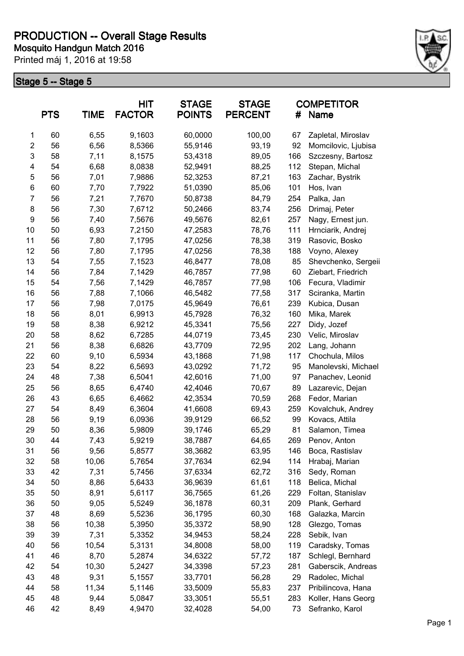

|                | <b>PTS</b> | <b>TIME</b> | <b>HIT</b><br><b>FACTOR</b> | <b>STAGE</b><br><b>POINTS</b> | <b>STAGE</b><br><b>PERCENT</b> | #   | <b>COMPETITOR</b><br>Name |
|----------------|------------|-------------|-----------------------------|-------------------------------|--------------------------------|-----|---------------------------|
| 1              | 60         | 6,55        | 9,1603                      | 60,0000                       | 100,00                         | 67  | Zapletal, Miroslav        |
| $\mathbf{2}$   | 56         | 6,56        | 8,5366                      | 55,9146                       | 93,19                          | 92  | Momcilovic, Ljubisa       |
| 3              | 58         | 7,11        | 8,1575                      | 53,4318                       | 89,05                          | 166 | Szczesny, Bartosz         |
| 4              | 54         | 6,68        | 8,0838                      | 52,9491                       | 88,25                          | 112 | Stepan, Michal            |
| 5              | 56         | 7,01        | 7,9886                      | 52,3253                       | 87,21                          | 163 | Zachar, Bystrik           |
| $\,6$          | 60         | 7,70        | 7,7922                      | 51,0390                       | 85,06                          | 101 | Hos, Ivan                 |
| $\overline{7}$ | 56         | 7,21        | 7,7670                      | 50,8738                       | 84,79                          | 254 | Palka, Jan                |
| 8              | 56         | 7,30        | 7,6712                      | 50,2466                       | 83,74                          | 256 | Drimaj, Peter             |
| 9              | 56         | 7,40        | 7,5676                      | 49,5676                       | 82,61                          | 257 | Nagy, Ernest jun.         |
| 10             | 50         | 6,93        | 7,2150                      | 47,2583                       | 78,76                          | 111 | Hrnciarik, Andrej         |
| 11             | 56         | 7,80        | 7,1795                      | 47,0256                       | 78,38                          | 319 | Rasovic, Bosko            |
| 12             | 56         | 7,80        | 7,1795                      | 47,0256                       | 78,38                          | 188 | Voyno, Alexey             |
| 13             | 54         | 7,55        | 7,1523                      | 46,8477                       | 78,08                          | 85  | Shevchenko, Sergeii       |
| 14             | 56         | 7,84        | 7,1429                      | 46,7857                       | 77,98                          | 60  | Ziebart, Friedrich        |
| 15             | 54         | 7,56        | 7,1429                      | 46,7857                       | 77,98                          | 106 | Fecura, Vladimir          |
| 16             | 56         | 7,88        | 7,1066                      | 46,5482                       | 77,58                          | 317 | Sciranka, Martin          |
| 17             | 56         | 7,98        | 7,0175                      | 45,9649                       | 76,61                          | 239 | Kubica, Dusan             |
| 18             | 56         | 8,01        | 6,9913                      | 45,7928                       | 76,32                          | 160 | Mika, Marek               |
| 19             | 58         | 8,38        | 6,9212                      | 45,3341                       | 75,56                          | 227 | Didy, Jozef               |
| 20             | 58         | 8,62        | 6,7285                      | 44,0719                       | 73,45                          | 230 | Velic, Miroslav           |
| 21             | 56         | 8,38        | 6,6826                      | 43,7709                       | 72,95                          | 202 | Lang, Johann              |
| 22             | 60         | 9,10        | 6,5934                      | 43,1868                       | 71,98                          | 117 | Chochula, Milos           |
| 23             | 54         | 8,22        | 6,5693                      | 43,0292                       | 71,72                          | 95  | Manolevski, Michael       |
| 24             | 48         | 7,38        | 6,5041                      | 42,6016                       | 71,00                          | 97  | Panachev, Leonid          |
| 25             | 56         | 8,65        | 6,4740                      | 42,4046                       | 70,67                          | 89  | Lazarevic, Dejan          |
| 26             | 43         | 6,65        | 6,4662                      | 42,3534                       | 70,59                          | 268 | Fedor, Marian             |
| 27             | 54         | 8,49        | 6,3604                      | 41,6608                       | 69,43                          | 259 | Kovalchuk, Andrey         |
| 28             | 56         | 9,19        | 6,0936                      | 39,9129                       | 66,52                          | 99  | Kovacs, Attila            |
| 29             | 50         | 8,36        | 5,9809                      | 39,1746                       | 65,29                          | 81  | Salamon, Timea            |
| 30             | 44         | 7,43        | 5,9219                      | 38,7887                       | 64,65                          | 269 | Penov, Anton              |
| 31             | 56         | 9,56        | 5,8577                      | 38,3682                       | 63,95                          | 146 | Boca, Rastislav           |
| 32             | 58         | 10,06       | 5,7654                      | 37,7634                       | 62,94                          | 114 | Hrabaj, Marian            |
| 33             | 42         | 7,31        | 5,7456                      | 37,6334                       | 62,72                          | 316 | Sedy, Roman               |
| 34             | 50         | 8,86        | 5,6433                      | 36,9639                       | 61,61                          | 118 | Belica, Michal            |
| 35             | 50         | 8,91        | 5,6117                      | 36,7565                       | 61,26                          | 229 | Foltan, Stanislav         |
| 36             | 50         | 9,05        | 5,5249                      | 36,1878                       | 60,31                          | 209 | Plank, Gerhard            |
| 37             | 48         | 8,69        | 5,5236                      | 36,1795                       | 60,30                          | 168 | Galazka, Marcin           |
| 38             | 56         | 10,38       | 5,3950                      | 35,3372                       | 58,90                          | 128 | Glezgo, Tomas             |
| 39             | 39         | 7,31        | 5,3352                      | 34,9453                       | 58,24                          | 228 | Sebik, Ivan               |
| 40             | 56         | 10,54       | 5,3131                      | 34,8008                       | 58,00                          | 119 | Caradsky, Tomas           |
| 41             | 46         | 8,70        | 5,2874                      | 34,6322                       | 57,72                          | 187 | Schlegl, Bernhard         |
| 42             | 54         | 10,30       | 5,2427                      | 34,3398                       | 57,23                          | 281 | Gaberscik, Andreas        |
| 43             | 48         | 9,31        | 5,1557                      | 33,7701                       | 56,28                          | 29  | Radolec, Michal           |
| 44             | 58         | 11,34       | 5,1146                      | 33,5009                       | 55,83                          | 237 | Pribilincova, Hana        |
| 45             | 48         | 9,44        | 5,0847                      | 33,3051                       | 55,51                          | 283 | Koller, Hans Georg        |
| 46             | 42         | 8,49        | 4,9470                      | 32,4028                       | 54,00                          | 73  | Sefranko, Karol           |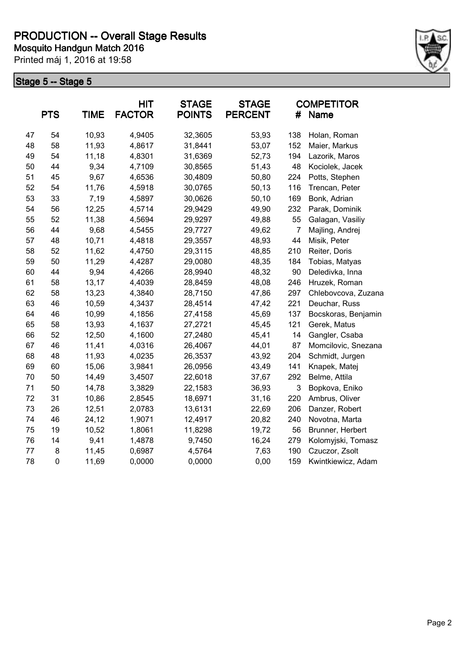

|    | <b>PTS</b>  | <b>TIME</b> | <b>HIT</b><br><b>FACTOR</b> | <b>STAGE</b><br><b>POINTS</b> | <b>STAGE</b><br><b>PERCENT</b> | #   | <b>COMPETITOR</b><br>Name |
|----|-------------|-------------|-----------------------------|-------------------------------|--------------------------------|-----|---------------------------|
| 47 | 54          | 10,93       | 4,9405                      | 32,3605                       | 53,93                          | 138 | Holan, Roman              |
| 48 | 58          | 11,93       | 4,8617                      | 31,8441                       | 53,07                          | 152 | Maier, Markus             |
| 49 | 54          | 11,18       | 4,8301                      | 31,6369                       | 52,73                          | 194 | Lazorik, Maros            |
| 50 | 44          | 9,34        | 4,7109                      | 30,8565                       | 51,43                          | 48  | Kociolek, Jacek           |
| 51 | 45          | 9,67        | 4,6536                      | 30,4809                       | 50,80                          | 224 | Potts, Stephen            |
| 52 | 54          | 11,76       | 4,5918                      | 30,0765                       | 50,13                          | 116 | Trencan, Peter            |
| 53 | 33          | 7,19        | 4,5897                      | 30,0626                       | 50,10                          | 169 | Bonk, Adrian              |
| 54 | 56          | 12,25       | 4,5714                      | 29,9429                       | 49,90                          | 232 | Parak, Dominik            |
| 55 | 52          | 11,38       | 4,5694                      | 29,9297                       | 49,88                          | 55  | Galagan, Vasiliy          |
| 56 | 44          | 9,68        | 4,5455                      | 29,7727                       | 49,62                          | 7   | Majling, Andrej           |
| 57 | 48          | 10,71       | 4,4818                      | 29,3557                       | 48,93                          | 44  | Misik, Peter              |
| 58 | 52          | 11,62       | 4,4750                      | 29,3115                       | 48,85                          | 210 | Reiter, Doris             |
| 59 | 50          | 11,29       | 4,4287                      | 29,0080                       | 48,35                          | 184 | Tobias, Matyas            |
| 60 | 44          | 9,94        | 4,4266                      | 28,9940                       | 48,32                          | 90  | Deledivka, Inna           |
| 61 | 58          | 13,17       | 4,4039                      | 28,8459                       | 48,08                          | 246 | Hruzek, Roman             |
| 62 | 58          | 13,23       | 4,3840                      | 28,7150                       | 47,86                          | 297 | Chlebovcova, Zuzana       |
| 63 | 46          | 10,59       | 4,3437                      | 28,4514                       | 47,42                          | 221 | Deuchar, Russ             |
| 64 | 46          | 10,99       | 4,1856                      | 27,4158                       | 45,69                          | 137 | Bocskoras, Benjamin       |
| 65 | 58          | 13,93       | 4,1637                      | 27,2721                       | 45,45                          | 121 | Gerek, Matus              |
| 66 | 52          | 12,50       | 4,1600                      | 27,2480                       | 45,41                          | 14  | Gangler, Csaba            |
| 67 | 46          | 11,41       | 4,0316                      | 26,4067                       | 44,01                          | 87  | Momcilovic, Snezana       |
| 68 | 48          | 11,93       | 4,0235                      | 26,3537                       | 43,92                          | 204 | Schmidt, Jurgen           |
| 69 | 60          | 15,06       | 3,9841                      | 26,0956                       | 43,49                          | 141 | Knapek, Matej             |
| 70 | 50          | 14,49       | 3,4507                      | 22,6018                       | 37,67                          | 292 | Belme, Attila             |
| 71 | 50          | 14,78       | 3,3829                      | 22,1583                       | 36,93                          | 3   | Bopkova, Eniko            |
| 72 | 31          | 10,86       | 2,8545                      | 18,6971                       | 31,16                          | 220 | Ambrus, Oliver            |
| 73 | 26          | 12,51       | 2,0783                      | 13,6131                       | 22,69                          | 206 | Danzer, Robert            |
| 74 | 46          | 24,12       | 1,9071                      | 12,4917                       | 20,82                          | 240 | Novotna, Marta            |
| 75 | 19          | 10,52       | 1,8061                      | 11,8298                       | 19,72                          | 56  | Brunner, Herbert          |
| 76 | 14          | 9,41        | 1,4878                      | 9,7450                        | 16,24                          | 279 | Kolomyjski, Tomasz        |
| 77 | 8           | 11,45       | 0,6987                      | 4,5764                        | 7,63                           | 190 | Czuczor, Zsolt            |
| 78 | $\mathsf 0$ | 11,69       | 0,0000                      | 0,0000                        | 0,00                           | 159 | Kwintkiewicz, Adam        |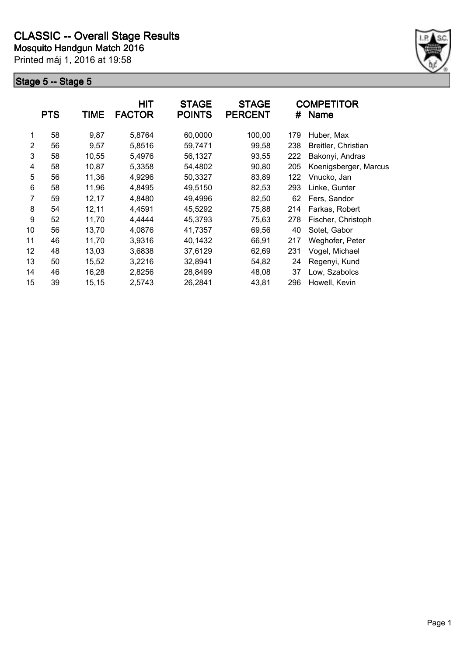

|                | <b>PTS</b> | <b>TIME</b> | <b>HIT</b><br><b>FACTOR</b> | <b>STAGE</b><br><b>POINTS</b> | <b>STAGE</b><br><b>PERCENT</b> | #   | <b>COMPETITOR</b><br><b>Name</b> |
|----------------|------------|-------------|-----------------------------|-------------------------------|--------------------------------|-----|----------------------------------|
| 1              | 58         | 9,87        | 5,8764                      | 60,0000                       | 100,00                         | 179 | Huber, Max                       |
| $\overline{2}$ | 56         | 9,57        | 5,8516                      | 59,7471                       | 99,58                          | 238 | Breitler, Christian              |
| 3              | 58         | 10,55       | 5,4976                      | 56,1327                       | 93,55                          | 222 | Bakonyi, Andras                  |
| 4              | 58         | 10,87       | 5,3358                      | 54,4802                       | 90,80                          | 205 | Koenigsberger, Marcus            |
| 5              | 56         | 11,36       | 4,9296                      | 50,3327                       | 83,89                          | 122 | Vnucko, Jan                      |
| 6              | 58         | 11,96       | 4,8495                      | 49,5150                       | 82,53                          | 293 | Linke, Gunter                    |
| 7              | 59         | 12,17       | 4,8480                      | 49,4996                       | 82,50                          | 62  | Fers, Sandor                     |
| 8              | 54         | 12,11       | 4,4591                      | 45,5292                       | 75,88                          | 214 | Farkas, Robert                   |
| 9              | 52         | 11,70       | 4,4444                      | 45,3793                       | 75,63                          | 278 | Fischer, Christoph               |
| 10             | 56         | 13,70       | 4,0876                      | 41,7357                       | 69,56                          | 40  | Sotet, Gabor                     |
| 11             | 46         | 11,70       | 3,9316                      | 40,1432                       | 66,91                          | 217 | Weghofer, Peter                  |
| 12             | 48         | 13,03       | 3,6838                      | 37,6129                       | 62,69                          | 231 | Vogel, Michael                   |
| 13             | 50         | 15,52       | 3,2216                      | 32,8941                       | 54,82                          | 24  | Regenyi, Kund                    |
| 14             | 46         | 16,28       | 2,8256                      | 28,8499                       | 48,08                          | 37  | Low, Szabolcs                    |
| 15             | 39         | 15,15       | 2,5743                      | 26,2841                       | 43,81                          | 296 | Howell, Kevin                    |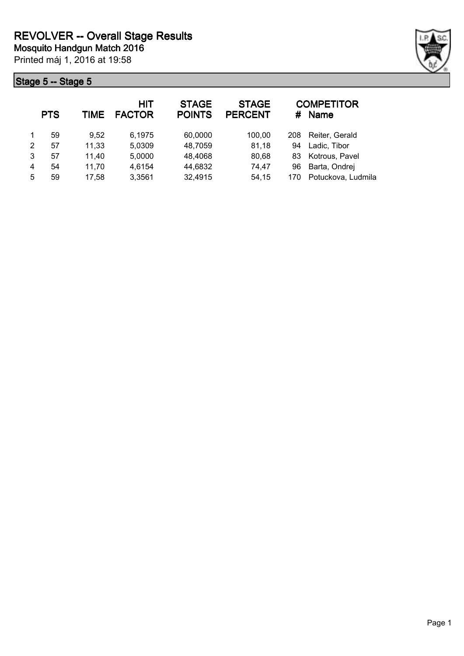

| <b>COMPETITOR</b><br><b>Name</b> |
|----------------------------------|
| Reiter, Gerald                   |
| Ladic, Tibor                     |
| Kotrous, Pavel                   |
| Barta, Ondrej                    |
| Potuckova, Ludmila               |
|                                  |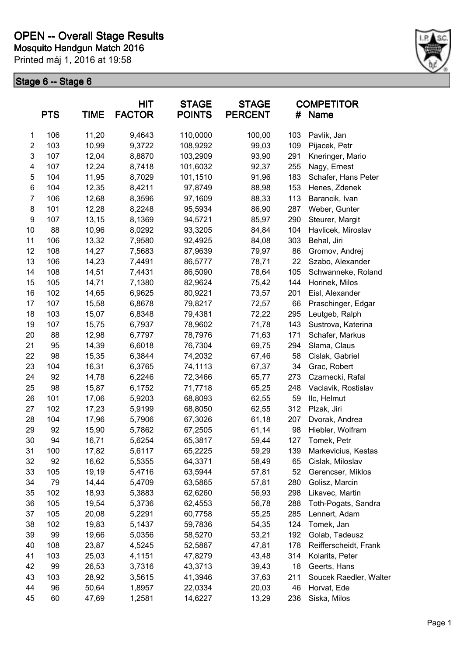

|                | <b>PTS</b> | <b>TIME</b> | <b>HIT</b><br><b>FACTOR</b> | <b>STAGE</b><br><b>POINTS</b> | <b>STAGE</b><br><b>PERCENT</b> | #   | <b>COMPETITOR</b><br><b>Name</b> |
|----------------|------------|-------------|-----------------------------|-------------------------------|--------------------------------|-----|----------------------------------|
| 1              | 106        | 11,20       | 9,4643                      | 110,0000                      | 100,00                         | 103 | Pavlik, Jan                      |
| $\overline{2}$ | 103        | 10,99       | 9,3722                      | 108,9292                      | 99,03                          | 109 | Pijacek, Petr                    |
| 3              | 107        | 12,04       | 8,8870                      | 103,2909                      | 93,90                          | 291 | Kneringer, Mario                 |
| 4              | 107        | 12,24       | 8,7418                      | 101,6032                      | 92,37                          | 255 | Nagy, Ernest                     |
| 5              | 104        | 11,95       | 8,7029                      | 101,1510                      | 91,96                          | 183 | Schafer, Hans Peter              |
| 6              | 104        | 12,35       | 8,4211                      | 97,8749                       | 88,98                          | 153 | Henes, Zdenek                    |
| $\overline{7}$ | 106        | 12,68       | 8,3596                      | 97,1609                       | 88,33                          | 113 | Barancik, Ivan                   |
| 8              | 101        | 12,28       | 8,2248                      | 95,5934                       | 86,90                          | 287 | Weber, Gunter                    |
| 9              | 107        | 13,15       | 8,1369                      | 94,5721                       | 85,97                          | 290 | Steurer, Margit                  |
| 10             | 88         | 10,96       | 8,0292                      | 93,3205                       | 84,84                          | 104 | Havlicek, Miroslav               |
| 11             | 106        | 13,32       | 7,9580                      | 92,4925                       | 84,08                          | 303 | Behal, Jiri                      |
| 12             | 108        | 14,27       | 7,5683                      | 87,9639                       | 79,97                          | 86  | Gromov, Andrej                   |
| 13             | 106        | 14,23       | 7,4491                      | 86,5777                       | 78,71                          | 22  | Szabo, Alexander                 |
| 14             | 108        | 14,51       | 7,4431                      | 86,5090                       | 78,64                          | 105 | Schwanneke, Roland               |
| 15             | 105        | 14,71       | 7,1380                      | 82,9624                       | 75,42                          | 144 | Horinek, Milos                   |
| 16             | 102        | 14,65       | 6,9625                      | 80,9221                       | 73,57                          | 201 | Eisl, Alexander                  |
| 17             | 107        | 15,58       | 6,8678                      | 79,8217                       | 72,57                          | 66  | Praschinger, Edgar               |
| 18             | 103        | 15,07       | 6,8348                      | 79,4381                       | 72,22                          | 295 | Leutgeb, Ralph                   |
| 19             | 107        | 15,75       | 6,7937                      | 78,9602                       | 71,78                          | 143 | Sustrova, Katerina               |
| 20             | 88         | 12,98       | 6,7797                      | 78,7976                       | 71,63                          | 171 | Schafer, Markus                  |
| 21             | 95         | 14,39       | 6,6018                      | 76,7304                       | 69,75                          | 294 | Slama, Claus                     |
| 22             | 98         | 15,35       | 6,3844                      | 74,2032                       | 67,46                          | 58  | Cislak, Gabriel                  |
| 23             | 104        | 16,31       | 6,3765                      | 74,1113                       | 67,37                          | 34  | Grac, Robert                     |
| 24             | 92         | 14,78       | 6,2246                      | 72,3466                       | 65,77                          | 273 | Czarnecki, Rafal                 |
| 25             | 98         | 15,87       | 6,1752                      | 71,7718                       | 65,25                          | 248 | Vaclavik, Rostislav              |
| 26             | 101        | 17,06       | 5,9203                      | 68,8093                       | 62,55                          | 59  | IIc, Helmut                      |
| 27             | 102        | 17,23       | 5,9199                      | 68,8050                       | 62,55                          | 312 | Plzak, Jiri                      |
| 28             | 104        | 17,96       | 5,7906                      | 67,3026                       | 61,18                          | 207 | Dvorak, Andrea                   |
| 29             | 92         | 15,90       | 5,7862                      | 67,2505                       | 61,14                          | 98  | Hiebler, Wolfram                 |
| 30             | 94         | 16,71       | 5,6254                      | 65,3817                       | 59,44                          | 127 | Tomek, Petr                      |
| 31             | 100        | 17,82       | 5,6117                      | 65,2225                       | 59,29                          | 139 | Markevicius, Kestas              |
| 32             | 92         | 16,62       | 5,5355                      | 64,3371                       | 58,49                          | 65  | Cislak, Miloslav                 |
| 33             | 105        | 19,19       | 5,4716                      | 63,5944                       | 57,81                          | 52  | Gerencser, Miklos                |
| 34             | 79         | 14,44       | 5,4709                      | 63,5865                       | 57,81                          | 280 | Golisz, Marcin                   |
| 35             | 102        | 18,93       | 5,3883                      | 62,6260                       | 56,93                          | 298 | Likavec, Martin                  |
| 36             | 105        | 19,54       | 5,3736                      | 62,4553                       | 56,78                          | 288 | Toth-Pogats, Sandra              |
| 37             | 105        | 20,08       | 5,2291                      | 60,7758                       | 55,25                          | 285 | Lennert, Adam                    |
| 38             | 102        | 19,83       | 5,1437                      | 59,7836                       | 54,35                          | 124 | Tomek, Jan                       |
| 39             | 99         | 19,66       | 5,0356                      | 58,5270                       | 53,21                          | 192 | Golab, Tadeusz                   |
| 40             | 108        | 23,87       | 4,5245                      | 52,5867                       | 47,81                          | 178 | Reifferscheidt, Frank            |
| 41             | 103        | 25,03       | 4,1151                      | 47,8279                       | 43,48                          | 314 | Kolarits, Peter                  |
| 42             | 99         | 26,53       | 3,7316                      | 43,3713                       | 39,43                          | 18  | Geerts, Hans                     |
| 43             | 103        | 28,92       | 3,5615                      | 41,3946                       | 37,63                          | 211 | Soucek Raedler, Walter           |
| 44             | 96         | 50,64       | 1,8957                      | 22,0334                       | 20,03                          | 46  | Horvat, Ede                      |
| 45             | 60         | 47,69       | 1,2581                      | 14,6227                       | 13,29                          | 236 | Siska, Milos                     |
|                |            |             |                             |                               |                                |     |                                  |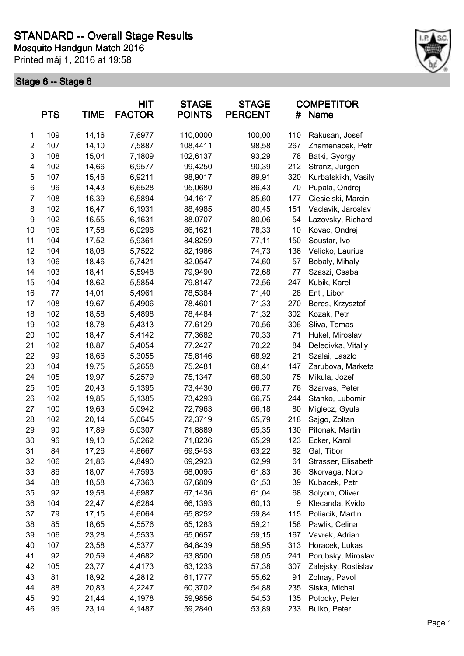

|                         | <b>PTS</b> | <b>TIME</b> | HIT<br><b>FACTOR</b> | <b>STAGE</b><br><b>POINTS</b> | <b>STAGE</b><br><b>PERCENT</b> | #   | <b>COMPETITOR</b><br><b>Name</b> |
|-------------------------|------------|-------------|----------------------|-------------------------------|--------------------------------|-----|----------------------------------|
| 1                       | 109        | 14,16       | 7,6977               | 110,0000                      | 100,00                         | 110 | Rakusan, Josef                   |
| $\overline{\mathbf{c}}$ | 107        | 14,10       | 7,5887               | 108,4411                      | 98,58                          | 267 | Znamenacek, Petr                 |
| 3                       | 108        | 15,04       | 7,1809               | 102,6137                      | 93,29                          | 78  | Batki, Gyorgy                    |
| 4                       | 102        | 14,66       | 6,9577               | 99,4250                       | 90,39                          | 212 | Stranz, Jurgen                   |
| 5                       | 107        | 15,46       | 6,9211               | 98,9017                       | 89,91                          | 320 | Kurbatskikh, Vasily              |
| 6                       | 96         | 14,43       | 6,6528               | 95,0680                       | 86,43                          | 70  | Pupala, Ondrej                   |
| 7                       | 108        | 16,39       | 6,5894               | 94,1617                       | 85,60                          | 177 | Ciesielski, Marcin               |
| 8                       | 102        | 16,47       | 6,1931               | 88,4985                       | 80,45                          | 151 | Vaclavik, Jaroslav               |
| 9                       | 102        | 16,55       | 6,1631               | 88,0707                       | 80,06                          | 54  | Lazovsky, Richard                |
| 10                      | 106        | 17,58       | 6,0296               | 86,1621                       | 78,33                          | 10  | Kovac, Ondrej                    |
| 11                      | 104        | 17,52       | 5,9361               | 84,8259                       | 77,11                          | 150 | Soustar, Ivo                     |
| 12                      | 104        | 18,08       | 5,7522               | 82,1986                       | 74,73                          | 136 | Velicko, Laurius                 |
| 13                      | 106        | 18,46       | 5,7421               | 82,0547                       | 74,60                          | 57  | Bobaly, Mihaly                   |
| 14                      | 103        | 18,41       | 5,5948               | 79,9490                       | 72,68                          | 77  | Szaszi, Csaba                    |
| 15                      | 104        | 18,62       | 5,5854               | 79,8147                       | 72,56                          | 247 | Kubik, Karel                     |
| 16                      | 77         | 14,01       | 5,4961               | 78,5384                       | 71,40                          | 28  | Entl, Libor                      |
| 17                      | 108        | 19,67       | 5,4906               | 78,4601                       | 71,33                          | 270 | Beres, Krzysztof                 |
| 18                      | 102        | 18,58       | 5,4898               | 78,4484                       | 71,32                          | 302 | Kozak, Petr                      |
| 19                      | 102        | 18,78       | 5,4313               | 77,6129                       | 70,56                          | 306 | Sliva, Tomas                     |
| 20                      | 100        | 18,47       | 5,4142               | 77,3682                       | 70,33                          | 71  | Hukel, Miroslav                  |
| 21                      | 102        | 18,87       | 5,4054               | 77,2427                       | 70,22                          | 84  | Deledivka, Vitaliy               |
| 22                      | 99         | 18,66       | 5,3055               | 75,8146                       | 68,92                          | 21  | Szalai, Laszlo                   |
| 23                      | 104        | 19,75       | 5,2658               | 75,2481                       | 68,41                          | 147 | Zarubova, Marketa                |
| 24                      | 105        | 19,97       | 5,2579               | 75,1347                       | 68,30                          | 75  | Mikula, Jozef                    |
| 25                      | 105        | 20,43       | 5,1395               | 73,4430                       | 66,77                          | 76  | Szarvas, Peter                   |
| 26                      | 102        | 19,85       | 5,1385               | 73,4293                       | 66,75                          | 244 | Stanko, Lubomir                  |
| 27                      | 100        | 19,63       | 5,0942               | 72,7963                       | 66,18                          | 80  | Miglecz, Gyula                   |
| 28                      | 102        | 20,14       | 5,0645               | 72,3719                       | 65,79                          | 218 | Sajgo, Zoltan                    |
| 29                      | 90         | 17,89       | 5,0307               | 71,8889                       | 65,35                          | 130 | Pitonak, Martin                  |
| 30                      | 96         | 19,10       | 5,0262               | 71,8236                       | 65,29                          | 123 | Ecker, Karol                     |
| 31                      | 84         | 17,26       | 4,8667               | 69,5453                       | 63,22                          | 82  | Gal, Tibor                       |
| 32                      | 106        | 21,86       | 4,8490               | 69,2923                       | 62,99                          | 61  | Strasser, Elisabeth              |
| 33                      | 86         | 18,07       | 4,7593               | 68,0095                       | 61,83                          | 36  | Skorvaga, Noro                   |
| 34                      | 88         | 18,58       | 4,7363               | 67,6809                       | 61,53                          | 39  | Kubacek, Petr                    |
| 35                      | 92         | 19,58       | 4,6987               | 67,1436                       | 61,04                          | 68  | Solyom, Oliver                   |
| 36                      | 104        | 22,47       | 4,6284               | 66,1393                       | 60,13                          | 9   | Klecanda, Kvido                  |
| 37                      | 79         | 17,15       | 4,6064               | 65,8252                       | 59,84                          | 115 | Poliacik, Martin                 |
| 38                      | 85         | 18,65       | 4,5576               | 65,1283                       | 59,21                          | 158 | Pawlik, Celina                   |
| 39                      | 106        | 23,28       | 4,5533               | 65,0657                       | 59,15                          | 167 | Vavrek, Adrian                   |
| 40                      | 107        | 23,58       | 4,5377               | 64,8439                       | 58,95                          | 313 | Horacek, Lukas                   |
| 41                      | 92         | 20,59       | 4,4682               | 63,8500                       | 58,05                          | 241 | Porubsky, Miroslav               |
| 42                      | 105        | 23,77       | 4,4173               | 63,1233                       | 57,38                          | 307 | Zalejsky, Rostislav              |
| 43                      | 81         | 18,92       | 4,2812               | 61,1777                       | 55,62                          | 91  | Zolnay, Pavol                    |
| 44                      | 88         | 20,83       | 4,2247               | 60,3702                       | 54,88                          | 235 | Siska, Michal                    |
| 45                      | 90         | 21,44       | 4,1978               | 59,9856                       | 54,53                          | 135 | Potocky, Peter                   |
| 46                      | 96         | 23,14       | 4,1487               | 59,2840                       | 53,89                          | 233 | Bulko, Peter                     |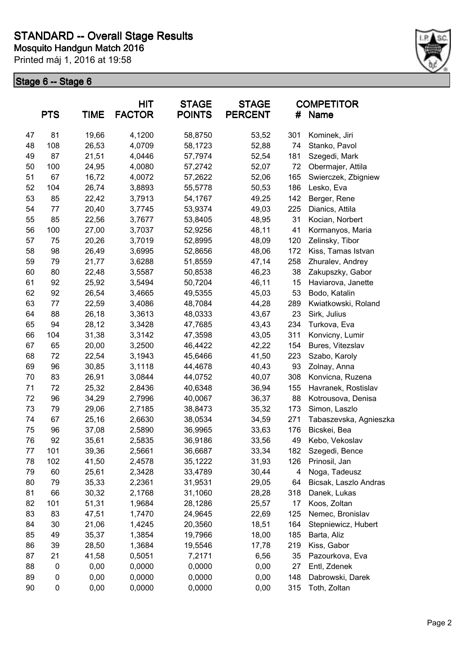

|    | <b>PTS</b>       | <b>TIME</b> | <b>HIT</b><br><b>FACTOR</b> | <b>STAGE</b><br><b>POINTS</b> | <b>STAGE</b><br><b>PERCENT</b> | #   | <b>COMPETITOR</b><br>Name |
|----|------------------|-------------|-----------------------------|-------------------------------|--------------------------------|-----|---------------------------|
| 47 | 81               | 19,66       | 4,1200                      | 58,8750                       | 53,52                          | 301 | Kominek, Jiri             |
| 48 | 108              | 26,53       | 4,0709                      | 58,1723                       | 52,88                          | 74  | Stanko, Pavol             |
| 49 | 87               | 21,51       | 4,0446                      | 57,7974                       | 52,54                          | 181 | Szegedi, Mark             |
| 50 | 100              | 24,95       | 4,0080                      | 57,2742                       | 52,07                          | 72  | Obermajer, Attila         |
| 51 | 67               | 16,72       | 4,0072                      | 57,2622                       | 52,06                          | 165 | Swierczek, Zbigniew       |
| 52 | 104              | 26,74       | 3,8893                      | 55,5778                       | 50,53                          | 186 | Lesko, Eva                |
| 53 | 85               | 22,42       | 3,7913                      | 54,1767                       | 49,25                          | 142 | Berger, Rene              |
| 54 | 77               | 20,40       | 3,7745                      | 53,9374                       | 49,03                          | 225 | Dianics, Attila           |
| 55 | 85               | 22,56       | 3,7677                      | 53,8405                       | 48,95                          | 31  | Kocian, Norbert           |
| 56 | 100              | 27,00       | 3,7037                      | 52,9256                       | 48,11                          | 41  | Kormanyos, Maria          |
| 57 | 75               | 20,26       | 3,7019                      | 52,8995                       | 48,09                          | 120 | Zelinsky, Tibor           |
| 58 | 98               | 26,49       | 3,6995                      | 52,8656                       | 48,06                          | 172 | Kiss, Tamas Istvan        |
| 59 | 79               | 21,77       | 3,6288                      | 51,8559                       | 47,14                          | 258 | Zhuralev, Andrey          |
| 60 | 80               | 22,48       | 3,5587                      | 50,8538                       | 46,23                          | 38  | Zakupszky, Gabor          |
| 61 | 92               | 25,92       | 3,5494                      | 50,7204                       | 46,11                          | 15  | Haviarova, Janette        |
| 62 | 92               | 26,54       | 3,4665                      | 49,5355                       | 45,03                          | 53  | Bodo, Katalin             |
| 63 | 77               | 22,59       | 3,4086                      | 48,7084                       | 44,28                          | 289 | Kwiatkowski, Roland       |
| 64 | 88               | 26,18       | 3,3613                      | 48,0333                       | 43,67                          | 23  | Sirk, Julius              |
| 65 | 94               | 28,12       | 3,3428                      | 47,7685                       | 43,43                          | 234 | Turkova, Eva              |
| 66 | 104              | 31,38       | 3,3142                      | 47,3598                       | 43,05                          | 311 | Konvicny, Lumir           |
| 67 | 65               | 20,00       | 3,2500                      | 46,4422                       | 42,22                          | 154 | Bures, Vitezslav          |
| 68 | 72               | 22,54       | 3,1943                      | 45,6466                       | 41,50                          | 223 | Szabo, Karoly             |
| 69 | 96               | 30,85       | 3,1118                      | 44,4678                       | 40,43                          | 93  | Zolnay, Anna              |
| 70 | 83               | 26,91       | 3,0844                      | 44,0752                       | 40,07                          | 308 | Konvicna, Ruzena          |
| 71 | 72               | 25,32       | 2,8436                      | 40,6348                       | 36,94                          | 155 | Havranek, Rostislav       |
| 72 | 96               | 34,29       | 2,7996                      | 40,0067                       | 36,37                          | 88  | Kotrousova, Denisa        |
| 73 | 79               | 29,06       | 2,7185                      | 38,8473                       | 35,32                          | 173 | Simon, Laszlo             |
| 74 | 67               | 25,16       | 2,6630                      | 38,0534                       | 34,59                          | 271 | Tabaszevska, Agnieszka    |
| 75 | 96               | 37,08       | 2,5890                      | 36,9965                       | 33,63                          | 176 | Bicskei, Bea              |
| 76 | 92               | 35,61       | 2,5835                      | 36,9186                       | 33,56                          | 49  | Kebo, Vekoslav            |
| 77 | 101              | 39,36       | 2,5661                      | 36,6687                       | 33,34                          | 182 | Szegedi, Bence            |
| 78 | 102              | 41,50       | 2,4578                      | 35,1222                       | 31,93                          | 126 | Prinosil, Jan             |
| 79 | 60               | 25,61       | 2,3428                      | 33,4789                       | 30,44                          | 4   | Noga, Tadeusz             |
| 80 | 79               | 35,33       | 2,2361                      | 31,9531                       | 29,05                          | 64  | Bicsak, Laszlo Andras     |
| 81 | 66               | 30,32       | 2,1768                      | 31,1060                       | 28,28                          | 318 | Danek, Lukas              |
| 82 | 101              | 51,31       | 1,9684                      | 28,1286                       | 25,57                          | 17  | Koos, Zoltan              |
| 83 | 83               | 47,51       | 1,7470                      | 24,9645                       | 22,69                          | 125 | Nemec, Bronislav          |
| 84 | 30               | 21,06       | 1,4245                      | 20,3560                       | 18,51                          | 164 | Stepniewicz, Hubert       |
| 85 | 49               | 35,37       | 1,3854                      | 19,7966                       | 18,00                          | 185 | Barta, Aliz               |
| 86 | 39               | 28,50       | 1,3684                      | 19,5546                       | 17,78                          | 219 | Kiss, Gabor               |
| 87 | 21               | 41,58       | 0,5051                      | 7,2171                        | 6,56                           | 35  | Pazourkova, Eva           |
| 88 | $\boldsymbol{0}$ | 0,00        | 0,0000                      | 0,0000                        | 0,00                           | 27  | Entl, Zdenek              |
| 89 | 0                | 0,00        | 0,0000                      | 0,0000                        | 0,00                           | 148 | Dabrowski, Darek          |
| 90 | 0                | 0,00        | 0,0000                      | 0,0000                        | 0,00                           | 315 | Toth, Zoltan              |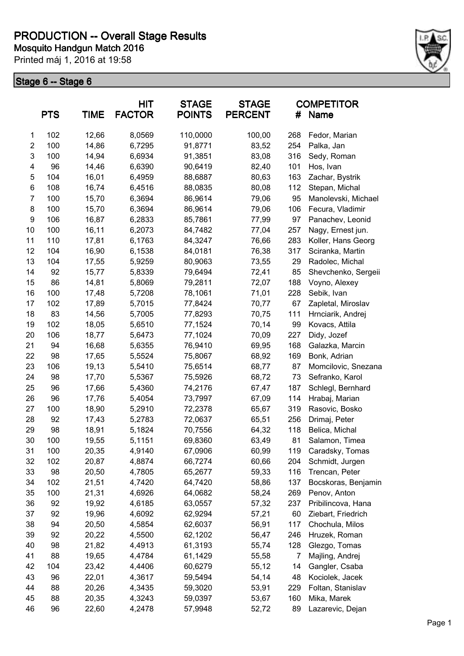

|                | <b>PTS</b> | <b>TIME</b> | <b>HIT</b><br><b>FACTOR</b> | <b>STAGE</b><br><b>POINTS</b> | <b>STAGE</b><br><b>PERCENT</b> | #   | <b>COMPETITOR</b><br>Name |
|----------------|------------|-------------|-----------------------------|-------------------------------|--------------------------------|-----|---------------------------|
| $\mathbf{1}$   | 102        | 12,66       | 8,0569                      | 110,0000                      | 100,00                         | 268 | Fedor, Marian             |
| $\overline{2}$ | 100        | 14,86       | 6,7295                      | 91,8771                       | 83,52                          | 254 | Palka, Jan                |
| 3              | 100        | 14,94       | 6,6934                      | 91,3851                       | 83,08                          | 316 | Sedy, Roman               |
| 4              | 96         | 14,46       | 6,6390                      | 90,6419                       | 82,40                          | 101 | Hos, Ivan                 |
| 5              | 104        | 16,01       | 6,4959                      | 88,6887                       | 80,63                          | 163 | Zachar, Bystrik           |
| 6              | 108        | 16,74       | 6,4516                      | 88,0835                       | 80,08                          | 112 | Stepan, Michal            |
| $\overline{7}$ | 100        | 15,70       | 6,3694                      | 86,9614                       | 79,06                          | 95  | Manolevski, Michael       |
| 8              | 100        | 15,70       | 6,3694                      | 86,9614                       | 79,06                          | 106 | Fecura, Vladimir          |
| 9              | 106        | 16,87       | 6,2833                      | 85,7861                       | 77,99                          | 97  | Panachev, Leonid          |
| 10             | 100        | 16,11       | 6,2073                      | 84,7482                       | 77,04                          | 257 | Nagy, Ernest jun.         |
| 11             | 110        | 17,81       | 6,1763                      | 84,3247                       | 76,66                          | 283 | Koller, Hans Georg        |
| 12             | 104        | 16,90       | 6,1538                      | 84,0181                       | 76,38                          | 317 | Sciranka, Martin          |
| 13             | 104        | 17,55       | 5,9259                      | 80,9063                       | 73,55                          | 29  | Radolec, Michal           |
| 14             | 92         | 15,77       | 5,8339                      | 79,6494                       | 72,41                          | 85  | Shevchenko, Sergeii       |
| 15             | 86         | 14,81       | 5,8069                      | 79,2811                       | 72,07                          | 188 | Voyno, Alexey             |
| 16             | 100        | 17,48       | 5,7208                      | 78,1061                       | 71,01                          | 228 | Sebik, Ivan               |
| 17             | 102        | 17,89       | 5,7015                      | 77,8424                       | 70,77                          | 67  | Zapletal, Miroslav        |
| 18             | 83         | 14,56       | 5,7005                      | 77,8293                       | 70,75                          | 111 | Hrnciarik, Andrej         |
| 19             | 102        | 18,05       | 5,6510                      | 77,1524                       | 70,14                          | 99  | Kovacs, Attila            |
| 20             | 106        | 18,77       | 5,6473                      | 77,1024                       | 70,09                          | 227 | Didy, Jozef               |
| 21             | 94         | 16,68       | 5,6355                      | 76,9410                       | 69,95                          | 168 | Galazka, Marcin           |
| 22             | 98         | 17,65       | 5,5524                      | 75,8067                       | 68,92                          | 169 | Bonk, Adrian              |
| 23             | 106        | 19,13       | 5,5410                      | 75,6514                       | 68,77                          | 87  | Momcilovic, Snezana       |
| 24             | 98         | 17,70       | 5,5367                      | 75,5926                       | 68,72                          | 73  | Sefranko, Karol           |
| 25             | 96         | 17,66       | 5,4360                      | 74,2176                       | 67,47                          | 187 | Schlegl, Bernhard         |
| 26             | 96         | 17,76       | 5,4054                      | 73,7997                       | 67,09                          | 114 | Hrabaj, Marian            |
| 27             | 100        | 18,90       | 5,2910                      | 72,2378                       | 65,67                          | 319 | Rasovic, Bosko            |
| 28             | 92         | 17,43       | 5,2783                      | 72,0637                       | 65,51                          | 256 | Drimaj, Peter             |
| 29             | 98         | 18,91       | 5,1824                      | 70,7556                       | 64,32                          | 118 | Belica, Michal            |
| 30             | 100        | 19,55       | 5,1151                      | 69,8360                       | 63,49                          | 81  | Salamon, Timea            |
| 31             | 100        | 20,35       | 4,9140                      | 67,0906                       | 60,99                          | 119 | Caradsky, Tomas           |
| 32             | 102        | 20,87       | 4,8874                      | 66,7274                       | 60,66                          | 204 | Schmidt, Jurgen           |
| 33             | 98         | 20,50       | 4,7805                      | 65,2677                       | 59,33                          | 116 | Trencan, Peter            |
| 34             | 102        | 21,51       | 4,7420                      | 64,7420                       | 58,86                          | 137 | Bocskoras, Benjamin       |
| 35             | 100        | 21,31       | 4,6926                      | 64,0682                       | 58,24                          | 269 | Penov, Anton              |
| 36             | 92         | 19,92       | 4,6185                      | 63,0557                       | 57,32                          | 237 | Pribilincova, Hana        |
| 37             | 92         | 19,96       | 4,6092                      | 62,9294                       | 57,21                          | 60  | Ziebart, Friedrich        |
| 38             | 94         | 20,50       | 4,5854                      | 62,6037                       | 56,91                          | 117 | Chochula, Milos           |
| 39             | 92         | 20,22       | 4,5500                      | 62,1202                       | 56,47                          | 246 | Hruzek, Roman             |
| 40             | 98         | 21,82       | 4,4913                      | 61,3193                       | 55,74                          | 128 | Glezgo, Tomas             |
| 41             | 88         | 19,65       | 4,4784                      | 61,1429                       | 55,58                          | 7   | Majling, Andrej           |
| 42             | 104        | 23,42       | 4,4406                      | 60,6279                       | 55,12                          | 14  | Gangler, Csaba            |
| 43             | 96         | 22,01       | 4,3617                      | 59,5494                       | 54,14                          | 48  | Kociolek, Jacek           |
| 44             | 88         | 20,26       | 4,3435                      | 59,3020                       | 53,91                          | 229 | Foltan, Stanislav         |
| 45             | 88         | 20,35       | 4,3243                      | 59,0397                       | 53,67                          | 160 | Mika, Marek               |
| 46             | 96         | 22,60       | 4,2478                      | 57,9948                       | 52,72                          | 89  | Lazarevic, Dejan          |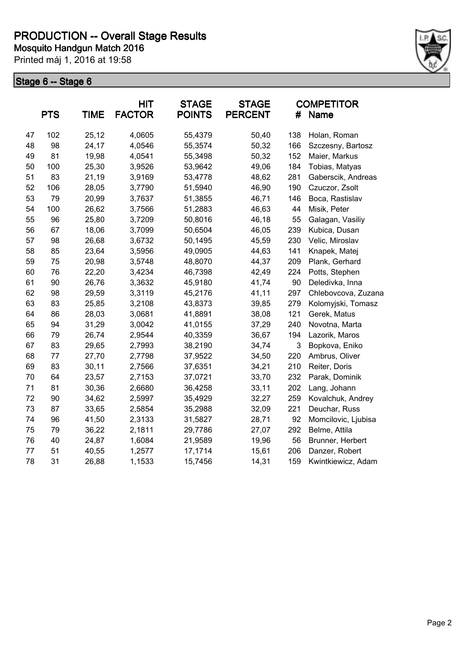

|    | <b>PTS</b> | <b>TIME</b> | <b>HIT</b><br><b>FACTOR</b> | <b>STAGE</b><br><b>POINTS</b> | <b>STAGE</b><br><b>PERCENT</b> | #   | <b>COMPETITOR</b><br><b>Name</b> |
|----|------------|-------------|-----------------------------|-------------------------------|--------------------------------|-----|----------------------------------|
| 47 | 102        | 25,12       | 4,0605                      | 55,4379                       | 50,40                          | 138 | Holan, Roman                     |
| 48 | 98         | 24,17       | 4,0546                      | 55,3574                       | 50,32                          | 166 | Szczesny, Bartosz                |
| 49 | 81         | 19,98       | 4,0541                      | 55,3498                       | 50,32                          | 152 | Maier, Markus                    |
| 50 | 100        | 25,30       | 3,9526                      | 53,9642                       | 49,06                          | 184 | Tobias, Matyas                   |
| 51 | 83         | 21,19       | 3,9169                      | 53,4778                       | 48,62                          | 281 | Gaberscik, Andreas               |
| 52 | 106        | 28,05       | 3,7790                      | 51,5940                       | 46,90                          | 190 | Czuczor, Zsolt                   |
| 53 | 79         | 20,99       | 3,7637                      | 51,3855                       | 46,71                          | 146 | Boca, Rastislav                  |
| 54 | 100        | 26,62       | 3,7566                      | 51,2883                       | 46,63                          | 44  | Misik, Peter                     |
| 55 | 96         | 25,80       | 3,7209                      | 50,8016                       | 46,18                          | 55  | Galagan, Vasiliy                 |
| 56 | 67         | 18,06       | 3,7099                      | 50,6504                       | 46,05                          | 239 | Kubica, Dusan                    |
| 57 | 98         | 26,68       | 3,6732                      | 50,1495                       | 45,59                          | 230 | Velic, Miroslav                  |
| 58 | 85         | 23,64       | 3,5956                      | 49,0905                       | 44,63                          | 141 | Knapek, Matej                    |
| 59 | 75         | 20,98       | 3,5748                      | 48,8070                       | 44,37                          | 209 | Plank, Gerhard                   |
| 60 | 76         | 22,20       | 3,4234                      | 46,7398                       | 42,49                          | 224 | Potts, Stephen                   |
| 61 | 90         | 26,76       | 3,3632                      | 45,9180                       | 41,74                          | 90  | Deledivka, Inna                  |
| 62 | 98         | 29,59       | 3,3119                      | 45,2176                       | 41,11                          | 297 | Chlebovcova, Zuzana              |
| 63 | 83         | 25,85       | 3,2108                      | 43,8373                       | 39,85                          | 279 | Kolomyjski, Tomasz               |
| 64 | 86         | 28,03       | 3,0681                      | 41,8891                       | 38,08                          | 121 | Gerek, Matus                     |
| 65 | 94         | 31,29       | 3,0042                      | 41,0155                       | 37,29                          | 240 | Novotna, Marta                   |
| 66 | 79         | 26,74       | 2,9544                      | 40,3359                       | 36,67                          | 194 | Lazorik, Maros                   |
| 67 | 83         | 29,65       | 2,7993                      | 38,2190                       | 34,74                          | 3   | Bopkova, Eniko                   |
| 68 | 77         | 27,70       | 2,7798                      | 37,9522                       | 34,50                          | 220 | Ambrus, Oliver                   |
| 69 | 83         | 30,11       | 2,7566                      | 37,6351                       | 34,21                          | 210 | Reiter, Doris                    |
| 70 | 64         | 23,57       | 2,7153                      | 37,0721                       | 33,70                          | 232 | Parak, Dominik                   |
| 71 | 81         | 30,36       | 2,6680                      | 36,4258                       | 33,11                          | 202 | Lang, Johann                     |
| 72 | 90         | 34,62       | 2,5997                      | 35,4929                       | 32,27                          | 259 | Kovalchuk, Andrey                |
| 73 | 87         | 33,65       | 2,5854                      | 35,2988                       | 32,09                          | 221 | Deuchar, Russ                    |
| 74 | 96         | 41,50       | 2,3133                      | 31,5827                       | 28,71                          | 92  | Momcilovic, Ljubisa              |
| 75 | 79         | 36,22       | 2,1811                      | 29,7786                       | 27,07                          | 292 | Belme, Attila                    |
| 76 | 40         | 24,87       | 1,6084                      | 21,9589                       | 19,96                          | 56  | Brunner, Herbert                 |
| 77 | 51         | 40,55       | 1,2577                      | 17,1714                       | 15,61                          | 206 | Danzer, Robert                   |
| 78 | 31         | 26,88       | 1,1533                      | 15,7456                       | 14,31                          | 159 | Kwintkiewicz, Adam               |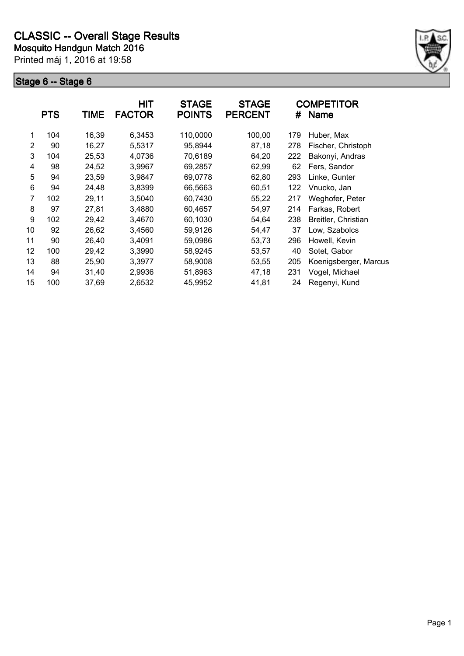

|                | <b>PTS</b> | <b>TIME</b> | <b>HIT</b><br><b>FACTOR</b> | <b>STAGE</b><br><b>POINTS</b> | <b>STAGE</b><br><b>PERCENT</b> | #   | <b>COMPETITOR</b><br><b>Name</b> |
|----------------|------------|-------------|-----------------------------|-------------------------------|--------------------------------|-----|----------------------------------|
| 1              | 104        | 16,39       | 6,3453                      | 110,0000                      | 100,00                         | 179 | Huber, Max                       |
| $\overline{2}$ | 90         | 16,27       | 5,5317                      | 95,8944                       | 87,18                          | 278 | Fischer, Christoph               |
| 3              | 104        | 25,53       | 4,0736                      | 70,6189                       | 64,20                          | 222 | Bakonyi, Andras                  |
| 4              | 98         | 24,52       | 3,9967                      | 69,2857                       | 62,99                          | 62  | Fers, Sandor                     |
| 5              | 94         | 23,59       | 3,9847                      | 69,0778                       | 62,80                          | 293 | Linke, Gunter                    |
| 6              | 94         | 24,48       | 3,8399                      | 66,5663                       | 60,51                          | 122 | Vnucko, Jan                      |
| 7              | 102        | 29,11       | 3,5040                      | 60,7430                       | 55,22                          | 217 | Weghofer, Peter                  |
| 8              | 97         | 27,81       | 3,4880                      | 60,4657                       | 54,97                          | 214 | Farkas, Robert                   |
| 9              | 102        | 29,42       | 3,4670                      | 60,1030                       | 54,64                          | 238 | Breitler, Christian              |
| 10             | 92         | 26,62       | 3,4560                      | 59,9126                       | 54,47                          | 37  | Low, Szabolcs                    |
| 11             | 90         | 26,40       | 3,4091                      | 59,0986                       | 53,73                          | 296 | Howell, Kevin                    |
| 12             | 100        | 29,42       | 3,3990                      | 58,9245                       | 53,57                          | 40  | Sotet, Gabor                     |
| 13             | 88         | 25,90       | 3,3977                      | 58,9008                       | 53,55                          | 205 | Koenigsberger, Marcus            |
| 14             | 94         | 31,40       | 2,9936                      | 51,8963                       | 47,18                          | 231 | Vogel, Michael                   |
| 15             | 100        | 37,69       | 2,6532                      | 45,9952                       | 41,81                          | 24  | Regenyi, Kund                    |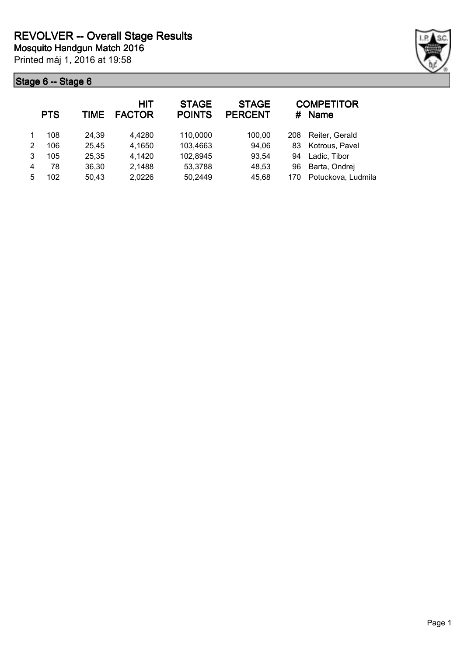

|   | <b>PTS</b> | TIME  | <b>HIT</b><br><b>FACTOR</b> | <b>STAGE</b><br><b>POINTS</b> | <b>STAGE</b><br><b>PERCENT</b> | #   | <b>COMPETITOR</b><br><b>Name</b> |
|---|------------|-------|-----------------------------|-------------------------------|--------------------------------|-----|----------------------------------|
|   | 108        | 24,39 | 4,4280                      | 110,0000                      | 100,00                         | 208 | Reiter, Gerald                   |
| 2 | 106        | 25,45 | 4,1650                      | 103,4663                      | 94,06                          | 83  | Kotrous, Pavel                   |
| 3 | 105        | 25,35 | 4,1420                      | 102,8945                      | 93,54                          | 94  | Ladic, Tibor                     |
| 4 | 78         | 36,30 | 2,1488                      | 53,3788                       | 48,53                          | 96  | Barta, Ondrej                    |
| 5 | 102        | 50,43 | 2,0226                      | 50,2449                       | 45,68                          | 170 | Potuckova, Ludmila               |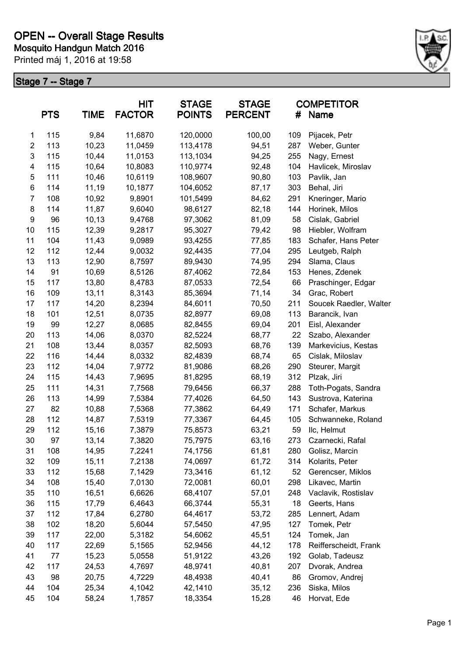

| <b>PTS</b><br><b>TIME</b> |     | <b>HIT</b><br><b>STAGE</b><br><b>FACTOR</b><br><b>POINTS</b> |         | <b>STAGE</b><br><b>PERCENT</b> | #      | <b>COMPETITOR</b><br>Name |                        |
|---------------------------|-----|--------------------------------------------------------------|---------|--------------------------------|--------|---------------------------|------------------------|
| 1                         | 115 | 9,84                                                         | 11,6870 | 120,0000                       | 100,00 | 109                       | Pijacek, Petr          |
| $\overline{c}$            | 113 | 10,23                                                        | 11,0459 | 113,4178                       | 94,51  | 287                       | Weber, Gunter          |
| 3                         | 115 | 10,44                                                        | 11,0153 | 113,1034                       | 94,25  | 255                       | Nagy, Ernest           |
| 4                         | 115 | 10,64                                                        | 10,8083 | 110,9774                       | 92,48  | 104                       | Havlicek, Miroslav     |
| 5                         | 111 | 10,46                                                        | 10,6119 | 108,9607                       | 90,80  | 103                       | Pavlik, Jan            |
| 6                         | 114 | 11,19                                                        | 10,1877 | 104,6052                       | 87,17  | 303                       | Behal, Jiri            |
| $\overline{7}$            | 108 | 10,92                                                        | 9,8901  | 101,5499                       | 84,62  | 291                       | Kneringer, Mario       |
| 8                         | 114 | 11,87                                                        | 9,6040  | 98,6127                        | 82,18  | 144                       | Horinek, Milos         |
| 9                         | 96  | 10,13                                                        | 9,4768  | 97,3062                        | 81,09  | 58                        | Cislak, Gabriel        |
| 10                        | 115 | 12,39                                                        | 9,2817  | 95,3027                        | 79,42  | 98                        | Hiebler, Wolfram       |
| 11                        | 104 | 11,43                                                        | 9,0989  | 93,4255                        | 77,85  | 183                       | Schafer, Hans Peter    |
| 12                        | 112 | 12,44                                                        | 9,0032  | 92,4435                        | 77,04  | 295                       | Leutgeb, Ralph         |
| 13                        | 113 | 12,90                                                        | 8,7597  | 89,9430                        | 74,95  | 294                       | Slama, Claus           |
| 14                        | 91  | 10,69                                                        | 8,5126  | 87,4062                        | 72,84  | 153                       | Henes, Zdenek          |
| 15                        | 117 | 13,80                                                        | 8,4783  | 87,0533                        | 72,54  | 66                        | Praschinger, Edgar     |
| 16                        | 109 | 13,11                                                        | 8,3143  | 85,3694                        | 71,14  | 34                        | Grac, Robert           |
| 17                        | 117 | 14,20                                                        | 8,2394  | 84,6011                        | 70,50  | 211                       | Soucek Raedler, Walter |
| 18                        | 101 | 12,51                                                        | 8,0735  | 82,8977                        | 69,08  | 113                       | Barancik, Ivan         |
| 19                        | 99  | 12,27                                                        | 8,0685  | 82,8455                        | 69,04  | 201                       | Eisl, Alexander        |
| 20                        | 113 | 14,06                                                        | 8,0370  | 82,5224                        | 68,77  | 22                        | Szabo, Alexander       |
| 21                        | 108 | 13,44                                                        | 8,0357  | 82,5093                        | 68,76  | 139                       | Markevicius, Kestas    |
| 22                        | 116 | 14,44                                                        | 8,0332  | 82,4839                        | 68,74  | 65                        | Cislak, Miloslav       |
| 23                        | 112 | 14,04                                                        | 7,9772  | 81,9086                        | 68,26  | 290                       | Steurer, Margit        |
| 24                        | 115 | 14,43                                                        | 7,9695  | 81,8295                        | 68,19  | 312                       | Plzak, Jiri            |
| 25                        | 111 | 14,31                                                        | 7,7568  | 79,6456                        | 66,37  | 288                       | Toth-Pogats, Sandra    |
| 26                        | 113 | 14,99                                                        | 7,5384  | 77,4026                        | 64,50  | 143                       | Sustrova, Katerina     |
| 27                        | 82  | 10,88                                                        | 7,5368  | 77,3862                        | 64,49  | 171                       | Schafer, Markus        |
| 28                        | 112 | 14,87                                                        | 7,5319  | 77,3367                        | 64,45  | 105                       | Schwanneke, Roland     |
| 29                        | 112 | 15,16                                                        | 7,3879  | 75,8573                        | 63,21  | 59                        | IIc, Helmut            |
| 30                        | 97  | 13,14                                                        | 7,3820  | 75,7975                        | 63,16  | 273                       | Czarnecki, Rafal       |
| 31                        | 108 | 14,95                                                        | 7,2241  | 74,1756                        | 61,81  | 280                       | Golisz, Marcin         |
| 32                        | 109 | 15,11                                                        | 7,2138  | 74,0697                        | 61,72  | 314                       | Kolarits, Peter        |
| 33                        | 112 | 15,68                                                        | 7,1429  | 73,3416                        | 61,12  | 52                        | Gerencser, Miklos      |
| 34                        | 108 | 15,40                                                        | 7,0130  | 72,0081                        | 60,01  | 298                       | Likavec, Martin        |
| 35                        | 110 | 16,51                                                        | 6,6626  | 68,4107                        | 57,01  | 248                       | Vaclavik, Rostislav    |
| 36                        | 115 | 17,79                                                        | 6,4643  | 66,3744                        | 55,31  | 18                        | Geerts, Hans           |
| 37                        | 112 | 17,84                                                        | 6,2780  | 64,4617                        | 53,72  | 285                       | Lennert, Adam          |
| 38                        | 102 | 18,20                                                        | 5,6044  | 57,5450                        | 47,95  | 127                       | Tomek, Petr            |
| 39                        | 117 | 22,00                                                        | 5,3182  | 54,6062                        | 45,51  | 124                       | Tomek, Jan             |
| 40                        | 117 | 22,69                                                        | 5,1565  | 52,9456                        | 44,12  | 178                       | Reifferscheidt, Frank  |
| 41                        | 77  | 15,23                                                        | 5,0558  | 51,9122                        | 43,26  | 192                       | Golab, Tadeusz         |
| 42                        | 117 | 24,53                                                        | 4,7697  | 48,9741                        | 40,81  | 207                       | Dvorak, Andrea         |
| 43                        | 98  | 20,75                                                        | 4,7229  | 48,4938                        | 40,41  | 86                        | Gromov, Andrej         |
| 44                        | 104 | 25,34                                                        | 4,1042  | 42,1410                        | 35,12  | 236                       | Siska, Milos           |
| 45                        | 104 | 58,24                                                        | 1,7857  | 18,3354                        | 15,28  | 46                        | Horvat, Ede            |
|                           |     |                                                              |         |                                |        |                           |                        |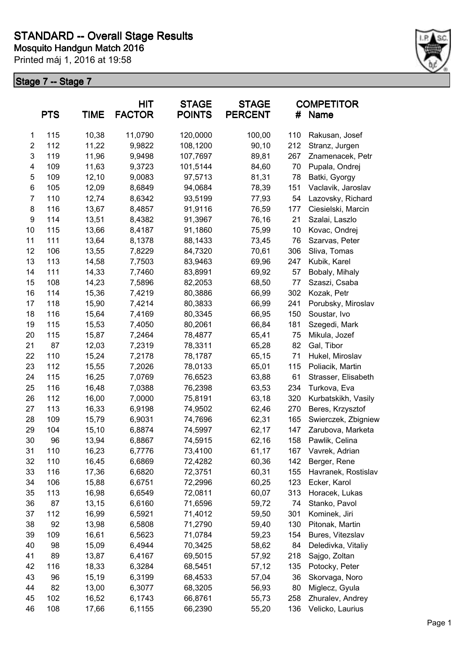

|                | <b>PTS</b> | <b>TIME</b> | <b>HIT</b><br><b>FACTOR</b> | <b>STAGE</b><br><b>POINTS</b> | <b>STAGE</b><br><b>PERCENT</b> | #   | <b>COMPETITOR</b><br><b>Name</b> |
|----------------|------------|-------------|-----------------------------|-------------------------------|--------------------------------|-----|----------------------------------|
| 1              | 115        | 10,38       | 11,0790                     | 120,0000                      | 100,00                         | 110 | Rakusan, Josef                   |
| $\overline{c}$ | 112        | 11,22       | 9,9822                      | 108,1200                      | 90,10                          | 212 | Stranz, Jurgen                   |
| 3              | 119        | 11,96       | 9,9498                      | 107,7697                      | 89,81                          | 267 | Znamenacek, Petr                 |
| 4              | 109        | 11,63       | 9,3723                      | 101,5144                      | 84,60                          | 70  | Pupala, Ondrej                   |
| 5              | 109        | 12,10       | 9,0083                      | 97,5713                       | 81,31                          | 78  | Batki, Gyorgy                    |
| 6              | 105        | 12,09       | 8,6849                      | 94,0684                       | 78,39                          | 151 | Vaclavik, Jaroslav               |
| 7              | 110        | 12,74       | 8,6342                      | 93,5199                       | 77,93                          | 54  | Lazovsky, Richard                |
| 8              | 116        | 13,67       | 8,4857                      | 91,9116                       | 76,59                          | 177 | Ciesielski, Marcin               |
| 9              | 114        | 13,51       | 8,4382                      | 91,3967                       | 76,16                          | 21  | Szalai, Laszlo                   |
| 10             | 115        | 13,66       | 8,4187                      | 91,1860                       | 75,99                          | 10  | Kovac, Ondrej                    |
| 11             | 111        | 13,64       | 8,1378                      | 88,1433                       | 73,45                          | 76  | Szarvas, Peter                   |
| 12             | 106        | 13,55       | 7,8229                      | 84,7320                       | 70,61                          | 306 | Sliva, Tomas                     |
| 13             | 113        | 14,58       | 7,7503                      | 83,9463                       | 69,96                          | 247 | Kubik, Karel                     |
| 14             | 111        | 14,33       | 7,7460                      | 83,8991                       | 69,92                          | 57  | Bobaly, Mihaly                   |
| 15             | 108        | 14,23       | 7,5896                      | 82,2053                       | 68,50                          | 77  | Szaszi, Csaba                    |
| 16             | 114        | 15,36       | 7,4219                      | 80,3886                       | 66,99                          | 302 | Kozak, Petr                      |
| 17             | 118        | 15,90       | 7,4214                      | 80,3833                       | 66,99                          | 241 | Porubsky, Miroslav               |
| 18             | 116        | 15,64       | 7,4169                      | 80,3345                       | 66,95                          | 150 | Soustar, Ivo                     |
| 19             | 115        | 15,53       | 7,4050                      | 80,2061                       | 66,84                          | 181 | Szegedi, Mark                    |
| 20             | 115        | 15,87       | 7,2464                      | 78,4877                       | 65,41                          | 75  | Mikula, Jozef                    |
| 21             | 87         | 12,03       | 7,2319                      | 78,3311                       | 65,28                          | 82  | Gal, Tibor                       |
| 22             | 110        | 15,24       | 7,2178                      | 78,1787                       | 65,15                          | 71  | Hukel, Miroslav                  |
| 23             | 112        | 15,55       | 7,2026                      | 78,0133                       | 65,01                          | 115 | Poliacik, Martin                 |
| 24             | 115        | 16,25       | 7,0769                      | 76,6523                       | 63,88                          | 61  | Strasser, Elisabeth              |
| 25             | 116        | 16,48       | 7,0388                      | 76,2398                       | 63,53                          | 234 | Turkova, Eva                     |
| 26             | 112        | 16,00       | 7,0000                      | 75,8191                       | 63,18                          | 320 | Kurbatskikh, Vasily              |
| 27             | 113        | 16,33       | 6,9198                      | 74,9502                       | 62,46                          | 270 | Beres, Krzysztof                 |
| 28             | 109        | 15,79       | 6,9031                      | 74,7696                       | 62,31                          | 165 | Swierczek, Zbigniew              |
| 29             | 104        | 15,10       | 6,8874                      | 74,5997                       | 62,17                          | 147 | Zarubova, Marketa                |
| 30             | 96         | 13,94       | 6,8867                      | 74,5915                       | 62,16                          | 158 | Pawlik, Celina                   |
| 31             | 110        | 16,23       | 6,7776                      | 73,4100                       | 61,17                          | 167 | Vavrek, Adrian                   |
| 32             | 110        | 16,45       | 6,6869                      | 72,4282                       | 60,36                          | 142 | Berger, Rene                     |
| 33             | 116        | 17,36       | 6,6820                      | 72,3751                       | 60,31                          | 155 | Havranek, Rostislav              |
| 34             | 106        | 15,88       | 6,6751                      | 72,2996                       | 60,25                          | 123 | Ecker, Karol                     |
| 35             | 113        | 16,98       | 6,6549                      | 72,0811                       | 60,07                          | 313 | Horacek, Lukas                   |
| 36             | 87         | 13,15       | 6,6160                      | 71,6596                       | 59,72                          | 74  | Stanko, Pavol                    |
| 37             | 112        | 16,99       | 6,5921                      | 71,4012                       | 59,50                          | 301 | Kominek, Jiri                    |
| 38             | 92         | 13,98       | 6,5808                      | 71,2790                       | 59,40                          | 130 | Pitonak, Martin                  |
| 39             | 109        | 16,61       | 6,5623                      | 71,0784                       | 59,23                          | 154 | Bures, Vitezslav                 |
| 40             | 98         | 15,09       | 6,4944                      | 70,3425                       | 58,62                          | 84  | Deledivka, Vitaliy               |
| 41             | 89         | 13,87       | 6,4167                      | 69,5015                       | 57,92                          | 218 | Sajgo, Zoltan                    |
| 42             | 116        | 18,33       | 6,3284                      | 68,5451                       | 57,12                          | 135 | Potocky, Peter                   |
| 43             | 96         | 15,19       | 6,3199                      | 68,4533                       | 57,04                          | 36  | Skorvaga, Noro                   |
| 44             | 82         | 13,00       | 6,3077                      | 68,3205                       | 56,93                          | 80  | Miglecz, Gyula                   |
| 45             | 102        | 16,52       | 6,1743                      | 66,8761                       | 55,73                          | 258 | Zhuralev, Andrey                 |
| 46             | 108        | 17,66       | 6,1155                      | 66,2390                       | 55,20                          | 136 | Velicko, Laurius                 |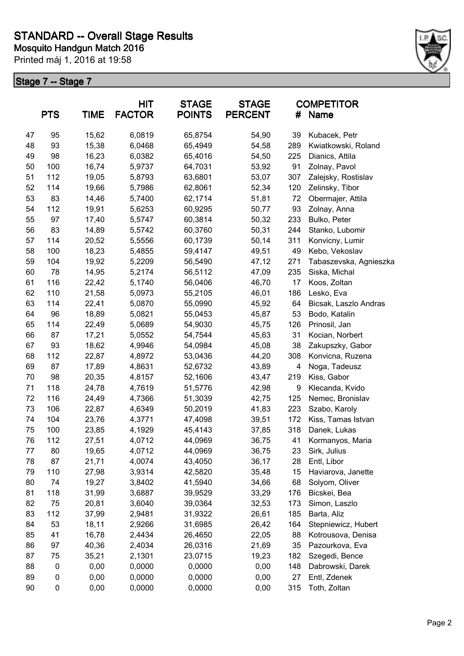

| <b>TIME</b><br><b>PTS</b> |                  | <b>HIT</b><br><b>FACTOR</b> | <b>STAGE</b><br><b>POINTS</b> | <b>STAGE</b><br><b>PERCENT</b> | #     | <b>COMPETITOR</b><br>Name |                        |
|---------------------------|------------------|-----------------------------|-------------------------------|--------------------------------|-------|---------------------------|------------------------|
| 47                        | 95               | 15,62                       | 6,0819                        | 65,8754                        | 54,90 | 39                        | Kubacek, Petr          |
| 48                        | 93               | 15,38                       | 6,0468                        | 65,4949                        | 54,58 | 289                       | Kwiatkowski, Roland    |
| 49                        | 98               | 16,23                       | 6,0382                        | 65,4016                        | 54,50 | 225                       | Dianics, Attila        |
| 50                        | 100              | 16,74                       | 5,9737                        | 64,7031                        | 53,92 | 91                        | Zolnay, Pavol          |
| 51                        | 112              | 19,05                       | 5,8793                        | 63,6801                        | 53,07 | 307                       | Zalejsky, Rostislav    |
| 52                        | 114              | 19,66                       | 5,7986                        | 62,8061                        | 52,34 | 120                       | Zelinsky, Tibor        |
| 53                        | 83               | 14,46                       | 5,7400                        | 62,1714                        | 51,81 | 72                        | Obermajer, Attila      |
| 54                        | 112              | 19,91                       | 5,6253                        | 60,9295                        | 50,77 | 93                        | Zolnay, Anna           |
| 55                        | 97               | 17,40                       | 5,5747                        | 60,3814                        | 50,32 | 233                       | Bulko, Peter           |
| 56                        | 83               | 14,89                       | 5,5742                        | 60,3760                        | 50,31 | 244                       | Stanko, Lubomir        |
| 57                        | 114              | 20,52                       | 5,5556                        | 60,1739                        | 50,14 | 311                       | Konvicny, Lumir        |
| 58                        | 100              | 18,23                       | 5,4855                        | 59,4147                        | 49,51 | 49                        | Kebo, Vekoslav         |
| 59                        | 104              | 19,92                       | 5,2209                        | 56,5490                        | 47,12 | 271                       | Tabaszevska, Agnieszka |
| 60                        | 78               | 14,95                       | 5,2174                        | 56,5112                        | 47,09 | 235                       | Siska, Michal          |
| 61                        | 116              | 22,42                       | 5,1740                        | 56,0406                        | 46,70 | 17                        | Koos, Zoltan           |
| 62                        | 110              | 21,58                       | 5,0973                        | 55,2105                        | 46,01 | 186                       | Lesko, Eva             |
| 63                        | 114              | 22,41                       | 5,0870                        | 55,0990                        | 45,92 | 64                        | Bicsak, Laszlo Andras  |
| 64                        | 96               | 18,89                       | 5,0821                        | 55,0453                        | 45,87 | 53                        | Bodo, Katalin          |
| 65                        | 114              | 22,49                       | 5,0689                        | 54,9030                        | 45,75 | 126                       | Prinosil, Jan          |
| 66                        | 87               | 17,21                       | 5,0552                        | 54,7544                        | 45,63 | 31                        | Kocian, Norbert        |
| 67                        | 93               | 18,62                       | 4,9946                        | 54,0984                        | 45,08 | 38                        | Zakupszky, Gabor       |
| 68                        | 112              | 22,87                       | 4,8972                        | 53,0436                        | 44,20 | 308                       | Konvicna, Ruzena       |
| 69                        | 87               | 17,89                       | 4,8631                        | 52,6732                        | 43,89 | 4                         | Noga, Tadeusz          |
| 70                        | 98               | 20,35                       | 4,8157                        | 52,1606                        | 43,47 | 219                       | Kiss, Gabor            |
| 71                        | 118              | 24,78                       | 4,7619                        | 51,5776                        | 42,98 | 9                         | Klecanda, Kvido        |
| 72                        | 116              | 24,49                       | 4,7366                        | 51,3039                        | 42,75 | 125                       | Nemec, Bronislav       |
| 73                        | 106              | 22,87                       | 4,6349                        | 50,2019                        | 41,83 | 223                       | Szabo, Karoly          |
| 74                        | 104              | 23,76                       | 4,3771                        | 47,4098                        | 39,51 | 172                       | Kiss, Tamas Istvan     |
| 75                        | 100              | 23,85                       | 4,1929                        | 45,4143                        | 37,85 | 318                       | Danek, Lukas           |
| 76                        | 112              | 27,51                       | 4,0712                        | 44,0969                        | 36,75 | 41                        | Kormanyos, Maria       |
| 77                        | 80               | 19,65                       | 4,0712                        | 44,0969                        | 36,75 | 23                        | Sirk, Julius           |
| 78                        | 87               | 21,71                       | 4,0074                        | 43,4050                        | 36,17 | 28                        | Entl, Libor            |
| 79                        | 110              | 27,98                       | 3,9314                        | 42,5820                        | 35,48 | 15                        | Haviarova, Janette     |
| 80                        | 74               | 19,27                       | 3,8402                        | 41,5940                        | 34,66 | 68                        | Solyom, Oliver         |
| 81                        | 118              | 31,99                       | 3,6887                        | 39,9529                        | 33,29 | 176                       | Bicskei, Bea           |
| 82                        | 75               | 20,81                       | 3,6040                        | 39,0364                        | 32,53 | 173                       | Simon, Laszlo          |
| 83                        | 112              | 37,99                       | 2,9481                        | 31,9322                        | 26,61 | 185                       | Barta, Aliz            |
| 84                        | 53               | 18,11                       | 2,9266                        | 31,6985                        | 26,42 | 164                       | Stepniewicz, Hubert    |
| 85                        | 41               | 16,78                       | 2,4434                        | 26,4650                        | 22,05 | 88                        | Kotrousova, Denisa     |
| 86                        | 97               | 40,36                       | 2,4034                        | 26,0316                        | 21,69 | 35                        | Pazourkova, Eva        |
| 87                        | 75               | 35,21                       | 2,1301                        | 23,0715                        | 19,23 | 182                       | Szegedi, Bence         |
| 88                        | 0                | 0,00                        | 0,0000                        | 0,0000                         | 0,00  | 148                       | Dabrowski, Darek       |
| 89                        | $\boldsymbol{0}$ | 0,00                        | 0,0000                        | 0,0000                         | 0,00  | 27                        | Entl, Zdenek           |
| 90                        | 0                | 0,00                        | 0,0000                        | 0,0000                         | 0,00  | 315                       | Toth, Zoltan           |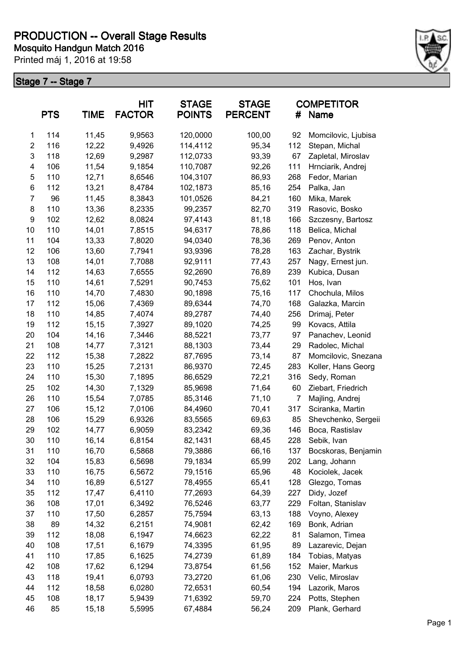

|                  | <b>PTS</b> | <b>TIME</b> | HIT<br><b>FACTOR</b> | <b>STAGE</b><br><b>POINTS</b> | <b>STAGE</b><br><b>PERCENT</b> | #   | <b>COMPETITOR</b><br>Name |
|------------------|------------|-------------|----------------------|-------------------------------|--------------------------------|-----|---------------------------|
| $\mathbf{1}$     | 114        | 11,45       | 9,9563               | 120,0000                      | 100,00                         | 92  | Momcilovic, Ljubisa       |
| $\overline{2}$   | 116        | 12,22       | 9,4926               | 114,4112                      | 95,34                          | 112 | Stepan, Michal            |
| $\mathsf 3$      | 118        | 12,69       | 9,2987               | 112,0733                      | 93,39                          | 67  | Zapletal, Miroslav        |
| 4                | 106        | 11,54       | 9,1854               | 110,7087                      | 92,26                          | 111 | Hrnciarik, Andrej         |
| 5                | 110        | 12,71       | 8,6546               | 104,3107                      | 86,93                          | 268 | Fedor, Marian             |
| 6                | 112        | 13,21       | 8,4784               | 102,1873                      | 85,16                          | 254 | Palka, Jan                |
| $\overline{7}$   | 96         | 11,45       | 8,3843               | 101,0526                      | 84,21                          | 160 | Mika, Marek               |
| 8                | 110        | 13,36       | 8,2335               | 99,2357                       | 82,70                          | 319 | Rasovic, Bosko            |
| $\boldsymbol{9}$ | 102        | 12,62       | 8,0824               | 97,4143                       | 81,18                          | 166 | Szczesny, Bartosz         |
| 10               | 110        | 14,01       | 7,8515               | 94,6317                       | 78,86                          | 118 | Belica, Michal            |
| 11               | 104        | 13,33       | 7,8020               | 94,0340                       | 78,36                          | 269 | Penov, Anton              |
| 12               | 106        | 13,60       | 7,7941               | 93,9396                       | 78,28                          | 163 | Zachar, Bystrik           |
| 13               | 108        | 14,01       | 7,7088               | 92,9111                       | 77,43                          | 257 | Nagy, Ernest jun.         |
| 14               | 112        | 14,63       | 7,6555               | 92,2690                       | 76,89                          | 239 | Kubica, Dusan             |
| 15               | 110        | 14,61       | 7,5291               | 90,7453                       | 75,62                          | 101 | Hos, Ivan                 |
| 16               | 110        | 14,70       | 7,4830               | 90,1898                       | 75,16                          | 117 | Chochula, Milos           |
| 17               | 112        | 15,06       | 7,4369               | 89,6344                       | 74,70                          | 168 | Galazka, Marcin           |
| 18               | 110        | 14,85       | 7,4074               | 89,2787                       | 74,40                          | 256 | Drimaj, Peter             |
| 19               | 112        | 15,15       | 7,3927               | 89,1020                       | 74,25                          | 99  | Kovacs, Attila            |
| 20               | 104        | 14,16       | 7,3446               | 88,5221                       | 73,77                          | 97  | Panachev, Leonid          |
| 21               | 108        | 14,77       | 7,3121               | 88,1303                       | 73,44                          | 29  | Radolec, Michal           |
| 22               | 112        | 15,38       | 7,2822               | 87,7695                       | 73,14                          | 87  | Momcilovic, Snezana       |
| 23               | 110        | 15,25       | 7,2131               | 86,9370                       | 72,45                          | 283 | Koller, Hans Georg        |
| 24               | 110        | 15,30       | 7,1895               | 86,6529                       | 72,21                          | 316 | Sedy, Roman               |
| 25               | 102        | 14,30       | 7,1329               | 85,9698                       | 71,64                          | 60  | Ziebart, Friedrich        |
| 26               | 110        | 15,54       | 7,0785               | 85,3146                       | 71,10                          | 7   | Majling, Andrej           |
| 27               | 106        | 15,12       | 7,0106               | 84,4960                       | 70,41                          | 317 | Sciranka, Martin          |
| 28               | 106        | 15,29       | 6,9326               | 83,5565                       | 69,63                          | 85  | Shevchenko, Sergeii       |
| 29               | 102        | 14,77       | 6,9059               | 83,2342                       | 69,36                          | 146 | Boca, Rastislav           |
| 30               | 110        | 16,14       | 6,8154               | 82,1431                       | 68,45                          | 228 | Sebik, Ivan               |
| 31               | 110        | 16,70       | 6,5868               | 79,3886                       | 66,16                          | 137 | Bocskoras, Benjamin       |
| 32               | 104        | 15,83       | 6,5698               | 79,1834                       | 65,99                          | 202 | Lang, Johann              |
| 33               | 110        | 16,75       | 6,5672               | 79,1516                       | 65,96                          | 48  | Kociolek, Jacek           |
| 34               | 110        | 16,89       | 6,5127               | 78,4955                       | 65,41                          | 128 | Glezgo, Tomas             |
| 35               | 112        | 17,47       | 6,4110               | 77,2693                       | 64,39                          | 227 | Didy, Jozef               |
| 36               | 108        | 17,01       | 6,3492               | 76,5246                       | 63,77                          | 229 | Foltan, Stanislav         |
| 37               | 110        | 17,50       | 6,2857               | 75,7594                       | 63,13                          | 188 | Voyno, Alexey             |
| 38               | 89         | 14,32       | 6,2151               | 74,9081                       | 62,42                          | 169 | Bonk, Adrian              |
| 39               | 112        | 18,08       | 6,1947               | 74,6623                       | 62,22                          | 81  | Salamon, Timea            |
| 40               | 108        | 17,51       | 6,1679               | 74,3395                       | 61,95                          | 89  | Lazarevic, Dejan          |
| 41               | 110        | 17,85       | 6,1625               | 74,2739                       | 61,89                          | 184 | Tobias, Matyas            |
| 42               | 108        | 17,62       | 6,1294               | 73,8754                       | 61,56                          | 152 | Maier, Markus             |
| 43               | 118        | 19,41       | 6,0793               | 73,2720                       | 61,06                          | 230 | Velic, Miroslav           |
| 44               | 112        | 18,58       | 6,0280               | 72,6531                       | 60,54                          | 194 | Lazorik, Maros            |
| 45               | 108        | 18,17       | 5,9439               | 71,6392                       | 59,70                          | 224 | Potts, Stephen            |
| 46               | 85         | 15,18       | 5,5995               | 67,4884                       | 56,24                          | 209 | Plank, Gerhard            |
|                  |            |             |                      |                               |                                |     |                           |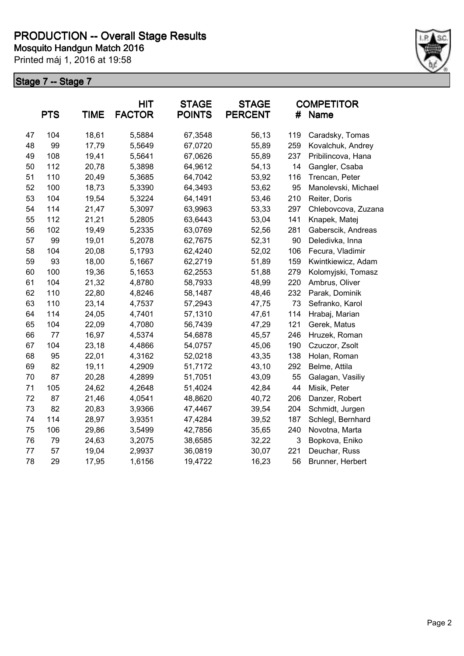

|    | <b>PTS</b> | <b>TIME</b> | <b>HIT</b><br><b>FACTOR</b> | <b>STAGE</b><br><b>POINTS</b> | <b>STAGE</b><br><b>PERCENT</b> | #   | <b>COMPETITOR</b><br><b>Name</b> |
|----|------------|-------------|-----------------------------|-------------------------------|--------------------------------|-----|----------------------------------|
| 47 | 104        | 18,61       | 5,5884                      | 67,3548                       | 56,13                          | 119 | Caradsky, Tomas                  |
| 48 | 99         | 17,79       | 5,5649                      | 67,0720                       | 55,89                          | 259 | Kovalchuk, Andrey                |
| 49 | 108        | 19,41       | 5,5641                      | 67,0626                       | 55,89                          | 237 | Pribilincova, Hana               |
| 50 | 112        | 20,78       | 5,3898                      | 64,9612                       | 54,13                          | 14  | Gangler, Csaba                   |
| 51 | 110        | 20,49       | 5,3685                      | 64,7042                       | 53,92                          | 116 | Trencan, Peter                   |
| 52 | 100        | 18,73       | 5,3390                      | 64,3493                       | 53,62                          | 95  | Manolevski, Michael              |
| 53 | 104        | 19,54       | 5,3224                      | 64,1491                       | 53,46                          | 210 | Reiter, Doris                    |
| 54 | 114        | 21,47       | 5,3097                      | 63,9963                       | 53,33                          | 297 | Chlebovcova, Zuzana              |
| 55 | 112        | 21,21       | 5,2805                      | 63,6443                       | 53,04                          | 141 | Knapek, Matej                    |
| 56 | 102        | 19,49       | 5,2335                      | 63,0769                       | 52,56                          | 281 | Gaberscik, Andreas               |
| 57 | 99         | 19,01       | 5,2078                      | 62,7675                       | 52,31                          | 90  | Deledivka, Inna                  |
| 58 | 104        | 20,08       | 5,1793                      | 62,4240                       | 52,02                          | 106 | Fecura, Vladimir                 |
| 59 | 93         | 18,00       | 5,1667                      | 62,2719                       | 51,89                          | 159 | Kwintkiewicz, Adam               |
| 60 | 100        | 19,36       | 5,1653                      | 62,2553                       | 51,88                          | 279 | Kolomyjski, Tomasz               |
| 61 | 104        | 21,32       | 4,8780                      | 58,7933                       | 48,99                          | 220 | Ambrus, Oliver                   |
| 62 | 110        | 22,80       | 4,8246                      | 58,1487                       | 48,46                          | 232 | Parak, Dominik                   |
| 63 | 110        | 23,14       | 4,7537                      | 57,2943                       | 47,75                          | 73  | Sefranko, Karol                  |
| 64 | 114        | 24,05       | 4,7401                      | 57,1310                       | 47,61                          | 114 | Hrabaj, Marian                   |
| 65 | 104        | 22,09       | 4,7080                      | 56,7439                       | 47,29                          | 121 | Gerek, Matus                     |
| 66 | 77         | 16,97       | 4,5374                      | 54,6878                       | 45,57                          | 246 | Hruzek, Roman                    |
| 67 | 104        | 23,18       | 4,4866                      | 54,0757                       | 45,06                          | 190 | Czuczor, Zsolt                   |
| 68 | 95         | 22,01       | 4,3162                      | 52,0218                       | 43,35                          | 138 | Holan, Roman                     |
| 69 | 82         | 19,11       | 4,2909                      | 51,7172                       | 43,10                          | 292 | Belme, Attila                    |
| 70 | 87         | 20,28       | 4,2899                      | 51,7051                       | 43,09                          | 55  | Galagan, Vasiliy                 |
| 71 | 105        | 24,62       | 4,2648                      | 51,4024                       | 42,84                          | 44  | Misik, Peter                     |
| 72 | 87         | 21,46       | 4,0541                      | 48,8620                       | 40,72                          | 206 | Danzer, Robert                   |
| 73 | 82         | 20,83       | 3,9366                      | 47,4467                       | 39,54                          | 204 | Schmidt, Jurgen                  |
| 74 | 114        | 28,97       | 3,9351                      | 47,4284                       | 39,52                          | 187 | Schlegl, Bernhard                |
| 75 | 106        | 29,86       | 3,5499                      | 42,7856                       | 35,65                          | 240 | Novotna, Marta                   |
| 76 | 79         | 24,63       | 3,2075                      | 38,6585                       | 32,22                          | 3   | Bopkova, Eniko                   |
| 77 | 57         | 19,04       | 2,9937                      | 36,0819                       | 30,07                          | 221 | Deuchar, Russ                    |
| 78 | 29         | 17,95       | 1,6156                      | 19,4722                       | 16,23                          | 56  | Brunner, Herbert                 |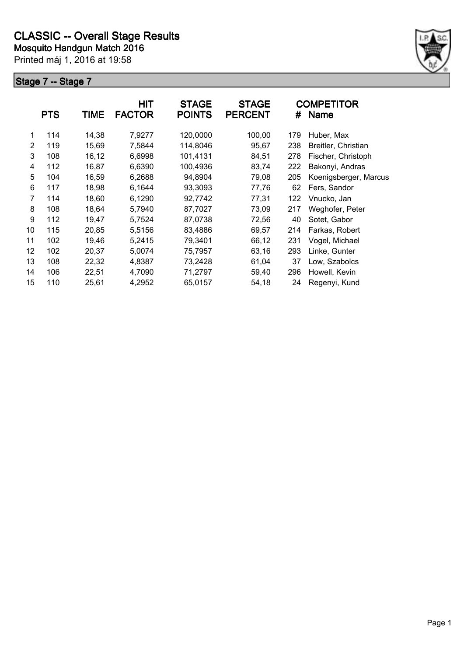

|    | <b>PTS</b> | <b>TIME</b> | <b>HIT</b><br><b>FACTOR</b> | <b>STAGE</b><br><b>POINTS</b> | <b>STAGE</b><br><b>PERCENT</b> | #   | <b>COMPETITOR</b><br>Name |
|----|------------|-------------|-----------------------------|-------------------------------|--------------------------------|-----|---------------------------|
| 1  | 114        | 14,38       | 7,9277                      | 120,0000                      | 100,00                         | 179 | Huber, Max                |
| 2  | 119        | 15,69       | 7,5844                      | 114,8046                      | 95,67                          | 238 | Breitler, Christian       |
| 3  | 108        | 16,12       | 6,6998                      | 101,4131                      | 84,51                          | 278 | Fischer, Christoph        |
| 4  | 112        | 16,87       | 6,6390                      | 100,4936                      | 83,74                          | 222 | Bakonyi, Andras           |
| 5  | 104        | 16,59       | 6,2688                      | 94,8904                       | 79,08                          | 205 | Koenigsberger, Marcus     |
| 6  | 117        | 18,98       | 6,1644                      | 93,3093                       | 77,76                          | 62  | Fers, Sandor              |
| 7  | 114        | 18,60       | 6,1290                      | 92,7742                       | 77,31                          | 122 | Vnucko, Jan               |
| 8  | 108        | 18,64       | 5,7940                      | 87,7027                       | 73,09                          | 217 | Weghofer, Peter           |
| 9  | 112        | 19,47       | 5,7524                      | 87,0738                       | 72,56                          | 40  | Sotet, Gabor              |
| 10 | 115        | 20,85       | 5,5156                      | 83,4886                       | 69,57                          | 214 | Farkas, Robert            |
| 11 | 102        | 19,46       | 5,2415                      | 79,3401                       | 66,12                          | 231 | Vogel, Michael            |
| 12 | 102        | 20,37       | 5,0074                      | 75,7957                       | 63,16                          | 293 | Linke, Gunter             |
| 13 | 108        | 22,32       | 4,8387                      | 73,2428                       | 61,04                          | 37  | Low, Szabolcs             |
| 14 | 106        | 22,51       | 4,7090                      | 71,2797                       | 59,40                          | 296 | Howell, Kevin             |
| 15 | 110        | 25,61       | 4,2952                      | 65,0157                       | 54,18                          | 24  | Regenyi, Kund             |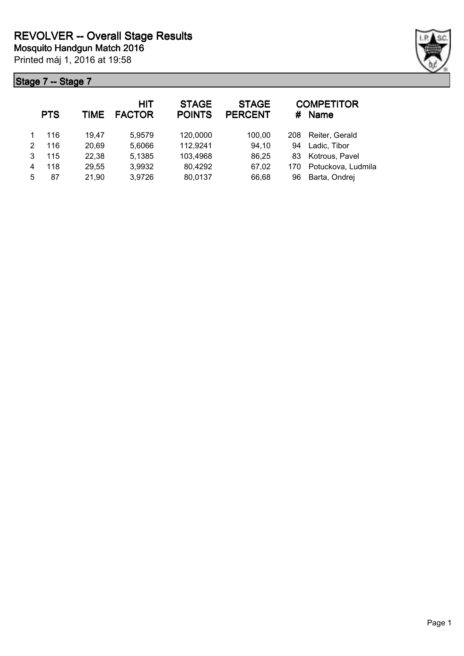|              | <b>PTS</b> | TIME  | <b>HIT</b><br><b>FACTOR</b> | <b>STAGE</b><br><b>POINTS</b> | <b>STAGE</b><br><b>PERCENT</b> | #   | <b>COMPETITOR</b><br><b>Name</b> |
|--------------|------------|-------|-----------------------------|-------------------------------|--------------------------------|-----|----------------------------------|
| $\mathbf{1}$ | 116        | 19.47 | 5,9579                      | 120,0000                      | 100,00                         | 208 | Reiter, Gerald                   |
| $\mathbf{2}$ | 116        | 20,69 | 5,6066                      | 112,9241                      | 94,10                          | 94  | Ladic, Tibor                     |
| 3            | 115        | 22,38 | 5,1385                      | 103,4968                      | 86,25                          | 83  | Kotrous, Pavel                   |
| 4            | 118        | 29,55 | 3,9932                      | 80,4292                       | 67,02                          | 170 | Potuckova, Ludmila               |
| 5            | 87         | 21,90 | 3,9726                      | 80,0137                       | 66,68                          | 96  | Barta, Ondrej                    |

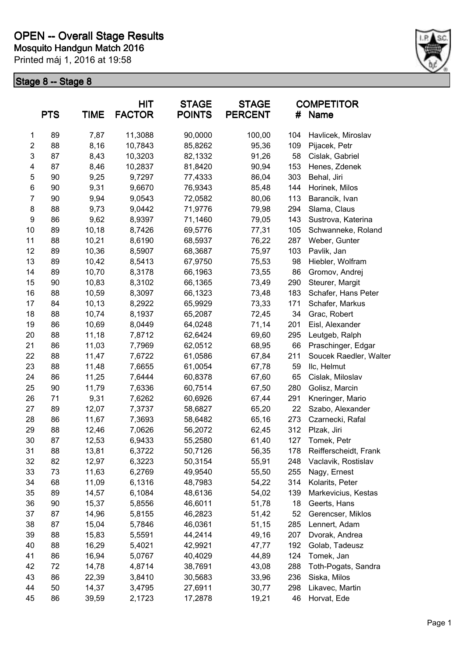

| <b>PTS</b>     |    | <b>TIME</b> | <b>HIT</b><br><b>FACTOR</b> |         | <b>STAGE</b><br><b>POINTS</b> | <b>STAGE</b><br><b>PERCENT</b> | #                      | <b>COMPETITOR</b><br>Name |
|----------------|----|-------------|-----------------------------|---------|-------------------------------|--------------------------------|------------------------|---------------------------|
| 1              | 89 | 7,87        | 11,3088                     | 90,0000 | 100,00                        | 104                            | Havlicek, Miroslav     |                           |
| $\overline{c}$ | 88 | 8,16        | 10,7843                     | 85,8262 | 95,36                         | 109                            | Pijacek, Petr          |                           |
| 3              | 87 | 8,43        | 10,3203                     | 82,1332 | 91,26                         | 58                             | Cislak, Gabriel        |                           |
| 4              | 87 | 8,46        | 10,2837                     | 81,8420 | 90,94                         | 153                            | Henes, Zdenek          |                           |
| 5              | 90 | 9,25        | 9,7297                      | 77,4333 | 86,04                         | 303                            | Behal, Jiri            |                           |
| 6              | 90 | 9,31        | 9,6670                      | 76,9343 | 85,48                         | 144                            | Horinek, Milos         |                           |
| $\overline{7}$ | 90 | 9,94        | 9,0543                      | 72,0582 | 80,06                         | 113                            | Barancik, Ivan         |                           |
| 8              | 88 | 9,73        | 9,0442                      | 71,9776 | 79,98                         | 294                            | Slama, Claus           |                           |
| 9              | 86 | 9,62        | 8,9397                      | 71,1460 | 79,05                         | 143                            | Sustrova, Katerina     |                           |
| 10             | 89 | 10,18       | 8,7426                      | 69,5776 | 77,31                         | 105                            | Schwanneke, Roland     |                           |
| 11             | 88 | 10,21       | 8,6190                      | 68,5937 | 76,22                         | 287                            | Weber, Gunter          |                           |
| 12             | 89 | 10,36       | 8,5907                      | 68,3687 | 75,97                         | 103                            | Pavlik, Jan            |                           |
| 13             | 89 | 10,42       | 8,5413                      | 67,9750 | 75,53                         | 98                             | Hiebler, Wolfram       |                           |
| 14             | 89 | 10,70       | 8,3178                      | 66,1963 | 73,55                         | 86                             | Gromov, Andrej         |                           |
| 15             | 90 | 10,83       | 8,3102                      | 66,1365 | 73,49                         | 290                            | Steurer, Margit        |                           |
| 16             | 88 | 10,59       | 8,3097                      | 66,1323 | 73,48                         | 183                            | Schafer, Hans Peter    |                           |
| 17             | 84 | 10,13       | 8,2922                      | 65,9929 | 73,33                         | 171                            | Schafer, Markus        |                           |
| 18             | 88 | 10,74       | 8,1937                      | 65,2087 | 72,45                         | 34                             | Grac, Robert           |                           |
| 19             | 86 | 10,69       | 8,0449                      | 64,0248 | 71,14                         | 201                            | Eisl, Alexander        |                           |
| 20             | 88 | 11,18       | 7,8712                      | 62,6424 | 69,60                         | 295                            | Leutgeb, Ralph         |                           |
| 21             | 86 | 11,03       | 7,7969                      | 62,0512 | 68,95                         | 66                             | Praschinger, Edgar     |                           |
| 22             | 88 | 11,47       | 7,6722                      | 61,0586 | 67,84                         | 211                            | Soucek Raedler, Walter |                           |
| 23             | 88 | 11,48       | 7,6655                      | 61,0054 | 67,78                         | 59                             | Ilc, Helmut            |                           |
| 24             | 86 | 11,25       | 7,6444                      | 60,8378 | 67,60                         | 65                             | Cislak, Miloslav       |                           |
| 25             | 90 | 11,79       | 7,6336                      | 60,7514 | 67,50                         | 280                            | Golisz, Marcin         |                           |
| 26             | 71 | 9,31        | 7,6262                      | 60,6926 | 67,44                         | 291                            | Kneringer, Mario       |                           |
| 27             | 89 | 12,07       | 7,3737                      | 58,6827 | 65,20                         | 22                             | Szabo, Alexander       |                           |
| 28             | 86 | 11,67       | 7,3693                      | 58,6482 | 65,16                         | 273                            | Czarnecki, Rafal       |                           |
| 29             | 88 | 12,46       | 7,0626                      | 56,2072 | 62,45                         | 312                            | Plzak, Jiri            |                           |
| 30             | 87 | 12,53       | 6,9433                      | 55,2580 | 61,40                         | 127                            | Tomek, Petr            |                           |
| 31             | 88 | 13,81       | 6,3722                      | 50,7126 | 56,35                         | 178                            | Reifferscheidt, Frank  |                           |
| 32             | 82 | 12,97       | 6,3223                      | 50,3154 | 55,91                         | 248                            | Vaclavik, Rostislav    |                           |
| 33             | 73 | 11,63       | 6,2769                      | 49,9540 | 55,50                         | 255                            | Nagy, Ernest           |                           |
| 34             | 68 | 11,09       | 6,1316                      | 48,7983 | 54,22                         | 314                            | Kolarits, Peter        |                           |
| 35             | 89 | 14,57       | 6,1084                      | 48,6136 | 54,02                         | 139                            | Markevicius, Kestas    |                           |
| 36             | 90 | 15,37       | 5,8556                      | 46,6011 | 51,78                         | 18                             | Geerts, Hans           |                           |
| 37             | 87 | 14,96       | 5,8155                      | 46,2823 | 51,42                         | 52                             | Gerencser, Miklos      |                           |
| 38             | 87 | 15,04       | 5,7846                      | 46,0361 | 51,15                         | 285                            | Lennert, Adam          |                           |
| 39             | 88 | 15,83       | 5,5591                      | 44,2414 | 49,16                         | 207                            | Dvorak, Andrea         |                           |
| 40             | 88 | 16,29       | 5,4021                      | 42,9921 | 47,77                         | 192                            | Golab, Tadeusz         |                           |
| 41             | 86 | 16,94       | 5,0767                      | 40,4029 | 44,89                         | 124                            | Tomek, Jan             |                           |
| 42             | 72 | 14,78       | 4,8714                      | 38,7691 | 43,08                         | 288                            | Toth-Pogats, Sandra    |                           |
| 43             | 86 | 22,39       | 3,8410                      | 30,5683 | 33,96                         | 236                            | Siska, Milos           |                           |
| 44             | 50 | 14,37       | 3,4795                      | 27,6911 | 30,77                         | 298                            | Likavec, Martin        |                           |
| 45             | 86 | 39,59       | 2,1723                      | 17,2878 | 19,21                         | 46                             | Horvat, Ede            |                           |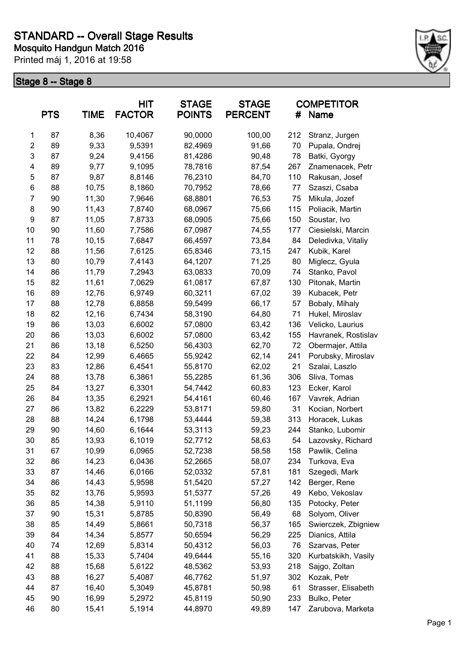

|                | <b>PTS</b> | <b>TIME</b> | <b>HIT</b><br><b>FACTOR</b> | <b>STAGE</b><br><b>POINTS</b> | <b>STAGE</b><br><b>PERCENT</b> | #   | <b>COMPETITOR</b><br><b>Name</b> |
|----------------|------------|-------------|-----------------------------|-------------------------------|--------------------------------|-----|----------------------------------|
| $\mathbf{1}$   | 87         | 8,36        | 10,4067                     | 90,0000                       | 100,00                         | 212 | Stranz, Jurgen                   |
| $\overline{c}$ | 89         | 9,33        | 9,5391                      | 82,4969                       | 91,66                          | 70  | Pupala, Ondrej                   |
| 3              | 87         | 9,24        | 9,4156                      | 81,4286                       | 90,48                          | 78  | Batki, Gyorgy                    |
| 4              | 89         | 9,77        | 9,1095                      | 78,7816                       | 87,54                          | 267 | Znamenacek, Petr                 |
| 5              | 87         | 9,87        | 8,8146                      | 76,2310                       | 84,70                          | 110 | Rakusan, Josef                   |
| 6              | 88         | 10,75       | 8,1860                      | 70,7952                       | 78,66                          | 77  | Szaszi, Csaba                    |
| 7              | 90         | 11,30       | 7,9646                      | 68,8801                       | 76,53                          | 75  | Mikula, Jozef                    |
| 8              | 90         | 11,43       | 7,8740                      | 68,0967                       | 75,66                          | 115 | Poliacik, Martin                 |
| 9              | 87         | 11,05       | 7,8733                      | 68,0905                       | 75,66                          | 150 | Soustar, Ivo                     |
| 10             | 90         | 11,60       | 7,7586                      | 67,0987                       | 74,55                          | 177 | Ciesielski, Marcin               |
| 11             | 78         | 10,15       | 7,6847                      | 66,4597                       | 73,84                          | 84  | Deledivka, Vitaliy               |
| 12             | 88         | 11,56       | 7,6125                      | 65,8346                       | 73,15                          | 247 | Kubik, Karel                     |
| 13             | 80         | 10,79       | 7,4143                      | 64,1207                       | 71,25                          | 80  | Miglecz, Gyula                   |
| 14             | 86         | 11,79       | 7,2943                      | 63,0833                       | 70,09                          | 74  | Stanko, Pavol                    |
| 15             | 82         | 11,61       | 7,0629                      | 61,0817                       | 67,87                          | 130 | Pitonak, Martin                  |
| 16             | 89         | 12,76       | 6,9749                      | 60,3211                       | 67,02                          | 39  | Kubacek, Petr                    |
| 17             | 88         | 12,78       | 6,8858                      | 59,5499                       | 66,17                          | 57  | Bobaly, Mihaly                   |
| 18             | 82         | 12,16       | 6,7434                      | 58,3190                       | 64,80                          | 71  | Hukel, Miroslav                  |
| 19             | 86         | 13,03       | 6,6002                      | 57,0800                       | 63,42                          | 136 | Velicko, Laurius                 |
| 20             | 86         | 13,03       | 6,6002                      | 57,0800                       | 63,42                          | 155 | Havranek, Rostislav              |
| 21             | 86         | 13,18       | 6,5250                      | 56,4303                       | 62,70                          | 72  | Obermajer, Attila                |
| 22             | 84         | 12,99       | 6,4665                      | 55,9242                       | 62,14                          | 241 | Porubsky, Miroslav               |
| 23             | 83         | 12,86       | 6,4541                      | 55,8170                       | 62,02                          | 21  | Szalai, Laszlo                   |
| 24             | 88         | 13,78       | 6,3861                      | 55,2285                       | 61,36                          | 306 | Sliva, Tomas                     |
| 25             | 84         | 13,27       | 6,3301                      | 54,7442                       | 60,83                          | 123 | Ecker, Karol                     |
| 26             | 84         | 13,35       | 6,2921                      | 54,4161                       | 60,46                          | 167 | Vavrek, Adrian                   |
| 27             | 86         | 13,82       | 6,2229                      | 53,8171                       | 59,80                          | 31  | Kocian, Norbert                  |
| 28             | 88         | 14,24       | 6,1798                      | 53,4444                       | 59,38                          | 313 | Horacek, Lukas                   |
| 29             | 90         | 14,60       | 6,1644                      | 53,3113                       | 59,23                          | 244 | Stanko, Lubomir                  |
| 30             | 85         | 13,93       | 6,1019                      | 52,7712                       | 58,63                          | 54  | Lazovsky, Richard                |
| 31             | 67         | 10,99       | 6,0965                      | 52,7238                       | 58,58                          | 158 | Pawlik, Celina                   |
| 32             | 86         | 14,23       | 6,0436                      | 52,2665                       | 58,07                          | 234 | Turkova, Eva                     |
| 33             | 87         | 14,46       | 6,0166                      | 52,0332                       | 57,81                          | 181 | Szegedi, Mark                    |
| 34             | 86         | 14,43       | 5,9598                      | 51,5420                       | 57,27                          | 142 | Berger, Rene                     |
| 35             | 82         | 13,76       | 5,9593                      | 51,5377                       | 57,26                          | 49  | Kebo, Vekoslav                   |
| 36             | 85         | 14,38       | 5,9110                      | 51,1199                       | 56,80                          | 135 | Potocky, Peter                   |
| 37             | 90         | 15,31       | 5,8785                      | 50,8390                       | 56,49                          | 68  | Solyom, Oliver                   |
| 38             | 85         | 14,49       | 5,8661                      | 50,7318                       | 56,37                          | 165 | Swierczek, Zbigniew              |
| 39             | 84         | 14,34       | 5,8577                      | 50,6594                       | 56,29                          | 225 | Dianics, Attila                  |
| 40             | 74         | 12,69       | 5,8314                      | 50,4312                       | 56,03                          | 76  | Szarvas, Peter                   |
| 41             | 88         | 15,33       | 5,7404                      | 49,6444                       | 55,16                          | 320 | Kurbatskikh, Vasily              |
| 42             | 88         | 15,68       | 5,6122                      | 48,5362                       | 53,93                          | 218 | Sajgo, Zoltan                    |
| 43             | 88         | 16,27       | 5,4087                      | 46,7762                       | 51,97                          | 302 | Kozak, Petr                      |
| 44             | 87         | 16,40       | 5,3049                      | 45,8781                       | 50,98                          | 61  | Strasser, Elisabeth              |
| 45             | 90         | 16,99       | 5,2972                      | 45,8119                       | 50,90                          | 233 | Bulko, Peter                     |
| 46             | 80         | 15,41       | 5,1914                      | 44,8970                       | 49,89                          | 147 | Zarubova, Marketa                |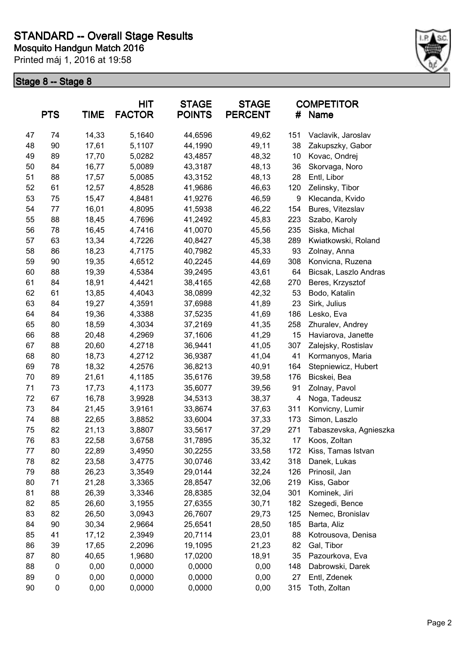

| <b>PTS</b><br><b>TIME</b> |             | <b>HIT</b><br><b>FACTOR</b> | <b>STAGE</b><br><b>POINTS</b> | <b>STAGE</b><br><b>PERCENT</b> | #     | <b>COMPETITOR</b><br><b>Name</b> |                        |
|---------------------------|-------------|-----------------------------|-------------------------------|--------------------------------|-------|----------------------------------|------------------------|
| 47                        | 74          | 14,33                       | 5,1640                        | 44,6596                        | 49,62 | 151                              | Vaclavik, Jaroslav     |
| 48                        | 90          | 17,61                       | 5,1107                        | 44,1990                        | 49,11 | 38                               | Zakupszky, Gabor       |
| 49                        | 89          | 17,70                       | 5,0282                        | 43,4857                        | 48,32 | 10                               | Kovac, Ondrej          |
| 50                        | 84          | 16,77                       | 5,0089                        | 43,3187                        | 48,13 | 36                               | Skorvaga, Noro         |
| 51                        | 88          | 17,57                       | 5,0085                        | 43,3152                        | 48,13 | 28                               | Entl, Libor            |
| 52                        | 61          | 12,57                       | 4,8528                        | 41,9686                        | 46,63 | 120                              | Zelinsky, Tibor        |
| 53                        | 75          | 15,47                       | 4,8481                        | 41,9276                        | 46,59 | 9                                | Klecanda, Kvido        |
| 54                        | 77          | 16,01                       | 4,8095                        | 41,5938                        | 46,22 | 154                              | Bures, Vitezslav       |
| 55                        | 88          | 18,45                       | 4,7696                        | 41,2492                        | 45,83 | 223                              | Szabo, Karoly          |
| 56                        | 78          | 16,45                       | 4,7416                        | 41,0070                        | 45,56 | 235                              | Siska, Michal          |
| 57                        | 63          | 13,34                       | 4,7226                        | 40,8427                        | 45,38 | 289                              | Kwiatkowski, Roland    |
| 58                        | 86          | 18,23                       | 4,7175                        | 40,7982                        | 45,33 | 93                               | Zolnay, Anna           |
| 59                        | 90          | 19,35                       | 4,6512                        | 40,2245                        | 44,69 | 308                              | Konvicna, Ruzena       |
| 60                        | 88          | 19,39                       | 4,5384                        | 39,2495                        | 43,61 | 64                               | Bicsak, Laszlo Andras  |
| 61                        | 84          | 18,91                       | 4,4421                        | 38,4165                        | 42,68 | 270                              | Beres, Krzysztof       |
| 62                        | 61          | 13,85                       | 4,4043                        | 38,0899                        | 42,32 | 53                               | Bodo, Katalin          |
| 63                        | 84          | 19,27                       | 4,3591                        | 37,6988                        | 41,89 | 23                               | Sirk, Julius           |
| 64                        | 84          | 19,36                       | 4,3388                        | 37,5235                        | 41,69 | 186                              | Lesko, Eva             |
| 65                        | 80          | 18,59                       | 4,3034                        | 37,2169                        | 41,35 | 258                              | Zhuralev, Andrey       |
| 66                        | 88          | 20,48                       | 4,2969                        | 37,1606                        | 41,29 | 15                               | Haviarova, Janette     |
| 67                        | 88          | 20,60                       | 4,2718                        | 36,9441                        | 41,05 | 307                              | Zalejsky, Rostislav    |
| 68                        | 80          | 18,73                       | 4,2712                        | 36,9387                        | 41,04 | 41                               | Kormanyos, Maria       |
| 69                        | 78          | 18,32                       | 4,2576                        | 36,8213                        | 40,91 | 164                              | Stepniewicz, Hubert    |
| 70                        | 89          | 21,61                       | 4,1185                        | 35,6176                        | 39,58 | 176                              | Bicskei, Bea           |
| 71                        | 73          | 17,73                       | 4,1173                        | 35,6077                        | 39,56 | 91                               | Zolnay, Pavol          |
| 72                        | 67          | 16,78                       | 3,9928                        | 34,5313                        | 38,37 | 4                                | Noga, Tadeusz          |
| 73                        | 84          | 21,45                       | 3,9161                        | 33,8674                        | 37,63 | 311                              | Konvicny, Lumir        |
| 74                        | 88          | 22,65                       | 3,8852                        | 33,6004                        | 37,33 | 173                              | Simon, Laszlo          |
| 75                        | 82          | 21,13                       | 3,8807                        | 33,5617                        | 37,29 | 271                              | Tabaszevska, Agnieszka |
| 76                        | 83          | 22,58                       | 3,6758                        | 31,7895                        | 35,32 | 17                               | Koos, Zoltan           |
| 77                        | 80          | 22,89                       | 3,4950                        | 30,2255                        | 33,58 | 172                              | Kiss, Tamas Istvan     |
| 78                        | 82          | 23,58                       | 3,4775                        | 30,0746                        | 33,42 | 318                              | Danek, Lukas           |
| 79                        | 88          | 26,23                       | 3,3549                        | 29,0144                        | 32,24 | 126                              | Prinosil, Jan          |
| 80                        | 71          | 21,28                       | 3,3365                        | 28,8547                        | 32,06 | 219                              | Kiss, Gabor            |
| 81                        | 88          | 26,39                       | 3,3346                        | 28,8385                        | 32,04 | 301                              | Kominek, Jiri          |
| 82                        | 85          | 26,60                       | 3,1955                        | 27,6355                        | 30,71 | 182                              | Szegedi, Bence         |
| 83                        | 82          | 26,50                       | 3,0943                        | 26,7607                        | 29,73 | 125                              | Nemec, Bronislav       |
| 84                        | 90          | 30,34                       | 2,9664                        | 25,6541                        | 28,50 | 185                              | Barta, Aliz            |
| 85                        | 41          | 17,12                       | 2,3949                        | 20,7114                        | 23,01 | 88                               | Kotrousova, Denisa     |
| 86                        | 39          | 17,65                       | 2,2096                        | 19,1095                        | 21,23 | 82                               | Gal, Tibor             |
| 87                        | 80          | 40,65                       | 1,9680                        | 17,0200                        | 18,91 | 35                               | Pazourkova, Eva        |
| 88                        | $\mathbf 0$ | 0,00                        | 0,0000                        | 0,0000                         | 0,00  | 148                              | Dabrowski, Darek       |
| 89                        | 0           | 0,00                        | 0,0000                        | 0,0000                         | 0,00  | 27                               | Entl, Zdenek           |
| 90                        | $\pmb{0}$   | 0,00                        | 0,0000                        | 0,0000                         | 0,00  | 315                              | Toth, Zoltan           |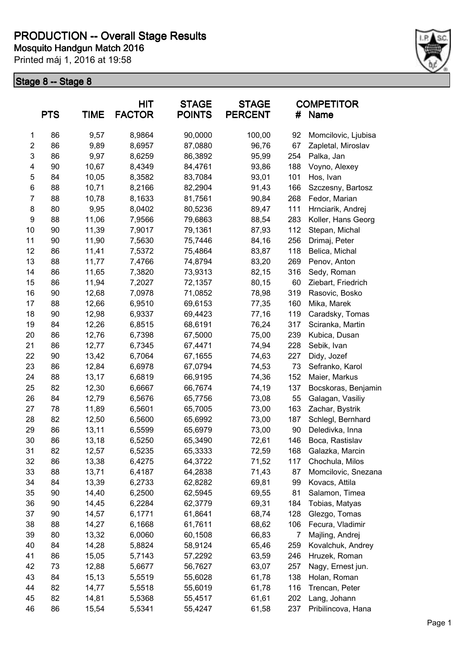

|                         | <b>PTS</b> | <b>TIME</b> | HIT<br><b>FACTOR</b> | <b>STAGE</b><br><b>POINTS</b> | <b>STAGE</b><br><b>PERCENT</b> | #   | <b>COMPETITOR</b><br>Name         |
|-------------------------|------------|-------------|----------------------|-------------------------------|--------------------------------|-----|-----------------------------------|
| 1                       | 86         | 9,57        | 8,9864               | 90,0000                       | 100,00                         | 92  | Momcilovic, Ljubisa               |
| $\overline{\mathbf{c}}$ | 86         | 9,89        | 8,6957               | 87,0880                       | 96,76                          | 67  | Zapletal, Miroslav                |
| 3                       | 86         | 9,97        | 8,6259               | 86,3892                       | 95,99                          | 254 | Palka, Jan                        |
| 4                       | 90         | 10,67       | 8,4349               | 84,4761                       | 93,86                          | 188 | Voyno, Alexey                     |
| 5                       | 84         | 10,05       | 8,3582               | 83,7084                       | 93,01                          | 101 | Hos, Ivan                         |
| 6                       | 88         | 10,71       | 8,2166               | 82,2904                       | 91,43                          | 166 | Szczesny, Bartosz                 |
| $\overline{7}$          | 88         | 10,78       | 8,1633               | 81,7561                       | 90,84                          | 268 | Fedor, Marian                     |
| 8                       | 80         | 9,95        | 8,0402               | 80,5236                       | 89,47                          | 111 | Hrnciarik, Andrej                 |
| 9                       | 88         | 11,06       | 7,9566               | 79,6863                       | 88,54                          | 283 | Koller, Hans Georg                |
| 10                      | 90         | 11,39       | 7,9017               | 79,1361                       | 87,93                          | 112 | Stepan, Michal                    |
| 11                      | 90         | 11,90       | 7,5630               | 75,7446                       | 84,16                          | 256 | Drimaj, Peter                     |
| 12                      | 86         | 11,41       | 7,5372               | 75,4864                       | 83,87                          | 118 | Belica, Michal                    |
| 13                      | 88         | 11,77       | 7,4766               | 74,8794                       | 83,20                          | 269 | Penov, Anton                      |
| 14                      | 86         | 11,65       | 7,3820               | 73,9313                       | 82,15                          | 316 | Sedy, Roman                       |
| 15                      | 86         | 11,94       | 7,2027               | 72,1357                       | 80,15                          | 60  | Ziebart, Friedrich                |
| 16                      | 90         | 12,68       | 7,0978               | 71,0852                       | 78,98                          | 319 | Rasovic, Bosko                    |
| 17                      | 88         | 12,66       | 6,9510               | 69,6153                       | 77,35                          | 160 | Mika, Marek                       |
| 18                      | 90         | 12,98       | 6,9337               | 69,4423                       | 77,16                          | 119 | Caradsky, Tomas                   |
| 19                      | 84         | 12,26       | 6,8515               | 68,6191                       | 76,24                          | 317 | Sciranka, Martin                  |
| 20                      | 86         | 12,76       | 6,7398               | 67,5000                       | 75,00                          | 239 | Kubica, Dusan                     |
| 21                      | 86         | 12,77       | 6,7345               | 67,4471                       | 74,94                          | 228 | Sebik, Ivan                       |
| 22                      | 90         | 13,42       | 6,7064               | 67,1655                       | 74,63                          | 227 | Didy, Jozef                       |
| 23                      | 86         | 12,84       | 6,6978               | 67,0794                       | 74,53                          | 73  | Sefranko, Karol                   |
| 24                      | 88         | 13,17       | 6,6819               | 66,9195                       | 74,36                          | 152 | Maier, Markus                     |
| 25                      | 82         | 12,30       | 6,6667               | 66,7674                       | 74,19                          | 137 | Bocskoras, Benjamin               |
| 26                      | 84         | 12,79       | 6,5676               | 65,7756                       | 73,08                          | 55  | Galagan, Vasiliy                  |
| 27                      | 78         | 11,89       | 6,5601               | 65,7005                       | 73,00                          | 163 | Zachar, Bystrik                   |
| 28                      | 82         | 12,50       | 6,5600               | 65,6992                       | 73,00                          | 187 | Schlegl, Bernhard                 |
| 29                      | 86         | 13,11       | 6,5599               | 65,6979                       | 73,00                          | 90  | Deledivka, Inna                   |
| 30                      | 86         | 13,18       | 6,5250               | 65,3490                       | 72,61                          | 146 | Boca, Rastislav                   |
| 31                      | 82         | 12,57       | 6,5235               | 65,3333                       | 72,59                          | 168 | Galazka, Marcin                   |
| 32                      | 86         | 13,38       | 6,4275               | 64,3722                       | 71,52                          | 117 | Chochula, Milos                   |
| 33                      | 88         | 13,71       | 6,4187               | 64,2838                       | 71,43                          | 87  | Momcilovic, Snezana               |
| 34                      | 84         | 13,39       | 6,2733               | 62,8282                       | 69,81                          | 99  | Kovacs, Attila                    |
| 35                      | 90         | 14,40       | 6,2500               | 62,5945                       | 69,55                          | 81  | Salamon, Timea                    |
| 36                      | 90         | 14,45       | 6,2284               | 62,3779                       | 69,31                          | 184 | Tobias, Matyas                    |
| 37                      | 90         | 14,57       | 6,1771               | 61,8641                       | 68,74                          | 128 | Glezgo, Tomas                     |
| 38                      | 88         | 14,27       | 6,1668               | 61,7611                       | 68,62                          | 106 | Fecura, Vladimir                  |
| 39                      | 80         | 13,32       | 6,0060               | 60,1508                       | 66,83                          | 7   | Majling, Andrej                   |
| 40                      | 84         | 14,28       | 5,8824               | 58,9124                       | 65,46                          | 259 | Kovalchuk, Andrey                 |
| 41                      | 86         | 15,05       | 5,7143               | 57,2292                       | 63,59                          | 246 | Hruzek, Roman                     |
| 42                      | 73         | 12,88       |                      |                               | 63,07                          | 257 |                                   |
| 43                      | 84         | 15,13       | 5,6677<br>5,5519     | 56,7627<br>55,6028            | 61,78                          | 138 | Nagy, Ernest jun.<br>Holan, Roman |
| 44                      |            |             |                      |                               |                                |     |                                   |
|                         | 82         | 14,77       | 5,5518               | 55,6019                       | 61,78                          | 116 | Trencan, Peter                    |
| 45                      | 82         | 14,81       | 5,5368               | 55,4517                       | 61,61                          | 202 | Lang, Johann                      |
| 46                      | 86         | 15,54       | 5,5341               | 55,4247                       | 61,58                          | 237 | Pribilincova, Hana                |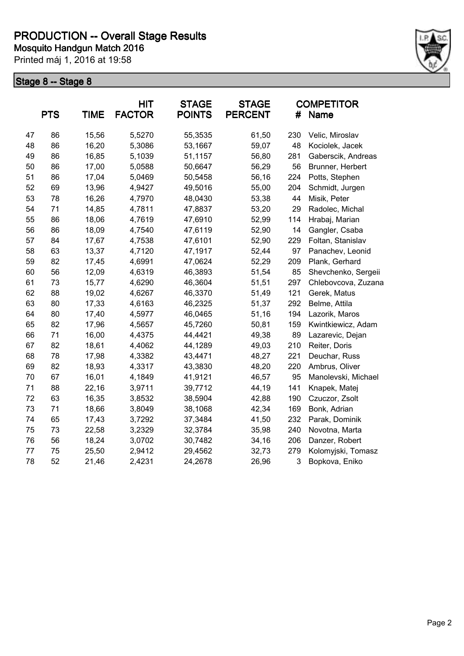

|    | <b>PTS</b> | <b>TIME</b> | <b>HIT</b><br><b>FACTOR</b> | <b>STAGE</b><br><b>POINTS</b> | <b>STAGE</b><br><b>PERCENT</b> | #   | <b>COMPETITOR</b><br>Name |
|----|------------|-------------|-----------------------------|-------------------------------|--------------------------------|-----|---------------------------|
| 47 | 86         | 15,56       | 5,5270                      | 55,3535                       | 61,50                          | 230 | Velic, Miroslav           |
| 48 | 86         | 16,20       | 5,3086                      | 53,1667                       | 59,07                          | 48  | Kociolek, Jacek           |
| 49 | 86         | 16,85       | 5,1039                      | 51,1157                       | 56,80                          | 281 | Gaberscik, Andreas        |
| 50 | 86         | 17,00       | 5,0588                      | 50,6647                       | 56,29                          | 56  | Brunner, Herbert          |
| 51 | 86         | 17,04       | 5,0469                      | 50,5458                       | 56,16                          | 224 | Potts, Stephen            |
| 52 | 69         | 13,96       | 4,9427                      | 49,5016                       | 55,00                          | 204 | Schmidt, Jurgen           |
| 53 | 78         | 16,26       | 4,7970                      | 48,0430                       | 53,38                          | 44  | Misik, Peter              |
| 54 | 71         | 14,85       | 4,7811                      | 47,8837                       | 53,20                          | 29  | Radolec, Michal           |
| 55 | 86         | 18,06       | 4,7619                      | 47,6910                       | 52,99                          | 114 | Hrabaj, Marian            |
| 56 | 86         | 18,09       | 4,7540                      | 47,6119                       | 52,90                          | 14  | Gangler, Csaba            |
| 57 | 84         | 17,67       | 4,7538                      | 47,6101                       | 52,90                          | 229 | Foltan, Stanislav         |
| 58 | 63         | 13,37       | 4,7120                      | 47,1917                       | 52,44                          | 97  | Panachev, Leonid          |
| 59 | 82         | 17,45       | 4,6991                      | 47,0624                       | 52,29                          | 209 | Plank, Gerhard            |
| 60 | 56         | 12,09       | 4,6319                      | 46,3893                       | 51,54                          | 85  | Shevchenko, Sergeii       |
| 61 | 73         | 15,77       | 4,6290                      | 46,3604                       | 51,51                          | 297 | Chlebovcova, Zuzana       |
| 62 | 88         | 19,02       | 4,6267                      | 46,3370                       | 51,49                          | 121 | Gerek, Matus              |
| 63 | 80         | 17,33       | 4,6163                      | 46,2325                       | 51,37                          | 292 | Belme, Attila             |
| 64 | 80         | 17,40       | 4,5977                      | 46,0465                       | 51,16                          | 194 | Lazorik, Maros            |
| 65 | 82         | 17,96       | 4,5657                      | 45,7260                       | 50,81                          | 159 | Kwintkiewicz, Adam        |
| 66 | 71         | 16,00       | 4,4375                      | 44,4421                       | 49,38                          | 89  | Lazarevic, Dejan          |
| 67 | 82         | 18,61       | 4,4062                      | 44,1289                       | 49,03                          | 210 | Reiter, Doris             |
| 68 | 78         | 17,98       | 4,3382                      | 43,4471                       | 48,27                          | 221 | Deuchar, Russ             |
| 69 | 82         | 18,93       | 4,3317                      | 43,3830                       | 48,20                          | 220 | Ambrus, Oliver            |
| 70 | 67         | 16,01       | 4,1849                      | 41,9121                       | 46,57                          | 95  | Manolevski, Michael       |
| 71 | 88         | 22,16       | 3,9711                      | 39,7712                       | 44,19                          | 141 | Knapek, Matej             |
| 72 | 63         | 16,35       | 3,8532                      | 38,5904                       | 42,88                          | 190 | Czuczor, Zsolt            |
| 73 | 71         | 18,66       | 3,8049                      | 38,1068                       | 42,34                          | 169 | Bonk, Adrian              |
| 74 | 65         | 17,43       | 3,7292                      | 37,3484                       | 41,50                          | 232 | Parak, Dominik            |
| 75 | 73         | 22,58       | 3,2329                      | 32,3784                       | 35,98                          | 240 | Novotna, Marta            |
| 76 | 56         | 18,24       | 3,0702                      | 30,7482                       | 34,16                          | 206 | Danzer, Robert            |
| 77 | 75         | 25,50       | 2,9412                      | 29,4562                       | 32,73                          | 279 | Kolomyjski, Tomasz        |
| 78 | 52         | 21,46       | 2,4231                      | 24,2678                       | 26,96                          | 3   | Bopkova, Eniko            |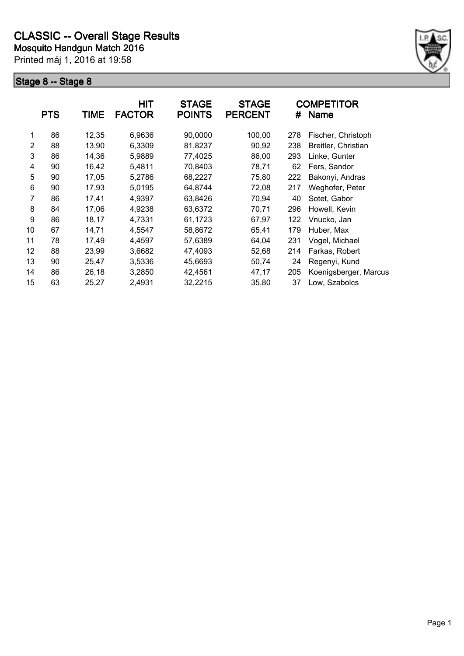

|                | <b>PTS</b> | <b>TIME</b> | <b>HIT</b><br><b>FACTOR</b> | <b>STAGE</b><br><b>POINTS</b> | <b>STAGE</b><br><b>PERCENT</b> | #   | <b>COMPETITOR</b><br><b>Name</b> |
|----------------|------------|-------------|-----------------------------|-------------------------------|--------------------------------|-----|----------------------------------|
| 1              | 86         | 12,35       | 6,9636                      | 90,0000                       | 100,00                         | 278 | Fischer, Christoph               |
| $\overline{2}$ | 88         | 13,90       | 6,3309                      | 81,8237                       | 90,92                          | 238 | Breitler, Christian              |
| 3              | 86         | 14,36       | 5,9889                      | 77,4025                       | 86,00                          | 293 | Linke, Gunter                    |
| 4              | 90         | 16,42       | 5,4811                      | 70,8403                       | 78,71                          | 62  | Fers, Sandor                     |
| 5              | 90         | 17,05       | 5,2786                      | 68,2227                       | 75,80                          | 222 | Bakonyi, Andras                  |
| 6              | 90         | 17,93       | 5,0195                      | 64,8744                       | 72,08                          | 217 | Weghofer, Peter                  |
| 7              | 86         | 17,41       | 4,9397                      | 63,8426                       | 70,94                          | 40  | Sotet, Gabor                     |
| 8              | 84         | 17,06       | 4,9238                      | 63,6372                       | 70,71                          | 296 | Howell, Kevin                    |
| 9              | 86         | 18,17       | 4,7331                      | 61,1723                       | 67,97                          | 122 | Vnucko, Jan                      |
| 10             | 67         | 14,71       | 4,5547                      | 58,8672                       | 65,41                          | 179 | Huber, Max                       |
| 11             | 78         | 17,49       | 4,4597                      | 57,6389                       | 64,04                          | 231 | Vogel, Michael                   |
| 12             | 88         | 23,99       | 3,6682                      | 47,4093                       | 52,68                          | 214 | Farkas, Robert                   |
| 13             | 90         | 25,47       | 3,5336                      | 45,6693                       | 50,74                          | 24  | Regenyi, Kund                    |
| 14             | 86         | 26,18       | 3,2850                      | 42,4561                       | 47,17                          | 205 | Koenigsberger, Marcus            |
| 15             | 63         | 25,27       | 2,4931                      | 32,2215                       | 35,80                          | 37  | Low, Szabolcs                    |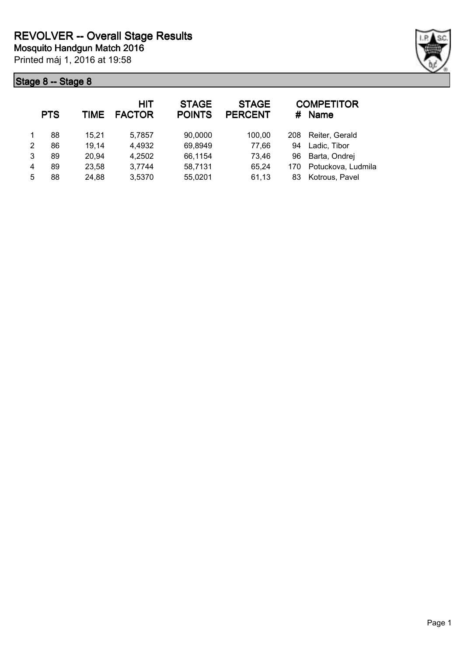

|   | <b>PTS</b> | TIME  | <b>HIT</b><br><b>FACTOR</b> | <b>STAGE</b><br><b>POINTS</b> | <b>STAGE</b><br><b>PERCENT</b> | #   | <b>COMPETITOR</b><br><b>Name</b> |
|---|------------|-------|-----------------------------|-------------------------------|--------------------------------|-----|----------------------------------|
|   | 88         | 15.21 | 5,7857                      | 90,0000                       | 100,00                         | 208 | Reiter, Gerald                   |
| 2 | 86         | 19,14 | 4,4932                      | 69,8949                       | 77,66                          | 94  | Ladic, Tibor                     |
| 3 | 89         | 20,94 | 4,2502                      | 66,1154                       | 73,46                          | 96  | Barta, Ondrej                    |
| 4 | 89         | 23,58 | 3,7744                      | 58,7131                       | 65,24                          | 170 | Potuckova, Ludmila               |
| 5 | 88         | 24,88 | 3,5370                      | 55,0201                       | 61,13                          | 83  | Kotrous, Pavel                   |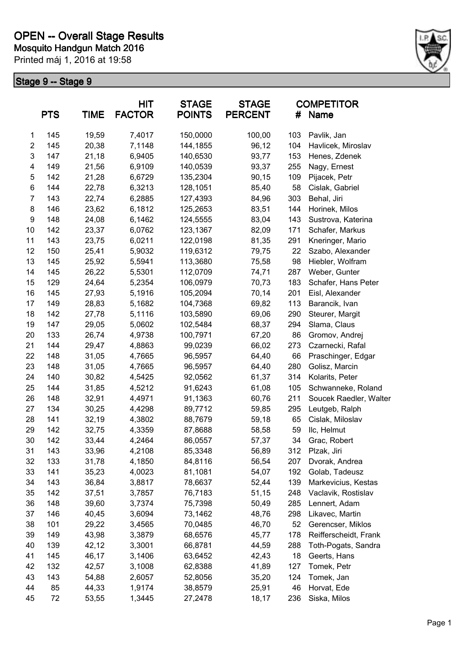

| <b>PTS</b>     |     | <b>HIT</b><br><b>FACTOR</b><br><b>TIME</b> |        | <b>STAGE</b><br><b>POINTS</b> | <b>STAGE</b><br><b>PERCENT</b> | #   | <b>COMPETITOR</b><br><b>Name</b> |
|----------------|-----|--------------------------------------------|--------|-------------------------------|--------------------------------|-----|----------------------------------|
| 1              | 145 | 19,59                                      | 7,4017 | 150,0000                      | 100,00                         | 103 | Pavlik, Jan                      |
| $\overline{c}$ | 145 | 20,38                                      | 7,1148 | 144,1855                      | 96,12                          | 104 | Havlicek, Miroslav               |
| 3              | 147 | 21,18                                      | 6,9405 | 140,6530                      | 93,77                          | 153 | Henes, Zdenek                    |
| 4              | 149 | 21,56                                      | 6,9109 | 140,0539                      | 93,37                          | 255 | Nagy, Ernest                     |
| 5              | 142 | 21,28                                      | 6,6729 | 135,2304                      | 90,15                          | 109 | Pijacek, Petr                    |
| 6              | 144 | 22,78                                      | 6,3213 | 128,1051                      | 85,40                          | 58  | Cislak, Gabriel                  |
| 7              | 143 | 22,74                                      | 6,2885 | 127,4393                      | 84,96                          | 303 | Behal, Jiri                      |
| 8              | 146 | 23,62                                      | 6,1812 | 125,2653                      | 83,51                          | 144 | Horinek, Milos                   |
| 9              | 148 | 24,08                                      | 6,1462 | 124,5555                      | 83,04                          | 143 | Sustrova, Katerina               |
| 10             | 142 | 23,37                                      | 6,0762 | 123,1367                      | 82,09                          | 171 | Schafer, Markus                  |
| 11             | 143 | 23,75                                      | 6,0211 | 122,0198                      | 81,35                          | 291 | Kneringer, Mario                 |
| 12             | 150 | 25,41                                      | 5,9032 | 119,6312                      | 79,75                          | 22  | Szabo, Alexander                 |
| 13             | 145 | 25,92                                      | 5,5941 | 113,3680                      | 75,58                          | 98  | Hiebler, Wolfram                 |
| 14             | 145 | 26,22                                      | 5,5301 | 112,0709                      | 74,71                          | 287 | Weber, Gunter                    |
| 15             | 129 | 24,64                                      | 5,2354 | 106,0979                      | 70,73                          | 183 | Schafer, Hans Peter              |
| 16             | 145 | 27,93                                      | 5,1916 | 105,2094                      | 70,14                          | 201 | Eisl, Alexander                  |
| 17             | 149 | 28,83                                      | 5,1682 | 104,7368                      | 69,82                          | 113 | Barancik, Ivan                   |
| 18             | 142 | 27,78                                      | 5,1116 | 103,5890                      | 69,06                          | 290 | Steurer, Margit                  |
| 19             | 147 | 29,05                                      | 5,0602 | 102,5484                      | 68,37                          | 294 | Slama, Claus                     |
| 20             | 133 | 26,74                                      | 4,9738 | 100,7971                      | 67,20                          | 86  | Gromov, Andrej                   |
| 21             | 144 | 29,47                                      | 4,8863 | 99,0239                       | 66,02                          | 273 | Czarnecki, Rafal                 |
| 22             | 148 | 31,05                                      | 4,7665 | 96,5957                       | 64,40                          | 66  | Praschinger, Edgar               |
| 23             | 148 | 31,05                                      | 4,7665 | 96,5957                       | 64,40                          | 280 | Golisz, Marcin                   |
| 24             | 140 | 30,82                                      | 4,5425 | 92,0562                       | 61,37                          | 314 | Kolarits, Peter                  |
| 25             | 144 | 31,85                                      | 4,5212 | 91,6243                       | 61,08                          | 105 | Schwanneke, Roland               |
| 26             | 148 | 32,91                                      | 4,4971 | 91,1363                       | 60,76                          | 211 | Soucek Raedler, Walter           |
| 27             | 134 | 30,25                                      | 4,4298 | 89,7712                       | 59,85                          | 295 | Leutgeb, Ralph                   |
| 28             | 141 | 32,19                                      | 4,3802 | 88,7679                       | 59,18                          | 65  | Cislak, Miloslav                 |
| 29             | 142 | 32,75                                      | 4,3359 | 87,8688                       | 58,58                          | 59  | IIc, Helmut                      |
| 30             | 142 | 33,44                                      | 4,2464 | 86,0557                       | 57,37                          | 34  | Grac, Robert                     |
| 31             | 143 | 33,96                                      | 4,2108 | 85,3348                       | 56,89                          | 312 | Plzak, Jiri                      |
| 32             | 133 | 31,78                                      | 4,1850 | 84,8116                       | 56,54                          | 207 | Dvorak, Andrea                   |
| 33             | 141 | 35,23                                      | 4,0023 | 81,1081                       | 54,07                          | 192 | Golab, Tadeusz                   |
| 34             | 143 | 36,84                                      | 3,8817 | 78,6637                       | 52,44                          | 139 | Markevicius, Kestas              |
| 35             | 142 | 37,51                                      | 3,7857 | 76,7183                       | 51,15                          | 248 | Vaclavik, Rostislav              |
| 36             | 148 | 39,60                                      | 3,7374 | 75,7398                       | 50,49                          | 285 | Lennert, Adam                    |
| 37             | 146 | 40,45                                      | 3,6094 | 73,1462                       | 48,76                          | 298 | Likavec, Martin                  |
| 38             | 101 | 29,22                                      | 3,4565 | 70,0485                       | 46,70                          | 52  | Gerencser, Miklos                |
| 39             | 149 | 43,98                                      | 3,3879 | 68,6576                       | 45,77                          | 178 | Reifferscheidt, Frank            |
| 40             | 139 | 42,12                                      | 3,3001 | 66,8781                       | 44,59                          | 288 | Toth-Pogats, Sandra              |
| 41             | 145 | 46,17                                      | 3,1406 | 63,6452                       | 42,43                          | 18  | Geerts, Hans                     |
| 42             | 132 | 42,57                                      | 3,1008 | 62,8388                       | 41,89                          | 127 | Tomek, Petr                      |
| 43             | 143 | 54,88                                      | 2,6057 | 52,8056                       | 35,20                          | 124 | Tomek, Jan                       |
| 44             | 85  | 44,33                                      | 1,9174 | 38,8579                       | 25,91                          | 46  | Horvat, Ede                      |
| 45             | 72  | 53,55                                      | 1,3445 | 27,2478                       | 18,17                          | 236 | Siska, Milos                     |
|                |     |                                            |        |                               |                                |     |                                  |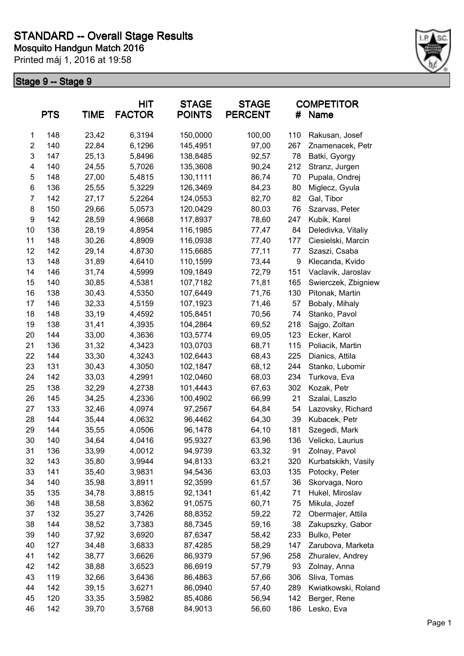

|                | <b>PTS</b> | <b>TIME</b> | HIT<br><b>FACTOR</b> | <b>STAGE</b><br><b>POINTS</b> | <b>STAGE</b><br><b>PERCENT</b> | #   | <b>COMPETITOR</b><br>Name |
|----------------|------------|-------------|----------------------|-------------------------------|--------------------------------|-----|---------------------------|
| $\mathbf{1}$   | 148        | 23,42       | 6,3194               | 150,0000                      | 100,00                         | 110 | Rakusan, Josef            |
| $\overline{c}$ | 140        | 22,84       | 6,1296               | 145,4951                      | 97,00                          | 267 | Znamenacek, Petr          |
| 3              | 147        | 25,13       | 5,8496               | 138,8485                      | 92,57                          | 78  | Batki, Gyorgy             |
| 4              | 140        | 24,55       | 5,7026               | 135,3608                      | 90,24                          | 212 | Stranz, Jurgen            |
| 5              | 148        | 27,00       | 5,4815               | 130,1111                      | 86,74                          | 70  | Pupala, Ondrej            |
| 6              | 136        | 25,55       | 5,3229               | 126,3469                      | 84,23                          | 80  | Miglecz, Gyula            |
| 7              | 142        | 27,17       | 5,2264               | 124,0553                      | 82,70                          | 82  | Gal, Tibor                |
| 8              | 150        | 29,66       | 5,0573               | 120,0429                      | 80,03                          | 76  | Szarvas, Peter            |
| 9              | 142        | 28,59       | 4,9668               | 117,8937                      | 78,60                          | 247 | Kubik, Karel              |
| 10             | 138        | 28,19       | 4,8954               | 116,1985                      | 77,47                          | 84  | Deledivka, Vitaliy        |
| 11             | 148        | 30,26       | 4,8909               | 116,0938                      | 77,40                          | 177 | Ciesielski, Marcin        |
| 12             | 142        | 29,14       | 4,8730               | 115,6685                      | 77,11                          | 77  | Szaszi, Csaba             |
| 13             | 148        | 31,89       | 4,6410               | 110,1599                      | 73,44                          | 9   | Klecanda, Kvido           |
| 14             | 146        | 31,74       | 4,5999               | 109,1849                      | 72,79                          | 151 | Vaclavik, Jaroslav        |
| 15             | 140        | 30,85       | 4,5381               | 107,7182                      | 71,81                          | 165 | Swierczek, Zbigniew       |
| 16             | 138        | 30,43       | 4,5350               | 107,6449                      | 71,76                          | 130 | Pitonak, Martin           |
| 17             | 146        | 32,33       | 4,5159               | 107,1923                      | 71,46                          | 57  | Bobaly, Mihaly            |
| 18             | 148        | 33,19       | 4,4592               | 105,8451                      | 70,56                          | 74  | Stanko, Pavol             |
| 19             | 138        | 31,41       | 4,3935               | 104,2864                      | 69,52                          | 218 | Sajgo, Zoltan             |
| 20             | 144        | 33,00       | 4,3636               | 103,5774                      | 69,05                          | 123 | Ecker, Karol              |
| 21             | 136        | 31,32       | 4,3423               | 103,0703                      | 68,71                          | 115 | Poliacik, Martin          |
| 22             | 144        | 33,30       | 4,3243               | 102,6443                      | 68,43                          | 225 | Dianics, Attila           |
| 23             | 131        | 30,43       | 4,3050               | 102,1847                      | 68,12                          | 244 | Stanko, Lubomir           |
| 24             | 142        | 33,03       | 4,2991               | 102,0460                      | 68,03                          | 234 | Turkova, Eva              |
| 25             | 138        | 32,29       | 4,2738               | 101,4443                      | 67,63                          | 302 | Kozak, Petr               |
| 26             | 145        | 34,25       | 4,2336               | 100,4902                      | 66,99                          | 21  | Szalai, Laszlo            |
| 27             | 133        | 32,46       | 4,0974               | 97,2567                       | 64,84                          | 54  | Lazovsky, Richard         |
| 28             | 144        | 35,44       | 4,0632               | 96,4462                       | 64,30                          | 39  | Kubacek, Petr             |
| 29             | 144        | 35,55       | 4,0506               | 96,1478                       | 64,10                          | 181 | Szegedi, Mark             |
| 30             | 140        | 34,64       | 4,0416               | 95,9327                       | 63,96                          | 136 | Velicko, Laurius          |
| 31             | 136        | 33,99       | 4,0012               | 94,9739                       | 63,32                          | 91  | Zolnay, Pavol             |
| 32             | 143        | 35,80       | 3,9944               | 94,8133                       | 63,21                          | 320 | Kurbatskikh, Vasily       |
| 33             | 141        | 35,40       | 3,9831               | 94,5436                       | 63,03                          | 135 | Potocky, Peter            |
| 34             | 140        | 35,98       | 3,8911               | 92,3599                       | 61,57                          | 36  | Skorvaga, Noro            |
| 35             | 135        | 34,78       | 3,8815               | 92,1341                       | 61,42                          | 71  | Hukel, Miroslav           |
| 36             | 148        | 38,58       | 3,8362               | 91,0575                       | 60,71                          | 75  | Mikula, Jozef             |
| 37             | 132        | 35,27       | 3,7426               | 88,8352                       | 59,22                          | 72  | Obermajer, Attila         |
| 38             | 144        | 38,52       | 3,7383               | 88,7345                       | 59,16                          | 38  | Zakupszky, Gabor          |
| 39             | 140        | 37,92       | 3,6920               | 87,6347                       | 58,42                          | 233 | Bulko, Peter              |
| 40             | 127        | 34,48       | 3,6833               | 87,4285                       | 58,29                          | 147 | Zarubova, Marketa         |
| 41             | 142        | 38,77       | 3,6626               | 86,9379                       | 57,96                          | 258 | Zhuralev, Andrey          |
| 42             | 142        | 38,88       | 3,6523               | 86,6919                       | 57,79                          | 93  | Zolnay, Anna              |
| 43             | 119        | 32,66       | 3,6436               | 86,4863                       | 57,66                          | 306 | Sliva, Tomas              |
| 44             | 142        | 39,15       | 3,6271               | 86,0940                       | 57,40                          | 289 | Kwiatkowski, Roland       |
| 45             | 120        | 33,35       | 3,5982               | 85,4086                       | 56,94                          | 142 | Berger, Rene              |
| 46             | 142        | 39,70       | 3,5768               | 84,9013                       | 56,60                          | 186 | Lesko, Eva                |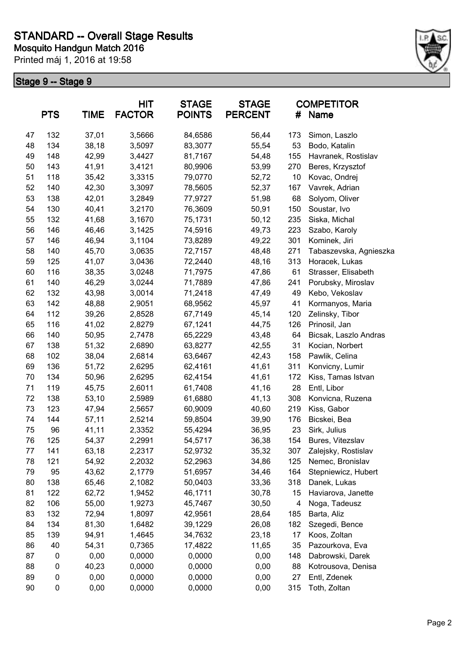

|    | <b>PTS</b> | <b>HIT</b><br><b>TIME</b><br><b>FACTOR</b> |        | <b>STAGE</b><br><b>POINTS</b> | <b>STAGE</b><br><b>PERCENT</b> | <b>COMPETITOR</b><br>#<br>Name |                        |  |
|----|------------|--------------------------------------------|--------|-------------------------------|--------------------------------|--------------------------------|------------------------|--|
| 47 | 132        | 37,01                                      | 3,5666 | 84,6586                       | 56,44                          | 173                            | Simon, Laszlo          |  |
| 48 | 134        | 38,18                                      | 3,5097 | 83,3077                       | 55,54                          | 53                             | Bodo, Katalin          |  |
| 49 | 148        | 42,99                                      | 3,4427 | 81,7167                       | 54,48                          | 155                            | Havranek, Rostislav    |  |
| 50 | 143        | 41,91                                      | 3,4121 | 80,9906                       | 53,99                          | 270                            | Beres, Krzysztof       |  |
| 51 | 118        | 35,42                                      | 3,3315 | 79,0770                       | 52,72                          | 10                             | Kovac, Ondrej          |  |
| 52 | 140        | 42,30                                      | 3,3097 | 78,5605                       | 52,37                          | 167                            | Vavrek, Adrian         |  |
| 53 | 138        | 42,01                                      | 3,2849 | 77,9727                       | 51,98                          | 68                             | Solyom, Oliver         |  |
| 54 | 130        | 40,41                                      | 3,2170 | 76,3609                       | 50,91                          | 150                            | Soustar, Ivo           |  |
| 55 | 132        | 41,68                                      | 3,1670 | 75,1731                       | 50,12                          | 235                            | Siska, Michal          |  |
| 56 | 146        | 46,46                                      | 3,1425 | 74,5916                       | 49,73                          | 223                            | Szabo, Karoly          |  |
| 57 | 146        | 46,94                                      | 3,1104 | 73,8289                       | 49,22                          | 301                            | Kominek, Jiri          |  |
| 58 | 140        | 45,70                                      | 3,0635 | 72,7157                       | 48,48                          | 271                            | Tabaszevska, Agnieszka |  |
| 59 | 125        | 41,07                                      | 3,0436 | 72,2440                       | 48,16                          | 313                            | Horacek, Lukas         |  |
| 60 | 116        | 38,35                                      | 3,0248 | 71,7975                       | 47,86                          | 61                             | Strasser, Elisabeth    |  |
| 61 | 140        | 46,29                                      | 3,0244 | 71,7889                       | 47,86                          | 241                            | Porubsky, Miroslav     |  |
| 62 | 132        | 43,98                                      | 3,0014 | 71,2418                       | 47,49                          | 49                             | Kebo, Vekoslav         |  |
| 63 | 142        | 48,88                                      | 2,9051 | 68,9562                       | 45,97                          | 41                             | Kormanyos, Maria       |  |
| 64 | 112        | 39,26                                      | 2,8528 | 67,7149                       | 45,14                          | 120                            | Zelinsky, Tibor        |  |
| 65 | 116        | 41,02                                      | 2,8279 | 67,1241                       | 44,75                          | 126                            | Prinosil, Jan          |  |
| 66 | 140        | 50,95                                      | 2,7478 | 65,2229                       | 43,48                          | 64                             | Bicsak, Laszlo Andras  |  |
| 67 | 138        | 51,32                                      | 2,6890 | 63,8277                       | 42,55                          | 31                             | Kocian, Norbert        |  |
| 68 | 102        | 38,04                                      | 2,6814 | 63,6467                       | 42,43                          | 158                            | Pawlik, Celina         |  |
| 69 | 136        | 51,72                                      | 2,6295 | 62,4161                       | 41,61                          | 311                            | Konvicny, Lumir        |  |
| 70 | 134        | 50,96                                      | 2,6295 | 62,4154                       | 41,61                          | 172                            | Kiss, Tamas Istvan     |  |
| 71 | 119        | 45,75                                      | 2,6011 | 61,7408                       | 41,16                          | 28                             | Entl, Libor            |  |
| 72 | 138        | 53,10                                      | 2,5989 | 61,6880                       | 41,13                          | 308                            | Konvicna, Ruzena       |  |
| 73 | 123        | 47,94                                      | 2,5657 | 60,9009                       | 40,60                          | 219                            | Kiss, Gabor            |  |
| 74 | 144        | 57,11                                      | 2,5214 | 59,8504                       | 39,90                          | 176                            | Bicskei, Bea           |  |
| 75 | 96         | 41,11                                      | 2,3352 | 55,4294                       | 36,95                          | 23                             | Sirk, Julius           |  |
| 76 | 125        | 54,37                                      | 2,2991 | 54,5717                       | 36,38                          | 154                            | Bures, Vitezslav       |  |
| 77 | 141        | 63,18                                      | 2,2317 | 52,9732                       | 35,32                          | 307                            | Zalejsky, Rostislav    |  |
| 78 | 121        | 54,92                                      | 2,2032 | 52,2963                       | 34,86                          | 125                            | Nemec, Bronislav       |  |
| 79 | 95         | 43,62                                      | 2,1779 | 51,6957                       | 34,46                          | 164                            | Stepniewicz, Hubert    |  |
| 80 | 138        | 65,46                                      | 2,1082 | 50,0403                       | 33,36                          | 318                            | Danek, Lukas           |  |
| 81 | 122        | 62,72                                      | 1,9452 | 46,1711                       | 30,78                          | 15                             | Haviarova, Janette     |  |
| 82 | 106        | 55,00                                      | 1,9273 | 45,7467                       | 30,50                          | 4                              | Noga, Tadeusz          |  |
| 83 | 132        | 72,94                                      | 1,8097 | 42,9561                       | 28,64                          | 185                            | Barta, Aliz            |  |
| 84 | 134        | 81,30                                      | 1,6482 | 39,1229                       | 26,08                          | 182                            | Szegedi, Bence         |  |
| 85 | 139        | 94,91                                      | 1,4645 | 34,7632                       | 23,18                          | 17                             | Koos, Zoltan           |  |
| 86 | 40         | 54,31                                      | 0,7365 | 17,4822                       | 11,65                          | 35                             | Pazourkova, Eva        |  |
| 87 | 0          | 0,00                                       | 0,0000 | 0,0000                        | 0,00                           | 148                            | Dabrowski, Darek       |  |
| 88 | 0          | 40,23                                      | 0,0000 | 0,0000                        | 0,00                           | 88                             | Kotrousova, Denisa     |  |
| 89 | 0          | 0,00                                       | 0,0000 | 0,0000                        | 0,00                           | 27                             | Entl, Zdenek           |  |
| 90 | 0          | 0,00                                       | 0,0000 | 0,0000                        | 0,00                           | 315                            | Toth, Zoltan           |  |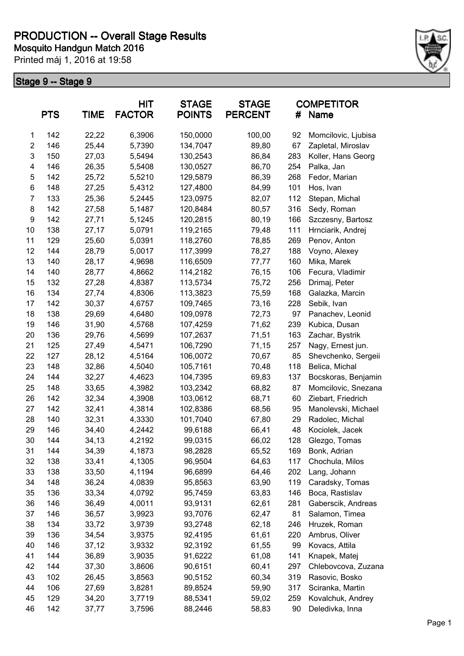

|                | <b>PTS</b> | <b>TIME</b> | HIT<br><b>FACTOR</b> | <b>STAGE</b><br><b>POINTS</b> | <b>STAGE</b><br><b>PERCENT</b> | #   | <b>COMPETITOR</b><br>Name |
|----------------|------------|-------------|----------------------|-------------------------------|--------------------------------|-----|---------------------------|
| 1              | 142        | 22,22       | 6,3906               | 150,0000                      | 100,00                         | 92  | Momcilovic, Ljubisa       |
| $\overline{c}$ | 146        | 25,44       | 5,7390               | 134,7047                      | 89,80                          | 67  | Zapletal, Miroslav        |
| 3              | 150        | 27,03       | 5,5494               | 130,2543                      | 86,84                          | 283 | Koller, Hans Georg        |
| 4              | 146        | 26,35       | 5,5408               | 130,0527                      | 86,70                          | 254 | Palka, Jan                |
| 5              | 142        | 25,72       | 5,5210               | 129,5879                      | 86,39                          | 268 | Fedor, Marian             |
| 6              | 148        | 27,25       | 5,4312               | 127,4800                      | 84,99                          | 101 | Hos, Ivan                 |
| $\overline{7}$ | 133        | 25,36       | 5,2445               | 123,0975                      | 82,07                          | 112 | Stepan, Michal            |
| 8              | 142        | 27,58       | 5,1487               | 120,8484                      | 80,57                          | 316 | Sedy, Roman               |
| 9              | 142        | 27,71       | 5,1245               | 120,2815                      | 80,19                          | 166 | Szczesny, Bartosz         |
| 10             | 138        | 27,17       | 5,0791               | 119,2165                      | 79,48                          | 111 | Hrnciarik, Andrej         |
| 11             | 129        | 25,60       | 5,0391               | 118,2760                      | 78,85                          | 269 | Penov, Anton              |
| 12             | 144        | 28,79       | 5,0017               | 117,3999                      | 78,27                          | 188 | Voyno, Alexey             |
| 13             | 140        | 28,17       | 4,9698               | 116,6509                      | 77,77                          | 160 | Mika, Marek               |
| 14             | 140        | 28,77       | 4,8662               | 114,2182                      | 76,15                          | 106 | Fecura, Vladimir          |
| 15             | 132        | 27,28       | 4,8387               | 113,5734                      | 75,72                          | 256 | Drimaj, Peter             |
| 16             | 134        | 27,74       | 4,8306               | 113,3823                      | 75,59                          | 168 | Galazka, Marcin           |
| 17             | 142        | 30,37       | 4,6757               | 109,7465                      | 73,16                          | 228 | Sebik, Ivan               |
| 18             | 138        | 29,69       | 4,6480               | 109,0978                      | 72,73                          | 97  | Panachev, Leonid          |
| 19             | 146        | 31,90       | 4,5768               | 107,4259                      | 71,62                          | 239 | Kubica, Dusan             |
| 20             | 136        | 29,76       | 4,5699               | 107,2637                      | 71,51                          | 163 | Zachar, Bystrik           |
| 21             | 125        | 27,49       | 4,5471               | 106,7290                      | 71,15                          | 257 | Nagy, Ernest jun.         |
| 22             | 127        | 28,12       | 4,5164               | 106,0072                      | 70,67                          | 85  | Shevchenko, Sergeii       |
| 23             | 148        | 32,86       | 4,5040               | 105,7161                      | 70,48                          | 118 | Belica, Michal            |
| 24             | 144        | 32,27       | 4,4623               | 104,7395                      | 69,83                          | 137 | Bocskoras, Benjamin       |
| 25             | 148        | 33,65       | 4,3982               | 103,2342                      | 68,82                          | 87  | Momcilovic, Snezana       |
| 26             | 142        | 32,34       | 4,3908               | 103,0612                      | 68,71                          | 60  | Ziebart, Friedrich        |
| 27             | 142        | 32,41       | 4,3814               | 102,8386                      | 68,56                          | 95  | Manolevski, Michael       |
| 28             | 140        | 32,31       | 4,3330               | 101,7040                      | 67,80                          | 29  | Radolec, Michal           |
| 29             | 146        | 34,40       | 4,2442               | 99,6188                       | 66,41                          | 48  | Kociolek, Jacek           |
| 30             | 144        | 34,13       | 4,2192               | 99,0315                       | 66,02                          | 128 | Glezgo, Tomas             |
| 31             | 144        | 34,39       | 4,1873               | 98,2828                       | 65,52                          | 169 | Bonk, Adrian              |
| 32             | 138        | 33,41       | 4,1305               | 96,9504                       | 64,63                          | 117 | Chochula, Milos           |
| 33             | 138        | 33,50       | 4,1194               | 96,6899                       | 64,46                          | 202 | Lang, Johann              |
| 34             | 148        | 36,24       | 4,0839               | 95,8563                       | 63,90                          | 119 | Caradsky, Tomas           |
| 35             | 136        | 33,34       | 4,0792               | 95,7459                       | 63,83                          | 146 | Boca, Rastislav           |
| 36             | 146        | 36,49       | 4,0011               | 93,9131                       | 62,61                          | 281 | Gaberscik, Andreas        |
| 37             | 146        | 36,57       | 3,9923               | 93,7076                       | 62,47                          | 81  | Salamon, Timea            |
| 38             | 134        | 33,72       | 3,9739               | 93,2748                       | 62,18                          | 246 | Hruzek, Roman             |
| 39             | 136        | 34,54       | 3,9375               | 92,4195                       | 61,61                          | 220 | Ambrus, Oliver            |
| 40             | 146        | 37,12       | 3,9332               | 92,3192                       | 61,55                          | 99  | Kovacs, Attila            |
| 41             | 144        | 36,89       | 3,9035               | 91,6222                       | 61,08                          | 141 | Knapek, Matej             |
| 42             | 144        | 37,30       | 3,8606               | 90,6151                       | 60,41                          | 297 | Chlebovcova, Zuzana       |
| 43             | 102        | 26,45       | 3,8563               | 90,5152                       | 60,34                          | 319 | Rasovic, Bosko            |
| 44             | 106        | 27,69       | 3,8281               | 89,8524                       | 59,90                          | 317 | Sciranka, Martin          |
| 45             | 129        | 34,20       | 3,7719               | 88,5341                       | 59,02                          | 259 | Kovalchuk, Andrey         |
| 46             | 142        | 37,77       | 3,7596               | 88,2446                       | 58,83                          | 90  | Deledivka, Inna           |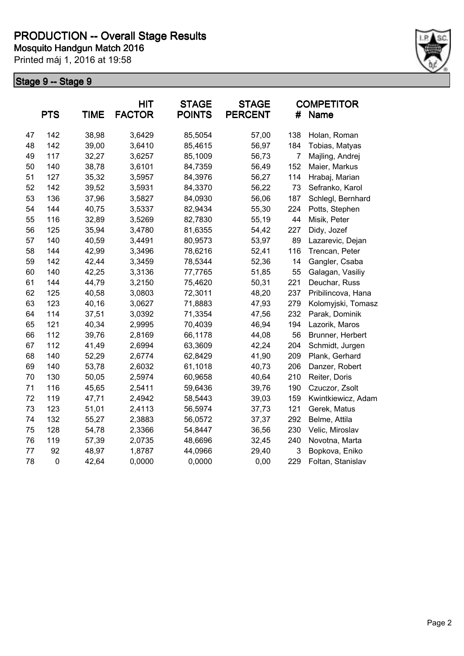

|    | <b>PTS</b>  | <b>TIME</b> | <b>HIT</b><br><b>FACTOR</b> | <b>STAGE</b><br><b>POINTS</b> | <b>STAGE</b><br><b>PERCENT</b> | #              | <b>COMPETITOR</b><br>Name |
|----|-------------|-------------|-----------------------------|-------------------------------|--------------------------------|----------------|---------------------------|
| 47 | 142         | 38,98       | 3,6429                      | 85,5054                       | 57,00                          | 138            | Holan, Roman              |
| 48 | 142         | 39,00       | 3,6410                      | 85,4615                       | 56,97                          | 184            | Tobias, Matyas            |
| 49 | 117         | 32,27       | 3,6257                      | 85,1009                       | 56,73                          | $\overline{7}$ | Majling, Andrej           |
| 50 | 140         | 38,78       | 3,6101                      | 84,7359                       | 56,49                          | 152            | Maier, Markus             |
| 51 | 127         | 35,32       | 3,5957                      | 84,3976                       | 56,27                          | 114            | Hrabaj, Marian            |
| 52 | 142         | 39,52       | 3,5931                      | 84,3370                       | 56,22                          | 73             | Sefranko, Karol           |
| 53 | 136         | 37,96       | 3,5827                      | 84,0930                       | 56,06                          | 187            | Schlegl, Bernhard         |
| 54 | 144         | 40,75       | 3,5337                      | 82,9434                       | 55,30                          | 224            | Potts, Stephen            |
| 55 | 116         | 32,89       | 3,5269                      | 82,7830                       | 55,19                          | 44             | Misik, Peter              |
| 56 | 125         | 35,94       | 3,4780                      | 81,6355                       | 54,42                          | 227            | Didy, Jozef               |
| 57 | 140         | 40,59       | 3,4491                      | 80,9573                       | 53,97                          | 89             | Lazarevic, Dejan          |
| 58 | 144         | 42,99       | 3,3496                      | 78,6216                       | 52,41                          | 116            | Trencan, Peter            |
| 59 | 142         | 42,44       | 3,3459                      | 78,5344                       | 52,36                          | 14             | Gangler, Csaba            |
| 60 | 140         | 42,25       | 3,3136                      | 77,7765                       | 51,85                          | 55             | Galagan, Vasiliy          |
| 61 | 144         | 44,79       | 3,2150                      | 75,4620                       | 50,31                          | 221            | Deuchar, Russ             |
| 62 | 125         | 40,58       | 3,0803                      | 72,3011                       | 48,20                          | 237            | Pribilincova, Hana        |
| 63 | 123         | 40,16       | 3,0627                      | 71,8883                       | 47,93                          | 279            | Kolomyjski, Tomasz        |
| 64 | 114         | 37,51       | 3,0392                      | 71,3354                       | 47,56                          | 232            | Parak, Dominik            |
| 65 | 121         | 40,34       | 2,9995                      | 70,4039                       | 46,94                          | 194            | Lazorik, Maros            |
| 66 | 112         | 39,76       | 2,8169                      | 66,1178                       | 44,08                          | 56             | Brunner, Herbert          |
| 67 | 112         | 41,49       | 2,6994                      | 63,3609                       | 42,24                          | 204            | Schmidt, Jurgen           |
| 68 | 140         | 52,29       | 2,6774                      | 62,8429                       | 41,90                          | 209            | Plank, Gerhard            |
| 69 | 140         | 53,78       | 2,6032                      | 61,1018                       | 40,73                          | 206            | Danzer, Robert            |
| 70 | 130         | 50,05       | 2,5974                      | 60,9658                       | 40,64                          | 210            | Reiter, Doris             |
| 71 | 116         | 45,65       | 2,5411                      | 59,6436                       | 39,76                          | 190            | Czuczor, Zsolt            |
| 72 | 119         | 47,71       | 2,4942                      | 58,5443                       | 39,03                          | 159            | Kwintkiewicz, Adam        |
| 73 | 123         | 51,01       | 2,4113                      | 56,5974                       | 37,73                          | 121            | Gerek, Matus              |
| 74 | 132         | 55,27       | 2,3883                      | 56,0572                       | 37,37                          | 292            | Belme, Attila             |
| 75 | 128         | 54,78       | 2,3366                      | 54,8447                       | 36,56                          | 230            | Velic, Miroslav           |
| 76 | 119         | 57,39       | 2,0735                      | 48,6696                       | 32,45                          | 240            | Novotna, Marta            |
| 77 | 92          | 48,97       | 1,8787                      | 44,0966                       | 29,40                          | 3              | Bopkova, Eniko            |
| 78 | $\mathbf 0$ | 42,64       | 0,0000                      | 0,0000                        | 0,00                           | 229            | Foltan, Stanislav         |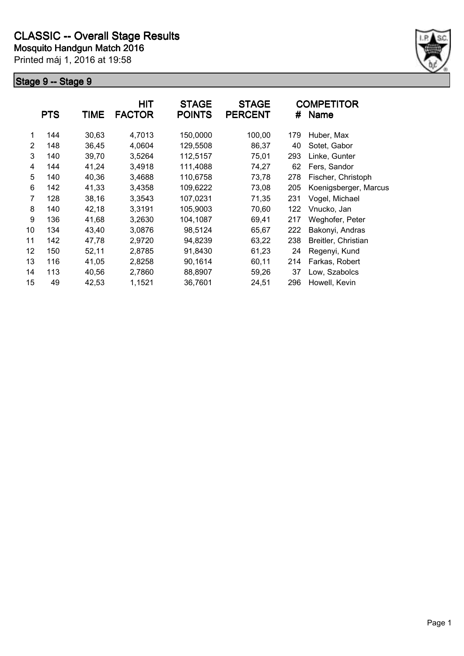

|    | <b>PTS</b> | <b>TIME</b> | <b>HIT</b><br><b>FACTOR</b> | <b>STAGE</b><br><b>POINTS</b> | <b>STAGE</b><br><b>PERCENT</b> | #   | <b>COMPETITOR</b><br><b>Name</b> |
|----|------------|-------------|-----------------------------|-------------------------------|--------------------------------|-----|----------------------------------|
| 1  | 144        | 30,63       | 4,7013                      | 150,0000                      | 100,00                         | 179 | Huber, Max                       |
| 2  | 148        | 36,45       | 4,0604                      | 129,5508                      | 86,37                          | 40  | Sotet, Gabor                     |
| 3  | 140        | 39,70       | 3,5264                      | 112,5157                      | 75,01                          | 293 | Linke, Gunter                    |
|    |            |             |                             |                               |                                |     |                                  |
| 4  | 144        | 41,24       | 3,4918                      | 111,4088                      | 74,27                          | 62  | Fers, Sandor                     |
| 5  | 140        | 40,36       | 3,4688                      | 110,6758                      | 73,78                          | 278 | Fischer, Christoph               |
| 6  | 142        | 41,33       | 3,4358                      | 109,6222                      | 73,08                          | 205 | Koenigsberger, Marcus            |
| 7  | 128        | 38,16       | 3,3543                      | 107,0231                      | 71,35                          | 231 | Vogel, Michael                   |
| 8  | 140        | 42,18       | 3,3191                      | 105,9003                      | 70,60                          | 122 | Vnucko, Jan                      |
| 9  | 136        | 41,68       | 3,2630                      | 104,1087                      | 69,41                          | 217 | Weghofer, Peter                  |
| 10 | 134        | 43,40       | 3,0876                      | 98,5124                       | 65,67                          | 222 | Bakonyi, Andras                  |
| 11 | 142        | 47,78       | 2,9720                      | 94,8239                       | 63,22                          | 238 | Breitler, Christian              |
| 12 | 150        | 52,11       | 2,8785                      | 91,8430                       | 61,23                          | 24  | Regenyi, Kund                    |
| 13 | 116        | 41,05       | 2,8258                      | 90,1614                       | 60,11                          | 214 | Farkas, Robert                   |
| 14 | 113        | 40,56       | 2,7860                      | 88,8907                       | 59,26                          | 37  | Low, Szabolcs                    |
| 15 | 49         | 42,53       | 1,1521                      | 36,7601                       | 24,51                          | 296 | Howell, Kevin                    |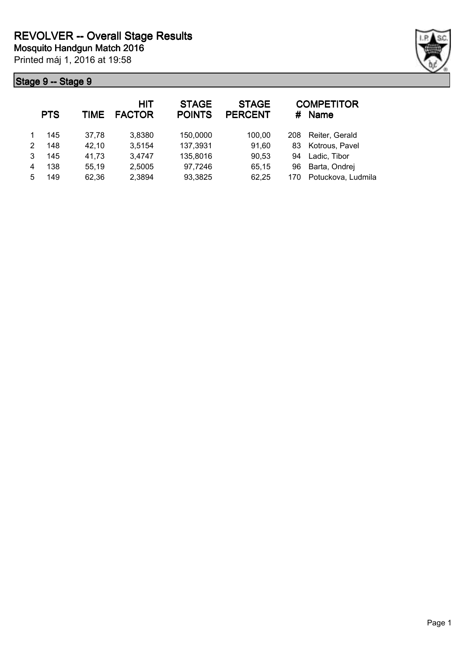|                | ge 9 -- Stage 9 |       |                      |                               |                                |     |                             |  |  |  |  |  |
|----------------|-----------------|-------|----------------------|-------------------------------|--------------------------------|-----|-----------------------------|--|--|--|--|--|
|                | <b>PTS</b>      | TIME  | HIT<br><b>FACTOR</b> | <b>STAGE</b><br><b>POINTS</b> | <b>STAGE</b><br><b>PERCENT</b> |     | <b>COMPETITOR</b><br># Name |  |  |  |  |  |
| $\overline{1}$ | 145             | 37,78 | 3,8380               | 150,0000                      | 100,00                         | 208 | Reiter, Gerald              |  |  |  |  |  |
| 2              | 148             | 42,10 | 3,5154               | 137,3931                      | 91,60                          |     | 83 Kotrous, Pavel           |  |  |  |  |  |
| 3              | 145             | 41,73 | 3,4747               | 135,8016                      | 90,53                          | 94  | Ladic, Tibor                |  |  |  |  |  |
| 4              | 138             | 55,19 | 2,5005               | 97,7246                       | 65,15                          | 96  | Barta, Ondrej               |  |  |  |  |  |

5 149 62,36 2,3894 93,3825 62,25 170 Potuckova, Ludmila

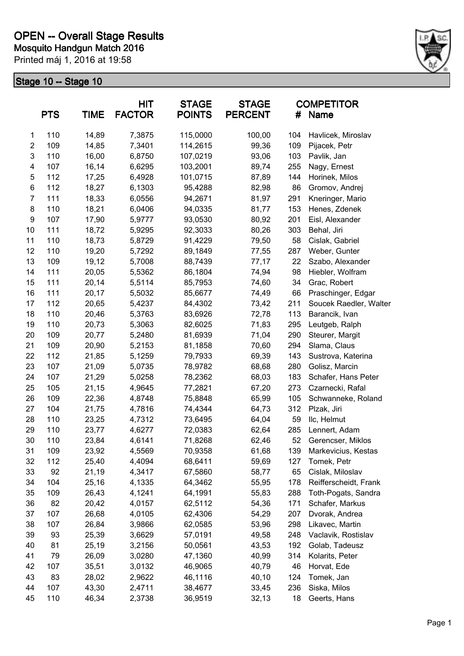

|                  | <b>PTS</b> | <b>TIME</b> | <b>HIT</b><br><b>FACTOR</b> | <b>STAGE</b><br><b>POINTS</b> | <b>STAGE</b><br><b>PERCENT</b> | #   | <b>COMPETITOR</b><br><b>Name</b> |
|------------------|------------|-------------|-----------------------------|-------------------------------|--------------------------------|-----|----------------------------------|
| 1                | 110        | 14,89       | 7,3875                      | 115,0000                      | 100,00                         | 104 | Havlicek, Miroslav               |
| $\overline{c}$   | 109        | 14,85       | 7,3401                      | 114,2615                      | 99,36                          | 109 | Pijacek, Petr                    |
| 3                | 110        | 16,00       | 6,8750                      | 107,0219                      | 93,06                          | 103 | Pavlik, Jan                      |
| 4                | 107        | 16,14       | 6,6295                      | 103,2001                      | 89,74                          | 255 | Nagy, Ernest                     |
| 5                | 112        | 17,25       | 6,4928                      | 101,0715                      | 87,89                          | 144 | Horinek, Milos                   |
| $\,6$            | 112        | 18,27       | 6,1303                      | 95,4288                       | 82,98                          | 86  | Gromov, Andrej                   |
| 7                | 111        | 18,33       | 6,0556                      | 94,2671                       | 81,97                          | 291 | Kneringer, Mario                 |
| 8                | 110        | 18,21       | 6,0406                      | 94,0335                       | 81,77                          | 153 | Henes, Zdenek                    |
| $\boldsymbol{9}$ | 107        | 17,90       | 5,9777                      | 93,0530                       | 80,92                          | 201 | Eisl, Alexander                  |
| 10               | 111        | 18,72       | 5,9295                      | 92,3033                       | 80,26                          | 303 | Behal, Jiri                      |
| 11               | 110        | 18,73       | 5,8729                      | 91,4229                       | 79,50                          | 58  | Cislak, Gabriel                  |
| 12               | 110        | 19,20       | 5,7292                      | 89,1849                       | 77,55                          | 287 | Weber, Gunter                    |
| 13               | 109        | 19,12       | 5,7008                      | 88,7439                       | 77,17                          | 22  | Szabo, Alexander                 |
| 14               | 111        | 20,05       | 5,5362                      | 86,1804                       | 74,94                          | 98  | Hiebler, Wolfram                 |
| 15               | 111        | 20,14       | 5,5114                      | 85,7953                       | 74,60                          | 34  | Grac, Robert                     |
| 16               | 111        | 20,17       | 5,5032                      | 85,6677                       | 74,49                          | 66  | Praschinger, Edgar               |
| 17               | 112        | 20,65       | 5,4237                      | 84,4302                       | 73,42                          | 211 | Soucek Raedler, Walter           |
| 18               | 110        | 20,46       | 5,3763                      | 83,6926                       | 72,78                          | 113 | Barancik, Ivan                   |
| 19               | 110        | 20,73       | 5,3063                      | 82,6025                       | 71,83                          | 295 | Leutgeb, Ralph                   |
| 20               | 109        | 20,77       | 5,2480                      | 81,6939                       | 71,04                          | 290 | Steurer, Margit                  |
| 21               | 109        | 20,90       | 5,2153                      | 81,1858                       | 70,60                          | 294 | Slama, Claus                     |
| 22               | 112        | 21,85       | 5,1259                      | 79,7933                       | 69,39                          | 143 | Sustrova, Katerina               |
| 23               | 107        | 21,09       | 5,0735                      | 78,9782                       | 68,68                          | 280 | Golisz, Marcin                   |
| 24               | 107        | 21,29       | 5,0258                      | 78,2362                       | 68,03                          | 183 | Schafer, Hans Peter              |
| 25               | 105        | 21,15       | 4,9645                      | 77,2821                       | 67,20                          | 273 | Czarnecki, Rafal                 |
| 26               | 109        | 22,36       | 4,8748                      | 75,8848                       | 65,99                          | 105 | Schwanneke, Roland               |
| 27               | 104        | 21,75       | 4,7816                      | 74,4344                       | 64,73                          | 312 | Plzak, Jiri                      |
| 28               | 110        | 23,25       | 4,7312                      | 73,6495                       | 64,04                          | 59  | IIc, Helmut                      |
| 29               | 110        | 23,77       | 4,6277                      | 72,0383                       | 62,64                          | 285 | Lennert, Adam                    |
| 30               | 110        | 23,84       | 4,6141                      | 71,8268                       | 62,46                          | 52  | Gerencser, Miklos                |
| 31               | 109        | 23,92       | 4,5569                      | 70,9358                       | 61,68                          | 139 | Markevicius, Kestas              |
| 32               | 112        | 25,40       | 4,4094                      | 68,6411                       | 59,69                          | 127 | Tomek, Petr                      |
| 33               | 92         | 21,19       | 4,3417                      | 67,5860                       | 58,77                          | 65  | Cislak, Miloslav                 |
| 34               | 104        | 25,16       | 4,1335                      | 64,3462                       | 55,95                          | 178 | Reifferscheidt, Frank            |
| 35               | 109        | 26,43       | 4,1241                      | 64,1991                       | 55,83                          | 288 | Toth-Pogats, Sandra              |
| 36               | 82         | 20,42       | 4,0157                      | 62,5112                       | 54,36                          | 171 | Schafer, Markus                  |
| 37               | 107        | 26,68       | 4,0105                      | 62,4306                       | 54,29                          | 207 | Dvorak, Andrea                   |
| 38               | 107        | 26,84       | 3,9866                      | 62,0585                       | 53,96                          | 298 | Likavec, Martin                  |
| 39               | 93         | 25,39       | 3,6629                      | 57,0191                       | 49,58                          | 248 | Vaclavik, Rostislav              |
| 40               | 81         | 25,19       | 3,2156                      | 50,0561                       | 43,53                          | 192 | Golab, Tadeusz                   |
| 41               | 79         | 26,09       | 3,0280                      | 47,1360                       | 40,99                          | 314 | Kolarits, Peter                  |
| 42               | 107        | 35,51       | 3,0132                      | 46,9065                       | 40,79                          | 46  | Horvat, Ede                      |
| 43               | 83         | 28,02       | 2,9622                      | 46,1116                       | 40,10                          | 124 | Tomek, Jan                       |
| 44               | 107        | 43,30       | 2,4711                      | 38,4677                       | 33,45                          | 236 | Siska, Milos                     |
| 45               | 110        | 46,34       | 2,3738                      | 36,9519                       | 32,13                          | 18  | Geerts, Hans                     |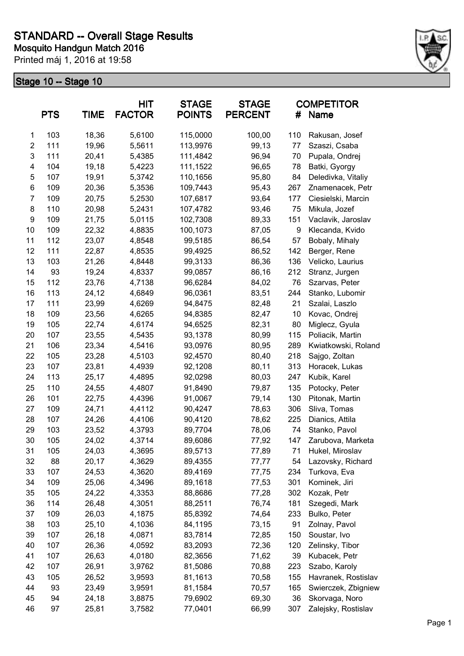

|                           | <b>PTS</b> | <b>TIME</b> | HIT<br><b>FACTOR</b> | <b>STAGE</b><br><b>POINTS</b> | <b>STAGE</b><br><b>PERCENT</b> | #   | <b>COMPETITOR</b><br>Name |
|---------------------------|------------|-------------|----------------------|-------------------------------|--------------------------------|-----|---------------------------|
| 1                         | 103        | 18,36       | 5,6100               | 115,0000                      | 100,00                         | 110 | Rakusan, Josef            |
| $\overline{c}$            | 111        | 19,96       | 5,5611               | 113,9976                      | 99,13                          | 77  | Szaszi, Csaba             |
| $\ensuremath{\mathsf{3}}$ | 111        | 20,41       | 5,4385               | 111,4842                      | 96,94                          | 70  | Pupala, Ondrej            |
| 4                         | 104        | 19,18       | 5,4223               | 111,1522                      | 96,65                          | 78  | Batki, Gyorgy             |
| 5                         | 107        | 19,91       | 5,3742               | 110,1656                      | 95,80                          | 84  | Deledivka, Vitaliy        |
| 6                         | 109        | 20,36       | 5,3536               | 109,7443                      | 95,43                          | 267 | Znamenacek, Petr          |
| 7                         | 109        | 20,75       | 5,2530               | 107,6817                      | 93,64                          | 177 | Ciesielski, Marcin        |
| 8                         | 110        | 20,98       | 5,2431               | 107,4782                      | 93,46                          | 75  | Mikula, Jozef             |
| 9                         | 109        | 21,75       | 5,0115               | 102,7308                      | 89,33                          | 151 | Vaclavik, Jaroslav        |
| 10                        | 109        | 22,32       | 4,8835               | 100,1073                      | 87,05                          | 9   | Klecanda, Kvido           |
| 11                        | 112        | 23,07       | 4,8548               | 99,5185                       | 86,54                          | 57  | Bobaly, Mihaly            |
| 12                        | 111        | 22,87       | 4,8535               | 99,4925                       | 86,52                          | 142 | Berger, Rene              |
| 13                        | 103        | 21,26       | 4,8448               | 99,3133                       | 86,36                          | 136 | Velicko, Laurius          |
| 14                        | 93         | 19,24       | 4,8337               | 99,0857                       | 86,16                          | 212 | Stranz, Jurgen            |
| 15                        | 112        | 23,76       | 4,7138               | 96,6284                       | 84,02                          | 76  | Szarvas, Peter            |
| 16                        | 113        | 24,12       | 4,6849               | 96,0361                       | 83,51                          | 244 | Stanko, Lubomir           |
| 17                        | 111        | 23,99       | 4,6269               | 94,8475                       | 82,48                          | 21  | Szalai, Laszlo            |
| 18                        | 109        | 23,56       | 4,6265               | 94,8385                       | 82,47                          | 10  | Kovac, Ondrej             |
| 19                        | 105        | 22,74       | 4,6174               | 94,6525                       | 82,31                          | 80  | Miglecz, Gyula            |
| 20                        | 107        | 23,55       | 4,5435               | 93,1378                       | 80,99                          | 115 | Poliacik, Martin          |
| 21                        | 106        | 23,34       | 4,5416               | 93,0976                       | 80,95                          | 289 | Kwiatkowski, Roland       |
| 22                        | 105        | 23,28       | 4,5103               | 92,4570                       | 80,40                          | 218 | Sajgo, Zoltan             |
| 23                        | 107        | 23,81       | 4,4939               | 92,1208                       | 80,11                          | 313 | Horacek, Lukas            |
| 24                        | 113        | 25,17       | 4,4895               | 92,0298                       | 80,03                          | 247 | Kubik, Karel              |
| 25                        | 110        | 24,55       | 4,4807               | 91,8490                       | 79,87                          | 135 | Potocky, Peter            |
| 26                        | 101        | 22,75       | 4,4396               | 91,0067                       | 79,14                          | 130 | Pitonak, Martin           |
| 27                        | 109        | 24,71       | 4,4112               | 90,4247                       | 78,63                          | 306 | Sliva, Tomas              |
| 28                        | 107        | 24,26       | 4,4106               | 90,4120                       | 78,62                          | 225 | Dianics, Attila           |
| 29                        | 103        | 23,52       | 4,3793               | 89,7704                       | 78,06                          | 74  | Stanko, Pavol             |
| 30                        | 105        | 24,02       | 4,3714               | 89,6086                       | 77,92                          | 147 | Zarubova, Marketa         |
| 31                        | 105        | 24,03       | 4,3695               | 89,5713                       | 77,89                          | 71  | Hukel, Miroslav           |
| 32                        | 88         | 20,17       | 4,3629               | 89,4355                       | 77,77                          | 54  | Lazovsky, Richard         |
| 33                        | 107        | 24,53       | 4,3620               | 89,4169                       | 77,75                          | 234 | Turkova, Eva              |
| 34                        | 109        | 25,06       | 4,3496               | 89,1618                       | 77,53                          | 301 | Kominek, Jiri             |
| 35                        | 105        | 24,22       | 4,3353               | 88,8686                       | 77,28                          | 302 | Kozak, Petr               |
| 36                        | 114        | 26,48       | 4,3051               | 88,2511                       | 76,74                          | 181 | Szegedi, Mark             |
| 37                        | 109        | 26,03       | 4,1875               | 85,8392                       | 74,64                          | 233 | Bulko, Peter              |
| 38                        | 103        | 25,10       | 4,1036               | 84,1195                       | 73,15                          | 91  | Zolnay, Pavol             |
| 39                        | 107        | 26,18       | 4,0871               | 83,7814                       | 72,85                          | 150 | Soustar, Ivo              |
| 40                        | 107        | 26,36       | 4,0592               | 83,2093                       | 72,36                          | 120 | Zelinsky, Tibor           |
| 41                        | 107        | 26,63       | 4,0180               | 82,3656                       | 71,62                          | 39  | Kubacek, Petr             |
| 42                        | 107        | 26,91       | 3,9762               | 81,5086                       | 70,88                          | 223 | Szabo, Karoly             |
| 43                        | 105        | 26,52       | 3,9593               | 81,1613                       | 70,58                          | 155 | Havranek, Rostislav       |
| 44                        | 93         | 23,49       | 3,9591               | 81,1584                       | 70,57                          | 165 | Swierczek, Zbigniew       |
| 45                        | 94         | 24,18       | 3,8875               | 79,6902                       | 69,30                          | 36  | Skorvaga, Noro            |
| 46                        | 97         | 25,81       | 3,7582               | 77,0401                       | 66,99                          | 307 | Zalejsky, Rostislav       |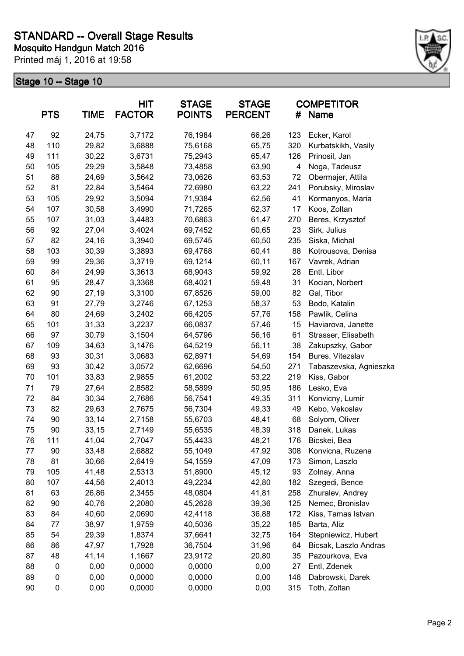

| <b>PTS</b><br><b>TIME</b> |     | <b>HIT</b><br><b>FACTOR</b> | <b>STAGE</b><br><b>POINTS</b><br><b>PERCENT</b> |         | #     | <b>COMPETITOR</b><br><b>Name</b> |                        |
|---------------------------|-----|-----------------------------|-------------------------------------------------|---------|-------|----------------------------------|------------------------|
| 47                        | 92  | 24,75                       | 3,7172                                          | 76,1984 | 66,26 | 123                              | Ecker, Karol           |
| 48                        | 110 | 29,82                       | 3,6888                                          | 75,6168 | 65,75 | 320                              | Kurbatskikh, Vasily    |
| 49                        | 111 | 30,22                       | 3,6731                                          | 75,2943 | 65,47 | 126                              | Prinosil, Jan          |
| 50                        | 105 | 29,29                       | 3,5848                                          | 73,4858 | 63,90 | 4                                | Noga, Tadeusz          |
| 51                        | 88  | 24,69                       | 3,5642                                          | 73,0626 | 63,53 | 72                               | Obermajer, Attila      |
| 52                        | 81  | 22,84                       | 3,5464                                          | 72,6980 | 63,22 | 241                              | Porubsky, Miroslav     |
| 53                        | 105 | 29,92                       | 3,5094                                          | 71,9384 | 62,56 | 41                               | Kormanyos, Maria       |
| 54                        | 107 | 30,58                       | 3,4990                                          | 71,7265 | 62,37 | 17                               | Koos, Zoltan           |
| 55                        | 107 | 31,03                       | 3,4483                                          | 70,6863 | 61,47 | 270                              | Beres, Krzysztof       |
| 56                        | 92  | 27,04                       | 3,4024                                          | 69,7452 | 60,65 | 23                               | Sirk, Julius           |
| 57                        | 82  | 24,16                       | 3,3940                                          | 69,5745 | 60,50 | 235                              | Siska, Michal          |
| 58                        | 103 | 30,39                       | 3,3893                                          | 69,4768 | 60,41 | 88                               | Kotrousova, Denisa     |
| 59                        | 99  | 29,36                       | 3,3719                                          | 69,1214 | 60,11 | 167                              | Vavrek, Adrian         |
| 60                        | 84  | 24,99                       | 3,3613                                          | 68,9043 | 59,92 | 28                               | Entl, Libor            |
| 61                        | 95  | 28,47                       | 3,3368                                          | 68,4021 | 59,48 | 31                               | Kocian, Norbert        |
| 62                        | 90  | 27,19                       | 3,3100                                          | 67,8526 | 59,00 | 82                               | Gal, Tibor             |
| 63                        | 91  | 27,79                       | 3,2746                                          | 67,1253 | 58,37 | 53                               | Bodo, Katalin          |
| 64                        | 80  | 24,69                       | 3,2402                                          | 66,4205 | 57,76 | 158                              | Pawlik, Celina         |
| 65                        | 101 | 31,33                       | 3,2237                                          | 66,0837 | 57,46 | 15                               | Haviarova, Janette     |
| 66                        | 97  | 30,79                       | 3,1504                                          | 64,5796 | 56,16 | 61                               | Strasser, Elisabeth    |
| 67                        | 109 | 34,63                       | 3,1476                                          | 64,5219 | 56,11 | 38                               | Zakupszky, Gabor       |
| 68                        | 93  | 30,31                       | 3,0683                                          | 62,8971 | 54,69 | 154                              | Bures, Vitezslav       |
| 69                        | 93  | 30,42                       | 3,0572                                          | 62,6696 | 54,50 | 271                              | Tabaszevska, Agnieszka |
| 70                        | 101 | 33,83                       | 2,9855                                          | 61,2002 | 53,22 | 219                              | Kiss, Gabor            |
| 71                        | 79  | 27,64                       | 2,8582                                          | 58,5899 | 50,95 | 186                              | Lesko, Eva             |
| 72                        | 84  | 30,34                       | 2,7686                                          | 56,7541 | 49,35 | 311                              | Konvicny, Lumir        |
| 73                        | 82  | 29,63                       | 2,7675                                          | 56,7304 | 49,33 | 49                               | Kebo, Vekoslav         |
| 74                        | 90  | 33,14                       | 2,7158                                          | 55,6703 | 48,41 | 68                               | Solyom, Oliver         |
| 75                        | 90  | 33,15                       | 2,7149                                          | 55,6535 | 48,39 | 318                              | Danek, Lukas           |
| 76                        | 111 | 41,04                       | 2,7047                                          | 55,4433 | 48,21 | 176                              | Bicskei, Bea           |
| 77                        | 90  | 33,48                       | 2,6882                                          | 55,1049 | 47,92 | 308                              | Konvicna, Ruzena       |
| 78                        | 81  | 30,66                       | 2,6419                                          | 54,1559 | 47,09 | 173                              | Simon, Laszlo          |
| 79                        | 105 | 41,48                       | 2,5313                                          | 51,8900 | 45,12 | 93                               | Zolnay, Anna           |
| 80                        | 107 | 44,56                       | 2,4013                                          | 49,2234 | 42,80 | 182                              | Szegedi, Bence         |
| 81                        | 63  | 26,86                       | 2,3455                                          | 48,0804 | 41,81 | 258                              | Zhuralev, Andrey       |
| 82                        | 90  | 40,76                       | 2,2080                                          | 45,2628 | 39,36 | 125                              | Nemec, Bronislav       |
| 83                        | 84  | 40,60                       | 2,0690                                          | 42,4118 | 36,88 | 172                              | Kiss, Tamas Istvan     |
| 84                        | 77  | 38,97                       | 1,9759                                          | 40,5036 | 35,22 | 185                              | Barta, Aliz            |
| 85                        | 54  | 29,39                       | 1,8374                                          | 37,6641 | 32,75 | 164                              | Stepniewicz, Hubert    |
| 86                        | 86  | 47,97                       | 1,7928                                          | 36,7504 | 31,96 | 64                               | Bicsak, Laszlo Andras  |
| 87                        | 48  | 41,14                       | 1,1667                                          | 23,9172 | 20,80 | 35                               | Pazourkova, Eva        |
| 88                        | 0   | 0,00                        | 0,0000                                          | 0,0000  | 0,00  | 27                               | Entl, Zdenek           |
| 89                        | 0   | 0,00                        | 0,0000                                          | 0,0000  | 0,00  | 148                              | Dabrowski, Darek       |
| 90                        | 0   | 0,00                        | 0,0000                                          | 0,0000  | 0,00  | 315                              | Toth, Zoltan           |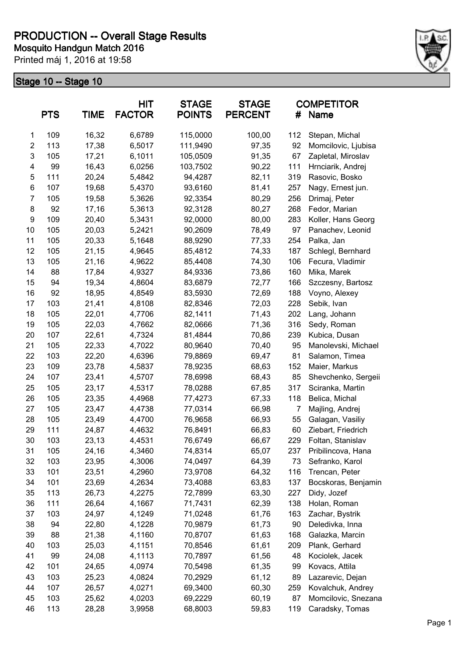

|                | <b>PTS</b> | <b>TIME</b> | <b>HIT</b><br><b>FACTOR</b> | <b>STAGE</b><br><b>POINTS</b> | <b>STAGE</b><br><b>PERCENT</b> | #   | <b>COMPETITOR</b><br>Name |
|----------------|------------|-------------|-----------------------------|-------------------------------|--------------------------------|-----|---------------------------|
| 1              | 109        | 16,32       | 6,6789                      | 115,0000                      | 100,00                         | 112 | Stepan, Michal            |
| $\overline{2}$ | 113        | 17,38       | 6,5017                      | 111,9490                      | 97,35                          | 92  | Momcilovic, Ljubisa       |
| 3              | 105        | 17,21       | 6,1011                      | 105,0509                      | 91,35                          | 67  | Zapletal, Miroslav        |
| 4              | 99         | 16,43       | 6,0256                      | 103,7502                      | 90,22                          | 111 | Hrnciarik, Andrej         |
| 5              | 111        | 20,24       | 5,4842                      | 94,4287                       | 82,11                          | 319 | Rasovic, Bosko            |
| 6              | 107        | 19,68       | 5,4370                      | 93,6160                       | 81,41                          | 257 | Nagy, Ernest jun.         |
| $\overline{7}$ | 105        | 19,58       | 5,3626                      | 92,3354                       | 80,29                          | 256 | Drimaj, Peter             |
| 8              | 92         | 17,16       | 5,3613                      | 92,3128                       | 80,27                          | 268 | Fedor, Marian             |
| 9              | 109        | 20,40       | 5,3431                      | 92,0000                       | 80,00                          | 283 | Koller, Hans Georg        |
| 10             | 105        | 20,03       | 5,2421                      | 90,2609                       | 78,49                          | 97  | Panachev, Leonid          |
| 11             | 105        | 20,33       | 5,1648                      | 88,9290                       | 77,33                          | 254 | Palka, Jan                |
| 12             | 105        | 21,15       | 4,9645                      | 85,4812                       | 74,33                          | 187 | Schlegl, Bernhard         |
| 13             | 105        | 21,16       | 4,9622                      | 85,4408                       | 74,30                          | 106 | Fecura, Vladimir          |
| 14             | 88         | 17,84       | 4,9327                      | 84,9336                       | 73,86                          | 160 | Mika, Marek               |
| 15             | 94         | 19,34       | 4,8604                      | 83,6879                       | 72,77                          | 166 | Szczesny, Bartosz         |
| 16             | 92         | 18,95       | 4,8549                      | 83,5930                       | 72,69                          | 188 | Voyno, Alexey             |
| 17             | 103        | 21,41       | 4,8108                      | 82,8346                       | 72,03                          | 228 | Sebik, Ivan               |
| 18             | 105        | 22,01       | 4,7706                      | 82,1411                       | 71,43                          | 202 | Lang, Johann              |
| 19             | 105        | 22,03       | 4,7662                      | 82,0666                       | 71,36                          | 316 | Sedy, Roman               |
| 20             | 107        | 22,61       | 4,7324                      | 81,4844                       | 70,86                          | 239 | Kubica, Dusan             |
| 21             | 105        | 22,33       | 4,7022                      | 80,9640                       | 70,40                          | 95  | Manolevski, Michael       |
| 22             | 103        | 22,20       | 4,6396                      | 79,8869                       | 69,47                          | 81  | Salamon, Timea            |
| 23             | 109        | 23,78       | 4,5837                      | 78,9235                       | 68,63                          | 152 | Maier, Markus             |
| 24             | 107        | 23,41       | 4,5707                      | 78,6998                       | 68,43                          | 85  | Shevchenko, Sergeii       |
| 25             | 105        | 23,17       | 4,5317                      | 78,0288                       | 67,85                          | 317 | Sciranka, Martin          |
| 26             | 105        | 23,35       | 4,4968                      | 77,4273                       | 67,33                          | 118 | Belica, Michal            |
| 27             | 105        | 23,47       | 4,4738                      | 77,0314                       | 66,98                          | 7   | Majling, Andrej           |
| 28             | 105        | 23,49       | 4,4700                      | 76,9658                       | 66,93                          | 55  | Galagan, Vasiliy          |
| 29             | 111        | 24,87       | 4,4632                      | 76,8491                       | 66,83                          | 60  | Ziebart, Friedrich        |
| 30             | 103        | 23,13       | 4,4531                      | 76,6749                       | 66,67                          | 229 | Foltan, Stanislav         |
| 31             | 105        | 24,16       | 4,3460                      | 74,8314                       | 65,07                          | 237 | Pribilincova, Hana        |
| 32             | 103        | 23,95       | 4,3006                      | 74,0497                       | 64,39                          | 73  | Sefranko, Karol           |
| 33             | 101        | 23,51       | 4,2960                      | 73,9708                       | 64,32                          | 116 | Trencan, Peter            |
| 34             | 101        | 23,69       | 4,2634                      | 73,4088                       | 63,83                          | 137 | Bocskoras, Benjamin       |
| 35             | 113        | 26,73       | 4,2275                      | 72,7899                       | 63,30                          | 227 | Didy, Jozef               |
| 36             | 111        | 26,64       | 4,1667                      | 71,7431                       | 62,39                          | 138 | Holan, Roman              |
| 37             | 103        | 24,97       | 4,1249                      | 71,0248                       | 61,76                          | 163 | Zachar, Bystrik           |
| 38             | 94         | 22,80       | 4,1228                      | 70,9879                       | 61,73                          | 90  | Deledivka, Inna           |
| 39             | 88         | 21,38       | 4,1160                      | 70,8707                       | 61,63                          | 168 | Galazka, Marcin           |
| 40             | 103        | 25,03       | 4,1151                      | 70,8546                       | 61,61                          | 209 | Plank, Gerhard            |
| 41             | 99         | 24,08       | 4,1113                      | 70,7897                       | 61,56                          | 48  | Kociolek, Jacek           |
| 42             | 101        | 24,65       | 4,0974                      | 70,5498                       | 61,35                          | 99  | Kovacs, Attila            |
| 43             | 103        | 25,23       | 4,0824                      | 70,2929                       | 61,12                          | 89  | Lazarevic, Dejan          |
| 44             | 107        | 26,57       | 4,0271                      | 69,3400                       | 60,30                          | 259 | Kovalchuk, Andrey         |
| 45             | 103        | 25,62       | 4,0203                      | 69,2229                       | 60,19                          | 87  | Momcilovic, Snezana       |
| 46             | 113        | 28,28       | 3,9958                      | 68,8003                       | 59,83                          | 119 | Caradsky, Tomas           |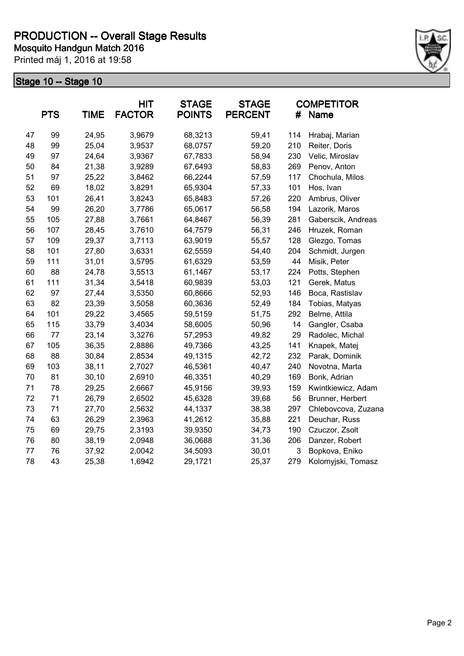

|    | <b>PTS</b> | <b>TIME</b> | <b>HIT</b><br><b>FACTOR</b> | <b>STAGE</b><br><b>POINTS</b> | <b>STAGE</b><br><b>PERCENT</b> | #   | <b>COMPETITOR</b><br>Name |
|----|------------|-------------|-----------------------------|-------------------------------|--------------------------------|-----|---------------------------|
| 47 | 99         | 24,95       | 3,9679                      | 68,3213                       | 59,41                          | 114 | Hrabaj, Marian            |
| 48 | 99         | 25,04       | 3,9537                      | 68,0757                       | 59,20                          | 210 | Reiter, Doris             |
| 49 | 97         | 24,64       | 3,9367                      | 67,7833                       | 58,94                          | 230 | Velic, Miroslav           |
| 50 | 84         | 21,38       | 3,9289                      | 67,6493                       | 58,83                          | 269 | Penov, Anton              |
| 51 | 97         | 25,22       | 3,8462                      | 66,2244                       | 57,59                          | 117 | Chochula, Milos           |
| 52 | 69         | 18,02       | 3,8291                      | 65,9304                       | 57,33                          | 101 | Hos, Ivan                 |
| 53 | 101        | 26,41       | 3,8243                      | 65,8483                       | 57,26                          | 220 | Ambrus, Oliver            |
| 54 | 99         | 26,20       | 3,7786                      | 65,0617                       | 56,58                          | 194 | Lazorik, Maros            |
| 55 | 105        | 27,88       | 3,7661                      | 64,8467                       | 56,39                          | 281 | Gaberscik, Andreas        |
| 56 | 107        | 28,45       | 3,7610                      | 64,7579                       | 56,31                          | 246 | Hruzek, Roman             |
| 57 | 109        | 29,37       | 3,7113                      | 63,9019                       | 55,57                          | 128 | Glezgo, Tomas             |
| 58 | 101        | 27,80       | 3,6331                      | 62,5559                       | 54,40                          | 204 | Schmidt, Jurgen           |
| 59 | 111        | 31,01       | 3,5795                      | 61,6329                       | 53,59                          | 44  | Misik, Peter              |
| 60 | 88         | 24,78       | 3,5513                      | 61,1467                       | 53,17                          | 224 | Potts, Stephen            |
| 61 | 111        | 31,34       | 3,5418                      | 60,9839                       | 53,03                          | 121 | Gerek, Matus              |
| 62 | 97         | 27,44       | 3,5350                      | 60,8666                       | 52,93                          | 146 | Boca, Rastislav           |
| 63 | 82         | 23,39       | 3,5058                      | 60,3636                       | 52,49                          | 184 | Tobias, Matyas            |
| 64 | 101        | 29,22       | 3,4565                      | 59,5159                       | 51,75                          | 292 | Belme, Attila             |
| 65 | 115        | 33,79       | 3,4034                      | 58,6005                       | 50,96                          | 14  | Gangler, Csaba            |
| 66 | 77         | 23,14       | 3,3276                      | 57,2953                       | 49,82                          | 29  | Radolec, Michal           |
| 67 | 105        | 36,35       | 2,8886                      | 49,7366                       | 43,25                          | 141 | Knapek, Matej             |
| 68 | 88         | 30,84       | 2,8534                      | 49,1315                       | 42,72                          | 232 | Parak, Dominik            |
| 69 | 103        | 38,11       | 2,7027                      | 46,5361                       | 40,47                          | 240 | Novotna, Marta            |
| 70 | 81         | 30,10       | 2,6910                      | 46,3351                       | 40,29                          | 169 | Bonk, Adrian              |
| 71 | 78         | 29,25       | 2,6667                      | 45,9156                       | 39,93                          | 159 | Kwintkiewicz, Adam        |
| 72 | 71         | 26,79       | 2,6502                      | 45,6328                       | 39,68                          | 56  | Brunner, Herbert          |
| 73 | 71         | 27,70       | 2,5632                      | 44,1337                       | 38,38                          | 297 | Chlebovcova, Zuzana       |
| 74 | 63         | 26,29       | 2,3963                      | 41,2612                       | 35,88                          | 221 | Deuchar, Russ             |
| 75 | 69         | 29,75       | 2,3193                      | 39,9350                       | 34,73                          | 190 | Czuczor, Zsolt            |
| 76 | 80         | 38,19       | 2,0948                      | 36,0688                       | 31,36                          | 206 | Danzer, Robert            |
| 77 | 76         | 37,92       | 2,0042                      | 34,5093                       | 30,01                          | 3   | Bopkova, Eniko            |
| 78 | 43         | 25,38       | 1,6942                      | 29,1721                       | 25,37                          | 279 | Kolomyjski, Tomasz        |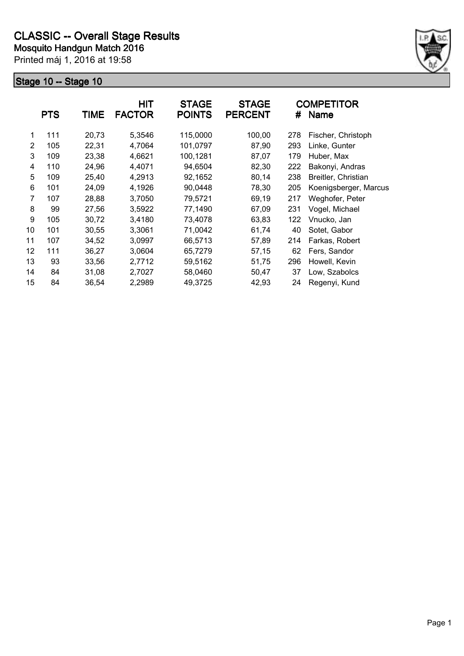

|                | <b>PTS</b> | <b>TIME</b> | <b>HIT</b><br><b>FACTOR</b> | <b>STAGE</b><br><b>POINTS</b> | <b>STAGE</b><br><b>PERCENT</b> | #   | <b>COMPETITOR</b><br>Name |
|----------------|------------|-------------|-----------------------------|-------------------------------|--------------------------------|-----|---------------------------|
| 1              | 111        | 20,73       | 5,3546                      | 115,0000                      | 100,00                         | 278 | Fischer, Christoph        |
| $\overline{2}$ | 105        | 22,31       | 4,7064                      | 101,0797                      | 87,90                          | 293 | Linke, Gunter             |
| 3              | 109        | 23,38       | 4,6621                      | 100,1281                      | 87,07                          | 179 | Huber, Max                |
| 4              | 110        | 24,96       | 4,4071                      | 94,6504                       | 82,30                          | 222 | Bakonyi, Andras           |
| 5              | 109        | 25,40       | 4,2913                      | 92,1652                       | 80,14                          | 238 | Breitler, Christian       |
| 6              | 101        | 24,09       | 4,1926                      | 90,0448                       | 78,30                          | 205 | Koenigsberger, Marcus     |
| 7              | 107        | 28,88       | 3,7050                      | 79,5721                       | 69,19                          | 217 | Weghofer, Peter           |
| 8              | 99         | 27,56       | 3,5922                      | 77,1490                       | 67,09                          | 231 | Vogel, Michael            |
| 9              | 105        | 30,72       | 3,4180                      | 73,4078                       | 63,83                          | 122 | Vnucko, Jan               |
| 10             | 101        | 30,55       | 3,3061                      | 71,0042                       | 61,74                          | 40  | Sotet, Gabor              |
| 11             | 107        | 34,52       | 3,0997                      | 66,5713                       | 57,89                          | 214 | Farkas, Robert            |
| 12             | 111        | 36,27       | 3,0604                      | 65,7279                       | 57,15                          | 62  | Fers, Sandor              |
| 13             | 93         | 33,56       | 2,7712                      | 59,5162                       | 51,75                          | 296 | Howell, Kevin             |
| 14             | 84         | 31,08       | 2,7027                      | 58,0460                       | 50,47                          | 37  | Low, Szabolcs             |
| 15             | 84         | 36,54       | 2,2989                      | 49,3725                       | 42,93                          | 24  | Regenyi, Kund             |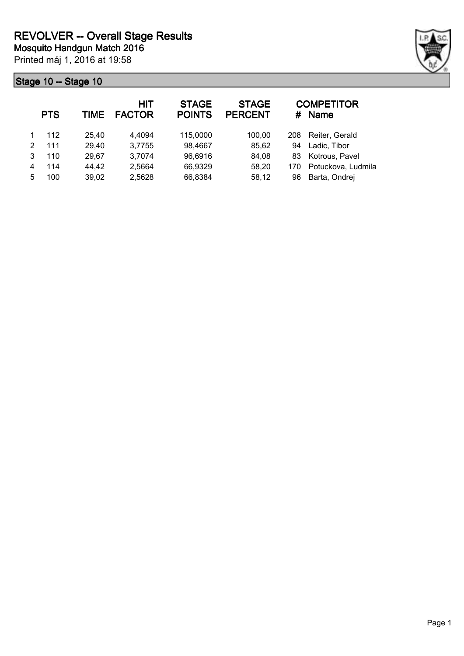

|   | <b>PTS</b> | TIME  | HIT<br><b>FACTOR</b> | <b>STAGE</b><br><b>POINTS</b> | <b>STAGE</b><br><b>PERCENT</b> | #   | <b>COMPETITOR</b><br><b>Name</b> |
|---|------------|-------|----------------------|-------------------------------|--------------------------------|-----|----------------------------------|
|   | 112        | 25,40 | 4,4094               | 115,0000                      | 100,00                         | 208 | Reiter, Gerald                   |
| 2 | 111        | 29,40 | 3,7755               | 98,4667                       | 85,62                          | 94  | Ladic, Tibor                     |
| 3 | 110        | 29,67 | 3,7074               | 96,6916                       | 84,08                          | 83  | Kotrous, Pavel                   |
| 4 | 114        | 44,42 | 2,5664               | 66,9329                       | 58,20                          | 170 | Potuckova, Ludmila               |
| 5 | 100        | 39,02 | 2,5628               | 66,8384                       | 58,12                          | 96  | Barta, Ondrej                    |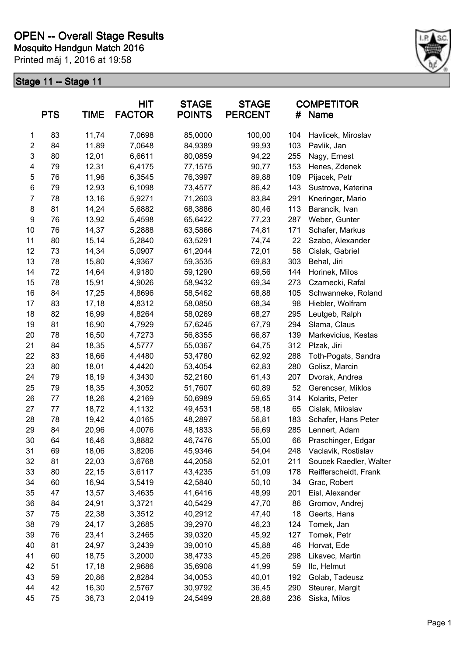

|                         | <b>PTS</b> | <b>TIME</b> | <b>HIT</b><br><b>FACTOR</b> | <b>STAGE</b><br><b>POINTS</b> | <b>STAGE</b><br><b>PERCENT</b> | #   | <b>COMPETITOR</b><br>Name |
|-------------------------|------------|-------------|-----------------------------|-------------------------------|--------------------------------|-----|---------------------------|
| 1                       | 83         | 11,74       | 7,0698                      | 85,0000                       | 100,00                         | 104 | Havlicek, Miroslav        |
| $\overline{\mathbf{c}}$ | 84         | 11,89       | 7,0648                      | 84,9389                       | 99,93                          | 103 | Pavlik, Jan               |
| 3                       | 80         | 12,01       | 6,6611                      | 80,0859                       | 94,22                          | 255 | Nagy, Ernest              |
| 4                       | 79         | 12,31       | 6,4175                      | 77,1575                       | 90,77                          | 153 | Henes, Zdenek             |
| 5                       | 76         | 11,96       | 6,3545                      | 76,3997                       | 89,88                          | 109 | Pijacek, Petr             |
| 6                       | 79         | 12,93       | 6,1098                      | 73,4577                       | 86,42                          | 143 | Sustrova, Katerina        |
| 7                       | 78         | 13,16       | 5,9271                      | 71,2603                       | 83,84                          | 291 | Kneringer, Mario          |
| 8                       | 81         | 14,24       | 5,6882                      | 68,3886                       | 80,46                          | 113 | Barancik, Ivan            |
| 9                       | 76         | 13,92       | 5,4598                      | 65,6422                       | 77,23                          | 287 | Weber, Gunter             |
| 10                      | 76         | 14,37       | 5,2888                      | 63,5866                       | 74,81                          | 171 | Schafer, Markus           |
| 11                      | 80         | 15,14       | 5,2840                      | 63,5291                       | 74,74                          | 22  | Szabo, Alexander          |
| 12                      | 73         | 14,34       | 5,0907                      | 61,2044                       | 72,01                          | 58  | Cislak, Gabriel           |
| 13                      | 78         | 15,80       | 4,9367                      | 59,3535                       | 69,83                          | 303 | Behal, Jiri               |
| 14                      | 72         | 14,64       | 4,9180                      | 59,1290                       | 69,56                          | 144 | Horinek, Milos            |
| 15                      | 78         | 15,91       | 4,9026                      | 58,9432                       | 69,34                          | 273 | Czarnecki, Rafal          |
| 16                      | 84         | 17,25       | 4,8696                      | 58,5462                       | 68,88                          | 105 | Schwanneke, Roland        |
| 17                      | 83         | 17,18       | 4,8312                      | 58,0850                       | 68,34                          | 98  | Hiebler, Wolfram          |
| 18                      | 82         | 16,99       | 4,8264                      | 58,0269                       | 68,27                          | 295 | Leutgeb, Ralph            |
| 19                      | 81         | 16,90       | 4,7929                      | 57,6245                       | 67,79                          | 294 | Slama, Claus              |
| 20                      | 78         | 16,50       | 4,7273                      | 56,8355                       | 66,87                          | 139 | Markevicius, Kestas       |
| 21                      | 84         | 18,35       | 4,5777                      | 55,0367                       | 64,75                          | 312 | Plzak, Jiri               |
| 22                      | 83         | 18,66       | 4,4480                      | 53,4780                       | 62,92                          | 288 | Toth-Pogats, Sandra       |
| 23                      | 80         | 18,01       | 4,4420                      | 53,4054                       | 62,83                          | 280 | Golisz, Marcin            |
| 24                      | 79         | 18,19       | 4,3430                      | 52,2160                       | 61,43                          | 207 | Dvorak, Andrea            |
| 25                      | 79         | 18,35       | 4,3052                      | 51,7607                       | 60,89                          | 52  | Gerencser, Miklos         |
| 26                      | 77         | 18,26       | 4,2169                      | 50,6989                       | 59,65                          | 314 | Kolarits, Peter           |
| 27                      | 77         | 18,72       | 4,1132                      | 49,4531                       | 58,18                          | 65  | Cislak, Miloslav          |
| 28                      | 78         | 19,42       | 4,0165                      | 48,2897                       | 56,81                          | 183 | Schafer, Hans Peter       |
| 29                      | 84         | 20,96       | 4,0076                      | 48,1833                       | 56,69                          | 285 | Lennert, Adam             |
| 30                      | 64         | 16,46       | 3,8882                      | 46,7476                       | 55,00                          | 66  | Praschinger, Edgar        |
| 31                      | 69         | 18,06       | 3,8206                      | 45,9346                       | 54,04                          | 248 | Vaclavik, Rostislav       |
| 32                      | 81         | 22,03       | 3,6768                      | 44,2058                       | 52,01                          | 211 | Soucek Raedler, Walter    |
| 33                      | 80         | 22,15       | 3,6117                      | 43,4235                       | 51,09                          | 178 | Reifferscheidt, Frank     |
| 34                      | 60         | 16,94       | 3,5419                      | 42,5840                       | 50,10                          | 34  | Grac, Robert              |
| 35                      | 47         | 13,57       | 3,4635                      | 41,6416                       | 48,99                          | 201 | Eisl, Alexander           |
| 36                      | 84         | 24,91       | 3,3721                      | 40,5429                       | 47,70                          | 86  | Gromov, Andrej            |
| 37                      | 75         | 22,38       | 3,3512                      | 40,2912                       | 47,40                          | 18  | Geerts, Hans              |
| 38                      | 79         | 24,17       | 3,2685                      | 39,2970                       | 46,23                          | 124 | Tomek, Jan                |
| 39                      | 76         | 23,41       | 3,2465                      | 39,0320                       | 45,92                          | 127 | Tomek, Petr               |
| 40                      | 81         | 24,97       | 3,2439                      | 39,0010                       | 45,88                          | 46  | Horvat, Ede               |
| 41                      | 60         | 18,75       | 3,2000                      | 38,4733                       | 45,26                          | 298 | Likavec, Martin           |
| 42                      | 51         | 17,18       | 2,9686                      | 35,6908                       | 41,99                          | 59  | Ilc, Helmut               |
| 43                      | 59         | 20,86       | 2,8284                      | 34,0053                       | 40,01                          | 192 | Golab, Tadeusz            |
| 44                      | 42         | 16,30       | 2,5767                      | 30,9792                       | 36,45                          | 290 | Steurer, Margit           |
| 45                      | 75         | 36,73       | 2,0419                      | 24,5499                       | 28,88                          | 236 | Siska, Milos              |
|                         |            |             |                             |                               |                                |     |                           |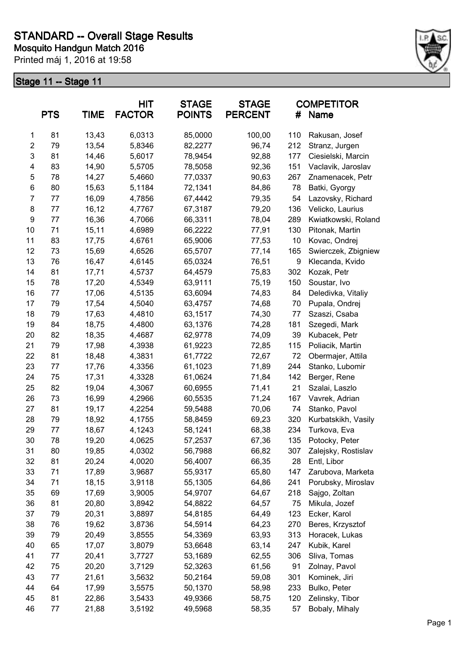

|                  | <b>PTS</b> | <b>TIME</b> | <b>HIT</b><br><b>FACTOR</b> | <b>STAGE</b><br><b>POINTS</b> | <b>STAGE</b><br><b>PERCENT</b> | #   | <b>COMPETITOR</b><br><b>Name</b> |
|------------------|------------|-------------|-----------------------------|-------------------------------|--------------------------------|-----|----------------------------------|
| 1                | 81         | 13,43       | 6,0313                      | 85,0000                       | 100,00                         | 110 | Rakusan, Josef                   |
| $\boldsymbol{2}$ | 79         | 13,54       | 5,8346                      | 82,2277                       | 96,74                          | 212 | Stranz, Jurgen                   |
| 3                | 81         | 14,46       | 5,6017                      | 78,9454                       | 92,88                          | 177 | Ciesielski, Marcin               |
| 4                | 83         | 14,90       | 5,5705                      | 78,5058                       | 92,36                          | 151 | Vaclavik, Jaroslav               |
| 5                | 78         | 14,27       | 5,4660                      | 77,0337                       | 90,63                          | 267 | Znamenacek, Petr                 |
| 6                | 80         | 15,63       | 5,1184                      | 72,1341                       | 84,86                          | 78  | Batki, Gyorgy                    |
| $\overline{7}$   | 77         | 16,09       | 4,7856                      | 67,4442                       | 79,35                          | 54  | Lazovsky, Richard                |
| 8                | 77         | 16,12       | 4,7767                      | 67,3187                       | 79,20                          | 136 | Velicko, Laurius                 |
| 9                | 77         | 16,36       | 4,7066                      | 66,3311                       | 78,04                          | 289 | Kwiatkowski, Roland              |
| 10               | 71         | 15,11       | 4,6989                      | 66,2222                       | 77,91                          | 130 | Pitonak, Martin                  |
| 11               | 83         | 17,75       | 4,6761                      | 65,9006                       | 77,53                          | 10  | Kovac, Ondrej                    |
| 12               | 73         | 15,69       | 4,6526                      | 65,5707                       | 77,14                          | 165 | Swierczek, Zbigniew              |
| 13               | 76         | 16,47       | 4,6145                      | 65,0324                       | 76,51                          | 9   | Klecanda, Kvido                  |
| 14               | 81         | 17,71       | 4,5737                      | 64,4579                       | 75,83                          | 302 | Kozak, Petr                      |
| 15               | 78         | 17,20       | 4,5349                      | 63,9111                       | 75,19                          | 150 | Soustar, Ivo                     |
| 16               | 77         | 17,06       | 4,5135                      | 63,6094                       | 74,83                          | 84  | Deledivka, Vitaliy               |
| 17               | 79         | 17,54       | 4,5040                      | 63,4757                       | 74,68                          | 70  | Pupala, Ondrej                   |
| 18               | 79         | 17,63       | 4,4810                      | 63,1517                       | 74,30                          | 77  | Szaszi, Csaba                    |
| 19               | 84         | 18,75       | 4,4800                      | 63,1376                       | 74,28                          | 181 | Szegedi, Mark                    |
| 20               | 82         | 18,35       | 4,4687                      | 62,9778                       | 74,09                          | 39  | Kubacek, Petr                    |
| 21               | 79         | 17,98       | 4,3938                      | 61,9223                       | 72,85                          | 115 | Poliacik, Martin                 |
| 22               | 81         | 18,48       | 4,3831                      | 61,7722                       | 72,67                          | 72  | Obermajer, Attila                |
| 23               | 77         | 17,76       | 4,3356                      | 61,1023                       | 71,89                          | 244 | Stanko, Lubomir                  |
| 24               | 75         | 17,31       | 4,3328                      | 61,0624                       | 71,84                          | 142 | Berger, Rene                     |
| 25               | 82         | 19,04       | 4,3067                      | 60,6955                       | 71,41                          | 21  | Szalai, Laszlo                   |
| 26               | 73         | 16,99       | 4,2966                      | 60,5535                       | 71,24                          | 167 | Vavrek, Adrian                   |
| 27               | 81         | 19,17       | 4,2254                      | 59,5488                       | 70,06                          | 74  | Stanko, Pavol                    |
| 28               | 79         | 18,92       | 4,1755                      | 58,8459                       | 69,23                          | 320 | Kurbatskikh, Vasily              |
| 29               | 77         | 18,67       | 4,1243                      | 58,1241                       | 68,38                          | 234 | Turkova, Eva                     |
| 30               | 78         | 19,20       | 4,0625                      | 57,2537                       | 67,36                          | 135 | Potocky, Peter                   |
| 31               | 80         | 19,85       | 4,0302                      | 56,7988                       | 66,82                          | 307 | Zalejsky, Rostislav              |
| 32               | 81         | 20,24       | 4,0020                      | 56,4007                       | 66,35                          | 28  | Entl, Libor                      |
| 33               | 71         | 17,89       | 3,9687                      | 55,9317                       | 65,80                          | 147 | Zarubova, Marketa                |
| 34               | 71         | 18,15       | 3,9118                      | 55,1305                       | 64,86                          | 241 | Porubsky, Miroslav               |
| 35               | 69         | 17,69       | 3,9005                      | 54,9707                       | 64,67                          | 218 | Sajgo, Zoltan                    |
| 36               | 81         | 20,80       | 3,8942                      | 54,8822                       | 64,57                          | 75  | Mikula, Jozef                    |
| 37               | 79         | 20,31       | 3,8897                      | 54,8185                       | 64,49                          | 123 | Ecker, Karol                     |
| 38               | 76         | 19,62       | 3,8736                      | 54,5914                       | 64,23                          | 270 | Beres, Krzysztof                 |
| 39               | 79         | 20,49       | 3,8555                      | 54,3369                       | 63,93                          | 313 | Horacek, Lukas                   |
| 40               | 65         | 17,07       | 3,8079                      | 53,6648                       | 63,14                          | 247 | Kubik, Karel                     |
| 41               | 77         | 20,41       | 3,7727                      | 53,1689                       | 62,55                          | 306 | Sliva, Tomas                     |
| 42               | 75         | 20,20       | 3,7129                      | 52,3263                       | 61,56                          | 91  | Zolnay, Pavol                    |
| 43               | 77         | 21,61       | 3,5632                      | 50,2164                       | 59,08                          | 301 | Kominek, Jiri                    |
| 44               | 64         | 17,99       | 3,5575                      | 50,1370                       | 58,98                          | 233 | Bulko, Peter                     |
| 45               | 81         | 22,86       | 3,5433                      | 49,9366                       | 58,75                          | 120 | Zelinsky, Tibor                  |
| 46               | 77         | 21,88       | 3,5192                      | 49,5968                       | 58,35                          | 57  | Bobaly, Mihaly                   |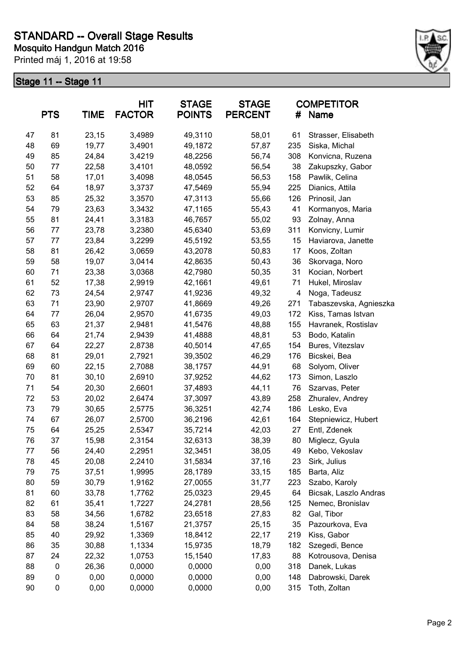

|    | <b>TIME</b><br><b>PTS</b> |        | <b>HIT</b><br><b>FACTOR</b> | <b>STAGE</b><br><b>POINTS</b> | <b>STAGE</b><br><b>PERCENT</b><br># |     | <b>COMPETITOR</b><br>Name |
|----|---------------------------|--------|-----------------------------|-------------------------------|-------------------------------------|-----|---------------------------|
| 47 | 81                        | 23,15  | 3,4989                      | 49,3110                       | 58,01                               | 61  | Strasser, Elisabeth       |
| 48 | 69                        | 19,77  | 3,4901                      | 49,1872                       | 57,87                               | 235 | Siska, Michal             |
| 49 | 85                        | 24,84  | 3,4219                      | 48,2256                       | 56,74                               | 308 | Konvicna, Ruzena          |
| 50 | 77                        | 22,58  | 3,4101                      | 48,0592                       | 56,54                               | 38  | Zakupszky, Gabor          |
| 51 | 58                        | 17,01  | 3,4098                      | 48,0545                       | 56,53                               | 158 | Pawlik, Celina            |
| 52 | 64                        | 18,97  | 3,3737                      | 47,5469                       | 55,94                               | 225 | Dianics, Attila           |
| 53 | 85                        | 25,32  | 3,3570                      | 47,3113                       | 55,66                               | 126 | Prinosil, Jan             |
| 54 | 79                        | 23,63  | 3,3432                      | 47,1165                       | 55,43                               | 41  | Kormanyos, Maria          |
| 55 | 81                        | 24,41  | 3,3183                      | 46,7657                       | 55,02                               | 93  | Zolnay, Anna              |
| 56 | 77                        | 23,78  | 3,2380                      | 45,6340                       | 53,69                               | 311 | Konvicny, Lumir           |
| 57 | 77                        | 23,84  | 3,2299                      | 45,5192                       | 53,55                               | 15  | Haviarova, Janette        |
| 58 | 81                        | 26,42  | 3,0659                      | 43,2078                       | 50,83                               | 17  | Koos, Zoltan              |
| 59 | 58                        | 19,07  | 3,0414                      | 42,8635                       | 50,43                               | 36  | Skorvaga, Noro            |
| 60 | 71                        | 23,38  | 3,0368                      | 42,7980                       | 50,35                               | 31  | Kocian, Norbert           |
| 61 | 52                        | 17,38  | 2,9919                      | 42,1661                       | 49,61                               | 71  | Hukel, Miroslav           |
| 62 | 73                        | 24,54  | 2,9747                      | 41,9236                       | 49,32                               | 4   | Noga, Tadeusz             |
| 63 | 71                        | 23,90  | 2,9707                      | 41,8669                       | 49,26                               | 271 | Tabaszevska, Agnieszka    |
| 64 | 77                        | 26,04  | 2,9570                      | 41,6735                       | 49,03                               | 172 | Kiss, Tamas Istvan        |
| 65 | 63                        | 21,37  | 2,9481                      | 41,5476                       | 48,88                               | 155 | Havranek, Rostislav       |
| 66 | 64                        | 21,74  | 2,9439                      | 41,4888                       | 48,81                               | 53  | Bodo, Katalin             |
| 67 | 64                        | 22,27  | 2,8738                      | 40,5014                       | 47,65                               | 154 | Bures, Vitezslav          |
| 68 | 81                        | 29,01  | 2,7921                      | 39,3502                       | 46,29                               | 176 | Bicskei, Bea              |
| 69 | 60                        | 22,15  | 2,7088                      | 38,1757                       | 44,91                               | 68  | Solyom, Oliver            |
| 70 | 81                        | 30, 10 | 2,6910                      | 37,9252                       | 44,62                               | 173 | Simon, Laszlo             |
| 71 | 54                        | 20,30  | 2,6601                      | 37,4893                       | 44,11                               | 76  | Szarvas, Peter            |
| 72 | 53                        | 20,02  | 2,6474                      | 37,3097                       | 43,89                               | 258 | Zhuralev, Andrey          |
| 73 | 79                        | 30,65  | 2,5775                      | 36,3251                       | 42,74                               | 186 | Lesko, Eva                |
| 74 | 67                        | 26,07  | 2,5700                      | 36,2196                       | 42,61                               | 164 | Stepniewicz, Hubert       |
| 75 | 64                        | 25,25  | 2,5347                      | 35,7214                       | 42,03                               | 27  | Entl, Zdenek              |
| 76 | 37                        | 15,98  | 2,3154                      | 32,6313                       | 38,39                               | 80  | Miglecz, Gyula            |
| 77 | 56                        | 24,40  | 2,2951                      | 32,3451                       | 38,05                               | 49  | Kebo, Vekoslav            |
| 78 | 45                        | 20,08  | 2,2410                      | 31,5834                       | 37,16                               | 23  | Sirk, Julius              |
| 79 | 75                        | 37,51  | 1,9995                      | 28,1789                       | 33,15                               | 185 | Barta, Aliz               |
| 80 | 59                        | 30,79  | 1,9162                      | 27,0055                       | 31,77                               | 223 | Szabo, Karoly             |
| 81 | 60                        | 33,78  | 1,7762                      | 25,0323                       | 29,45                               | 64  | Bicsak, Laszlo Andras     |
| 82 | 61                        | 35,41  | 1,7227                      | 24,2781                       | 28,56                               | 125 | Nemec, Bronislav          |
| 83 | 58                        | 34,56  | 1,6782                      | 23,6518                       | 27,83                               | 82  | Gal, Tibor                |
| 84 | 58                        | 38,24  | 1,5167                      | 21,3757                       | 25,15                               | 35  | Pazourkova, Eva           |
| 85 | 40                        | 29,92  | 1,3369                      | 18,8412                       | 22,17                               | 219 | Kiss, Gabor               |
| 86 | 35                        | 30,88  | 1,1334                      | 15,9735                       | 18,79                               | 182 | Szegedi, Bence            |
| 87 | 24                        | 22,32  | 1,0753                      | 15,1540                       | 17,83                               | 88  | Kotrousova, Denisa        |
| 88 | $\pmb{0}$                 | 26,36  | 0,0000                      | 0,0000                        | 0,00                                | 318 | Danek, Lukas              |
| 89 | 0                         | 0,00   | 0,0000                      | 0,0000                        | 0,00                                | 148 | Dabrowski, Darek          |
| 90 | $\pmb{0}$                 | 0,00   | 0,0000                      | 0,0000                        | 0,00                                | 315 | Toth, Zoltan              |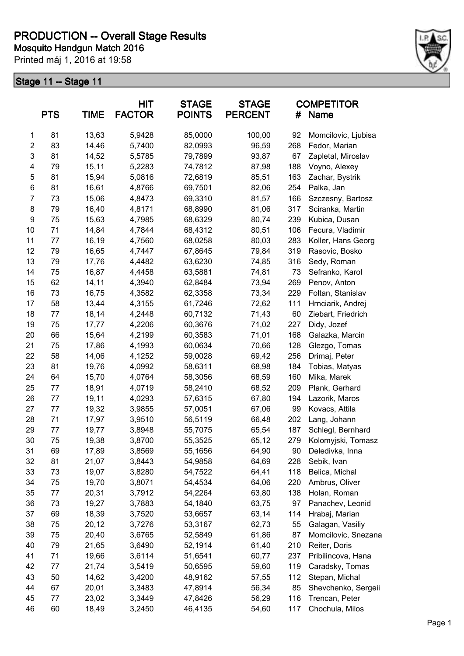

|                | <b>PTS</b> | <b>TIME</b> | <b>HIT</b><br><b>FACTOR</b> | <b>STAGE</b><br><b>POINTS</b> | <b>STAGE</b><br><b>PERCENT</b> | #   | <b>COMPETITOR</b><br><b>Name</b> |
|----------------|------------|-------------|-----------------------------|-------------------------------|--------------------------------|-----|----------------------------------|
| 1              | 81         | 13,63       | 5,9428                      | 85,0000                       | 100,00                         | 92  | Momcilovic, Ljubisa              |
| $\overline{2}$ | 83         | 14,46       | 5,7400                      | 82,0993                       | 96,59                          | 268 | Fedor, Marian                    |
| 3              | 81         | 14,52       | 5,5785                      | 79,7899                       | 93,87                          | 67  | Zapletal, Miroslav               |
| 4              | 79         | 15,11       | 5,2283                      | 74,7812                       | 87,98                          | 188 | Voyno, Alexey                    |
| 5              | 81         | 15,94       | 5,0816                      | 72,6819                       | 85,51                          | 163 | Zachar, Bystrik                  |
| 6              | 81         | 16,61       | 4,8766                      | 69,7501                       | 82,06                          | 254 | Palka, Jan                       |
| $\overline{7}$ | 73         | 15,06       | 4,8473                      | 69,3310                       | 81,57                          | 166 | Szczesny, Bartosz                |
| 8              | 79         | 16,40       | 4,8171                      | 68,8990                       | 81,06                          | 317 | Sciranka, Martin                 |
| 9              | 75         | 15,63       | 4,7985                      | 68,6329                       | 80,74                          | 239 | Kubica, Dusan                    |
| 10             | 71         | 14,84       | 4,7844                      | 68,4312                       | 80,51                          | 106 | Fecura, Vladimir                 |
| 11             | 77         | 16,19       | 4,7560                      | 68,0258                       | 80,03                          | 283 | Koller, Hans Georg               |
| 12             | 79         | 16,65       | 4,7447                      | 67,8645                       | 79,84                          | 319 | Rasovic, Bosko                   |
| 13             | 79         | 17,76       | 4,4482                      | 63,6230                       | 74,85                          | 316 | Sedy, Roman                      |
| 14             | 75         | 16,87       | 4,4458                      | 63,5881                       | 74,81                          | 73  | Sefranko, Karol                  |
| 15             | 62         | 14,11       | 4,3940                      | 62,8484                       | 73,94                          | 269 | Penov, Anton                     |
| 16             | 73         | 16,75       | 4,3582                      | 62,3358                       | 73,34                          | 229 | Foltan, Stanislav                |
| 17             | 58         | 13,44       | 4,3155                      | 61,7246                       | 72,62                          | 111 | Hrnciarik, Andrej                |
| 18             | 77         | 18,14       | 4,2448                      | 60,7132                       | 71,43                          | 60  | Ziebart, Friedrich               |
| 19             | 75         | 17,77       | 4,2206                      | 60,3676                       | 71,02                          | 227 | Didy, Jozef                      |
| 20             | 66         | 15,64       | 4,2199                      | 60,3583                       | 71,01                          | 168 | Galazka, Marcin                  |
| 21             | 75         | 17,86       | 4,1993                      | 60,0634                       | 70,66                          | 128 | Glezgo, Tomas                    |
| 22             | 58         | 14,06       | 4,1252                      | 59,0028                       | 69,42                          | 256 | Drimaj, Peter                    |
| 23             | 81         | 19,76       | 4,0992                      | 58,6311                       | 68,98                          | 184 | Tobias, Matyas                   |
| 24             | 64         | 15,70       | 4,0764                      | 58,3056                       | 68,59                          | 160 | Mika, Marek                      |
| 25             | 77         | 18,91       | 4,0719                      | 58,2410                       | 68,52                          | 209 | Plank, Gerhard                   |
| 26             | 77         | 19,11       | 4,0293                      | 57,6315                       | 67,80                          | 194 | Lazorik, Maros                   |
| 27             | 77         | 19,32       | 3,9855                      | 57,0051                       | 67,06                          | 99  | Kovacs, Attila                   |
| 28             | 71         | 17,97       | 3,9510                      | 56,5119                       | 66,48                          | 202 | Lang, Johann                     |
| 29             | 77         | 19,77       | 3,8948                      | 55,7075                       | 65,54                          | 187 | Schlegl, Bernhard                |
| 30             | 75         | 19,38       | 3,8700                      | 55,3525                       | 65,12                          | 279 | Kolomyjski, Tomasz               |
| 31             | 69         | 17,89       | 3,8569                      | 55,1656                       | 64,90                          | 90  | Deledivka, Inna                  |
| 32             | 81         | 21,07       | 3,8443                      | 54,9858                       | 64,69                          | 228 | Sebik, Ivan                      |
| 33             | 73         | 19,07       | 3,8280                      | 54,7522                       | 64,41                          | 118 | Belica, Michal                   |
| 34             | 75         | 19,70       | 3,8071                      | 54,4534                       | 64,06                          | 220 | Ambrus, Oliver                   |
| 35             | 77         | 20,31       | 3,7912                      | 54,2264                       | 63,80                          | 138 | Holan, Roman                     |
| 36             | 73         | 19,27       | 3,7883                      | 54,1840                       | 63,75                          | 97  | Panachev, Leonid                 |
| 37             | 69         | 18,39       | 3,7520                      | 53,6657                       | 63,14                          | 114 | Hrabaj, Marian                   |
| 38             | 75         | 20,12       | 3,7276                      | 53,3167                       | 62,73                          | 55  | Galagan, Vasiliy                 |
| 39             | 75         | 20,40       | 3,6765                      | 52,5849                       | 61,86                          | 87  | Momcilovic, Snezana              |
| 40             | 79         | 21,65       | 3,6490                      | 52,1914                       | 61,40                          | 210 | Reiter, Doris                    |
| 41             | 71         | 19,66       | 3,6114                      | 51,6541                       | 60,77                          | 237 | Pribilincova, Hana               |
| 42             | 77         | 21,74       | 3,5419                      | 50,6595                       | 59,60                          | 119 | Caradsky, Tomas                  |
| 43             | 50         | 14,62       | 3,4200                      | 48,9162                       | 57,55                          | 112 | Stepan, Michal                   |
| 44             | 67         | 20,01       | 3,3483                      | 47,8914                       | 56,34                          | 85  | Shevchenko, Sergeii              |
| 45             | 77         | 23,02       | 3,3449                      | 47,8426                       | 56,29                          | 116 | Trencan, Peter                   |
| 46             | 60         | 18,49       | 3,2450                      | 46,4135                       | 54,60                          | 117 | Chochula, Milos                  |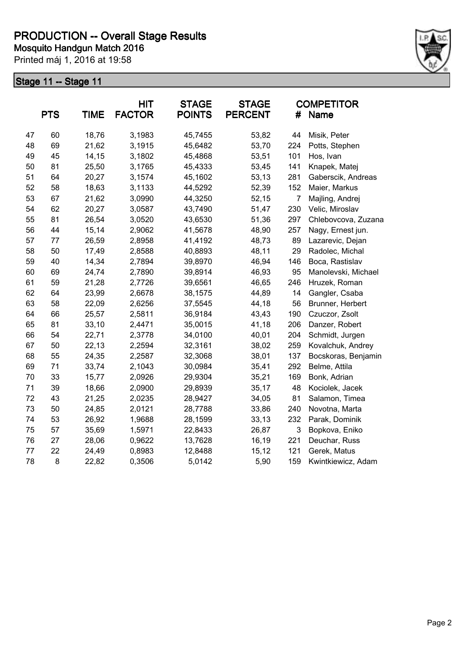

|    | <b>PTS</b> | <b>TIME</b> | <b>HIT</b><br><b>FACTOR</b> | <b>STAGE</b><br><b>POINTS</b> | <b>STAGE</b><br><b>PERCENT</b> | #              | <b>COMPETITOR</b><br><b>Name</b> |
|----|------------|-------------|-----------------------------|-------------------------------|--------------------------------|----------------|----------------------------------|
| 47 | 60         | 18,76       | 3,1983                      | 45,7455                       | 53,82                          | 44             | Misik, Peter                     |
| 48 | 69         | 21,62       | 3,1915                      | 45,6482                       | 53,70                          | 224            | Potts, Stephen                   |
| 49 | 45         | 14,15       | 3,1802                      | 45,4868                       | 53,51                          | 101            | Hos, Ivan                        |
| 50 | 81         | 25,50       | 3,1765                      | 45,4333                       | 53,45                          | 141            | Knapek, Matej                    |
| 51 | 64         | 20,27       | 3,1574                      | 45,1602                       | 53,13                          | 281            | Gaberscik, Andreas               |
| 52 | 58         | 18,63       | 3,1133                      | 44,5292                       | 52,39                          | 152            | Maier, Markus                    |
| 53 | 67         | 21,62       | 3,0990                      | 44,3250                       | 52,15                          | $\overline{7}$ | Majling, Andrej                  |
| 54 | 62         | 20,27       | 3,0587                      | 43,7490                       | 51,47                          | 230            | Velic, Miroslav                  |
| 55 | 81         | 26,54       | 3,0520                      | 43,6530                       | 51,36                          | 297            | Chlebovcova, Zuzana              |
| 56 | 44         | 15,14       | 2,9062                      | 41,5678                       | 48,90                          | 257            | Nagy, Ernest jun.                |
| 57 | 77         | 26,59       | 2,8958                      | 41,4192                       | 48,73                          | 89             | Lazarevic, Dejan                 |
| 58 | 50         | 17,49       | 2,8588                      | 40,8893                       | 48,11                          | 29             | Radolec, Michal                  |
| 59 | 40         | 14,34       | 2,7894                      | 39,8970                       | 46,94                          | 146            | Boca, Rastislav                  |
| 60 | 69         | 24,74       | 2,7890                      | 39,8914                       | 46,93                          | 95             | Manolevski, Michael              |
| 61 | 59         | 21,28       | 2,7726                      | 39,6561                       | 46,65                          | 246            | Hruzek, Roman                    |
| 62 | 64         | 23,99       | 2,6678                      | 38,1575                       | 44,89                          | 14             | Gangler, Csaba                   |
| 63 | 58         | 22,09       | 2,6256                      | 37,5545                       | 44,18                          | 56             | Brunner, Herbert                 |
| 64 | 66         | 25,57       | 2,5811                      | 36,9184                       | 43,43                          | 190            | Czuczor, Zsolt                   |
| 65 | 81         | 33,10       | 2,4471                      | 35,0015                       | 41,18                          | 206            | Danzer, Robert                   |
| 66 | 54         | 22,71       | 2,3778                      | 34,0100                       | 40,01                          | 204            | Schmidt, Jurgen                  |
| 67 | 50         | 22,13       | 2,2594                      | 32,3161                       | 38,02                          | 259            | Kovalchuk, Andrey                |
| 68 | 55         | 24,35       | 2,2587                      | 32,3068                       | 38,01                          | 137            | Bocskoras, Benjamin              |
| 69 | 71         | 33,74       | 2,1043                      | 30,0984                       | 35,41                          | 292            | Belme, Attila                    |
| 70 | 33         | 15,77       | 2,0926                      | 29,9304                       | 35,21                          | 169            | Bonk, Adrian                     |
| 71 | 39         | 18,66       | 2,0900                      | 29,8939                       | 35,17                          | 48             | Kociolek, Jacek                  |
| 72 | 43         | 21,25       | 2,0235                      | 28,9427                       | 34,05                          | 81             | Salamon, Timea                   |
| 73 | 50         | 24,85       | 2,0121                      | 28,7788                       | 33,86                          | 240            | Novotna, Marta                   |
| 74 | 53         | 26,92       | 1,9688                      | 28,1599                       | 33,13                          | 232            | Parak, Dominik                   |
| 75 | 57         | 35,69       | 1,5971                      | 22,8433                       | 26,87                          | 3              | Bopkova, Eniko                   |
| 76 | 27         | 28,06       | 0,9622                      | 13,7628                       | 16,19                          | 221            | Deuchar, Russ                    |
| 77 | 22         | 24,49       | 0,8983                      | 12,8488                       | 15,12                          | 121            | Gerek, Matus                     |
| 78 | 8          | 22,82       | 0,3506                      | 5,0142                        | 5,90                           | 159            | Kwintkiewicz, Adam               |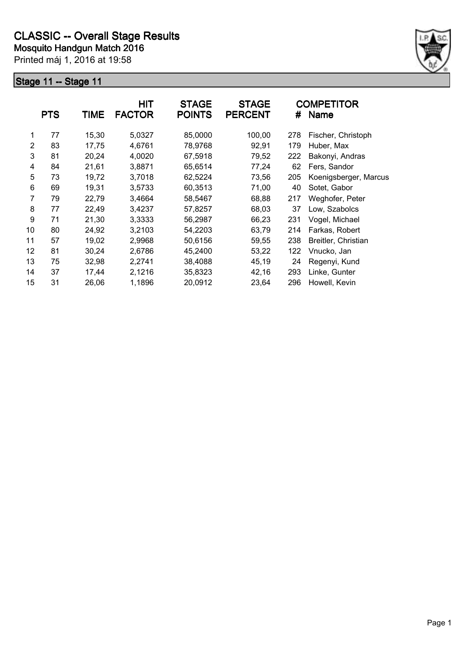

|                | <b>PTS</b> | <b>TIME</b> | <b>HIT</b><br><b>FACTOR</b> | <b>STAGE</b><br><b>POINTS</b> | <b>STAGE</b><br><b>PERCENT</b> | #   | <b>COMPETITOR</b><br><b>Name</b> |
|----------------|------------|-------------|-----------------------------|-------------------------------|--------------------------------|-----|----------------------------------|
| 1              | 77         | 15,30       | 5,0327                      | 85,0000                       | 100,00                         | 278 | Fischer, Christoph               |
| $\overline{2}$ | 83         | 17,75       | 4,6761                      | 78,9768                       | 92,91                          | 179 | Huber, Max                       |
| 3              | 81         | 20,24       | 4,0020                      | 67,5918                       | 79,52                          | 222 | Bakonyi, Andras                  |
| 4              | 84         | 21,61       | 3,8871                      | 65,6514                       | 77,24                          | 62  | Fers, Sandor                     |
| 5              | 73         | 19,72       | 3,7018                      | 62,5224                       | 73,56                          | 205 | Koenigsberger, Marcus            |
| 6              | 69         | 19,31       | 3,5733                      | 60,3513                       | 71,00                          | 40  | Sotet, Gabor                     |
| 7              | 79         | 22,79       | 3,4664                      | 58,5467                       | 68,88                          | 217 | Weghofer, Peter                  |
| 8              | 77         | 22,49       | 3,4237                      | 57,8257                       | 68,03                          | 37  | Low, Szabolcs                    |
| 9              | 71         | 21,30       | 3,3333                      | 56,2987                       | 66,23                          | 231 | Vogel, Michael                   |
| 10             | 80         | 24,92       | 3,2103                      | 54,2203                       | 63,79                          | 214 | Farkas, Robert                   |
| 11             | 57         | 19,02       | 2,9968                      | 50,6156                       | 59,55                          | 238 | Breitler, Christian              |
| 12             | 81         | 30,24       | 2,6786                      | 45,2400                       | 53,22                          | 122 | Vnucko, Jan                      |
| 13             | 75         | 32,98       | 2,2741                      | 38,4088                       | 45,19                          | 24  | Regenyi, Kund                    |
| 14             | 37         | 17,44       | 2,1216                      | 35,8323                       | 42,16                          | 293 | Linke, Gunter                    |
| 15             | 31         | 26,06       | 1,1896                      | 20,0912                       | 23,64                          | 296 | Howell, Kevin                    |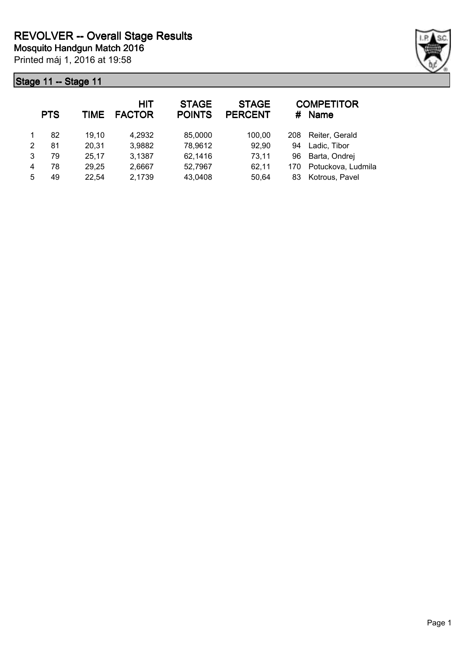

|   | <b>PTS</b> | TIME  | <b>HIT</b><br><b>FACTOR</b> | <b>STAGE</b><br><b>POINTS</b> | <b>STAGE</b><br><b>PERCENT</b> | #   | <b>COMPETITOR</b><br><b>Name</b> |
|---|------------|-------|-----------------------------|-------------------------------|--------------------------------|-----|----------------------------------|
|   | 82         | 19,10 | 4,2932                      | 85,0000                       | 100.00                         | 208 | Reiter, Gerald                   |
| 2 | 81         | 20,31 | 3,9882                      | 78,9612                       | 92,90                          | 94  | Ladic, Tibor                     |
| 3 | 79         | 25,17 | 3,1387                      | 62,1416                       | 73,11                          | 96  | Barta, Ondrej                    |
| 4 | 78         | 29,25 | 2,6667                      | 52,7967                       | 62,11                          | 170 | Potuckova, Ludmila               |
| 5 | 49         | 22,54 | 2,1739                      | 43,0408                       | 50,64                          | 83  | Kotrous, Pavel                   |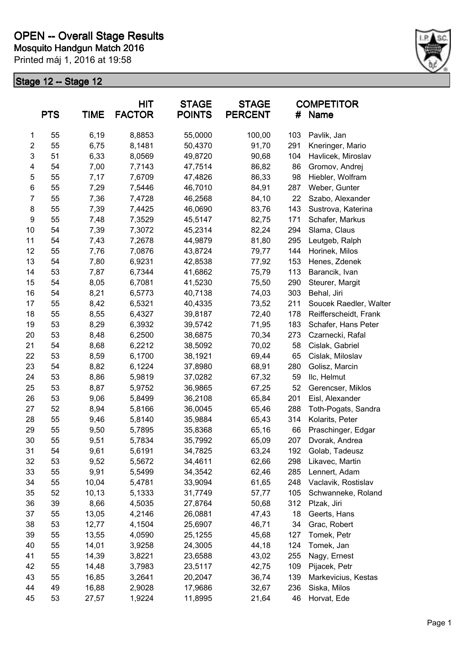

| <b>PTS</b><br><b>TIME</b> |    | <b>HIT</b><br><b>STAGE</b><br><b>FACTOR</b><br><b>POINTS</b> |        | <b>STAGE</b><br><b>PERCENT</b> | #      | <b>COMPETITOR</b><br>Name |                        |  |
|---------------------------|----|--------------------------------------------------------------|--------|--------------------------------|--------|---------------------------|------------------------|--|
| 1                         | 55 | 6,19                                                         | 8,8853 | 55,0000                        | 100,00 | 103                       | Pavlik, Jan            |  |
| $\overline{\mathbf{c}}$   | 55 | 6,75                                                         | 8,1481 | 50,4370                        | 91,70  | 291                       | Kneringer, Mario       |  |
| 3                         | 51 | 6,33                                                         | 8,0569 | 49,8720                        | 90,68  | 104                       | Havlicek, Miroslav     |  |
| 4                         | 54 | 7,00                                                         | 7,7143 | 47,7514                        | 86,82  | 86                        | Gromov, Andrej         |  |
| 5                         | 55 | 7,17                                                         | 7,6709 | 47,4826                        | 86,33  | 98                        | Hiebler, Wolfram       |  |
| 6                         | 55 | 7,29                                                         | 7,5446 | 46,7010                        | 84,91  | 287                       | Weber, Gunter          |  |
| 7                         | 55 | 7,36                                                         | 7,4728 | 46,2568                        | 84,10  | 22                        | Szabo, Alexander       |  |
| 8                         | 55 | 7,39                                                         | 7,4425 | 46,0690                        | 83,76  | 143                       | Sustrova, Katerina     |  |
| 9                         | 55 | 7,48                                                         | 7,3529 | 45,5147                        | 82,75  | 171                       | Schafer, Markus        |  |
| 10                        | 54 | 7,39                                                         | 7,3072 | 45,2314                        | 82,24  | 294                       | Slama, Claus           |  |
| 11                        | 54 | 7,43                                                         | 7,2678 | 44,9879                        | 81,80  | 295                       | Leutgeb, Ralph         |  |
| 12                        | 55 | 7,76                                                         | 7,0876 | 43,8724                        | 79,77  | 144                       | Horinek, Milos         |  |
| 13                        | 54 | 7,80                                                         | 6,9231 | 42,8538                        | 77,92  | 153                       | Henes, Zdenek          |  |
| 14                        | 53 | 7,87                                                         | 6,7344 | 41,6862                        | 75,79  | 113                       | Barancik, Ivan         |  |
| 15                        | 54 | 8,05                                                         | 6,7081 | 41,5230                        | 75,50  | 290                       | Steurer, Margit        |  |
| 16                        | 54 | 8,21                                                         | 6,5773 | 40,7138                        | 74,03  | 303                       | Behal, Jiri            |  |
| 17                        | 55 | 8,42                                                         | 6,5321 | 40,4335                        | 73,52  | 211                       | Soucek Raedler, Walter |  |
| 18                        | 55 | 8,55                                                         | 6,4327 | 39,8187                        | 72,40  | 178                       | Reifferscheidt, Frank  |  |
| 19                        | 53 | 8,29                                                         | 6,3932 | 39,5742                        | 71,95  | 183                       | Schafer, Hans Peter    |  |
| 20                        | 53 | 8,48                                                         | 6,2500 | 38,6875                        | 70,34  | 273                       | Czarnecki, Rafal       |  |
| 21                        | 54 | 8,68                                                         | 6,2212 | 38,5092                        | 70,02  | 58                        | Cislak, Gabriel        |  |
| 22                        | 53 | 8,59                                                         | 6,1700 | 38,1921                        | 69,44  | 65                        | Cislak, Miloslav       |  |
| 23                        | 54 | 8,82                                                         | 6,1224 | 37,8980                        | 68,91  | 280                       | Golisz, Marcin         |  |
| 24                        | 53 | 8,86                                                         | 5,9819 | 37,0282                        | 67,32  | 59                        | Ilc, Helmut            |  |
| 25                        | 53 | 8,87                                                         | 5,9752 | 36,9865                        | 67,25  | 52                        | Gerencser, Miklos      |  |
| 26                        | 53 | 9,06                                                         | 5,8499 | 36,2108                        | 65,84  | 201                       | Eisl, Alexander        |  |
| 27                        | 52 | 8,94                                                         | 5,8166 | 36,0045                        | 65,46  | 288                       | Toth-Pogats, Sandra    |  |
| 28                        | 55 | 9,46                                                         | 5,8140 | 35,9884                        | 65,43  | 314                       | Kolarits, Peter        |  |
| 29                        | 55 | 9,50                                                         | 5,7895 | 35,8368                        | 65,16  | 66                        | Praschinger, Edgar     |  |
| 30                        | 55 | 9,51                                                         | 5,7834 | 35,7992                        | 65,09  | 207                       | Dvorak, Andrea         |  |
| 31                        | 54 | 9,61                                                         | 5,6191 | 34,7825                        | 63,24  | 192                       | Golab, Tadeusz         |  |
| 32                        | 53 | 9,52                                                         | 5,5672 | 34,4611                        | 62,66  | 298                       | Likavec, Martin        |  |
| 33                        | 55 | 9,91                                                         | 5,5499 | 34,3542                        | 62,46  | 285                       | Lennert, Adam          |  |
| 34                        | 55 | 10,04                                                        | 5,4781 | 33,9094                        | 61,65  | 248                       | Vaclavik, Rostislav    |  |
| 35                        | 52 | 10,13                                                        | 5,1333 | 31,7749                        | 57,77  | 105                       | Schwanneke, Roland     |  |
| 36                        | 39 | 8,66                                                         | 4,5035 | 27,8764                        | 50,68  | 312                       | Plzak, Jiri            |  |
| 37                        | 55 | 13,05                                                        | 4,2146 | 26,0881                        | 47,43  | 18                        | Geerts, Hans           |  |
| 38                        | 53 | 12,77                                                        | 4,1504 | 25,6907                        | 46,71  | 34                        | Grac, Robert           |  |
| 39                        | 55 | 13,55                                                        | 4,0590 | 25,1255                        | 45,68  | 127                       | Tomek, Petr            |  |
| 40                        | 55 | 14,01                                                        | 3,9258 | 24,3005                        | 44,18  | 124                       | Tomek, Jan             |  |
| 41                        | 55 | 14,39                                                        | 3,8221 | 23,6588                        | 43,02  | 255                       | Nagy, Ernest           |  |
| 42                        | 55 | 14,48                                                        | 3,7983 | 23,5117                        | 42,75  | 109                       | Pijacek, Petr          |  |
| 43                        | 55 | 16,85                                                        | 3,2641 | 20,2047                        | 36,74  | 139                       | Markevicius, Kestas    |  |
| 44                        | 49 | 16,88                                                        | 2,9028 | 17,9686                        | 32,67  | 236                       | Siska, Milos           |  |
| 45                        | 53 | 27,57                                                        | 1,9224 | 11,8995                        | 21,64  | 46                        | Horvat, Ede            |  |
|                           |    |                                                              |        |                                |        |                           |                        |  |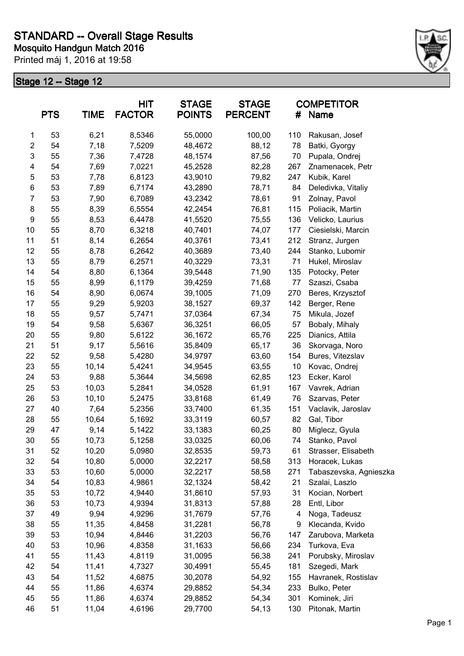

|                         | <b>PTS</b> | <b>TIME</b> | <b>HIT</b><br><b>FACTOR</b> | <b>STAGE</b><br><b>POINTS</b> | <b>STAGE</b><br><b>PERCENT</b> | #   | <b>COMPETITOR</b><br>Name |
|-------------------------|------------|-------------|-----------------------------|-------------------------------|--------------------------------|-----|---------------------------|
| 1                       | 53         | 6,21        | 8,5346                      | 55,0000                       | 100,00                         | 110 | Rakusan, Josef            |
| $\overline{\mathbf{c}}$ | 54         | 7,18        | 7,5209                      | 48,4672                       | 88,12                          | 78  | Batki, Gyorgy             |
| 3                       | 55         | 7,36        | 7,4728                      | 48,1574                       | 87,56                          | 70  | Pupala, Ondrej            |
| 4                       | 54         | 7,69        | 7,0221                      | 45,2528                       | 82,28                          | 267 | Znamenacek, Petr          |
| 5                       | 53         | 7,78        | 6,8123                      | 43,9010                       | 79,82                          | 247 | Kubik, Karel              |
| 6                       | 53         | 7,89        | 6,7174                      | 43,2890                       | 78,71                          | 84  | Deledivka, Vitaliy        |
| $\overline{7}$          | 53         | 7,90        | 6,7089                      | 43,2342                       | 78,61                          | 91  | Zolnay, Pavol             |
| 8                       | 55         | 8,39        | 6,5554                      | 42,2454                       | 76,81                          | 115 | Poliacik, Martin          |
| 9                       | 55         | 8,53        | 6,4478                      | 41,5520                       | 75,55                          | 136 | Velicko, Laurius          |
| 10                      | 55         | 8,70        | 6,3218                      | 40,7401                       | 74,07                          | 177 | Ciesielski, Marcin        |
| 11                      | 51         | 8,14        | 6,2654                      | 40,3761                       | 73,41                          | 212 | Stranz, Jurgen            |
| 12                      | 55         | 8,78        | 6,2642                      | 40,3689                       | 73,40                          | 244 | Stanko, Lubomir           |
| 13                      | 55         | 8,79        | 6,2571                      | 40,3229                       | 73,31                          | 71  | Hukel, Miroslav           |
| 14                      | 54         | 8,80        | 6,1364                      | 39,5448                       | 71,90                          | 135 | Potocky, Peter            |
| 15                      | 55         | 8,99        | 6,1179                      | 39,4259                       | 71,68                          | 77  | Szaszi, Csaba             |
| 16                      | 54         | 8,90        | 6,0674                      | 39,1005                       | 71,09                          | 270 | Beres, Krzysztof          |
| 17                      | 55         | 9,29        | 5,9203                      | 38,1527                       | 69,37                          | 142 | Berger, Rene              |
| 18                      | 55         | 9,57        | 5,7471                      | 37,0364                       | 67,34                          | 75  | Mikula, Jozef             |
| 19                      | 54         | 9,58        | 5,6367                      | 36,3251                       | 66,05                          | 57  | Bobaly, Mihaly            |
| 20                      | 55         | 9,80        | 5,6122                      | 36,1672                       | 65,76                          | 225 | Dianics, Attila           |
| 21                      | 51         | 9,17        | 5,5616                      | 35,8409                       | 65,17                          | 36  | Skorvaga, Noro            |
| 22                      | 52         | 9,58        | 5,4280                      | 34,9797                       | 63,60                          | 154 | Bures, Vitezslav          |
| 23                      | 55         | 10,14       | 5,4241                      | 34,9545                       | 63,55                          | 10  | Kovac, Ondrej             |
| 24                      | 53         | 9,88        | 5,3644                      | 34,5698                       | 62,85                          | 123 | Ecker, Karol              |
| 25                      | 53         | 10,03       | 5,2841                      | 34,0528                       | 61,91                          | 167 | Vavrek, Adrian            |
| 26                      | 53         | 10,10       | 5,2475                      | 33,8168                       | 61,49                          | 76  | Szarvas, Peter            |
| 27                      | 40         | 7,64        | 5,2356                      | 33,7400                       | 61,35                          | 151 | Vaclavik, Jaroslav        |
| 28                      | 55         | 10,64       | 5,1692                      | 33,3119                       | 60,57                          | 82  | Gal, Tibor                |
| 29                      | 47         | 9,14        | 5,1422                      | 33,1383                       | 60,25                          | 80  | Miglecz, Gyula            |
| 30                      | 55         | 10,73       | 5,1258                      | 33,0325                       | 60,06                          | 74  | Stanko, Pavol             |
| 31                      | 52         | 10,20       | 5,0980                      | 32,8535                       | 59,73                          | 61  | Strasser, Elisabeth       |
| 32                      | 54         | 10,80       | 5,0000                      | 32,2217                       | 58,58                          | 313 | Horacek, Lukas            |
| 33                      | 53         | 10,60       | 5,0000                      | 32,2217                       | 58,58                          | 271 | Tabaszevska, Agnieszka    |
| 34                      | 54         | 10,83       | 4,9861                      | 32,1324                       | 58,42                          | 21  | Szalai, Laszlo            |
| 35                      | 53         | 10,72       | 4,9440                      | 31,8610                       | 57,93                          | 31  | Kocian, Norbert           |
| 36                      | 53         | 10,73       | 4,9394                      | 31,8313                       | 57,88                          | 28  | Entl, Libor               |
| 37                      | 49         | 9,94        | 4,9296                      | 31,7679                       | 57,76                          | 4   | Noga, Tadeusz             |
| 38                      | 55         | 11,35       | 4,8458                      | 31,2281                       | 56,78                          | 9   | Klecanda, Kvido           |
| 39                      | 53         | 10,94       | 4,8446                      | 31,2203                       | 56,76                          | 147 | Zarubova, Marketa         |
| 40                      | 53         | 10,96       | 4,8358                      | 31,1633                       | 56,66                          | 234 | Turkova, Eva              |
| 41                      | 55         | 11,43       | 4,8119                      | 31,0095                       | 56,38                          | 241 | Porubsky, Miroslav        |
| 42                      | 54         | 11,41       | 4,7327                      | 30,4991                       | 55,45                          | 181 | Szegedi, Mark             |
| 43                      | 54         | 11,52       | 4,6875                      | 30,2078                       | 54,92                          | 155 | Havranek, Rostislav       |
| 44                      | 55         | 11,86       | 4,6374                      | 29,8852                       | 54,34                          | 233 | Bulko, Peter              |
| 45                      | 55         | 11,86       | 4,6374                      | 29,8852                       | 54,34                          | 301 | Kominek, Jiri             |
| 46                      | 51         | 11,04       | 4,6196                      | 29,7700                       | 54,13                          | 130 | Pitonak, Martin           |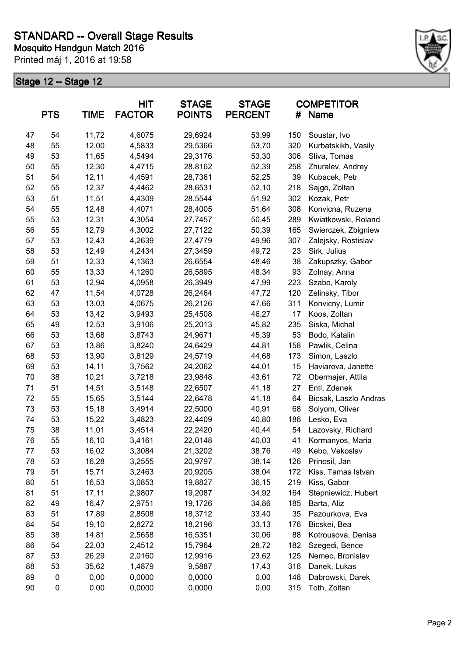

|    | <b>PTS</b> | <b>TIME</b> | <b>HIT</b><br><b>FACTOR</b> | <b>STAGE</b><br><b>POINTS</b> | <b>STAGE</b><br><b>PERCENT</b> | #   | <b>COMPETITOR</b><br><b>Name</b> |
|----|------------|-------------|-----------------------------|-------------------------------|--------------------------------|-----|----------------------------------|
| 47 | 54         | 11,72       | 4,6075                      | 29,6924                       | 53,99                          | 150 | Soustar, Ivo                     |
| 48 | 55         | 12,00       | 4,5833                      | 29,5366                       | 53,70                          | 320 | Kurbatskikh, Vasily              |
| 49 | 53         | 11,65       | 4,5494                      | 29,3176                       | 53,30                          | 306 | Sliva, Tomas                     |
| 50 | 55         | 12,30       | 4,4715                      | 28,8162                       | 52,39                          | 258 | Zhuralev, Andrey                 |
| 51 | 54         | 12,11       | 4,4591                      | 28,7361                       | 52,25                          | 39  | Kubacek, Petr                    |
| 52 | 55         | 12,37       | 4,4462                      | 28,6531                       | 52,10                          | 218 | Sajgo, Zoltan                    |
| 53 | 51         | 11,51       | 4,4309                      | 28,5544                       | 51,92                          | 302 | Kozak, Petr                      |
| 54 | 55         | 12,48       | 4,4071                      | 28,4005                       | 51,64                          | 308 | Konvicna, Ruzena                 |
| 55 | 53         | 12,31       | 4,3054                      | 27,7457                       | 50,45                          | 289 | Kwiatkowski, Roland              |
| 56 | 55         | 12,79       | 4,3002                      | 27,7122                       | 50,39                          | 165 | Swierczek, Zbigniew              |
| 57 | 53         | 12,43       | 4,2639                      | 27,4779                       | 49,96                          | 307 | Zalejsky, Rostislav              |
| 58 | 53         | 12,49       | 4,2434                      | 27,3459                       | 49,72                          | 23  | Sirk, Julius                     |
| 59 | 51         | 12,33       | 4,1363                      | 26,6554                       | 48,46                          | 38  | Zakupszky, Gabor                 |
| 60 | 55         | 13,33       | 4,1260                      | 26,5895                       | 48,34                          | 93  | Zolnay, Anna                     |
| 61 | 53         | 12,94       | 4,0958                      | 26,3949                       | 47,99                          | 223 | Szabo, Karoly                    |
| 62 | 47         | 11,54       | 4,0728                      | 26,2464                       | 47,72                          | 120 | Zelinsky, Tibor                  |
| 63 | 53         | 13,03       | 4,0675                      | 26,2126                       | 47,66                          | 311 | Konvicny, Lumir                  |
| 64 | 53         | 13,42       | 3,9493                      | 25,4508                       | 46,27                          | 17  | Koos, Zoltan                     |
| 65 | 49         | 12,53       | 3,9106                      | 25,2013                       | 45,82                          | 235 | Siska, Michal                    |
| 66 | 53         | 13,68       | 3,8743                      | 24,9671                       | 45,39                          | 53  | Bodo, Katalin                    |
| 67 | 53         | 13,86       | 3,8240                      | 24,6429                       | 44,81                          | 158 | Pawlik, Celina                   |
| 68 | 53         | 13,90       | 3,8129                      | 24,5719                       | 44,68                          | 173 | Simon, Laszlo                    |
| 69 | 53         | 14,11       | 3,7562                      | 24,2062                       | 44,01                          | 15  | Haviarova, Janette               |
| 70 | 38         | 10,21       | 3,7218                      | 23,9848                       | 43,61                          | 72  | Obermajer, Attila                |
| 71 | 51         | 14,51       | 3,5148                      | 22,6507                       | 41,18                          | 27  | Entl, Zdenek                     |
| 72 | 55         | 15,65       | 3,5144                      | 22,6478                       | 41,18                          | 64  | Bicsak, Laszlo Andras            |
| 73 | 53         | 15,18       | 3,4914                      | 22,5000                       | 40,91                          | 68  | Solyom, Oliver                   |
| 74 | 53         | 15,22       | 3,4823                      | 22,4409                       | 40,80                          | 186 | Lesko, Eva                       |
| 75 | 38         | 11,01       | 3,4514                      | 22,2420                       | 40,44                          | 54  | Lazovsky, Richard                |
| 76 | 55         | 16,10       | 3,4161                      | 22,0148                       | 40,03                          | 41  | Kormanyos, Maria                 |
| 77 | 53         | 16,02       | 3,3084                      | 21,3202                       | 38,76                          | 49  | Kebo, Vekoslav                   |
| 78 | 53         | 16,28       | 3,2555                      | 20,9797                       | 38,14                          | 126 | Prinosil, Jan                    |
| 79 | 51         | 15,71       | 3,2463                      | 20,9205                       | 38,04                          | 172 | Kiss, Tamas Istvan               |
| 80 | 51         | 16,53       | 3,0853                      | 19,8827                       | 36,15                          | 219 | Kiss, Gabor                      |
| 81 | 51         | 17,11       | 2,9807                      | 19,2087                       | 34,92                          | 164 | Stepniewicz, Hubert              |
| 82 | 49         | 16,47       | 2,9751                      | 19,1726                       | 34,86                          | 185 | Barta, Aliz                      |
| 83 | 51         | 17,89       | 2,8508                      | 18,3712                       | 33,40                          | 35  | Pazourkova, Eva                  |
| 84 | 54         | 19,10       | 2,8272                      | 18,2196                       | 33,13                          | 176 | Bicskei, Bea                     |
| 85 | 38         | 14,81       | 2,5658                      | 16,5351                       | 30,06                          | 88  | Kotrousova, Denisa               |
| 86 | 54         | 22,03       | 2,4512                      | 15,7964                       | 28,72                          | 182 | Szegedi, Bence                   |
| 87 | 53         | 26,29       | 2,0160                      | 12,9916                       | 23,62                          | 125 | Nemec, Bronislav                 |
| 88 | 53         | 35,62       | 1,4879                      | 9,5887                        | 17,43                          | 318 | Danek, Lukas                     |
| 89 | 0          | 0,00        | 0,0000                      | 0,0000                        | 0,00                           | 148 | Dabrowski, Darek                 |
| 90 | 0          | 0,00        | 0,0000                      | 0,0000                        | 0,00                           | 315 | Toth, Zoltan                     |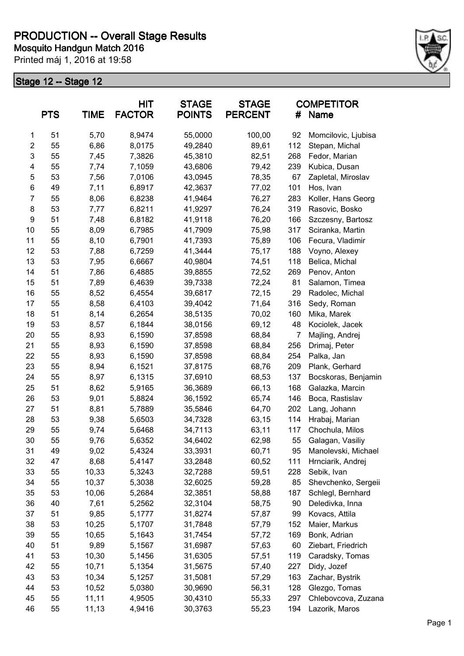

|                | <b>PTS</b> | <b>TIME</b> | <b>HIT</b><br><b>FACTOR</b> | <b>STAGE</b><br><b>POINTS</b> | <b>STAGE</b><br><b>PERCENT</b> | #   | <b>COMPETITOR</b><br>Name |
|----------------|------------|-------------|-----------------------------|-------------------------------|--------------------------------|-----|---------------------------|
| 1              | 51         | 5,70        | 8,9474                      | 55,0000                       | 100,00                         | 92  | Momcilovic, Ljubisa       |
| $\mathbf{2}$   | 55         | 6,86        | 8,0175                      | 49,2840                       | 89,61                          | 112 | Stepan, Michal            |
| $\mathsf 3$    | 55         | 7,45        | 7,3826                      | 45,3810                       | 82,51                          | 268 | Fedor, Marian             |
| 4              | 55         | 7,74        | 7,1059                      | 43,6806                       | 79,42                          | 239 | Kubica, Dusan             |
| 5              | 53         | 7,56        | 7,0106                      | 43,0945                       | 78,35                          | 67  | Zapletal, Miroslav        |
| 6              | 49         | 7,11        | 6,8917                      | 42,3637                       | 77,02                          | 101 | Hos, Ivan                 |
| $\overline{7}$ | 55         | 8,06        | 6,8238                      | 41,9464                       | 76,27                          | 283 | Koller, Hans Georg        |
| 8              | 53         | 7,77        | 6,8211                      | 41,9297                       | 76,24                          | 319 | Rasovic, Bosko            |
| 9              | 51         | 7,48        | 6,8182                      | 41,9118                       | 76,20                          | 166 | Szczesny, Bartosz         |
| 10             | 55         | 8,09        | 6,7985                      | 41,7909                       | 75,98                          | 317 | Sciranka, Martin          |
| 11             | 55         | 8,10        | 6,7901                      | 41,7393                       | 75,89                          | 106 | Fecura, Vladimir          |
| 12             | 53         | 7,88        | 6,7259                      | 41,3444                       | 75,17                          | 188 | Voyno, Alexey             |
| 13             | 53         | 7,95        | 6,6667                      | 40,9804                       | 74,51                          | 118 | Belica, Michal            |
| 14             | 51         | 7,86        | 6,4885                      | 39,8855                       | 72,52                          | 269 | Penov, Anton              |
| 15             | 51         | 7,89        | 6,4639                      | 39,7338                       | 72,24                          | 81  | Salamon, Timea            |
| 16             | 55         | 8,52        | 6,4554                      | 39,6817                       | 72,15                          | 29  | Radolec, Michal           |
| 17             | 55         | 8,58        | 6,4103                      | 39,4042                       | 71,64                          | 316 | Sedy, Roman               |
| 18             | 51         | 8,14        | 6,2654                      | 38,5135                       | 70,02                          | 160 | Mika, Marek               |
| 19             | 53         | 8,57        | 6,1844                      | 38,0156                       | 69,12                          | 48  | Kociolek, Jacek           |
| 20             | 55         | 8,93        | 6,1590                      | 37,8598                       | 68,84                          | 7   | Majling, Andrej           |
| 21             | 55         | 8,93        | 6,1590                      | 37,8598                       | 68,84                          | 256 | Drimaj, Peter             |
| 22             | 55         | 8,93        | 6,1590                      | 37,8598                       | 68,84                          | 254 | Palka, Jan                |
| 23             | 55         | 8,94        | 6,1521                      | 37,8175                       | 68,76                          | 209 | Plank, Gerhard            |
| 24             | 55         | 8,97        | 6,1315                      | 37,6910                       | 68,53                          | 137 | Bocskoras, Benjamin       |
| 25             | 51         | 8,62        | 5,9165                      | 36,3689                       | 66,13                          | 168 | Galazka, Marcin           |
| 26             | 53         | 9,01        | 5,8824                      | 36,1592                       | 65,74                          | 146 | Boca, Rastislav           |
| 27             | 51         | 8,81        | 5,7889                      | 35,5846                       | 64,70                          | 202 | Lang, Johann              |
| 28             | 53         | 9,38        | 5,6503                      | 34,7328                       | 63,15                          | 114 | Hrabaj, Marian            |
| 29             | 55         | 9,74        | 5,6468                      | 34,7113                       | 63,11                          | 117 | Chochula, Milos           |
| 30             | 55         | 9,76        | 5,6352                      | 34,6402                       | 62,98                          | 55  | Galagan, Vasiliy          |
| 31             | 49         | 9,02        | 5,4324                      | 33,3931                       | 60,71                          | 95  | Manolevski, Michael       |
| 32             | 47         | 8,68        | 5,4147                      | 33,2848                       | 60,52                          | 111 | Hrnciarik, Andrej         |
| 33             | 55         | 10,33       | 5,3243                      | 32,7288                       | 59,51                          | 228 | Sebik, Ivan               |
| 34             | 55         | 10,37       | 5,3038                      | 32,6025                       | 59,28                          | 85  | Shevchenko, Sergeii       |
| 35             | 53         | 10,06       | 5,2684                      | 32,3851                       | 58,88                          | 187 | Schlegl, Bernhard         |
| 36             | 40         | 7,61        | 5,2562                      | 32,3104                       | 58,75                          | 90  | Deledivka, Inna           |
| 37             | 51         | 9,85        | 5,1777                      | 31,8274                       | 57,87                          | 99  | Kovacs, Attila            |
| 38             | 53         | 10,25       | 5,1707                      | 31,7848                       | 57,79                          | 152 | Maier, Markus             |
| 39             | 55         | 10,65       | 5,1643                      | 31,7454                       | 57,72                          | 169 | Bonk, Adrian              |
| 40             | 51         | 9,89        | 5,1567                      | 31,6987                       | 57,63                          | 60  | Ziebart, Friedrich        |
| 41             | 53         | 10,30       | 5,1456                      | 31,6305                       | 57,51                          | 119 | Caradsky, Tomas           |
| 42             | 55         | 10,71       | 5,1354                      | 31,5675                       | 57,40                          | 227 | Didy, Jozef               |
| 43             | 53         | 10,34       | 5,1257                      | 31,5081                       | 57,29                          | 163 | Zachar, Bystrik           |
| 44             | 53         | 10,52       | 5,0380                      | 30,9690                       | 56,31                          | 128 | Glezgo, Tomas             |
| 45             | 55         | 11,11       | 4,9505                      | 30,4310                       | 55,33                          | 297 | Chlebovcova, Zuzana       |
| 46             | 55         | 11,13       | 4,9416                      | 30,3763                       | 55,23                          | 194 | Lazorik, Maros            |
|                |            |             |                             |                               |                                |     |                           |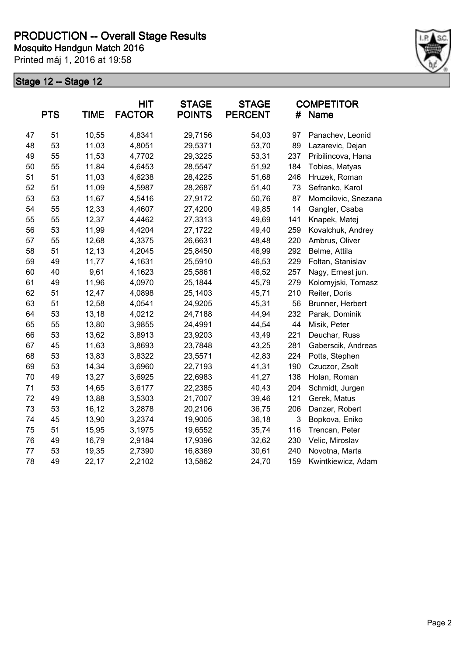

|    | <b>PTS</b> | <b>TIME</b> | <b>HIT</b><br><b>FACTOR</b> | <b>STAGE</b><br><b>POINTS</b> | <b>STAGE</b><br><b>PERCENT</b> | #   | <b>COMPETITOR</b><br>Name |
|----|------------|-------------|-----------------------------|-------------------------------|--------------------------------|-----|---------------------------|
| 47 | 51         | 10,55       | 4,8341                      | 29,7156                       | 54,03                          | 97  | Panachev, Leonid          |
| 48 | 53         | 11,03       | 4,8051                      | 29,5371                       | 53,70                          | 89  | Lazarevic, Dejan          |
| 49 | 55         | 11,53       | 4,7702                      | 29,3225                       | 53,31                          | 237 | Pribilincova, Hana        |
| 50 | 55         | 11,84       | 4,6453                      | 28,5547                       | 51,92                          | 184 | Tobias, Matyas            |
| 51 | 51         | 11,03       | 4,6238                      | 28,4225                       | 51,68                          | 246 | Hruzek, Roman             |
| 52 | 51         | 11,09       | 4,5987                      | 28,2687                       | 51,40                          | 73  | Sefranko, Karol           |
| 53 | 53         | 11,67       | 4,5416                      | 27,9172                       | 50,76                          | 87  | Momcilovic, Snezana       |
| 54 | 55         | 12,33       | 4,4607                      | 27,4200                       | 49,85                          | 14  | Gangler, Csaba            |
| 55 | 55         | 12,37       | 4,4462                      | 27,3313                       | 49,69                          | 141 | Knapek, Matej             |
| 56 | 53         | 11,99       | 4,4204                      | 27,1722                       | 49,40                          | 259 | Kovalchuk, Andrey         |
| 57 | 55         | 12,68       | 4,3375                      | 26,6631                       | 48,48                          | 220 | Ambrus, Oliver            |
| 58 | 51         | 12,13       | 4,2045                      | 25,8450                       | 46,99                          | 292 | Belme, Attila             |
| 59 | 49         | 11,77       | 4,1631                      | 25,5910                       | 46,53                          | 229 | Foltan, Stanislav         |
| 60 | 40         | 9,61        | 4,1623                      | 25,5861                       | 46,52                          | 257 | Nagy, Ernest jun.         |
| 61 | 49         | 11,96       | 4,0970                      | 25,1844                       | 45,79                          | 279 | Kolomyjski, Tomasz        |
| 62 | 51         | 12,47       | 4,0898                      | 25,1403                       | 45,71                          | 210 | Reiter, Doris             |
| 63 | 51         | 12,58       | 4,0541                      | 24,9205                       | 45,31                          | 56  | Brunner, Herbert          |
| 64 | 53         | 13,18       | 4,0212                      | 24,7188                       | 44,94                          | 232 | Parak, Dominik            |
| 65 | 55         | 13,80       | 3,9855                      | 24,4991                       | 44,54                          | 44  | Misik, Peter              |
| 66 | 53         | 13,62       | 3,8913                      | 23,9203                       | 43,49                          | 221 | Deuchar, Russ             |
| 67 | 45         | 11,63       | 3,8693                      | 23,7848                       | 43,25                          | 281 | Gaberscik, Andreas        |
| 68 | 53         | 13,83       | 3,8322                      | 23,5571                       | 42,83                          | 224 | Potts, Stephen            |
| 69 | 53         | 14,34       | 3,6960                      | 22,7193                       | 41,31                          | 190 | Czuczor, Zsolt            |
| 70 | 49         | 13,27       | 3,6925                      | 22,6983                       | 41,27                          | 138 | Holan, Roman              |
| 71 | 53         | 14,65       | 3,6177                      | 22,2385                       | 40,43                          | 204 | Schmidt, Jurgen           |
| 72 | 49         | 13,88       | 3,5303                      | 21,7007                       | 39,46                          | 121 | Gerek, Matus              |
| 73 | 53         | 16,12       | 3,2878                      | 20,2106                       | 36,75                          | 206 | Danzer, Robert            |
| 74 | 45         | 13,90       | 3,2374                      | 19,9005                       | 36,18                          | 3   | Bopkova, Eniko            |
| 75 | 51         | 15,95       | 3,1975                      | 19,6552                       | 35,74                          | 116 | Trencan, Peter            |
| 76 | 49         | 16,79       | 2,9184                      | 17,9396                       | 32,62                          | 230 | Velic, Miroslav           |
| 77 | 53         | 19,35       | 2,7390                      | 16,8369                       | 30,61                          | 240 | Novotna, Marta            |
| 78 | 49         | 22,17       | 2,2102                      | 13,5862                       | 24,70                          | 159 | Kwintkiewicz, Adam        |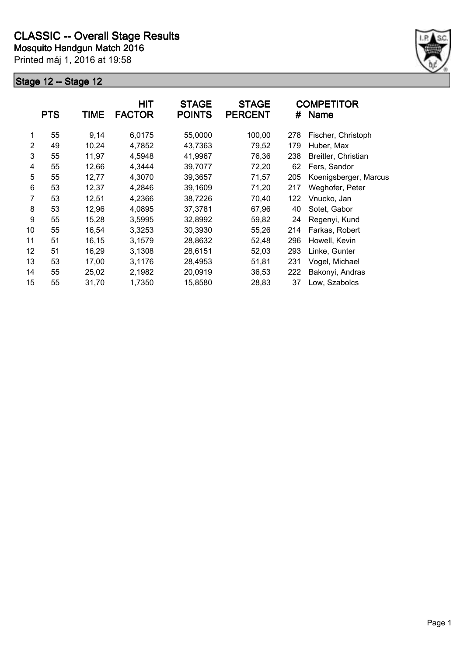

|    | <b>PTS</b> | <b>TIME</b> | <b>HIT</b><br><b>FACTOR</b> | <b>STAGE</b><br><b>POINTS</b> | <b>STAGE</b><br><b>PERCENT</b> | #   | <b>COMPETITOR</b><br><b>Name</b> |
|----|------------|-------------|-----------------------------|-------------------------------|--------------------------------|-----|----------------------------------|
| 1  | 55         | 9,14        | 6,0175                      | 55,0000                       | 100,00                         | 278 | Fischer, Christoph               |
| 2  | 49         | 10,24       | 4,7852                      | 43,7363                       | 79,52                          | 179 | Huber, Max                       |
| 3  | 55         | 11,97       | 4,5948                      | 41,9967                       | 76,36                          | 238 | Breitler, Christian              |
| 4  | 55         | 12,66       | 4,3444                      | 39,7077                       | 72,20                          | 62  | Fers, Sandor                     |
| 5  | 55         | 12,77       | 4,3070                      | 39,3657                       | 71,57                          | 205 | Koenigsberger, Marcus            |
| 6  | 53         | 12,37       | 4,2846                      | 39,1609                       | 71,20                          | 217 | Weghofer, Peter                  |
| 7  | 53         | 12,51       | 4,2366                      | 38,7226                       | 70,40                          | 122 | Vnucko, Jan                      |
| 8  | 53         | 12,96       | 4,0895                      | 37,3781                       | 67,96                          | 40  | Sotet, Gabor                     |
| 9  | 55         | 15,28       | 3,5995                      | 32,8992                       | 59,82                          | 24  | Regenyi, Kund                    |
| 10 | 55         | 16,54       | 3,3253                      | 30,3930                       | 55,26                          | 214 | Farkas, Robert                   |
| 11 | 51         | 16,15       | 3,1579                      | 28,8632                       | 52,48                          | 296 | Howell, Kevin                    |
| 12 | 51         | 16,29       | 3,1308                      | 28,6151                       | 52,03                          | 293 | Linke, Gunter                    |
| 13 | 53         | 17,00       | 3,1176                      | 28,4953                       | 51,81                          | 231 | Vogel, Michael                   |
| 14 | 55         | 25,02       | 2,1982                      | 20,0919                       | 36,53                          | 222 | Bakonyi, Andras                  |
| 15 | 55         | 31,70       | 1,7350                      | 15,8580                       | 28,83                          | 37  | Low, Szabolcs                    |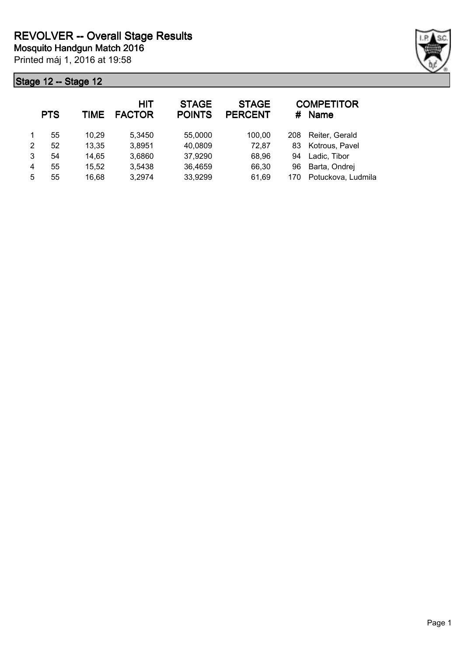

|   | <b>PTS</b> | <b>TIME</b> | <b>HIT</b><br><b>FACTOR</b> | <b>STAGE</b><br><b>POINTS</b> | <b>STAGE</b><br><b>PERCENT</b> | #   | <b>COMPETITOR</b><br><b>Name</b> |
|---|------------|-------------|-----------------------------|-------------------------------|--------------------------------|-----|----------------------------------|
|   | 55         | 10,29       | 5,3450                      | 55,0000                       | 100,00                         | 208 | Reiter, Gerald                   |
| 2 | 52         | 13,35       | 3,8951                      | 40,0809                       | 72,87                          | 83  | Kotrous, Pavel                   |
| 3 | 54         | 14,65       | 3,6860                      | 37,9290                       | 68,96                          | 94  | Ladic, Tibor                     |
| 4 | 55         | 15,52       | 3,5438                      | 36,4659                       | 66,30                          | 96  | Barta, Ondrej                    |
| 5 | 55         | 16,68       | 3,2974                      | 33,9299                       | 61,69                          | 170 | Potuckova, Ludmila               |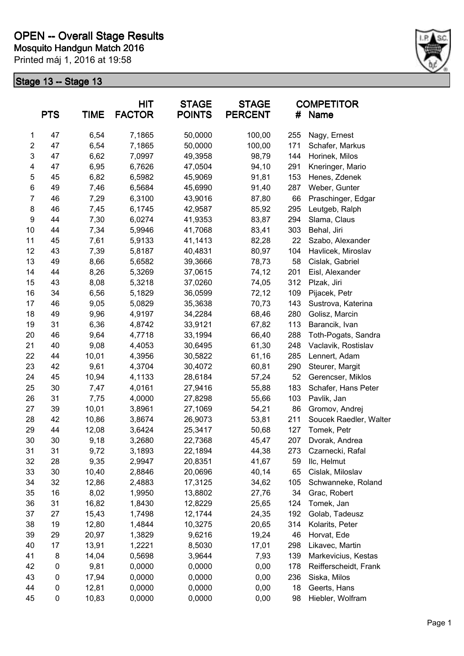

| <b>TIME</b><br><b>PTS</b> |    | <b>HIT</b><br><b>STAGE</b><br><b>FACTOR</b><br><b>POINTS</b> |        | <b>STAGE</b><br><b>PERCENT</b> | #      | <b>COMPETITOR</b><br><b>Name</b> |                        |  |
|---------------------------|----|--------------------------------------------------------------|--------|--------------------------------|--------|----------------------------------|------------------------|--|
| 1                         | 47 | 6,54                                                         | 7,1865 | 50,0000                        | 100,00 | 255                              | Nagy, Ernest           |  |
| $\overline{c}$            | 47 | 6,54                                                         | 7,1865 | 50,0000                        | 100,00 | 171                              | Schafer, Markus        |  |
| 3                         | 47 | 6,62                                                         | 7,0997 | 49,3958                        | 98,79  | 144                              | Horinek, Milos         |  |
| 4                         | 47 | 6,95                                                         | 6,7626 | 47,0504                        | 94,10  | 291                              | Kneringer, Mario       |  |
| 5                         | 45 | 6,82                                                         | 6,5982 | 45,9069                        | 91,81  | 153                              | Henes, Zdenek          |  |
| 6                         | 49 | 7,46                                                         | 6,5684 | 45,6990                        | 91,40  | 287                              | Weber, Gunter          |  |
| $\overline{7}$            | 46 | 7,29                                                         | 6,3100 | 43,9016                        | 87,80  | 66                               | Praschinger, Edgar     |  |
| 8                         | 46 | 7,45                                                         | 6,1745 | 42,9587                        | 85,92  | 295                              | Leutgeb, Ralph         |  |
| $\boldsymbol{9}$          | 44 | 7,30                                                         | 6,0274 | 41,9353                        | 83,87  | 294                              | Slama, Claus           |  |
| 10                        | 44 | 7,34                                                         | 5,9946 | 41,7068                        | 83,41  | 303                              | Behal, Jiri            |  |
| 11                        | 45 | 7,61                                                         | 5,9133 | 41,1413                        | 82,28  | 22                               | Szabo, Alexander       |  |
| 12                        | 43 | 7,39                                                         | 5,8187 | 40,4831                        | 80,97  | 104                              | Havlicek, Miroslav     |  |
| 13                        | 49 | 8,66                                                         | 5,6582 | 39,3666                        | 78,73  | 58                               | Cislak, Gabriel        |  |
| 14                        | 44 | 8,26                                                         | 5,3269 | 37,0615                        | 74,12  | 201                              | Eisl, Alexander        |  |
| 15                        | 43 | 8,08                                                         | 5,3218 | 37,0260                        | 74,05  | 312                              | Plzak, Jiri            |  |
| 16                        | 34 | 6,56                                                         | 5,1829 | 36,0599                        | 72,12  | 109                              | Pijacek, Petr          |  |
| 17                        | 46 | 9,05                                                         | 5,0829 | 35,3638                        | 70,73  | 143                              | Sustrova, Katerina     |  |
| 18                        | 49 | 9,96                                                         | 4,9197 | 34,2284                        | 68,46  | 280                              | Golisz, Marcin         |  |
| 19                        | 31 | 6,36                                                         | 4,8742 | 33,9121                        | 67,82  | 113                              | Barancik, Ivan         |  |
| 20                        | 46 | 9,64                                                         | 4,7718 | 33,1994                        | 66,40  | 288                              | Toth-Pogats, Sandra    |  |
| 21                        | 40 | 9,08                                                         | 4,4053 | 30,6495                        | 61,30  | 248                              | Vaclavik, Rostislav    |  |
| 22                        | 44 | 10,01                                                        | 4,3956 | 30,5822                        | 61,16  | 285                              | Lennert, Adam          |  |
| 23                        | 42 | 9,61                                                         | 4,3704 | 30,4072                        | 60,81  | 290                              | Steurer, Margit        |  |
| 24                        | 45 | 10,94                                                        | 4,1133 | 28,6184                        | 57,24  | 52                               | Gerencser, Miklos      |  |
| 25                        | 30 | 7,47                                                         | 4,0161 | 27,9416                        | 55,88  | 183                              | Schafer, Hans Peter    |  |
| 26                        | 31 | 7,75                                                         | 4,0000 | 27,8298                        | 55,66  | 103                              | Pavlik, Jan            |  |
| 27                        | 39 | 10,01                                                        | 3,8961 | 27,1069                        | 54,21  | 86                               | Gromov, Andrej         |  |
| 28                        | 42 | 10,86                                                        | 3,8674 | 26,9073                        | 53,81  | 211                              | Soucek Raedler, Walter |  |
| 29                        | 44 | 12,08                                                        | 3,6424 | 25,3417                        | 50,68  | 127                              | Tomek, Petr            |  |
| 30                        | 30 | 9,18                                                         | 3,2680 | 22,7368                        | 45,47  | 207                              | Dvorak, Andrea         |  |
| 31                        | 31 | 9,72                                                         | 3,1893 | 22,1894                        | 44,38  | 273                              | Czarnecki, Rafal       |  |
| 32                        | 28 | 9,35                                                         | 2,9947 | 20,8351                        | 41,67  | 59                               | IIc, Helmut            |  |
| 33                        | 30 | 10,40                                                        | 2,8846 | 20,0696                        | 40,14  | 65                               | Cislak, Miloslav       |  |
| 34                        | 32 | 12,86                                                        | 2,4883 | 17,3125                        | 34,62  | 105                              | Schwanneke, Roland     |  |
| 35                        | 16 | 8,02                                                         | 1,9950 | 13,8802                        | 27,76  | 34                               | Grac, Robert           |  |
| 36                        | 31 | 16,82                                                        | 1,8430 | 12,8229                        | 25,65  | 124                              | Tomek, Jan             |  |
| 37                        | 27 | 15,43                                                        | 1,7498 | 12,1744                        | 24,35  | 192                              | Golab, Tadeusz         |  |
| 38                        | 19 | 12,80                                                        | 1,4844 | 10,3275                        | 20,65  | 314                              | Kolarits, Peter        |  |
| 39                        | 29 | 20,97                                                        | 1,3829 | 9,6216                         | 19,24  | 46                               | Horvat, Ede            |  |
| 40                        | 17 | 13,91                                                        | 1,2221 | 8,5030                         | 17,01  | 298                              | Likavec, Martin        |  |
| 41                        | 8  | 14,04                                                        | 0,5698 | 3,9644                         | 7,93   | 139                              | Markevicius, Kestas    |  |
| 42                        | 0  | 9,81                                                         | 0,0000 | 0,0000                         | 0,00   | 178                              | Reifferscheidt, Frank  |  |
| 43                        | 0  | 17,94                                                        | 0,0000 | 0,0000                         | 0,00   | 236                              | Siska, Milos           |  |
| 44                        | 0  | 12,81                                                        | 0,0000 | 0,0000                         | 0,00   | 18                               | Geerts, Hans           |  |
| 45                        | 0  |                                                              | 0,0000 | 0,0000                         |        | 98                               |                        |  |
|                           |    | 10,83                                                        |        |                                | 0,00   |                                  | Hiebler, Wolfram       |  |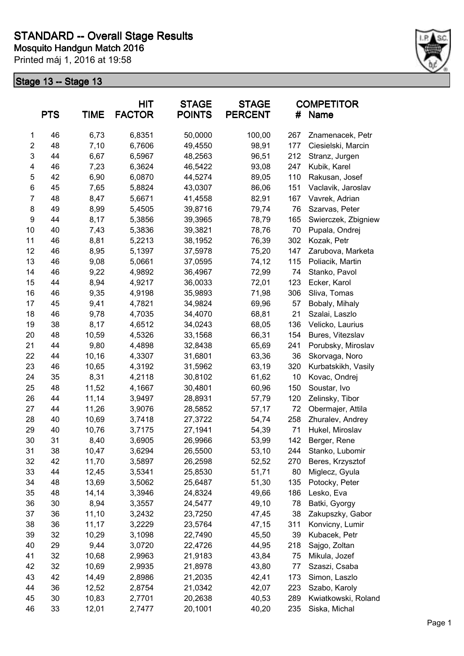

|                | <b>PTS</b> | <b>TIME</b> | <b>HIT</b><br><b>FACTOR</b> | <b>STAGE</b><br><b>POINTS</b> | <b>STAGE</b><br><b>PERCENT</b> | #   | <b>COMPETITOR</b><br>Name |
|----------------|------------|-------------|-----------------------------|-------------------------------|--------------------------------|-----|---------------------------|
| 1              | 46         | 6,73        | 6,8351                      | 50,0000                       | 100,00                         | 267 | Znamenacek, Petr          |
| $\overline{2}$ | 48         | 7,10        | 6,7606                      | 49,4550                       | 98,91                          | 177 | Ciesielski, Marcin        |
| 3              | 44         | 6,67        | 6,5967                      | 48,2563                       | 96,51                          | 212 | Stranz, Jurgen            |
| 4              | 46         | 7,23        | 6,3624                      | 46,5422                       | 93,08                          | 247 | Kubik, Karel              |
| 5              | 42         | 6,90        | 6,0870                      | 44,5274                       | 89,05                          | 110 | Rakusan, Josef            |
| 6              | 45         | 7,65        | 5,8824                      | 43,0307                       | 86,06                          | 151 | Vaclavik, Jaroslav        |
| $\overline{7}$ | 48         | 8,47        | 5,6671                      | 41,4558                       | 82,91                          | 167 | Vavrek, Adrian            |
| 8              | 49         | 8,99        | 5,4505                      | 39,8716                       | 79,74                          | 76  | Szarvas, Peter            |
| 9              | 44         | 8,17        | 5,3856                      | 39,3965                       | 78,79                          | 165 | Swierczek, Zbigniew       |
| 10             | 40         | 7,43        | 5,3836                      | 39,3821                       | 78,76                          | 70  | Pupala, Ondrej            |
| 11             | 46         | 8,81        | 5,2213                      | 38,1952                       | 76,39                          | 302 | Kozak, Petr               |
| 12             | 46         | 8,95        | 5,1397                      | 37,5978                       | 75,20                          | 147 | Zarubova, Marketa         |
| 13             | 46         | 9,08        | 5,0661                      | 37,0595                       | 74,12                          | 115 | Poliacik, Martin          |
| 14             | 46         | 9,22        | 4,9892                      | 36,4967                       | 72,99                          | 74  | Stanko, Pavol             |
| 15             | 44         | 8,94        | 4,9217                      | 36,0033                       | 72,01                          | 123 | Ecker, Karol              |
| 16             | 46         | 9,35        | 4,9198                      | 35,9893                       | 71,98                          | 306 | Sliva, Tomas              |
| 17             | 45         | 9,41        | 4,7821                      | 34,9824                       | 69,96                          | 57  | Bobaly, Mihaly            |
| 18             | 46         | 9,78        | 4,7035                      | 34,4070                       | 68,81                          | 21  | Szalai, Laszlo            |
| 19             | 38         | 8,17        | 4,6512                      | 34,0243                       | 68,05                          | 136 | Velicko, Laurius          |
| 20             | 48         | 10,59       | 4,5326                      | 33,1568                       | 66,31                          | 154 | Bures, Vitezslav          |
| 21             | 44         | 9,80        | 4,4898                      | 32,8438                       | 65,69                          | 241 | Porubsky, Miroslav        |
| 22             | 44         | 10,16       | 4,3307                      | 31,6801                       | 63,36                          | 36  | Skorvaga, Noro            |
| 23             | 46         | 10,65       | 4,3192                      | 31,5962                       | 63,19                          | 320 | Kurbatskikh, Vasily       |
| 24             | 35         | 8,31        | 4,2118                      | 30,8102                       | 61,62                          | 10  | Kovac, Ondrej             |
| 25             | 48         | 11,52       | 4,1667                      | 30,4801                       | 60,96                          | 150 | Soustar, Ivo              |
| 26             | 44         | 11,14       | 3,9497                      | 28,8931                       | 57,79                          | 120 | Zelinsky, Tibor           |
| 27             | 44         | 11,26       | 3,9076                      | 28,5852                       | 57,17                          | 72  | Obermajer, Attila         |
| 28             | 40         | 10,69       | 3,7418                      | 27,3722                       | 54,74                          | 258 | Zhuralev, Andrey          |
| 29             | 40         | 10,76       | 3,7175                      | 27,1941                       | 54,39                          | 71  | Hukel, Miroslav           |
| 30             | 31         | 8,40        | 3,6905                      | 26,9966                       | 53,99                          | 142 | Berger, Rene              |
| 31             | 38         | 10,47       | 3,6294                      | 26,5500                       | 53,10                          | 244 | Stanko, Lubomir           |
| 32             | 42         | 11,70       | 3,5897                      | 26,2598                       | 52,52                          | 270 | Beres, Krzysztof          |
| 33             | 44         | 12,45       | 3,5341                      | 25,8530                       | 51,71                          | 80  | Miglecz, Gyula            |
| 34             | 48         | 13,69       | 3,5062                      | 25,6487                       | 51,30                          | 135 | Potocky, Peter            |
| 35             | 48         | 14,14       | 3,3946                      | 24,8324                       | 49,66                          | 186 | Lesko, Eva                |
| 36             | 30         | 8,94        | 3,3557                      | 24,5477                       | 49,10                          | 78  | Batki, Gyorgy             |
| 37             | 36         | 11,10       | 3,2432                      | 23,7250                       | 47,45                          | 38  | Zakupszky, Gabor          |
| 38             | 36         | 11,17       | 3,2229                      | 23,5764                       | 47,15                          | 311 | Konvicny, Lumir           |
| 39             | 32         | 10,29       | 3,1098                      | 22,7490                       | 45,50                          | 39  | Kubacek, Petr             |
| 40             | 29         | 9,44        | 3,0720                      | 22,4726                       | 44,95                          | 218 | Sajgo, Zoltan             |
| 41             | 32         | 10,68       | 2,9963                      | 21,9183                       | 43,84                          | 75  | Mikula, Jozef             |
| 42             | 32         | 10,69       | 2,9935                      | 21,8978                       | 43,80                          | 77  | Szaszi, Csaba             |
| 43             | 42         | 14,49       | 2,8986                      | 21,2035                       | 42,41                          | 173 | Simon, Laszlo             |
| 44             | 36         | 12,52       | 2,8754                      | 21,0342                       | 42,07                          | 223 |                           |
| 45             | 30         |             |                             |                               |                                | 289 | Szabo, Karoly             |
|                |            | 10,83       | 2,7701                      | 20,2638                       | 40,53                          |     | Kwiatkowski, Roland       |
| 46             | 33         | 12,01       | 2,7477                      | 20,1001                       | 40,20                          | 235 | Siska, Michal             |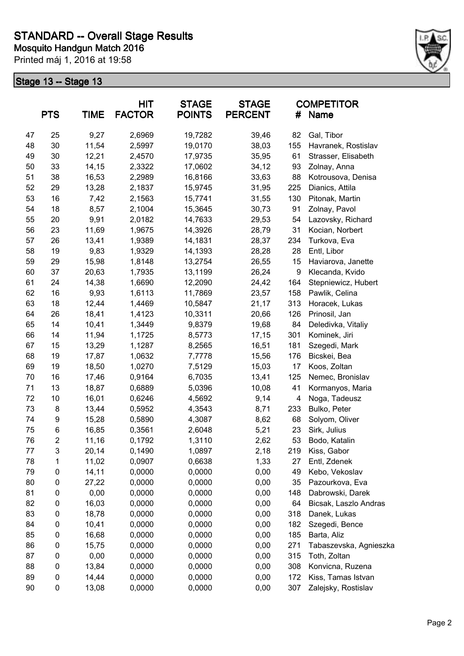

| <b>TIME</b><br><b>PTS</b> |                | <b>HIT</b><br><b>STAGE</b><br><b>FACTOR</b><br><b>POINTS</b> |        | <b>STAGE</b><br><b>PERCENT</b> | #      | <b>COMPETITOR</b><br>Name |                        |
|---------------------------|----------------|--------------------------------------------------------------|--------|--------------------------------|--------|---------------------------|------------------------|
| 47                        | 25             | 9,27                                                         | 2,6969 | 19,7282                        | 39,46  | 82                        | Gal, Tibor             |
| 48                        | 30             | 11,54                                                        | 2,5997 | 19,0170                        | 38,03  | 155                       | Havranek, Rostislav    |
| 49                        | 30             | 12,21                                                        | 2,4570 | 17,9735                        | 35,95  | 61                        | Strasser, Elisabeth    |
| 50                        | 33             | 14,15                                                        | 2,3322 | 17,0602                        | 34, 12 | 93                        | Zolnay, Anna           |
| 51                        | 38             | 16,53                                                        | 2,2989 | 16,8166                        | 33,63  | 88                        | Kotrousova, Denisa     |
| 52                        | 29             | 13,28                                                        | 2,1837 | 15,9745                        | 31,95  | 225                       | Dianics, Attila        |
| 53                        | 16             | 7,42                                                         | 2,1563 | 15,7741                        | 31,55  | 130                       | Pitonak, Martin        |
| 54                        | 18             | 8,57                                                         | 2,1004 | 15,3645                        | 30,73  | 91                        | Zolnay, Pavol          |
| 55                        | 20             | 9,91                                                         | 2,0182 | 14,7633                        | 29,53  | 54                        | Lazovsky, Richard      |
| 56                        | 23             | 11,69                                                        | 1,9675 | 14,3926                        | 28,79  | 31                        | Kocian, Norbert        |
| 57                        | 26             | 13,41                                                        | 1,9389 | 14,1831                        | 28,37  | 234                       | Turkova, Eva           |
| 58                        | 19             | 9,83                                                         | 1,9329 | 14,1393                        | 28,28  | 28                        | Entl, Libor            |
| 59                        | 29             | 15,98                                                        | 1,8148 | 13,2754                        | 26,55  | 15                        | Haviarova, Janette     |
| 60                        | 37             | 20,63                                                        | 1,7935 | 13,1199                        | 26,24  | 9                         | Klecanda, Kvido        |
| 61                        | 24             | 14,38                                                        | 1,6690 | 12,2090                        | 24,42  | 164                       | Stepniewicz, Hubert    |
| 62                        | 16             | 9,93                                                         | 1,6113 | 11,7869                        | 23,57  | 158                       | Pawlik, Celina         |
| 63                        | 18             | 12,44                                                        | 1,4469 | 10,5847                        | 21,17  | 313                       | Horacek, Lukas         |
| 64                        | 26             | 18,41                                                        | 1,4123 | 10,3311                        | 20,66  | 126                       | Prinosil, Jan          |
| 65                        | 14             | 10,41                                                        | 1,3449 | 9,8379                         | 19,68  | 84                        | Deledivka, Vitaliy     |
| 66                        | 14             | 11,94                                                        | 1,1725 | 8,5773                         | 17,15  | 301                       | Kominek, Jiri          |
| 67                        | 15             | 13,29                                                        | 1,1287 | 8,2565                         | 16,51  | 181                       | Szegedi, Mark          |
| 68                        | 19             | 17,87                                                        | 1,0632 | 7,7778                         | 15,56  | 176                       | Bicskei, Bea           |
| 69                        | 19             | 18,50                                                        | 1,0270 | 7,5129                         | 15,03  | 17                        | Koos, Zoltan           |
| 70                        | 16             | 17,46                                                        | 0,9164 | 6,7035                         | 13,41  | 125                       | Nemec, Bronislav       |
| 71                        | 13             | 18,87                                                        | 0,6889 | 5,0396                         | 10,08  | 41                        | Kormanyos, Maria       |
| 72                        | 10             | 16,01                                                        | 0,6246 | 4,5692                         | 9,14   | 4                         | Noga, Tadeusz          |
| 73                        | 8              | 13,44                                                        | 0,5952 | 4,3543                         | 8,71   | 233                       | Bulko, Peter           |
| 74                        | 9              | 15,28                                                        | 0,5890 | 4,3087                         | 8,62   | 68                        | Solyom, Oliver         |
| 75                        | $\,6$          | 16,85                                                        | 0,3561 | 2,6048                         | 5,21   | 23                        | Sirk, Julius           |
| 76                        | $\overline{2}$ | 11,16                                                        | 0,1792 | 1,3110                         | 2,62   | 53                        | Bodo, Katalin          |
| 77                        | 3              | 20,14                                                        | 0,1490 | 1,0897                         | 2,18   | 219                       | Kiss, Gabor            |
| 78                        | 1              | 11,02                                                        | 0,0907 | 0,6638                         | 1,33   | 27                        | Entl, Zdenek           |
| 79                        | 0              | 14,11                                                        | 0,0000 | 0,0000                         | 0,00   | 49                        | Kebo, Vekoslav         |
| 80                        | 0              | 27,22                                                        | 0,0000 | 0,0000                         | 0,00   | 35                        | Pazourkova, Eva        |
| 81                        | 0              | 0,00                                                         | 0,0000 | 0,0000                         | 0,00   | 148                       | Dabrowski, Darek       |
| 82                        | 0              | 16,03                                                        | 0,0000 | 0,0000                         | 0,00   | 64                        | Bicsak, Laszlo Andras  |
| 83                        | 0              | 18,78                                                        | 0,0000 | 0,0000                         | 0,00   | 318                       | Danek, Lukas           |
| 84                        | 0              | 10,41                                                        | 0,0000 | 0,0000                         | 0,00   | 182                       | Szegedi, Bence         |
| 85                        | 0              | 16,68                                                        | 0,0000 | 0,0000                         | 0,00   | 185                       | Barta, Aliz            |
| 86                        | 0              | 15,75                                                        | 0,0000 | 0,0000                         | 0,00   | 271                       | Tabaszevska, Agnieszka |
| 87                        | 0              | 0,00                                                         | 0,0000 | 0,0000                         | 0,00   | 315                       | Toth, Zoltan           |
| 88                        | 0              | 13,84                                                        | 0,0000 | 0,0000                         | 0,00   | 308                       | Konvicna, Ruzena       |
| 89                        | 0              | 14,44                                                        | 0,0000 | 0,0000                         | 0,00   | 172                       | Kiss, Tamas Istvan     |
| 90                        | 0              | 13,08                                                        | 0,0000 | 0,0000                         | 0,00   | 307                       | Zalejsky, Rostislav    |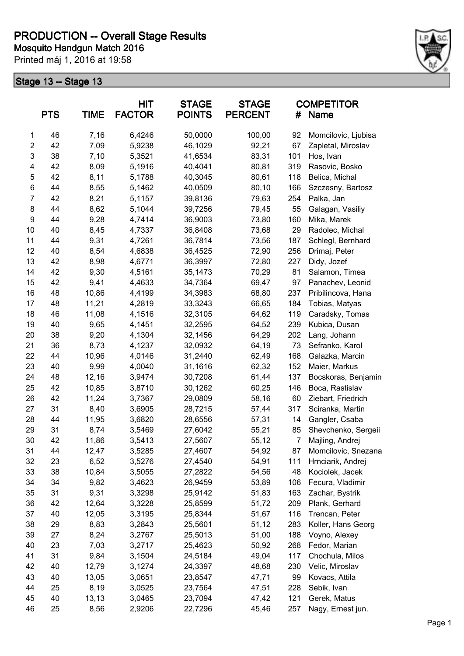

|                         | <b>PTS</b> | <b>TIME</b> | <b>HIT</b><br><b>FACTOR</b> | <b>STAGE</b><br><b>POINTS</b> | <b>STAGE</b><br><b>PERCENT</b> | #              | <b>COMPETITOR</b><br>Name |
|-------------------------|------------|-------------|-----------------------------|-------------------------------|--------------------------------|----------------|---------------------------|
| 1                       | 46         | 7,16        | 6,4246                      | 50,0000                       | 100,00                         | 92             | Momcilovic, Ljubisa       |
| $\overline{\mathbf{c}}$ | 42         | 7,09        | 5,9238                      | 46,1029                       | 92,21                          | 67             | Zapletal, Miroslav        |
| $\mathsf 3$             | 38         | 7,10        | 5,3521                      | 41,6534                       | 83,31                          | 101            | Hos, Ivan                 |
| 4                       | 42         | 8,09        | 5,1916                      | 40,4041                       | 80,81                          | 319            | Rasovic, Bosko            |
| 5                       | 42         | 8,11        | 5,1788                      | 40,3045                       | 80,61                          | 118            | Belica, Michal            |
| 6                       | 44         | 8,55        | 5,1462                      | 40,0509                       | 80,10                          | 166            | Szczesny, Bartosz         |
| $\overline{7}$          | 42         | 8,21        | 5,1157                      | 39,8136                       | 79,63                          | 254            | Palka, Jan                |
| 8                       | 44         | 8,62        | 5,1044                      | 39,7256                       | 79,45                          | 55             | Galagan, Vasiliy          |
| 9                       | 44         | 9,28        | 4,7414                      | 36,9003                       | 73,80                          | 160            | Mika, Marek               |
| 10                      | 40         | 8,45        | 4,7337                      | 36,8408                       | 73,68                          | 29             | Radolec, Michal           |
| 11                      | 44         | 9,31        | 4,7261                      | 36,7814                       | 73,56                          | 187            | Schlegl, Bernhard         |
| 12                      | 40         | 8,54        | 4,6838                      | 36,4525                       | 72,90                          | 256            | Drimaj, Peter             |
| 13                      | 42         | 8,98        | 4,6771                      | 36,3997                       | 72,80                          | 227            | Didy, Jozef               |
| 14                      | 42         | 9,30        | 4,5161                      | 35,1473                       | 70,29                          | 81             | Salamon, Timea            |
| 15                      | 42         | 9,41        | 4,4633                      | 34,7364                       | 69,47                          | 97             | Panachev, Leonid          |
| 16                      | 48         | 10,86       | 4,4199                      | 34,3983                       | 68,80                          | 237            | Pribilincova, Hana        |
| 17                      | 48         | 11,21       | 4,2819                      | 33,3243                       | 66,65                          | 184            | Tobias, Matyas            |
| 18                      | 46         | 11,08       | 4,1516                      | 32,3105                       | 64,62                          | 119            | Caradsky, Tomas           |
| 19                      | 40         | 9,65        | 4,1451                      | 32,2595                       | 64,52                          | 239            | Kubica, Dusan             |
| 20                      | 38         | 9,20        | 4,1304                      | 32,1456                       | 64,29                          | 202            | Lang, Johann              |
| 21                      | 36         | 8,73        | 4,1237                      | 32,0932                       | 64,19                          | 73             | Sefranko, Karol           |
| 22                      | 44         | 10,96       | 4,0146                      | 31,2440                       | 62,49                          | 168            | Galazka, Marcin           |
| 23                      | 40         | 9,99        | 4,0040                      | 31,1616                       | 62,32                          | 152            | Maier, Markus             |
| 24                      | 48         | 12,16       | 3,9474                      | 30,7208                       | 61,44                          | 137            | Bocskoras, Benjamin       |
| 25                      | 42         | 10,85       | 3,8710                      | 30,1262                       | 60,25                          | 146            | Boca, Rastislav           |
| 26                      | 42         | 11,24       | 3,7367                      | 29,0809                       | 58,16                          | 60             | Ziebart, Friedrich        |
| 27                      | 31         | 8,40        | 3,6905                      | 28,7215                       | 57,44                          | 317            | Sciranka, Martin          |
| 28                      | 44         | 11,95       | 3,6820                      | 28,6556                       | 57,31                          | 14             | Gangler, Csaba            |
| 29                      | 31         | 8,74        | 3,5469                      | 27,6042                       | 55,21                          | 85             | Shevchenko, Sergeii       |
| 30                      | 42         | 11,86       | 3,5413                      | 27,5607                       | 55,12                          | $\overline{7}$ | Majling, Andrej           |
| 31                      | 44         | 12,47       | 3,5285                      | 27,4607                       | 54,92                          | 87             | Momcilovic, Snezana       |
| 32                      | 23         | 6,52        | 3,5276                      | 27,4540                       | 54,91                          | 111            | Hrnciarik, Andrej         |
| 33                      | 38         | 10,84       | 3,5055                      | 27,2822                       | 54,56                          | 48             | Kociolek, Jacek           |
| 34                      | 34         | 9,82        | 3,4623                      | 26,9459                       | 53,89                          | 106            | Fecura, Vladimir          |
| 35                      | 31         | 9,31        | 3,3298                      | 25,9142                       | 51,83                          | 163            | Zachar, Bystrik           |
| 36                      | 42         | 12,64       | 3,3228                      | 25,8599                       | 51,72                          | 209            | Plank, Gerhard            |
| 37                      | 40         | 12,05       | 3,3195                      | 25,8344                       | 51,67                          | 116            | Trencan, Peter            |
| 38                      | 29         | 8,83        | 3,2843                      | 25,5601                       | 51,12                          | 283            | Koller, Hans Georg        |
| 39                      | 27         | 8,24        | 3,2767                      | 25,5013                       | 51,00                          | 188            | Voyno, Alexey             |
| 40                      | 23         | 7,03        | 3,2717                      | 25,4623                       | 50,92                          | 268            | Fedor, Marian             |
| 41                      | 31         | 9,84        | 3,1504                      | 24,5184                       | 49,04                          | 117            | Chochula, Milos           |
| 42                      | 40         | 12,79       | 3,1274                      | 24,3397                       | 48,68                          | 230            | Velic, Miroslav           |
| 43                      | 40         | 13,05       | 3,0651                      | 23,8547                       | 47,71                          | 99             | Kovacs, Attila            |
| 44                      | 25         | 8,19        | 3,0525                      | 23,7564                       | 47,51                          | 228            | Sebik, Ivan               |
| 45                      | 40         | 13,13       | 3,0465                      | 23,7094                       | 47,42                          | 121            | Gerek, Matus              |
| 46                      | 25         | 8,56        | 2,9206                      | 22,7296                       | 45,46                          | 257            | Nagy, Ernest jun.         |
|                         |            |             |                             |                               |                                |                |                           |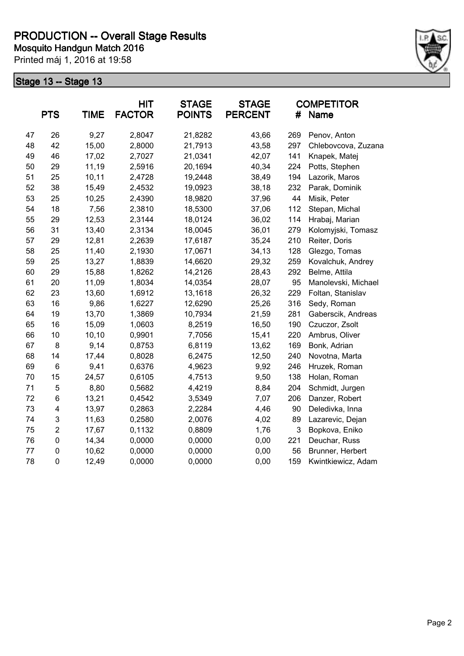

|    | <b>PTS</b>              | <b>TIME</b> | <b>HIT</b><br><b>FACTOR</b> | <b>STAGE</b><br><b>POINTS</b> | <b>STAGE</b><br><b>PERCENT</b> | #   | <b>COMPETITOR</b><br><b>Name</b> |
|----|-------------------------|-------------|-----------------------------|-------------------------------|--------------------------------|-----|----------------------------------|
| 47 | 26                      | 9,27        | 2,8047                      | 21,8282                       | 43,66                          | 269 | Penov, Anton                     |
| 48 | 42                      | 15,00       | 2,8000                      | 21,7913                       | 43,58                          | 297 | Chlebovcova, Zuzana              |
| 49 | 46                      | 17,02       | 2,7027                      | 21,0341                       | 42,07                          | 141 | Knapek, Matej                    |
| 50 | 29                      | 11,19       | 2,5916                      | 20,1694                       | 40,34                          | 224 | Potts, Stephen                   |
| 51 | 25                      | 10, 11      | 2,4728                      | 19,2448                       | 38,49                          | 194 | Lazorik, Maros                   |
| 52 | 38                      | 15,49       | 2,4532                      | 19,0923                       | 38,18                          | 232 | Parak, Dominik                   |
| 53 | 25                      | 10,25       | 2,4390                      | 18,9820                       | 37,96                          | 44  | Misik, Peter                     |
| 54 | 18                      | 7,56        | 2,3810                      | 18,5300                       | 37,06                          | 112 | Stepan, Michal                   |
| 55 | 29                      | 12,53       | 2,3144                      | 18,0124                       | 36,02                          | 114 | Hrabaj, Marian                   |
| 56 | 31                      | 13,40       | 2,3134                      | 18,0045                       | 36,01                          | 279 | Kolomyjski, Tomasz               |
| 57 | 29                      | 12,81       | 2,2639                      | 17,6187                       | 35,24                          | 210 | Reiter, Doris                    |
| 58 | 25                      | 11,40       | 2,1930                      | 17,0671                       | 34,13                          | 128 | Glezgo, Tomas                    |
| 59 | 25                      | 13,27       | 1,8839                      | 14,6620                       | 29,32                          | 259 | Kovalchuk, Andrey                |
| 60 | 29                      | 15,88       | 1,8262                      | 14,2126                       | 28,43                          | 292 | Belme, Attila                    |
| 61 | 20                      | 11,09       | 1,8034                      | 14,0354                       | 28,07                          | 95  | Manolevski, Michael              |
| 62 | 23                      | 13,60       | 1,6912                      | 13,1618                       | 26,32                          | 229 | Foltan, Stanislav                |
| 63 | 16                      | 9,86        | 1,6227                      | 12,6290                       | 25,26                          | 316 | Sedy, Roman                      |
| 64 | 19                      | 13,70       | 1,3869                      | 10,7934                       | 21,59                          | 281 | Gaberscik, Andreas               |
| 65 | 16                      | 15,09       | 1,0603                      | 8,2519                        | 16,50                          | 190 | Czuczor, Zsolt                   |
| 66 | 10                      | 10, 10      | 0,9901                      | 7,7056                        | 15,41                          | 220 | Ambrus, Oliver                   |
| 67 | 8                       | 9,14        | 0,8753                      | 6,8119                        | 13,62                          | 169 | Bonk, Adrian                     |
| 68 | 14                      | 17,44       | 0,8028                      | 6,2475                        | 12,50                          | 240 | Novotna, Marta                   |
| 69 | 6                       | 9,41        | 0,6376                      | 4,9623                        | 9,92                           | 246 | Hruzek, Roman                    |
| 70 | 15                      | 24,57       | 0,6105                      | 4,7513                        | 9,50                           | 138 | Holan, Roman                     |
| 71 | 5                       | 8,80        | 0,5682                      | 4,4219                        | 8,84                           | 204 | Schmidt, Jurgen                  |
| 72 | 6                       | 13,21       | 0,4542                      | 3,5349                        | 7,07                           | 206 | Danzer, Robert                   |
| 73 | $\overline{\mathbf{4}}$ | 13,97       | 0,2863                      | 2,2284                        | 4,46                           | 90  | Deledivka, Inna                  |
| 74 | 3                       | 11,63       | 0,2580                      | 2,0076                        | 4,02                           | 89  | Lazarevic, Dejan                 |
| 75 | $\overline{2}$          | 17,67       | 0,1132                      | 0,8809                        | 1,76                           | 3   | Bopkova, Eniko                   |
| 76 | $\mathbf 0$             | 14,34       | 0,0000                      | 0,0000                        | 0,00                           | 221 | Deuchar, Russ                    |
| 77 | 0                       | 10,62       | 0,0000                      | 0,0000                        | 0,00                           | 56  | Brunner, Herbert                 |
| 78 | $\mathbf 0$             | 12,49       | 0,0000                      | 0,0000                        | 0,00                           | 159 | Kwintkiewicz, Adam               |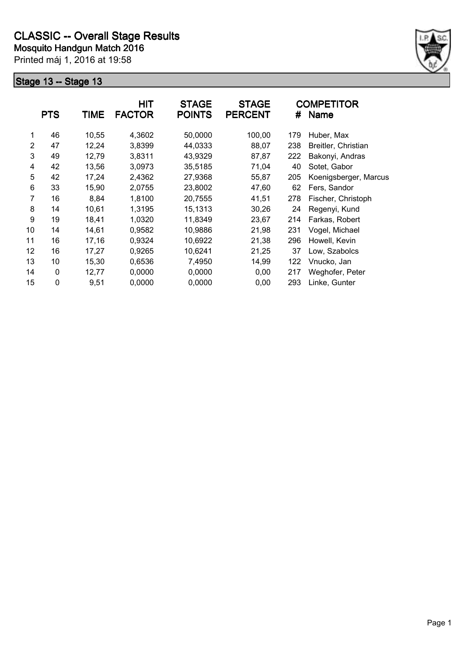

|                | <b>PTS</b>  | <b>TIME</b> | <b>HIT</b><br><b>FACTOR</b> | <b>STAGE</b><br><b>POINTS</b> | <b>STAGE</b><br><b>PERCENT</b> | #   | <b>COMPETITOR</b><br><b>Name</b> |
|----------------|-------------|-------------|-----------------------------|-------------------------------|--------------------------------|-----|----------------------------------|
| 1              | 46          | 10,55       | 4,3602                      | 50,0000                       | 100,00                         | 179 | Huber, Max                       |
| $\overline{2}$ | 47          | 12,24       | 3,8399                      | 44,0333                       | 88,07                          | 238 | Breitler, Christian              |
| 3              | 49          | 12,79       | 3,8311                      | 43,9329                       | 87,87                          | 222 | Bakonyi, Andras                  |
| 4              | 42          | 13,56       | 3,0973                      | 35,5185                       | 71,04                          | 40  | Sotet, Gabor                     |
| 5              | 42          | 17,24       | 2,4362                      | 27,9368                       | 55,87                          | 205 | Koenigsberger, Marcus            |
| 6              | 33          | 15,90       | 2,0755                      | 23,8002                       | 47,60                          | 62  | Fers, Sandor                     |
| 7              | 16          | 8,84        | 1,8100                      | 20,7555                       | 41,51                          | 278 | Fischer, Christoph               |
| 8              | 14          | 10,61       | 1,3195                      | 15,1313                       | 30,26                          | 24  | Regenyi, Kund                    |
| 9              | 19          | 18,41       | 1,0320                      | 11,8349                       | 23,67                          | 214 | Farkas, Robert                   |
| 10             | 14          | 14,61       | 0,9582                      | 10,9886                       | 21,98                          | 231 | Vogel, Michael                   |
| 11             | 16          | 17,16       | 0,9324                      | 10,6922                       | 21,38                          | 296 | Howell, Kevin                    |
| 12             | 16          | 17,27       | 0,9265                      | 10,6241                       | 21,25                          | 37  | Low, Szabolcs                    |
| 13             | 10          | 15,30       | 0,6536                      | 7,4950                        | 14,99                          | 122 | Vnucko, Jan                      |
| 14             | $\pmb{0}$   | 12,77       | 0,0000                      | 0,0000                        | 0,00                           | 217 | Weghofer, Peter                  |
| 15             | $\mathbf 0$ | 9,51        | 0,0000                      | 0,0000                        | 0,00                           | 293 | Linke, Gunter                    |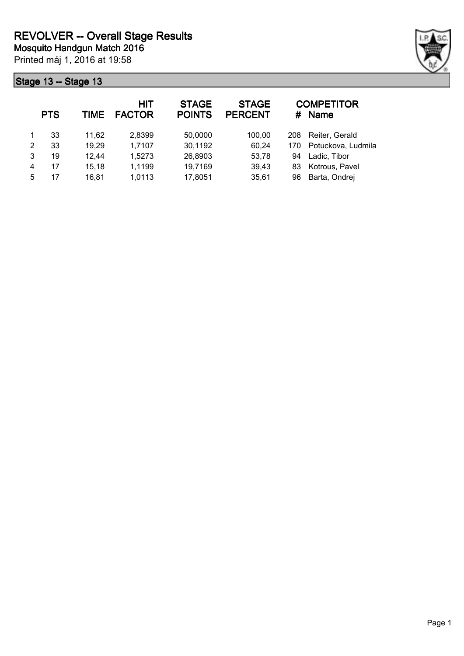

|   | <b>PTS</b> | <b>TIME</b> | <b>HIT</b><br><b>FACTOR</b> | <b>STAGE</b><br><b>POINTS</b> | <b>STAGE</b><br><b>PERCENT</b> | #   | <b>COMPETITOR</b><br><b>Name</b> |
|---|------------|-------------|-----------------------------|-------------------------------|--------------------------------|-----|----------------------------------|
|   | 33         | 11,62       | 2,8399                      | 50,0000                       | 100,00                         | 208 | Reiter, Gerald                   |
| 2 | 33         | 19,29       | 1,7107                      | 30,1192                       | 60,24                          | 170 | Potuckova, Ludmila               |
| 3 | 19         | 12,44       | 1,5273                      | 26,8903                       | 53,78                          | 94  | Ladic, Tibor                     |
| 4 | 17         | 15,18       | 1,1199                      | 19,7169                       | 39,43                          | 83  | Kotrous, Pavel                   |
| 5 | 17         | 16.81       | 1,0113                      | 17,8051                       | 35,61                          | 96  | Barta, Ondrej                    |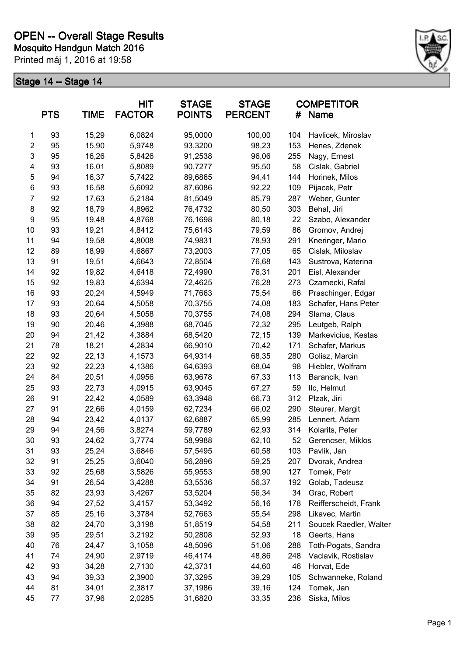

|                  | <b>PTS</b> | <b>TIME</b> | HIT<br><b>FACTOR</b> | <b>STAGE</b><br><b>POINTS</b> | <b>STAGE</b><br><b>PERCENT</b> |     | <b>COMPETITOR</b><br># Name |
|------------------|------------|-------------|----------------------|-------------------------------|--------------------------------|-----|-----------------------------|
| 1                | 93         | 15,29       | 6,0824               | 95,0000                       | 100,00                         | 104 | Havlicek, Miroslav          |
| $\boldsymbol{2}$ | 95         | 15,90       | 5,9748               | 93,3200                       | 98,23                          | 153 | Henes, Zdenek               |
| 3                | 95         | 16,26       | 5,8426               | 91,2538                       | 96,06                          | 255 | Nagy, Ernest                |
| 4                | 93         | 16,01       | 5,8089               | 90,7277                       | 95,50                          | 58  | Cislak, Gabriel             |
| 5                | 94         | 16,37       | 5,7422               | 89,6865                       | 94,41                          | 144 | Horinek, Milos              |
| 6                | 93         | 16,58       | 5,6092               | 87,6086                       | 92,22                          | 109 | Pijacek, Petr               |
| $\overline{7}$   | 92         | 17,63       | 5,2184               | 81,5049                       | 85,79                          | 287 | Weber, Gunter               |
| 8                | 92         | 18,79       | 4,8962               | 76,4732                       | 80,50                          | 303 | Behal, Jiri                 |
| 9                | 95         | 19,48       | 4,8768               | 76,1698                       | 80,18                          | 22  | Szabo, Alexander            |
| 10               | 93         | 19,21       | 4,8412               | 75,6143                       | 79,59                          | 86  | Gromov, Andrej              |
| 11               | 94         | 19,58       | 4,8008               | 74,9831                       | 78,93                          | 291 | Kneringer, Mario            |
| 12               | 89         | 18,99       | 4,6867               | 73,2003                       | 77,05                          | 65  | Cislak, Miloslav            |
| 13               | 91         | 19,51       | 4,6643               | 72,8504                       | 76,68                          | 143 | Sustrova, Katerina          |
| 14               | 92         | 19,82       | 4,6418               | 72,4990                       | 76,31                          | 201 | Eisl, Alexander             |
| 15               | 92         | 19,83       | 4,6394               | 72,4625                       | 76,28                          | 273 | Czarnecki, Rafal            |
| 16               | 93         | 20,24       | 4,5949               | 71,7663                       | 75,54                          | 66  | Praschinger, Edgar          |
| 17               | 93         | 20,64       | 4,5058               | 70,3755                       | 74,08                          | 183 | Schafer, Hans Peter         |
| 18               | 93         | 20,64       | 4,5058               | 70,3755                       | 74,08                          | 294 | Slama, Claus                |
| 19               | 90         | 20,46       | 4,3988               | 68,7045                       | 72,32                          | 295 | Leutgeb, Ralph              |
| 20               | 94         | 21,42       | 4,3884               | 68,5420                       | 72,15                          | 139 | Markevicius, Kestas         |
| 21               | 78         | 18,21       | 4,2834               | 66,9010                       | 70,42                          | 171 | Schafer, Markus             |
| 22               | 92         | 22,13       | 4,1573               | 64,9314                       | 68,35                          | 280 | Golisz, Marcin              |
| 23               | 92         | 22,23       | 4,1386               | 64,6393                       | 68,04                          | 98  | Hiebler, Wolfram            |
| 24               | 84         | 20,51       | 4,0956               | 63,9678                       | 67,33                          | 113 | Barancik, Ivan              |
| 25               | 93         | 22,73       | 4,0915               | 63,9045                       | 67,27                          | 59  | Ilc, Helmut                 |
| 26               | 91         | 22,42       | 4,0589               | 63,3948                       | 66,73                          | 312 | Plzak, Jiri                 |
| 27               | 91         | 22,66       | 4,0159               | 62,7234                       | 66,02                          | 290 | Steurer, Margit             |
| 28               | 94         | 23,42       | 4,0137               | 62,6887                       | 65,99                          | 285 | Lennert, Adam               |
| 29               | 94         | 24,56       | 3,8274               | 59,7789                       | 62,93                          | 314 | Kolarits, Peter             |
| 30               | 93         | 24,62       | 3,7774               | 58,9988                       | 62,10                          | 52  | Gerencser, Miklos           |
| 31               | 93         | 25,24       | 3,6846               | 57,5495                       | 60,58                          | 103 | Pavlik, Jan                 |
| 32               | 91         | 25,25       | 3,6040               | 56,2896                       | 59,25                          | 207 | Dvorak, Andrea              |
| 33               | 92         | 25,68       | 3,5826               | 55,9553                       | 58,90                          | 127 | Tomek, Petr                 |
| 34               | 91         | 26,54       | 3,4288               | 53,5536                       | 56,37                          | 192 | Golab, Tadeusz              |
| 35               | 82         | 23,93       | 3,4267               | 53,5204                       | 56,34                          | 34  | Grac, Robert                |
| 36               | 94         | 27,52       | 3,4157               | 53,3492                       | 56,16                          | 178 | Reifferscheidt, Frank       |
| 37               | 85         | 25,16       | 3,3784               | 52,7663                       | 55,54                          | 298 | Likavec, Martin             |
| 38               | 82         | 24,70       | 3,3198               | 51,8519                       | 54,58                          | 211 | Soucek Raedler, Walter      |
| 39               | 95         | 29,51       | 3,2192               | 50,2808                       | 52,93                          | 18  | Geerts, Hans                |
| 40               | 76         | 24,47       | 3,1058               | 48,5096                       | 51,06                          | 288 | Toth-Pogats, Sandra         |
| 41               | 74         | 24,90       | 2,9719               | 46,4174                       | 48,86                          | 248 | Vaclavik, Rostislav         |
| 42               | 93         | 34,28       | 2,7130               | 42,3731                       | 44,60                          | 46  | Horvat, Ede                 |
| 43               | 94         | 39,33       | 2,3900               | 37,3295                       | 39,29                          | 105 | Schwanneke, Roland          |
| 44               | 81         | 34,01       | 2,3817               | 37,1986                       | 39,16                          | 124 | Tomek, Jan                  |
| 45               | 77         | 37,96       | 2,0285               | 31,6820                       | 33,35                          | 236 | Siska, Milos                |
|                  |            |             |                      |                               |                                |     |                             |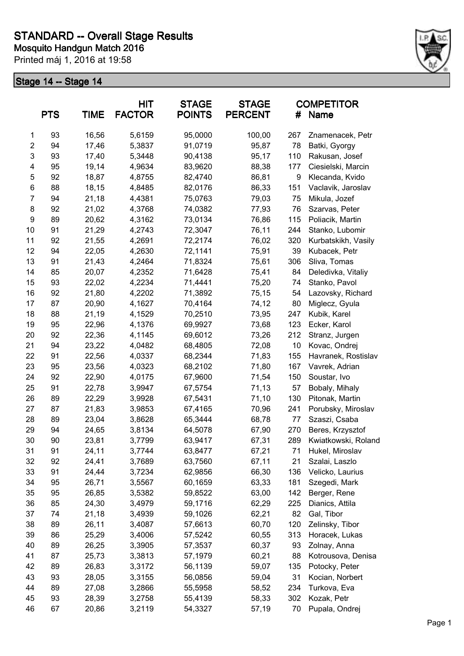

|                | <b>PTS</b> | <b>TIME</b> | HIT<br><b>FACTOR</b> | <b>STAGE</b><br><b>POINTS</b> | <b>STAGE</b><br><b>PERCENT</b> | #   | <b>COMPETITOR</b><br>Name |
|----------------|------------|-------------|----------------------|-------------------------------|--------------------------------|-----|---------------------------|
| 1              | 93         | 16,56       | 5,6159               | 95,0000                       | 100,00                         | 267 | Znamenacek, Petr          |
| $\overline{c}$ | 94         | 17,46       | 5,3837               | 91,0719                       | 95,87                          | 78  | Batki, Gyorgy             |
| 3              | 93         | 17,40       | 5,3448               | 90,4138                       | 95,17                          | 110 | Rakusan, Josef            |
| 4              | 95         | 19,14       | 4,9634               | 83,9620                       | 88,38                          | 177 | Ciesielski, Marcin        |
| 5              | 92         | 18,87       | 4,8755               | 82,4740                       | 86,81                          | 9   | Klecanda, Kvido           |
| $\,6$          | 88         | 18,15       | 4,8485               | 82,0176                       | 86,33                          | 151 | Vaclavik, Jaroslav        |
| 7              | 94         | 21,18       | 4,4381               | 75,0763                       | 79,03                          | 75  | Mikula, Jozef             |
| 8              | 92         | 21,02       | 4,3768               | 74,0382                       | 77,93                          | 76  | Szarvas, Peter            |
| 9              | 89         | 20,62       | 4,3162               | 73,0134                       | 76,86                          | 115 | Poliacik, Martin          |
| 10             | 91         | 21,29       | 4,2743               | 72,3047                       | 76,11                          | 244 | Stanko, Lubomir           |
| 11             | 92         | 21,55       | 4,2691               | 72,2174                       | 76,02                          | 320 | Kurbatskikh, Vasily       |
| 12             | 94         | 22,05       | 4,2630               | 72,1141                       | 75,91                          | 39  | Kubacek, Petr             |
| 13             | 91         | 21,43       | 4,2464               | 71,8324                       | 75,61                          | 306 | Sliva, Tomas              |
| 14             | 85         | 20,07       | 4,2352               | 71,6428                       | 75,41                          | 84  | Deledivka, Vitaliy        |
| 15             | 93         | 22,02       | 4,2234               | 71,4441                       | 75,20                          | 74  | Stanko, Pavol             |
| 16             | 92         | 21,80       | 4,2202               | 71,3892                       | 75,15                          | 54  | Lazovsky, Richard         |
| 17             | 87         | 20,90       | 4,1627               | 70,4164                       | 74,12                          | 80  | Miglecz, Gyula            |
| 18             | 88         | 21,19       | 4,1529               | 70,2510                       | 73,95                          | 247 | Kubik, Karel              |
| 19             | 95         | 22,96       | 4,1376               | 69,9927                       | 73,68                          | 123 | Ecker, Karol              |
| 20             | 92         | 22,36       | 4,1145               | 69,6012                       | 73,26                          | 212 | Stranz, Jurgen            |
| 21             | 94         | 23,22       | 4,0482               | 68,4805                       | 72,08                          | 10  | Kovac, Ondrej             |
| 22             | 91         | 22,56       | 4,0337               | 68,2344                       | 71,83                          | 155 | Havranek, Rostislav       |
| 23             | 95         | 23,56       | 4,0323               | 68,2102                       | 71,80                          | 167 | Vavrek, Adrian            |
| 24             | 92         | 22,90       | 4,0175               | 67,9600                       | 71,54                          | 150 | Soustar, Ivo              |
| 25             | 91         | 22,78       | 3,9947               | 67,5754                       | 71,13                          | 57  | Bobaly, Mihaly            |
| 26             | 89         | 22,29       | 3,9928               | 67,5431                       | 71,10                          | 130 | Pitonak, Martin           |
| 27             | 87         | 21,83       | 3,9853               | 67,4165                       | 70,96                          | 241 | Porubsky, Miroslav        |
| 28             | 89         | 23,04       | 3,8628               | 65,3444                       | 68,78                          | 77  | Szaszi, Csaba             |
| 29             | 94         | 24,65       | 3,8134               | 64,5078                       | 67,90                          | 270 | Beres, Krzysztof          |
| 30             | 90         | 23,81       | 3,7799               | 63,9417                       | 67,31                          | 289 | Kwiatkowski, Roland       |
| 31             | 91         | 24,11       | 3,7744               | 63,8477                       | 67,21                          | 71  | Hukel, Miroslav           |
| 32             | 92         | 24,41       | 3,7689               | 63,7560                       | 67,11                          | 21  | Szalai, Laszlo            |
| 33             | 91         | 24,44       | 3,7234               | 62,9856                       | 66,30                          | 136 | Velicko, Laurius          |
| 34             | 95         | 26,71       | 3,5567               | 60,1659                       | 63,33                          | 181 | Szegedi, Mark             |
| 35             | 95         | 26,85       | 3,5382               | 59,8522                       | 63,00                          | 142 | Berger, Rene              |
| 36             | 85         | 24,30       | 3,4979               | 59,1716                       | 62,29                          | 225 | Dianics, Attila           |
| 37             | 74         | 21,18       | 3,4939               | 59,1026                       | 62,21                          | 82  | Gal, Tibor                |
| 38             | 89         | 26,11       | 3,4087               | 57,6613                       | 60,70                          | 120 | Zelinsky, Tibor           |
| 39             | 86         | 25,29       | 3,4006               | 57,5242                       | 60,55                          | 313 | Horacek, Lukas            |
| 40             | 89         | 26,25       | 3,3905               | 57,3537                       | 60,37                          | 93  | Zolnay, Anna              |
| 41             | 87         | 25,73       | 3,3813               | 57,1979                       | 60,21                          | 88  | Kotrousova, Denisa        |
| 42             | 89         | 26,83       | 3,3172               | 56,1139                       | 59,07                          | 135 | Potocky, Peter            |
| 43             | 93         | 28,05       | 3,3155               | 56,0856                       | 59,04                          | 31  | Kocian, Norbert           |
| 44             | 89         | 27,08       | 3,2866               | 55,5958                       | 58,52                          | 234 | Turkova, Eva              |
| 45             | 93         | 28,39       | 3,2758               | 55,4139                       | 58,33                          | 302 | Kozak, Petr               |
| 46             | 67         | 20,86       | 3,2119               | 54,3327                       | 57,19                          | 70  | Pupala, Ondrej            |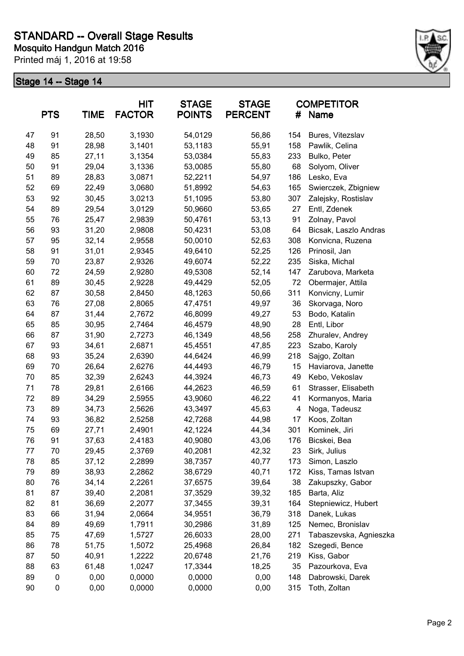

| <b>PTS</b><br><b>TIME</b> |    | <b>HIT</b><br><b>STAGE</b><br><b>FACTOR</b><br><b>POINTS</b> |        | <b>STAGE</b><br><b>PERCENT</b> | <b>COMPETITOR</b><br>#<br>Name |     |                        |
|---------------------------|----|--------------------------------------------------------------|--------|--------------------------------|--------------------------------|-----|------------------------|
| 47                        | 91 | 28,50                                                        | 3,1930 | 54,0129                        | 56,86                          | 154 | Bures, Vitezslav       |
| 48                        | 91 | 28,98                                                        | 3,1401 | 53,1183                        | 55,91                          | 158 | Pawlik, Celina         |
| 49                        | 85 | 27,11                                                        | 3,1354 | 53,0384                        | 55,83                          | 233 | Bulko, Peter           |
| 50                        | 91 | 29,04                                                        | 3,1336 | 53,0085                        | 55,80                          | 68  | Solyom, Oliver         |
| 51                        | 89 | 28,83                                                        | 3,0871 | 52,2211                        | 54,97                          | 186 | Lesko, Eva             |
| 52                        | 69 | 22,49                                                        | 3,0680 | 51,8992                        | 54,63                          | 165 | Swierczek, Zbigniew    |
| 53                        | 92 | 30,45                                                        | 3,0213 | 51,1095                        | 53,80                          | 307 | Zalejsky, Rostislav    |
| 54                        | 89 | 29,54                                                        | 3,0129 | 50,9660                        | 53,65                          | 27  | Entl, Zdenek           |
| 55                        | 76 | 25,47                                                        | 2,9839 | 50,4761                        | 53,13                          | 91  | Zolnay, Pavol          |
| 56                        | 93 | 31,20                                                        | 2,9808 | 50,4231                        | 53,08                          | 64  | Bicsak, Laszlo Andras  |
| 57                        | 95 | 32,14                                                        | 2,9558 | 50,0010                        | 52,63                          | 308 | Konvicna, Ruzena       |
| 58                        | 91 | 31,01                                                        | 2,9345 | 49,6410                        | 52,25                          | 126 | Prinosil, Jan          |
| 59                        | 70 | 23,87                                                        | 2,9326 | 49,6074                        | 52,22                          | 235 | Siska, Michal          |
| 60                        | 72 | 24,59                                                        | 2,9280 | 49,5308                        | 52,14                          | 147 | Zarubova, Marketa      |
| 61                        | 89 | 30,45                                                        | 2,9228 | 49,4429                        | 52,05                          | 72  | Obermajer, Attila      |
| 62                        | 87 | 30,58                                                        | 2,8450 | 48,1263                        | 50,66                          | 311 | Konvicny, Lumir        |
| 63                        | 76 | 27,08                                                        | 2,8065 | 47,4751                        | 49,97                          | 36  | Skorvaga, Noro         |
| 64                        | 87 | 31,44                                                        | 2,7672 | 46,8099                        | 49,27                          | 53  | Bodo, Katalin          |
| 65                        | 85 | 30,95                                                        | 2,7464 | 46,4579                        | 48,90                          | 28  | Entl, Libor            |
| 66                        | 87 | 31,90                                                        | 2,7273 | 46,1349                        | 48,56                          | 258 | Zhuralev, Andrey       |
| 67                        | 93 | 34,61                                                        | 2,6871 | 45,4551                        | 47,85                          | 223 | Szabo, Karoly          |
| 68                        | 93 | 35,24                                                        | 2,6390 | 44,6424                        | 46,99                          | 218 | Sajgo, Zoltan          |
| 69                        | 70 | 26,64                                                        | 2,6276 | 44,4493                        | 46,79                          | 15  | Haviarova, Janette     |
| 70                        | 85 | 32,39                                                        | 2,6243 | 44,3924                        | 46,73                          | 49  | Kebo, Vekoslav         |
| 71                        | 78 | 29,81                                                        | 2,6166 | 44,2623                        | 46,59                          | 61  | Strasser, Elisabeth    |
| 72                        | 89 | 34,29                                                        | 2,5955 | 43,9060                        | 46,22                          | 41  | Kormanyos, Maria       |
| 73                        | 89 | 34,73                                                        | 2,5626 | 43,3497                        | 45,63                          | 4   | Noga, Tadeusz          |
| 74                        | 93 | 36,82                                                        | 2,5258 | 42,7268                        | 44,98                          | 17  | Koos, Zoltan           |
| 75                        | 69 | 27,71                                                        | 2,4901 | 42,1224                        | 44,34                          | 301 | Kominek, Jiri          |
| 76                        | 91 | 37,63                                                        | 2,4183 | 40,9080                        | 43,06                          | 176 | Bicskei, Bea           |
| 77                        | 70 | 29,45                                                        | 2,3769 | 40,2081                        | 42,32                          | 23  | Sirk, Julius           |
| 78                        | 85 | 37,12                                                        | 2,2899 | 38,7357                        | 40,77                          | 173 | Simon, Laszlo          |
| 79                        | 89 | 38,93                                                        | 2,2862 | 38,6729                        | 40,71                          | 172 | Kiss, Tamas Istvan     |
| 80                        | 76 | 34,14                                                        | 2,2261 | 37,6575                        | 39,64                          | 38  | Zakupszky, Gabor       |
| 81                        | 87 | 39,40                                                        | 2,2081 | 37,3529                        | 39,32                          | 185 | Barta, Aliz            |
| 82                        | 81 | 36,69                                                        | 2,2077 | 37,3455                        | 39,31                          | 164 | Stepniewicz, Hubert    |
| 83                        | 66 | 31,94                                                        | 2,0664 | 34,9551                        | 36,79                          | 318 | Danek, Lukas           |
| 84                        | 89 | 49,69                                                        | 1,7911 | 30,2986                        | 31,89                          | 125 | Nemec, Bronislav       |
| 85                        | 75 | 47,69                                                        | 1,5727 | 26,6033                        | 28,00                          | 271 | Tabaszevska, Agnieszka |
| 86                        | 78 | 51,75                                                        | 1,5072 | 25,4968                        | 26,84                          | 182 | Szegedi, Bence         |
| 87                        | 50 | 40,91                                                        | 1,2222 | 20,6748                        | 21,76                          | 219 | Kiss, Gabor            |
| 88                        | 63 | 61,48                                                        | 1,0247 | 17,3344                        | 18,25                          | 35  | Pazourkova, Eva        |
| 89                        | 0  | 0,00                                                         | 0,0000 | 0,0000                         | 0,00                           | 148 | Dabrowski, Darek       |
| 90                        | 0  | 0,00                                                         | 0,0000 | 0,0000                         | 0,00                           | 315 | Toth, Zoltan           |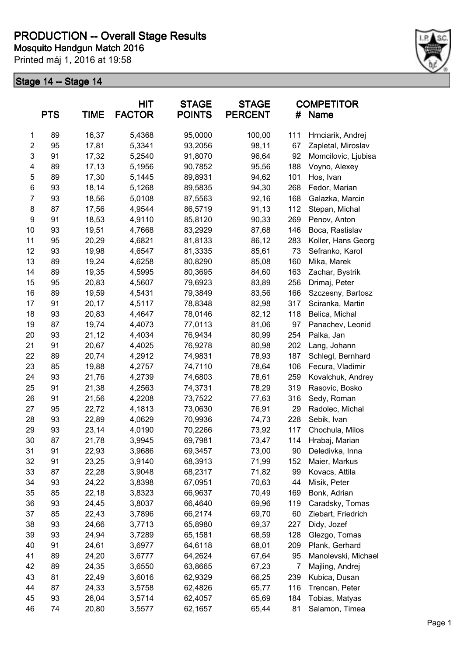

|                         | <b>PTS</b> | <b>TIME</b> | <b>HIT</b><br><b>FACTOR</b> | <b>STAGE</b><br><b>POINTS</b> | <b>STAGE</b><br><b>PERCENT</b> | #   | <b>COMPETITOR</b><br><b>Name</b> |
|-------------------------|------------|-------------|-----------------------------|-------------------------------|--------------------------------|-----|----------------------------------|
| 1                       | 89         | 16,37       | 5,4368                      | 95,0000                       | 100,00                         | 111 | Hrnciarik, Andrej                |
| $\overline{2}$          | 95         | 17,81       | 5,3341                      | 93,2056                       | 98,11                          | 67  | Zapletal, Miroslav               |
| 3                       | 91         | 17,32       | 5,2540                      | 91,8070                       | 96,64                          | 92  | Momcilovic, Ljubisa              |
| $\overline{\mathbf{4}}$ | 89         | 17,13       | 5,1956                      | 90,7852                       | 95,56                          | 188 | Voyno, Alexey                    |
| 5                       | 89         | 17,30       | 5,1445                      | 89,8931                       | 94,62                          | 101 | Hos, Ivan                        |
| 6                       | 93         | 18,14       | 5,1268                      | 89,5835                       | 94,30                          | 268 | Fedor, Marian                    |
| $\overline{7}$          | 93         | 18,56       | 5,0108                      | 87,5563                       | 92,16                          | 168 | Galazka, Marcin                  |
| 8                       | 87         | 17,56       | 4,9544                      | 86,5719                       | 91,13                          | 112 | Stepan, Michal                   |
| 9                       | 91         | 18,53       | 4,9110                      | 85,8120                       | 90,33                          | 269 | Penov, Anton                     |
| 10                      | 93         | 19,51       | 4,7668                      | 83,2929                       | 87,68                          | 146 | Boca, Rastislav                  |
| 11                      | 95         | 20,29       | 4,6821                      | 81,8133                       | 86,12                          | 283 | Koller, Hans Georg               |
| 12                      | 93         | 19,98       | 4,6547                      | 81,3335                       | 85,61                          | 73  | Sefranko, Karol                  |
| 13                      | 89         | 19,24       | 4,6258                      | 80,8290                       | 85,08                          | 160 | Mika, Marek                      |
| 14                      | 89         | 19,35       | 4,5995                      | 80,3695                       | 84,60                          | 163 | Zachar, Bystrik                  |
| 15                      | 95         | 20,83       | 4,5607                      | 79,6923                       | 83,89                          | 256 | Drimaj, Peter                    |
| 16                      | 89         | 19,59       | 4,5431                      | 79,3849                       | 83,56                          | 166 | Szczesny, Bartosz                |
| 17                      | 91         | 20,17       | 4,5117                      | 78,8348                       | 82,98                          | 317 | Sciranka, Martin                 |
| 18                      | 93         | 20,83       | 4,4647                      | 78,0146                       | 82,12                          | 118 | Belica, Michal                   |
| 19                      | 87         | 19,74       | 4,4073                      | 77,0113                       | 81,06                          | 97  | Panachev, Leonid                 |
| 20                      | 93         | 21,12       | 4,4034                      | 76,9434                       | 80,99                          | 254 | Palka, Jan                       |
| 21                      | 91         | 20,67       | 4,4025                      | 76,9278                       | 80,98                          | 202 | Lang, Johann                     |
| 22                      | 89         | 20,74       | 4,2912                      | 74,9831                       | 78,93                          | 187 | Schlegl, Bernhard                |
| 23                      | 85         | 19,88       | 4,2757                      | 74,7110                       | 78,64                          | 106 | Fecura, Vladimir                 |
| 24                      | 93         | 21,76       | 4,2739                      | 74,6803                       | 78,61                          | 259 | Kovalchuk, Andrey                |
| 25                      | 91         | 21,38       | 4,2563                      | 74,3731                       | 78,29                          | 319 | Rasovic, Bosko                   |
| 26                      | 91         | 21,56       | 4,2208                      | 73,7522                       | 77,63                          | 316 | Sedy, Roman                      |
| 27                      | 95         | 22,72       | 4,1813                      | 73,0630                       | 76,91                          | 29  | Radolec, Michal                  |
| 28                      | 93         | 22,89       | 4,0629                      | 70,9936                       | 74,73                          | 228 | Sebik, Ivan                      |
| 29                      | 93         | 23,14       | 4,0190                      | 70,2266                       | 73,92                          | 117 | Chochula, Milos                  |
| 30                      | 87         | 21,78       | 3,9945                      | 69,7981                       | 73,47                          | 114 | Hrabaj, Marian                   |
| 31                      | 91         | 22,93       | 3,9686                      | 69,3457                       | 73,00                          | 90  | Deledivka, Inna                  |
| 32                      | 91         | 23,25       | 3,9140                      | 68,3913                       | 71,99                          | 152 | Maier, Markus                    |
| 33                      | 87         | 22,28       | 3,9048                      | 68,2317                       | 71,82                          | 99  | Kovacs, Attila                   |
| 34                      | 93         | 24,22       | 3,8398                      | 67,0951                       | 70,63                          | 44  | Misik, Peter                     |
| 35                      | 85         | 22,18       | 3,8323                      | 66,9637                       | 70,49                          | 169 | Bonk, Adrian                     |
| 36                      | 93         | 24,45       | 3,8037                      | 66,4640                       | 69,96                          | 119 | Caradsky, Tomas                  |
| 37                      | 85         | 22,43       | 3,7896                      | 66,2174                       | 69,70                          | 60  | Ziebart, Friedrich               |
| 38                      | 93         | 24,66       | 3,7713                      | 65,8980                       | 69,37                          | 227 | Didy, Jozef                      |
| 39                      | 93         | 24,94       | 3,7289                      | 65,1581                       | 68,59                          | 128 | Glezgo, Tomas                    |
| 40                      | 91         | 24,61       | 3,6977                      | 64,6118                       | 68,01                          | 209 | Plank, Gerhard                   |
| 41                      | 89         | 24,20       | 3,6777                      | 64,2624                       | 67,64                          | 95  | Manolevski, Michael              |
| 42                      | 89         | 24,35       | 3,6550                      | 63,8665                       | 67,23                          | 7   | Majling, Andrej                  |
| 43                      | 81         | 22,49       | 3,6016                      | 62,9329                       | 66,25                          | 239 | Kubica, Dusan                    |
| 44                      | 87         | 24,33       | 3,5758                      | 62,4826                       | 65,77                          | 116 | Trencan, Peter                   |
| 45                      | 93         | 26,04       | 3,5714                      | 62,4057                       | 65,69                          | 184 | Tobias, Matyas                   |
| 46                      | 74         | 20,80       | 3,5577                      | 62,1657                       | 65,44                          | 81  | Salamon, Timea                   |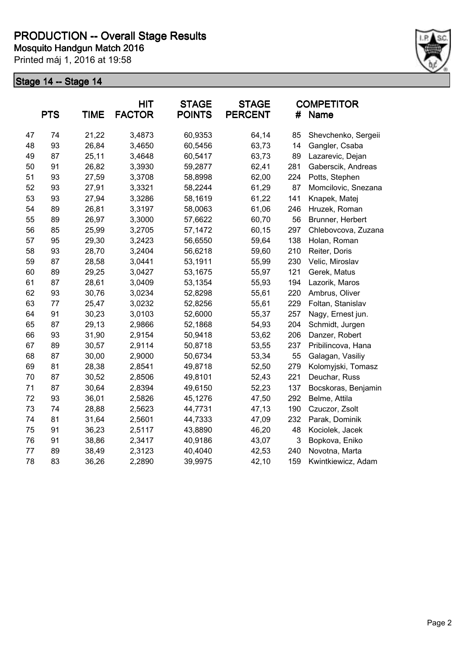

|    | <b>PTS</b> | <b>TIME</b> | <b>HIT</b><br><b>FACTOR</b> | <b>STAGE</b><br><b>POINTS</b> | <b>STAGE</b><br><b>PERCENT</b> | #   | <b>COMPETITOR</b><br>Name |
|----|------------|-------------|-----------------------------|-------------------------------|--------------------------------|-----|---------------------------|
| 47 | 74         | 21,22       | 3,4873                      | 60,9353                       | 64,14                          | 85  | Shevchenko, Sergeii       |
| 48 | 93         | 26,84       | 3,4650                      | 60,5456                       | 63,73                          | 14  | Gangler, Csaba            |
| 49 | 87         | 25,11       | 3,4648                      | 60,5417                       | 63,73                          | 89  | Lazarevic, Dejan          |
| 50 | 91         | 26,82       | 3,3930                      | 59,2877                       | 62,41                          | 281 | Gaberscik, Andreas        |
| 51 | 93         | 27,59       | 3,3708                      | 58,8998                       | 62,00                          | 224 | Potts, Stephen            |
| 52 | 93         | 27,91       | 3,3321                      | 58,2244                       | 61,29                          | 87  | Momcilovic, Snezana       |
| 53 | 93         | 27,94       | 3,3286                      | 58,1619                       | 61,22                          | 141 | Knapek, Matej             |
| 54 | 89         | 26,81       | 3,3197                      | 58,0063                       | 61,06                          | 246 | Hruzek, Roman             |
| 55 | 89         | 26,97       | 3,3000                      | 57,6622                       | 60,70                          | 56  | Brunner, Herbert          |
| 56 | 85         | 25,99       | 3,2705                      | 57,1472                       | 60,15                          | 297 | Chlebovcova, Zuzana       |
| 57 | 95         | 29,30       | 3,2423                      | 56,6550                       | 59,64                          | 138 | Holan, Roman              |
| 58 | 93         | 28,70       | 3,2404                      | 56,6218                       | 59,60                          | 210 | Reiter, Doris             |
| 59 | 87         | 28,58       | 3,0441                      | 53,1911                       | 55,99                          | 230 | Velic, Miroslav           |
| 60 | 89         | 29,25       | 3,0427                      | 53,1675                       | 55,97                          | 121 | Gerek, Matus              |
| 61 | 87         | 28,61       | 3,0409                      | 53,1354                       | 55,93                          | 194 | Lazorik, Maros            |
| 62 | 93         | 30,76       | 3,0234                      | 52,8298                       | 55,61                          | 220 | Ambrus, Oliver            |
| 63 | 77         | 25,47       | 3,0232                      | 52,8256                       | 55,61                          | 229 | Foltan, Stanislav         |
| 64 | 91         | 30,23       | 3,0103                      | 52,6000                       | 55,37                          | 257 | Nagy, Ernest jun.         |
| 65 | 87         | 29,13       | 2,9866                      | 52,1868                       | 54,93                          | 204 | Schmidt, Jurgen           |
| 66 | 93         | 31,90       | 2,9154                      | 50,9418                       | 53,62                          | 206 | Danzer, Robert            |
| 67 | 89         | 30,57       | 2,9114                      | 50,8718                       | 53,55                          | 237 | Pribilincova, Hana        |
| 68 | 87         | 30,00       | 2,9000                      | 50,6734                       | 53,34                          | 55  | Galagan, Vasiliy          |
| 69 | 81         | 28,38       | 2,8541                      | 49,8718                       | 52,50                          | 279 | Kolomyjski, Tomasz        |
| 70 | 87         | 30,52       | 2,8506                      | 49,8101                       | 52,43                          | 221 | Deuchar, Russ             |
| 71 | 87         | 30,64       | 2,8394                      | 49,6150                       | 52,23                          | 137 | Bocskoras, Benjamin       |
| 72 | 93         | 36,01       | 2,5826                      | 45,1276                       | 47,50                          | 292 | Belme, Attila             |
| 73 | 74         | 28,88       | 2,5623                      | 44,7731                       | 47,13                          | 190 | Czuczor, Zsolt            |
| 74 | 81         | 31,64       | 2,5601                      | 44,7333                       | 47,09                          | 232 | Parak, Dominik            |
| 75 | 91         | 36,23       | 2,5117                      | 43,8890                       | 46,20                          | 48  | Kociolek, Jacek           |
| 76 | 91         | 38,86       | 2,3417                      | 40,9186                       | 43,07                          | 3   | Bopkova, Eniko            |
| 77 | 89         | 38,49       | 2,3123                      | 40,4040                       | 42,53                          | 240 | Novotna, Marta            |
| 78 | 83         | 36,26       | 2,2890                      | 39,9975                       | 42,10                          | 159 | Kwintkiewicz, Adam        |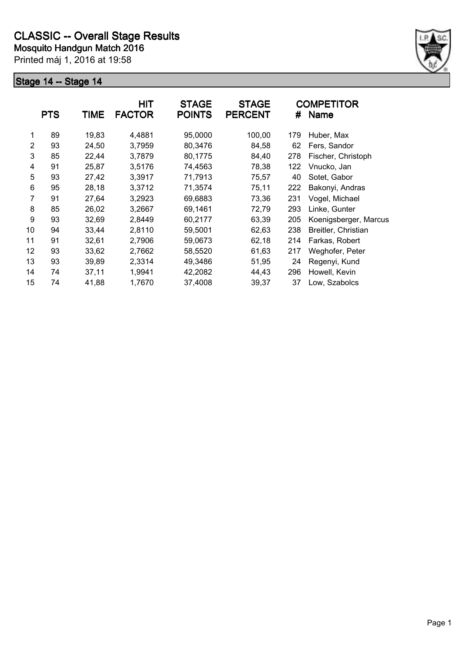

|                | <b>PTS</b> | <b>TIME</b> | <b>HIT</b><br><b>FACTOR</b> | <b>STAGE</b><br><b>POINTS</b> | <b>STAGE</b><br><b>PERCENT</b> | #   | <b>COMPETITOR</b><br><b>Name</b> |
|----------------|------------|-------------|-----------------------------|-------------------------------|--------------------------------|-----|----------------------------------|
| 1              | 89         | 19,83       | 4,4881                      | 95,0000                       | 100,00                         | 179 | Huber, Max                       |
| 2              | 93         | 24,50       | 3,7959                      | 80,3476                       | 84,58                          | 62  | Fers, Sandor                     |
| 3              | 85         | 22,44       | 3,7879                      | 80,1775                       | 84,40                          | 278 | Fischer, Christoph               |
| 4              | 91         | 25,87       | 3,5176                      | 74,4563                       | 78,38                          | 122 | Vnucko, Jan                      |
| 5              | 93         | 27,42       | 3,3917                      | 71,7913                       | 75,57                          | 40  | Sotet, Gabor                     |
| 6              | 95         | 28,18       | 3,3712                      | 71,3574                       | 75,11                          | 222 | Bakonyi, Andras                  |
| $\overline{7}$ | 91         | 27,64       | 3,2923                      | 69,6883                       | 73,36                          | 231 | Vogel, Michael                   |
| 8              | 85         | 26,02       | 3,2667                      | 69,1461                       | 72,79                          | 293 | Linke, Gunter                    |
| 9              | 93         | 32,69       | 2,8449                      | 60,2177                       | 63,39                          | 205 | Koenigsberger, Marcus            |
| 10             | 94         | 33,44       | 2,8110                      | 59,5001                       | 62,63                          | 238 | Breitler, Christian              |
| 11             | 91         | 32,61       | 2,7906                      | 59,0673                       | 62,18                          | 214 | Farkas, Robert                   |
| 12             | 93         | 33,62       | 2,7662                      | 58,5520                       | 61,63                          | 217 | Weghofer, Peter                  |
| 13             | 93         | 39,89       | 2,3314                      | 49,3486                       | 51,95                          | 24  | Regenyi, Kund                    |
| 14             | 74         | 37,11       | 1,9941                      | 42,2082                       | 44,43                          | 296 | Howell, Kevin                    |
| 15             | 74         | 41,88       | 1,7670                      | 37,4008                       | 39,37                          | 37  | Low, Szabolcs                    |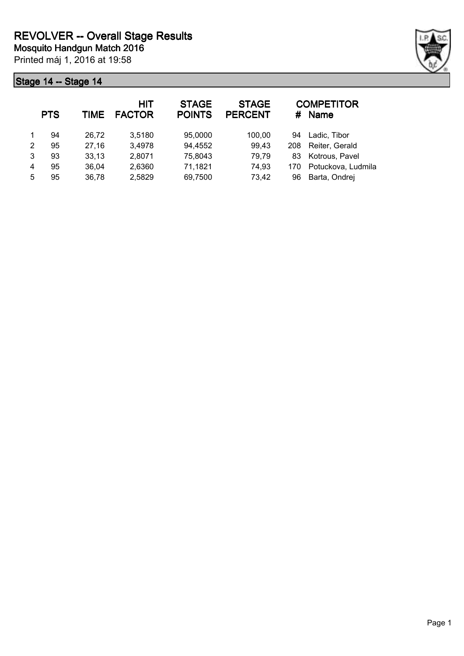

|   | <b>PTS</b> | TIME  | <b>HIT</b><br><b>FACTOR</b> | <b>STAGE</b><br><b>POINTS</b> | <b>STAGE</b><br><b>PERCENT</b> | #   | <b>COMPETITOR</b><br><b>Name</b> |
|---|------------|-------|-----------------------------|-------------------------------|--------------------------------|-----|----------------------------------|
|   | 94         | 26,72 | 3,5180                      | 95,0000                       | 100,00                         | 94  | Ladic, Tibor                     |
| 2 | 95         | 27,16 | 3,4978                      | 94,4552                       | 99,43                          | 208 | Reiter, Gerald                   |
| 3 | 93         | 33,13 | 2,8071                      | 75,8043                       | 79,79                          | 83  | Kotrous, Pavel                   |
| 4 | 95         | 36,04 | 2,6360                      | 71,1821                       | 74,93                          | 170 | Potuckova, Ludmila               |
| 5 | 95         | 36,78 | 2,5829                      | 69,7500                       | 73,42                          | 96  | Barta, Ondrej                    |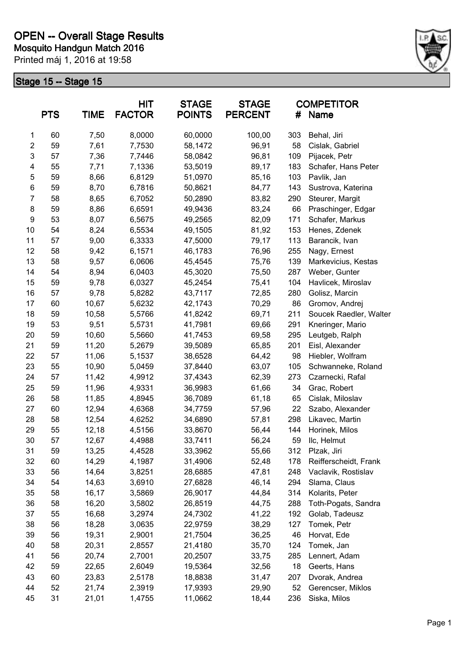

|                | <b>PTS</b> | <b>TIME</b> | <b>HIT</b><br><b>FACTOR</b> | <b>STAGE</b><br><b>POINTS</b> | <b>STAGE</b><br><b>PERCENT</b> | #   | <b>COMPETITOR</b><br><b>Name</b> |
|----------------|------------|-------------|-----------------------------|-------------------------------|--------------------------------|-----|----------------------------------|
| 1              | 60         | 7,50        | 8,0000                      | 60,0000                       | 100,00                         | 303 | Behal, Jiri                      |
| $\mathbf{2}$   | 59         | 7,61        | 7,7530                      | 58,1472                       | 96,91                          | 58  | Cislak, Gabriel                  |
| $\mathsf 3$    | 57         | 7,36        | 7,7446                      | 58,0842                       | 96,81                          | 109 | Pijacek, Petr                    |
| 4              | 55         | 7,71        | 7,1336                      | 53,5019                       | 89,17                          | 183 | Schafer, Hans Peter              |
| 5              | 59         | 8,66        | 6,8129                      | 51,0970                       | 85,16                          | 103 | Pavlik, Jan                      |
| 6              | 59         | 8,70        | 6,7816                      | 50,8621                       | 84,77                          | 143 | Sustrova, Katerina               |
| $\overline{7}$ | 58         | 8,65        | 6,7052                      | 50,2890                       | 83,82                          | 290 | Steurer, Margit                  |
| 8              | 59         | 8,86        | 6,6591                      | 49,9436                       | 83,24                          | 66  | Praschinger, Edgar               |
| 9              | 53         | 8,07        | 6,5675                      | 49,2565                       | 82,09                          | 171 | Schafer, Markus                  |
| 10             | 54         | 8,24        | 6,5534                      | 49,1505                       | 81,92                          | 153 | Henes, Zdenek                    |
| 11             | 57         | 9,00        | 6,3333                      | 47,5000                       | 79,17                          | 113 | Barancik, Ivan                   |
| 12             | 58         | 9,42        | 6,1571                      | 46,1783                       | 76,96                          | 255 | Nagy, Ernest                     |
| 13             | 58         | 9,57        | 6,0606                      | 45,4545                       | 75,76                          | 139 | Markevicius, Kestas              |
| 14             | 54         | 8,94        | 6,0403                      | 45,3020                       | 75,50                          | 287 | Weber, Gunter                    |
| 15             | 59         | 9,78        | 6,0327                      | 45,2454                       | 75,41                          | 104 | Havlicek, Miroslav               |
| 16             | 57         | 9,78        | 5,8282                      | 43,7117                       | 72,85                          | 280 | Golisz, Marcin                   |
| 17             | 60         | 10,67       | 5,6232                      | 42,1743                       | 70,29                          | 86  | Gromov, Andrej                   |
| 18             | 59         | 10,58       | 5,5766                      | 41,8242                       | 69,71                          | 211 | Soucek Raedler, Walter           |
| 19             | 53         | 9,51        | 5,5731                      | 41,7981                       | 69,66                          | 291 | Kneringer, Mario                 |
| 20             | 59         | 10,60       | 5,5660                      | 41,7453                       | 69,58                          | 295 | Leutgeb, Ralph                   |
| 21             | 59         | 11,20       | 5,2679                      | 39,5089                       | 65,85                          | 201 | Eisl, Alexander                  |
| 22             | 57         | 11,06       | 5,1537                      | 38,6528                       | 64,42                          | 98  | Hiebler, Wolfram                 |
| 23             | 55         | 10,90       | 5,0459                      | 37,8440                       | 63,07                          | 105 | Schwanneke, Roland               |
| 24             | 57         | 11,42       | 4,9912                      | 37,4343                       | 62,39                          | 273 | Czarnecki, Rafal                 |
| 25             | 59         | 11,96       | 4,9331                      | 36,9983                       | 61,66                          | 34  | Grac, Robert                     |
| 26             | 58         | 11,85       | 4,8945                      | 36,7089                       | 61,18                          | 65  | Cislak, Miloslav                 |
| 27             | 60         | 12,94       | 4,6368                      | 34,7759                       | 57,96                          | 22  | Szabo, Alexander                 |
| 28             | 58         | 12,54       | 4,6252                      | 34,6890                       | 57,81                          | 298 | Likavec, Martin                  |
| 29             | 55         | 12,18       | 4,5156                      | 33,8670                       | 56,44                          | 144 | Horinek, Milos                   |
| 30             | 57         | 12,67       | 4,4988                      | 33,7411                       | 56,24                          | 59  | Ilc, Helmut                      |
| 31             | 59         | 13,25       | 4,4528                      | 33,3962                       | 55,66                          | 312 | Plzak, Jiri                      |
| 32             | 60         | 14,29       | 4,1987                      | 31,4906                       | 52,48                          | 178 | Reifferscheidt, Frank            |
| 33             | 56         | 14,64       | 3,8251                      | 28,6885                       | 47,81                          | 248 | Vaclavik, Rostislav              |
| 34             | 54         | 14,63       | 3,6910                      | 27,6828                       | 46,14                          | 294 | Slama, Claus                     |
| 35             | 58         | 16,17       | 3,5869                      | 26,9017                       | 44,84                          | 314 | Kolarits, Peter                  |
| 36             | 58         | 16,20       | 3,5802                      | 26,8519                       | 44,75                          | 288 | Toth-Pogats, Sandra              |
| 37             | 55         | 16,68       | 3,2974                      | 24,7302                       | 41,22                          | 192 | Golab, Tadeusz                   |
| 38             | 56         | 18,28       | 3,0635                      | 22,9759                       | 38,29                          | 127 | Tomek, Petr                      |
| 39             | 56         | 19,31       | 2,9001                      | 21,7504                       | 36,25                          | 46  | Horvat, Ede                      |
| 40             | 58         | 20,31       | 2,8557                      | 21,4180                       | 35,70                          | 124 | Tomek, Jan                       |
| 41             | 56         | 20,74       | 2,7001                      | 20,2507                       | 33,75                          | 285 | Lennert, Adam                    |
| 42             | 59         | 22,65       | 2,6049                      | 19,5364                       | 32,56                          | 18  | Geerts, Hans                     |
| 43             | 60         | 23,83       | 2,5178                      | 18,8838                       | 31,47                          | 207 | Dvorak, Andrea                   |
| 44             | 52         | 21,74       | 2,3919                      | 17,9393                       | 29,90                          | 52  | Gerencser, Miklos                |
| 45             | 31         | 21,01       | 1,4755                      | 11,0662                       | 18,44                          | 236 | Siska, Milos                     |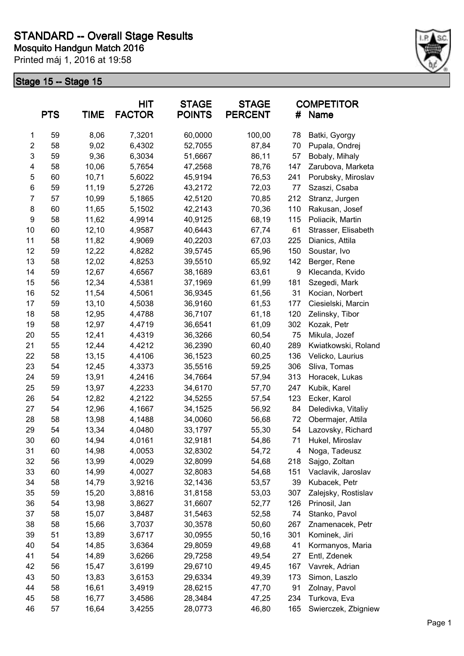

|                         | <b>PTS</b> | <b>TIME</b> | <b>HIT</b><br><b>FACTOR</b> | <b>STAGE</b><br><b>POINTS</b> | <b>STAGE</b><br><b>PERCENT</b> | #   | <b>COMPETITOR</b><br><b>Name</b> |
|-------------------------|------------|-------------|-----------------------------|-------------------------------|--------------------------------|-----|----------------------------------|
| 1                       | 59         | 8,06        | 7,3201                      | 60,0000                       | 100,00                         | 78  | Batki, Gyorgy                    |
| $\overline{\mathbf{c}}$ | 58         | 9,02        | 6,4302                      | 52,7055                       | 87,84                          | 70  | Pupala, Ondrej                   |
| 3                       | 59         | 9,36        | 6,3034                      | 51,6667                       | 86,11                          | 57  | Bobaly, Mihaly                   |
| 4                       | 58         | 10,06       | 5,7654                      | 47,2568                       | 78,76                          | 147 | Zarubova, Marketa                |
| 5                       | 60         | 10,71       | 5,6022                      | 45,9194                       | 76,53                          | 241 | Porubsky, Miroslav               |
| 6                       | 59         | 11,19       | 5,2726                      | 43,2172                       | 72,03                          | 77  | Szaszi, Csaba                    |
| $\overline{7}$          | 57         | 10,99       | 5,1865                      | 42,5120                       | 70,85                          | 212 | Stranz, Jurgen                   |
| 8                       | 60         | 11,65       | 5,1502                      | 42,2143                       | 70,36                          | 110 | Rakusan, Josef                   |
| 9                       | 58         | 11,62       | 4,9914                      | 40,9125                       | 68,19                          | 115 | Poliacik, Martin                 |
| 10                      | 60         | 12,10       | 4,9587                      | 40,6443                       | 67,74                          | 61  | Strasser, Elisabeth              |
| 11                      | 58         | 11,82       | 4,9069                      | 40,2203                       | 67,03                          | 225 | Dianics, Attila                  |
| 12                      | 59         | 12,22       | 4,8282                      | 39,5745                       | 65,96                          | 150 | Soustar, Ivo                     |
| 13                      | 58         | 12,02       | 4,8253                      | 39,5510                       | 65,92                          | 142 | Berger, Rene                     |
| 14                      | 59         | 12,67       | 4,6567                      | 38,1689                       | 63,61                          | 9   | Klecanda, Kvido                  |
| 15                      | 56         | 12,34       | 4,5381                      | 37,1969                       | 61,99                          | 181 | Szegedi, Mark                    |
| 16                      | 52         | 11,54       | 4,5061                      | 36,9345                       | 61,56                          | 31  | Kocian, Norbert                  |
| 17                      | 59         | 13,10       | 4,5038                      | 36,9160                       | 61,53                          | 177 | Ciesielski, Marcin               |
| 18                      | 58         | 12,95       | 4,4788                      | 36,7107                       | 61,18                          | 120 | Zelinsky, Tibor                  |
| 19                      | 58         | 12,97       | 4,4719                      | 36,6541                       | 61,09                          | 302 | Kozak, Petr                      |
| 20                      | 55         | 12,41       | 4,4319                      | 36,3266                       | 60,54                          | 75  | Mikula, Jozef                    |
| 21                      | 55         | 12,44       | 4,4212                      | 36,2390                       | 60,40                          | 289 | Kwiatkowski, Roland              |
| 22                      | 58         | 13,15       | 4,4106                      | 36,1523                       | 60,25                          | 136 | Velicko, Laurius                 |
| 23                      | 54         | 12,45       | 4,3373                      | 35,5516                       | 59,25                          | 306 | Sliva, Tomas                     |
| 24                      | 59         | 13,91       | 4,2416                      | 34,7664                       | 57,94                          | 313 | Horacek, Lukas                   |
| 25                      | 59         | 13,97       | 4,2233                      | 34,6170                       | 57,70                          | 247 | Kubik, Karel                     |
| 26                      | 54         | 12,82       | 4,2122                      | 34,5255                       | 57,54                          | 123 | Ecker, Karol                     |
| 27                      | 54         | 12,96       | 4,1667                      | 34,1525                       | 56,92                          | 84  | Deledivka, Vitaliy               |
| 28                      | 58         | 13,98       | 4,1488                      | 34,0060                       | 56,68                          | 72  | Obermajer, Attila                |
| 29                      | 54         | 13,34       | 4,0480                      | 33,1797                       | 55,30                          | 54  | Lazovsky, Richard                |
| 30                      | 60         | 14,94       | 4,0161                      | 32,9181                       | 54,86                          | 71  | Hukel, Miroslav                  |
| 31                      | 60         | 14,98       | 4,0053                      | 32,8302                       | 54,72                          | 4   | Noga, Tadeusz                    |
| 32                      | 56         | 13,99       | 4,0029                      | 32,8099                       | 54,68                          | 218 | Sajgo, Zoltan                    |
| 33                      | 60         | 14,99       | 4,0027                      | 32,8083                       | 54,68                          | 151 | Vaclavik, Jaroslav               |
| 34                      | 58         | 14,79       | 3,9216                      | 32,1436                       | 53,57                          | 39  | Kubacek, Petr                    |
| 35                      | 59         | 15,20       | 3,8816                      | 31,8158                       | 53,03                          | 307 | Zalejsky, Rostislav              |
| 36                      | 54         | 13,98       | 3,8627                      | 31,6607                       | 52,77                          | 126 | Prinosil, Jan                    |
| 37                      | 58         | 15,07       | 3,8487                      | 31,5463                       | 52,58                          | 74  | Stanko, Pavol                    |
| 38                      | 58         | 15,66       | 3,7037                      | 30,3578                       | 50,60                          | 267 | Znamenacek, Petr                 |
| 39                      | 51         | 13,89       | 3,6717                      | 30,0955                       | 50,16                          | 301 | Kominek, Jiri                    |
| 40                      | 54         | 14,85       | 3,6364                      | 29,8059                       | 49,68                          | 41  | Kormanyos, Maria                 |
| 41                      | 54         | 14,89       | 3,6266                      | 29,7258                       | 49,54                          | 27  | Entl, Zdenek                     |
| 42                      | 56         | 15,47       | 3,6199                      | 29,6710                       | 49,45                          | 167 | Vavrek, Adrian                   |
| 43                      | 50         | 13,83       | 3,6153                      | 29,6334                       | 49,39                          | 173 | Simon, Laszlo                    |
| 44                      | 58         | 16,61       | 3,4919                      | 28,6215                       | 47,70                          | 91  | Zolnay, Pavol                    |
| 45                      | 58         | 16,77       | 3,4586                      | 28,3484                       | 47,25                          | 234 | Turkova, Eva                     |
| 46                      | 57         | 16,64       | 3,4255                      | 28,0773                       | 46,80                          | 165 | Swierczek, Zbigniew              |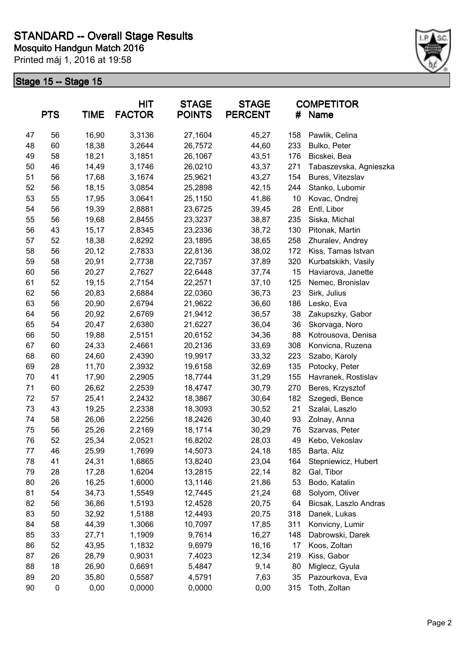

|    | <b>PTS</b> | TIME  | HIT<br><b>FACTOR</b> | <b>STAGE</b><br><b>POINTS</b> | <b>STAGE</b><br><b>PERCENT</b> | #   | <b>COMPETITOR</b><br>Name |
|----|------------|-------|----------------------|-------------------------------|--------------------------------|-----|---------------------------|
| 47 | 56         | 16,90 | 3,3136               | 27,1604                       | 45,27                          | 158 | Pawlik, Celina            |
| 48 | 60         | 18,38 | 3,2644               | 26,7572                       | 44,60                          | 233 | Bulko, Peter              |
| 49 | 58         | 18,21 | 3,1851               | 26,1067                       | 43,51                          | 176 | Bicskei, Bea              |
| 50 | 46         | 14,49 | 3,1746               | 26,0210                       | 43,37                          | 271 | Tabaszevska, Agnieszka    |
| 51 | 56         | 17,68 | 3,1674               | 25,9621                       | 43,27                          | 154 | Bures, Vitezslav          |
| 52 | 56         | 18,15 | 3,0854               | 25,2898                       | 42,15                          | 244 | Stanko, Lubomir           |
| 53 | 55         | 17,95 | 3,0641               | 25,1150                       | 41,86                          | 10  | Kovac, Ondrej             |
| 54 | 56         | 19,39 | 2,8881               | 23,6725                       | 39,45                          | 28  | Entl, Libor               |
| 55 | 56         | 19,68 | 2,8455               | 23,3237                       | 38,87                          | 235 | Siska, Michal             |
| 56 | 43         | 15,17 | 2,8345               | 23,2336                       | 38,72                          | 130 | Pitonak, Martin           |
| 57 | 52         | 18,38 | 2,8292               | 23,1895                       | 38,65                          | 258 | Zhuralev, Andrey          |
| 58 | 56         | 20,12 | 2,7833               | 22,8136                       | 38,02                          | 172 | Kiss, Tamas Istvan        |
| 59 | 58         | 20,91 | 2,7738               | 22,7357                       | 37,89                          | 320 | Kurbatskikh, Vasily       |
| 60 | 56         | 20,27 | 2,7627               | 22,6448                       | 37,74                          | 15  | Haviarova, Janette        |
| 61 | 52         | 19,15 | 2,7154               | 22,2571                       | 37,10                          | 125 | Nemec, Bronislav          |
| 62 | 56         | 20,83 | 2,6884               | 22,0360                       | 36,73                          | 23  | Sirk, Julius              |
| 63 | 56         | 20,90 | 2,6794               | 21,9622                       | 36,60                          | 186 | Lesko, Eva                |
| 64 | 56         | 20,92 | 2,6769               | 21,9412                       | 36,57                          | 38  | Zakupszky, Gabor          |
| 65 | 54         | 20,47 | 2,6380               | 21,6227                       | 36,04                          | 36  | Skorvaga, Noro            |
| 66 | 50         | 19,88 | 2,5151               | 20,6152                       | 34,36                          | 88  | Kotrousova, Denisa        |
| 67 | 60         | 24,33 | 2,4661               | 20,2136                       | 33,69                          | 308 | Konvicna, Ruzena          |
| 68 | 60         | 24,60 | 2,4390               | 19,9917                       | 33,32                          | 223 | Szabo, Karoly             |
| 69 | 28         | 11,70 | 2,3932               | 19,6158                       | 32,69                          | 135 | Potocky, Peter            |
| 70 | 41         | 17,90 | 2,2905               | 18,7744                       | 31,29                          | 155 | Havranek, Rostislav       |
| 71 | 60         | 26,62 | 2,2539               | 18,4747                       | 30,79                          | 270 | Beres, Krzysztof          |
| 72 | 57         | 25,41 | 2,2432               | 18,3867                       | 30,64                          | 182 | Szegedi, Bence            |
| 73 | 43         | 19,25 | 2,2338               | 18,3093                       | 30,52                          | 21  | Szalai, Laszlo            |
| 74 | 58         | 26,06 | 2,2256               | 18,2426                       | 30,40                          | 93  | Zolnay, Anna              |
| 75 | 56         | 25,26 | 2,2169               | 18,1714                       | 30,29                          | 76  | Szarvas, Peter            |
| 76 | 52         | 25,34 | 2,0521               | 16,8202                       | 28,03                          | 49  | Kebo, Vekoslav            |
| 77 | 46         | 25,99 | 1,7699               | 14,5073                       | 24,18                          | 185 | Barta, Aliz               |
| 78 | 41         | 24,31 | 1,6865               | 13,8240                       | 23,04                          | 164 | Stepniewicz, Hubert       |
| 79 | 28         | 17,28 | 1,6204               | 13,2815                       | 22,14                          | 82  | Gal, Tibor                |
| 80 | 26         | 16,25 | 1,6000               | 13,1146                       | 21,86                          | 53  | Bodo, Katalin             |
| 81 | 54         | 34,73 | 1,5549               | 12,7445                       | 21,24                          | 68  | Solyom, Oliver            |
| 82 | 56         | 36,86 | 1,5193               | 12,4528                       | 20,75                          | 64  | Bicsak, Laszlo Andras     |
| 83 | 50         | 32,92 | 1,5188               | 12,4493                       | 20,75                          | 318 | Danek, Lukas              |
| 84 | 58         | 44,39 | 1,3066               | 10,7097                       | 17,85                          | 311 | Konvicny, Lumir           |
| 85 | 33         | 27,71 | 1,1909               | 9,7614                        | 16,27                          | 148 | Dabrowski, Darek          |
| 86 | 52         | 43,95 | 1,1832               | 9,6979                        | 16,16                          | 17  | Koos, Zoltan              |
| 87 | 26         | 28,79 | 0,9031               | 7,4023                        | 12,34                          | 219 | Kiss, Gabor               |
| 88 | 18         | 26,90 | 0,6691               | 5,4847                        | 9,14                           | 80  | Miglecz, Gyula            |
| 89 | 20         | 35,80 | 0,5587               | 4,5791                        | 7,63                           | 35  | Pazourkova, Eva           |
| 90 | 0          | 0,00  | 0,0000               | 0,0000                        | 0,00                           | 315 | Toth, Zoltan              |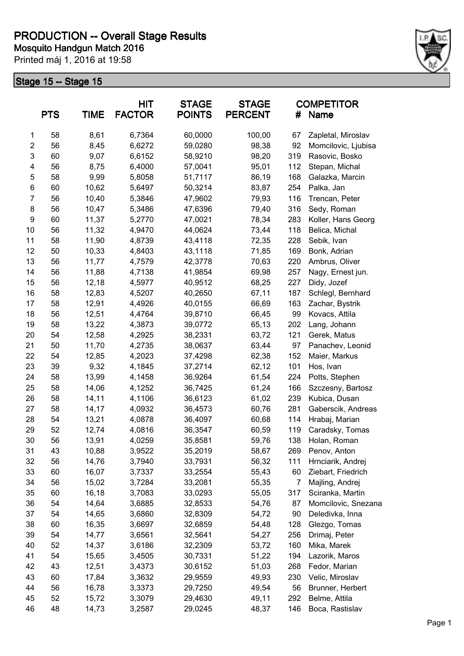

|                | <b>PTS</b> | <b>TIME</b> | <b>HIT</b><br><b>FACTOR</b> | <b>STAGE</b><br><b>POINTS</b> | <b>STAGE</b><br><b>PERCENT</b> | #              | <b>COMPETITOR</b><br>Name |
|----------------|------------|-------------|-----------------------------|-------------------------------|--------------------------------|----------------|---------------------------|
| 1              | 58         | 8,61        | 6,7364                      | 60,0000                       | 100,00                         | 67             | Zapletal, Miroslav        |
| $\overline{2}$ | 56         | 8,45        | 6,6272                      | 59,0280                       | 98,38                          | 92             | Momcilovic, Ljubisa       |
| 3              | 60         | 9,07        | 6,6152                      | 58,9210                       | 98,20                          | 319            | Rasovic, Bosko            |
| 4              | 56         | 8,75        | 6,4000                      | 57,0041                       | 95,01                          | 112            | Stepan, Michal            |
| 5              | 58         | 9,99        | 5,8058                      | 51,7117                       | 86,19                          | 168            | Galazka, Marcin           |
| 6              | 60         | 10,62       | 5,6497                      | 50,3214                       | 83,87                          | 254            | Palka, Jan                |
| $\overline{7}$ | 56         | 10,40       | 5,3846                      | 47,9602                       | 79,93                          | 116            | Trencan, Peter            |
| 8              | 56         | 10,47       | 5,3486                      | 47,6396                       | 79,40                          | 316            | Sedy, Roman               |
| 9              | 60         | 11,37       | 5,2770                      | 47,0021                       | 78,34                          | 283            | Koller, Hans Georg        |
| 10             | 56         | 11,32       | 4,9470                      | 44,0624                       | 73,44                          | 118            | Belica, Michal            |
| 11             | 58         | 11,90       | 4,8739                      | 43,4118                       | 72,35                          | 228            | Sebik, Ivan               |
| 12             | 50         | 10,33       | 4,8403                      | 43,1118                       | 71,85                          | 169            | Bonk, Adrian              |
| 13             | 56         | 11,77       | 4,7579                      | 42,3778                       | 70,63                          | 220            | Ambrus, Oliver            |
| 14             | 56         | 11,88       | 4,7138                      | 41,9854                       | 69,98                          | 257            | Nagy, Ernest jun.         |
| 15             | 56         | 12,18       | 4,5977                      | 40,9512                       | 68,25                          | 227            | Didy, Jozef               |
| 16             | 58         | 12,83       | 4,5207                      | 40,2650                       | 67,11                          | 187            | Schlegl, Bernhard         |
| 17             | 58         | 12,91       | 4,4926                      | 40,0155                       | 66,69                          | 163            | Zachar, Bystrik           |
| 18             | 56         | 12,51       | 4,4764                      | 39,8710                       | 66,45                          | 99             | Kovacs, Attila            |
| 19             | 58         | 13,22       | 4,3873                      | 39,0772                       | 65,13                          | 202            | Lang, Johann              |
| 20             | 54         | 12,58       | 4,2925                      | 38,2331                       | 63,72                          | 121            | Gerek, Matus              |
| 21             | 50         | 11,70       | 4,2735                      | 38,0637                       | 63,44                          | 97             | Panachev, Leonid          |
| 22             | 54         | 12,85       | 4,2023                      | 37,4298                       | 62,38                          | 152            | Maier, Markus             |
| 23             | 39         | 9,32        | 4,1845                      | 37,2714                       | 62,12                          | 101            | Hos, Ivan                 |
| 24             | 58         | 13,99       | 4,1458                      | 36,9264                       | 61,54                          | 224            | Potts, Stephen            |
| 25             | 58         | 14,06       | 4,1252                      | 36,7425                       | 61,24                          | 166            | Szczesny, Bartosz         |
| 26             | 58         | 14,11       | 4,1106                      | 36,6123                       | 61,02                          | 239            | Kubica, Dusan             |
| 27             | 58         | 14,17       | 4,0932                      | 36,4573                       | 60,76                          | 281            | Gaberscik, Andreas        |
| 28             | 54         | 13,21       | 4,0878                      | 36,4097                       | 60,68                          | 114            | Hrabaj, Marian            |
| 29             | 52         | 12,74       | 4,0816                      | 36,3547                       | 60,59                          | 119            | Caradsky, Tomas           |
| 30             | 56         | 13,91       | 4,0259                      | 35,8581                       | 59,76                          | 138            | Holan, Roman              |
| 31             | 43         | 10,88       | 3,9522                      | 35,2019                       | 58,67                          | 269            | Penov, Anton              |
| 32             | 56         | 14,76       | 3,7940                      | 33,7931                       | 56,32                          | 111            | Hrnciarik, Andrej         |
| 33             | 60         | 16,07       | 3,7337                      | 33,2554                       | 55,43                          | 60             | Ziebart, Friedrich        |
| 34             | 56         | 15,02       | 3,7284                      | 33,2081                       | 55,35                          | $\overline{7}$ | Majling, Andrej           |
| 35             | 60         | 16,18       | 3,7083                      | 33,0293                       | 55,05                          | 317            | Sciranka, Martin          |
| 36             | 54         | 14,64       | 3,6885                      | 32,8533                       | 54,76                          | 87             | Momcilovic, Snezana       |
| 37             | 54         | 14,65       | 3,6860                      | 32,8309                       | 54,72                          | 90             | Deledivka, Inna           |
| 38             | 60         | 16,35       | 3,6697                      | 32,6859                       | 54,48                          | 128            | Glezgo, Tomas             |
| 39             | 54         | 14,77       | 3,6561                      | 32,5641                       | 54,27                          | 256            | Drimaj, Peter             |
| 40             | 52         | 14,37       | 3,6186                      | 32,2309                       | 53,72                          | 160            | Mika, Marek               |
| 41             | 54         | 15,65       | 3,4505                      | 30,7331                       | 51,22                          | 194            | Lazorik, Maros            |
| 42             | 43         | 12,51       | 3,4373                      | 30,6152                       | 51,03                          | 268            | Fedor, Marian             |
| 43             | 60         | 17,84       | 3,3632                      | 29,9559                       | 49,93                          | 230            | Velic, Miroslav           |
| 44             | 56         | 16,78       | 3,3373                      | 29,7250                       | 49,54                          | 56             | Brunner, Herbert          |
| 45             | 52         | 15,72       | 3,3079                      | 29,4630                       | 49,11                          | 292            | Belme, Attila             |
| 46             | 48         | 14,73       | 3,2587                      | 29,0245                       | 48,37                          | 146            | Boca, Rastislav           |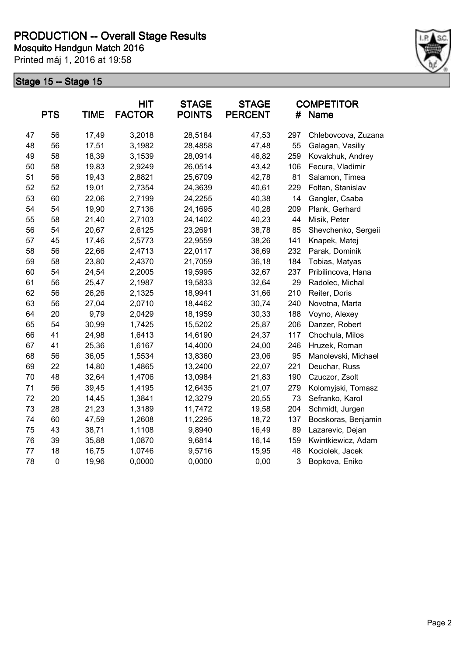

|    | <b>PTS</b>  | <b>TIME</b> | <b>HIT</b><br><b>FACTOR</b> | <b>STAGE</b><br><b>POINTS</b> | <b>STAGE</b><br><b>PERCENT</b> | #   | <b>COMPETITOR</b><br><b>Name</b> |
|----|-------------|-------------|-----------------------------|-------------------------------|--------------------------------|-----|----------------------------------|
| 47 | 56          | 17,49       | 3,2018                      | 28,5184                       | 47,53                          | 297 | Chlebovcova, Zuzana              |
| 48 | 56          | 17,51       | 3,1982                      | 28,4858                       | 47,48                          | 55  | Galagan, Vasiliy                 |
| 49 | 58          | 18,39       | 3,1539                      | 28,0914                       | 46,82                          | 259 | Kovalchuk, Andrey                |
| 50 | 58          | 19,83       | 2,9249                      | 26,0514                       | 43,42                          | 106 | Fecura, Vladimir                 |
| 51 | 56          | 19,43       | 2,8821                      | 25,6709                       | 42,78                          | 81  | Salamon, Timea                   |
| 52 | 52          | 19,01       | 2,7354                      | 24,3639                       | 40,61                          | 229 | Foltan, Stanislav                |
| 53 | 60          | 22,06       | 2,7199                      | 24,2255                       | 40,38                          | 14  | Gangler, Csaba                   |
| 54 | 54          | 19,90       | 2,7136                      | 24,1695                       | 40,28                          | 209 | Plank, Gerhard                   |
| 55 | 58          | 21,40       | 2,7103                      | 24,1402                       | 40,23                          | 44  | Misik, Peter                     |
| 56 | 54          | 20,67       | 2,6125                      | 23,2691                       | 38,78                          | 85  | Shevchenko, Sergeii              |
| 57 | 45          | 17,46       | 2,5773                      | 22,9559                       | 38,26                          | 141 | Knapek, Matej                    |
| 58 | 56          | 22,66       | 2,4713                      | 22,0117                       | 36,69                          | 232 | Parak, Dominik                   |
| 59 | 58          | 23,80       | 2,4370                      | 21,7059                       | 36,18                          | 184 | Tobias, Matyas                   |
| 60 | 54          | 24,54       | 2,2005                      | 19,5995                       | 32,67                          | 237 | Pribilincova, Hana               |
| 61 | 56          | 25,47       | 2,1987                      | 19,5833                       | 32,64                          | 29  | Radolec, Michal                  |
| 62 | 56          | 26,26       | 2,1325                      | 18,9941                       | 31,66                          | 210 | Reiter, Doris                    |
| 63 | 56          | 27,04       | 2,0710                      | 18,4462                       | 30,74                          | 240 | Novotna, Marta                   |
| 64 | 20          | 9,79        | 2,0429                      | 18,1959                       | 30,33                          | 188 | Voyno, Alexey                    |
| 65 | 54          | 30,99       | 1,7425                      | 15,5202                       | 25,87                          | 206 | Danzer, Robert                   |
| 66 | 41          | 24,98       | 1,6413                      | 14,6190                       | 24,37                          | 117 | Chochula, Milos                  |
| 67 | 41          | 25,36       | 1,6167                      | 14,4000                       | 24,00                          | 246 | Hruzek, Roman                    |
| 68 | 56          | 36,05       | 1,5534                      | 13,8360                       | 23,06                          | 95  | Manolevski, Michael              |
| 69 | 22          | 14,80       | 1,4865                      | 13,2400                       | 22,07                          | 221 | Deuchar, Russ                    |
| 70 | 48          | 32,64       | 1,4706                      | 13,0984                       | 21,83                          | 190 | Czuczor, Zsolt                   |
| 71 | 56          | 39,45       | 1,4195                      | 12,6435                       | 21,07                          | 279 | Kolomyjski, Tomasz               |
| 72 | 20          | 14,45       | 1,3841                      | 12,3279                       | 20,55                          | 73  | Sefranko, Karol                  |
| 73 | 28          | 21,23       | 1,3189                      | 11,7472                       | 19,58                          | 204 | Schmidt, Jurgen                  |
| 74 | 60          | 47,59       | 1,2608                      | 11,2295                       | 18,72                          | 137 | Bocskoras, Benjamin              |
| 75 | 43          | 38,71       | 1,1108                      | 9,8940                        | 16,49                          | 89  | Lazarevic, Dejan                 |
| 76 | 39          | 35,88       | 1,0870                      | 9,6814                        | 16,14                          | 159 | Kwintkiewicz, Adam               |
| 77 | 18          | 16,75       | 1,0746                      | 9,5716                        | 15,95                          | 48  | Kociolek, Jacek                  |
| 78 | $\mathbf 0$ | 19,96       | 0,0000                      | 0,0000                        | 0,00                           | 3   | Bopkova, Eniko                   |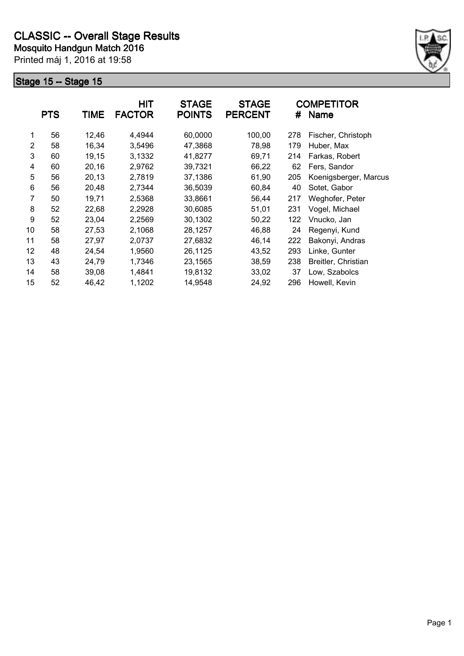

|    | <b>PTS</b> | <b>TIME</b> | <b>HIT</b><br><b>FACTOR</b> | <b>STAGE</b><br><b>POINTS</b> | <b>STAGE</b><br><b>PERCENT</b> | #   | <b>COMPETITOR</b><br><b>Name</b> |
|----|------------|-------------|-----------------------------|-------------------------------|--------------------------------|-----|----------------------------------|
| 1  | 56         | 12,46       | 4,4944                      | 60,0000                       | 100,00                         | 278 | Fischer, Christoph               |
| 2  | 58         | 16,34       | 3,5496                      | 47,3868                       | 78,98                          | 179 | Huber, Max                       |
| 3  | 60         | 19,15       | 3,1332                      | 41,8277                       | 69,71                          | 214 | Farkas, Robert                   |
| 4  | 60         | 20,16       | 2,9762                      | 39,7321                       | 66,22                          | 62  | Fers, Sandor                     |
| 5  | 56         | 20,13       | 2,7819                      | 37,1386                       | 61,90                          | 205 | Koenigsberger, Marcus            |
| 6  | 56         | 20,48       | 2,7344                      | 36,5039                       | 60,84                          | 40  | Sotet, Gabor                     |
| 7  | 50         | 19,71       | 2,5368                      | 33,8661                       | 56,44                          | 217 | Weghofer, Peter                  |
| 8  | 52         | 22,68       | 2,2928                      | 30,6085                       | 51,01                          | 231 | Vogel, Michael                   |
| 9  | 52         | 23,04       | 2,2569                      | 30,1302                       | 50,22                          | 122 | Vnucko, Jan                      |
| 10 | 58         | 27,53       | 2,1068                      | 28,1257                       | 46,88                          | 24  | Regenyi, Kund                    |
| 11 | 58         | 27,97       | 2,0737                      | 27,6832                       | 46,14                          | 222 | Bakonyi, Andras                  |
| 12 | 48         | 24,54       | 1,9560                      | 26,1125                       | 43,52                          | 293 | Linke, Gunter                    |
| 13 | 43         | 24,79       | 1,7346                      | 23,1565                       | 38,59                          | 238 | Breitler, Christian              |
| 14 | 58         | 39,08       | 1,4841                      | 19,8132                       | 33,02                          | 37  | Low, Szabolcs                    |
| 15 | 52         | 46,42       | 1,1202                      | 14,9548                       | 24,92                          | 296 | Howell, Kevin                    |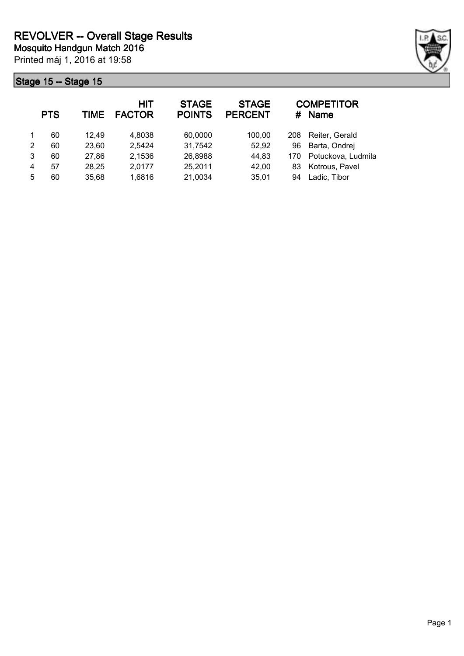

|   | <b>PTS</b> | TIME  | <b>HIT</b><br><b>FACTOR</b> | <b>STAGE</b><br><b>POINTS</b> | <b>STAGE</b><br><b>PERCENT</b> | #   | <b>COMPETITOR</b><br><b>Name</b> |
|---|------------|-------|-----------------------------|-------------------------------|--------------------------------|-----|----------------------------------|
|   | 60         | 12.49 | 4,8038                      | 60,0000                       | 100,00                         | 208 | Reiter, Gerald                   |
| 2 | 60         | 23,60 | 2,5424                      | 31,7542                       | 52,92                          | 96  | Barta, Ondrej                    |
| 3 | 60         | 27,86 | 2,1536                      | 26,8988                       | 44,83                          | 170 | Potuckova, Ludmila               |
| 4 | 57         | 28,25 | 2,0177                      | 25,2011                       | 42,00                          | 83  | Kotrous, Pavel                   |
| 5 | 60         | 35,68 | 1,6816                      | 21,0034                       | 35,01                          | 94  | Ladic, Tibor                     |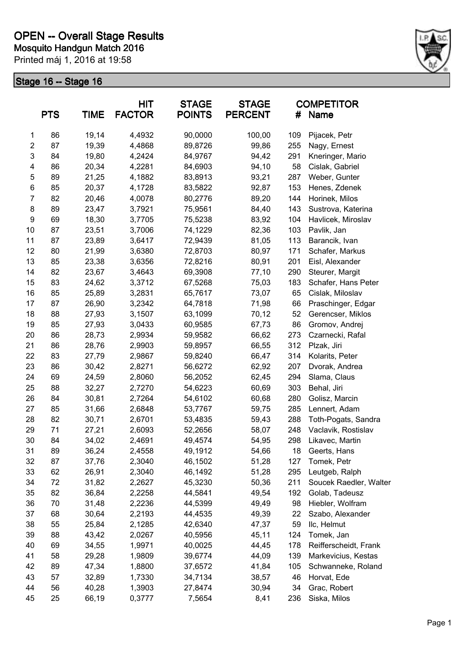

|                | <b>PTS</b> | <b>TIME</b> | <b>HIT</b><br><b>FACTOR</b> | <b>STAGE</b><br><b>POINTS</b> | <b>STAGE</b><br><b>PERCENT</b> | #   | <b>COMPETITOR</b><br><b>Name</b> |
|----------------|------------|-------------|-----------------------------|-------------------------------|--------------------------------|-----|----------------------------------|
| 1              | 86         | 19,14       | 4,4932                      | 90,0000                       | 100,00                         | 109 | Pijacek, Petr                    |
| $\overline{c}$ | 87         | 19,39       | 4,4868                      | 89,8726                       | 99,86                          | 255 | Nagy, Ernest                     |
| 3              | 84         | 19,80       | 4,2424                      | 84,9767                       | 94,42                          | 291 | Kneringer, Mario                 |
| 4              | 86         | 20,34       | 4,2281                      | 84,6903                       | 94,10                          | 58  | Cislak, Gabriel                  |
| 5              | 89         | 21,25       | 4,1882                      | 83,8913                       | 93,21                          | 287 | Weber, Gunter                    |
| 6              | 85         | 20,37       | 4,1728                      | 83,5822                       | 92,87                          | 153 | Henes, Zdenek                    |
| $\overline{7}$ | 82         | 20,46       | 4,0078                      | 80,2776                       | 89,20                          | 144 | Horinek, Milos                   |
| 8              | 89         | 23,47       | 3,7921                      | 75,9561                       | 84,40                          | 143 | Sustrova, Katerina               |
| 9              | 69         | 18,30       | 3,7705                      | 75,5238                       | 83,92                          | 104 | Havlicek, Miroslav               |
| 10             | 87         | 23,51       | 3,7006                      | 74,1229                       | 82,36                          | 103 | Pavlik, Jan                      |
| 11             | 87         | 23,89       | 3,6417                      | 72,9439                       | 81,05                          | 113 | Barancik, Ivan                   |
| 12             | 80         | 21,99       | 3,6380                      | 72,8703                       | 80,97                          | 171 | Schafer, Markus                  |
| 13             | 85         | 23,38       | 3,6356                      | 72,8216                       | 80,91                          | 201 | Eisl, Alexander                  |
| 14             | 82         | 23,67       | 3,4643                      | 69,3908                       | 77,10                          | 290 | Steurer, Margit                  |
| 15             | 83         | 24,62       | 3,3712                      | 67,5268                       | 75,03                          | 183 | Schafer, Hans Peter              |
| 16             | 85         | 25,89       | 3,2831                      | 65,7617                       | 73,07                          | 65  | Cislak, Miloslav                 |
| 17             | 87         | 26,90       | 3,2342                      | 64,7818                       | 71,98                          | 66  | Praschinger, Edgar               |
| 18             | 88         | 27,93       | 3,1507                      | 63,1099                       | 70,12                          | 52  | Gerencser, Miklos                |
| 19             | 85         | 27,93       | 3,0433                      | 60,9585                       | 67,73                          | 86  | Gromov, Andrej                   |
| 20             | 86         | 28,73       | 2,9934                      | 59,9582                       | 66,62                          | 273 | Czarnecki, Rafal                 |
| 21             | 86         | 28,76       | 2,9903                      | 59,8957                       | 66,55                          | 312 | Plzak, Jiri                      |
| 22             | 83         | 27,79       | 2,9867                      | 59,8240                       | 66,47                          | 314 | Kolarits, Peter                  |
| 23             | 86         | 30,42       | 2,8271                      | 56,6272                       | 62,92                          | 207 | Dvorak, Andrea                   |
| 24             | 69         | 24,59       | 2,8060                      | 56,2052                       | 62,45                          | 294 | Slama, Claus                     |
| 25             | 88         | 32,27       | 2,7270                      | 54,6223                       | 60,69                          | 303 | Behal, Jiri                      |
| 26             | 84         | 30,81       | 2,7264                      | 54,6102                       | 60,68                          | 280 | Golisz, Marcin                   |
| 27             | 85         | 31,66       | 2,6848                      | 53,7767                       | 59,75                          | 285 | Lennert, Adam                    |
| 28             | 82         | 30,71       | 2,6701                      | 53,4835                       | 59,43                          | 288 | Toth-Pogats, Sandra              |
| 29             | 71         | 27,21       | 2,6093                      | 52,2656                       | 58,07                          | 248 | Vaclavik, Rostislav              |
| 30             | 84         | 34,02       | 2,4691                      | 49,4574                       | 54,95                          | 298 | Likavec, Martin                  |
| 31             | 89         | 36,24       | 2,4558                      | 49,1912                       | 54,66                          | 18  | Geerts, Hans                     |
| 32             | 87         | 37,76       | 2,3040                      | 46,1502                       | 51,28                          | 127 | Tomek, Petr                      |
| 33             | 62         | 26,91       | 2,3040                      | 46,1492                       | 51,28                          | 295 | Leutgeb, Ralph                   |
| 34             | 72         | 31,82       | 2,2627                      | 45,3230                       | 50,36                          | 211 | Soucek Raedler, Walter           |
| 35             | 82         | 36,84       | 2,2258                      | 44,5841                       | 49,54                          | 192 | Golab, Tadeusz                   |
| 36             | 70         | 31,48       | 2,2236                      | 44,5399                       | 49,49                          | 98  | Hiebler, Wolfram                 |
| 37             | 68         | 30,64       | 2,2193                      | 44,4535                       | 49,39                          | 22  | Szabo, Alexander                 |
| 38             | 55         | 25,84       | 2,1285                      | 42,6340                       | 47,37                          | 59  | Ilc, Helmut                      |
| 39             | 88         | 43,42       | 2,0267                      | 40,5956                       | 45,11                          | 124 | Tomek, Jan                       |
| 40             | 69         | 34,55       | 1,9971                      | 40,0025                       | 44,45                          | 178 | Reifferscheidt, Frank            |
| 41             | 58         | 29,28       | 1,9809                      | 39,6774                       | 44,09                          | 139 | Markevicius, Kestas              |
| 42             | 89         | 47,34       | 1,8800                      | 37,6572                       | 41,84                          | 105 | Schwanneke, Roland               |
| 43             | 57         | 32,89       | 1,7330                      | 34,7134                       | 38,57                          | 46  | Horvat, Ede                      |
| 44             | 56         | 40,28       | 1,3903                      | 27,8474                       | 30,94                          | 34  | Grac, Robert                     |
| 45             | 25         | 66,19       | 0,3777                      | 7,5654                        | 8,41                           | 236 | Siska, Milos                     |
|                |            |             |                             |                               |                                |     |                                  |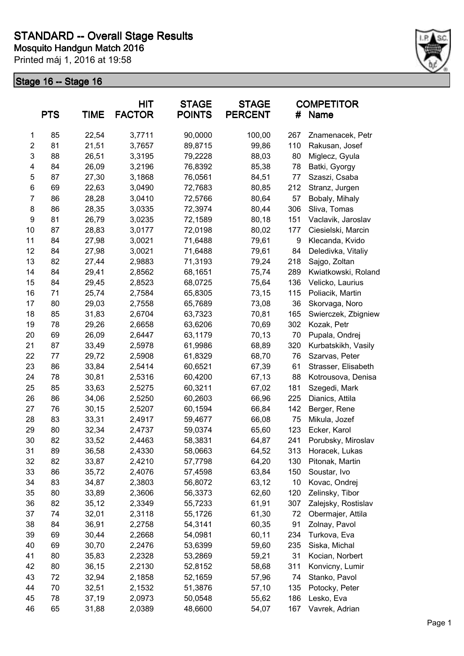

|                | <b>PTS</b> | <b>TIME</b> | HIT<br><b>FACTOR</b> | <b>STAGE</b><br><b>POINTS</b> | <b>STAGE</b><br><b>PERCENT</b> | #   | <b>COMPETITOR</b><br>Name |
|----------------|------------|-------------|----------------------|-------------------------------|--------------------------------|-----|---------------------------|
| 1              | 85         | 22,54       | 3,7711               | 90,0000                       | 100,00                         | 267 | Znamenacek, Petr          |
| $\overline{2}$ | 81         | 21,51       | 3,7657               | 89,8715                       | 99,86                          | 110 | Rakusan, Josef            |
| $\mathsf 3$    | 88         | 26,51       | 3,3195               | 79,2228                       | 88,03                          | 80  | Miglecz, Gyula            |
| 4              | 84         | 26,09       | 3,2196               | 76,8392                       | 85,38                          | 78  | Batki, Gyorgy             |
| 5              | 87         | 27,30       | 3,1868               | 76,0561                       | 84,51                          | 77  | Szaszi, Csaba             |
| $\,6$          | 69         | 22,63       | 3,0490               | 72,7683                       | 80,85                          | 212 | Stranz, Jurgen            |
| $\overline{7}$ | 86         | 28,28       | 3,0410               | 72,5766                       | 80,64                          | 57  | Bobaly, Mihaly            |
| 8              | 86         | 28,35       | 3,0335               | 72,3974                       | 80,44                          | 306 | Sliva, Tomas              |
| 9              | 81         | 26,79       | 3,0235               | 72,1589                       | 80,18                          | 151 | Vaclavik, Jaroslav        |
| 10             | 87         | 28,83       | 3,0177               | 72,0198                       | 80,02                          | 177 | Ciesielski, Marcin        |
| 11             | 84         | 27,98       | 3,0021               | 71,6488                       | 79,61                          | 9   | Klecanda, Kvido           |
| 12             | 84         | 27,98       | 3,0021               | 71,6488                       | 79,61                          | 84  | Deledivka, Vitaliy        |
| 13             | 82         | 27,44       | 2,9883               | 71,3193                       | 79,24                          | 218 | Sajgo, Zoltan             |
| 14             | 84         | 29,41       | 2,8562               | 68,1651                       | 75,74                          | 289 | Kwiatkowski, Roland       |
| 15             | 84         | 29,45       | 2,8523               | 68,0725                       | 75,64                          | 136 | Velicko, Laurius          |
| 16             | 71         | 25,74       | 2,7584               | 65,8305                       | 73,15                          | 115 | Poliacik, Martin          |
| 17             | 80         | 29,03       | 2,7558               | 65,7689                       | 73,08                          | 36  | Skorvaga, Noro            |
| 18             | 85         | 31,83       | 2,6704               | 63,7323                       | 70,81                          | 165 | Swierczek, Zbigniew       |
| 19             | 78         | 29,26       | 2,6658               | 63,6206                       | 70,69                          | 302 | Kozak, Petr               |
| 20             | 69         | 26,09       | 2,6447               | 63,1179                       | 70,13                          | 70  | Pupala, Ondrej            |
| 21             | 87         | 33,49       | 2,5978               | 61,9986                       | 68,89                          | 320 | Kurbatskikh, Vasily       |
| 22             | 77         | 29,72       | 2,5908               | 61,8329                       | 68,70                          | 76  | Szarvas, Peter            |
| 23             | 86         | 33,84       | 2,5414               | 60,6521                       | 67,39                          | 61  | Strasser, Elisabeth       |
| 24             | 78         | 30,81       | 2,5316               | 60,4200                       | 67,13                          | 88  | Kotrousova, Denisa        |
| 25             | 85         | 33,63       | 2,5275               | 60,3211                       | 67,02                          | 181 | Szegedi, Mark             |
| 26             | 86         | 34,06       | 2,5250               | 60,2603                       | 66,96                          | 225 | Dianics, Attila           |
| 27             | 76         | 30, 15      | 2,5207               | 60,1594                       | 66,84                          | 142 | Berger, Rene              |
| 28             | 83         | 33,31       | 2,4917               | 59,4677                       | 66,08                          | 75  | Mikula, Jozef             |
| 29             | 80         | 32,34       | 2,4737               | 59,0374                       | 65,60                          | 123 | Ecker, Karol              |
| 30             | 82         | 33,52       | 2,4463               | 58,3831                       | 64,87                          | 241 | Porubsky, Miroslav        |
| 31             | 89         | 36,58       | 2,4330               | 58,0663                       | 64,52                          | 313 | Horacek, Lukas            |
| 32             | 82         | 33,87       | 2,4210               | 57,7798                       | 64,20                          | 130 | Pitonak, Martin           |
| 33             | 86         | 35,72       | 2,4076               | 57,4598                       | 63,84                          | 150 | Soustar, Ivo              |
| 34             | 83         | 34,87       | 2,3803               | 56,8072                       | 63,12                          | 10  | Kovac, Ondrej             |
| 35             | 80         | 33,89       | 2,3606               | 56,3373                       | 62,60                          | 120 | Zelinsky, Tibor           |
| 36             | 82         | 35,12       | 2,3349               | 55,7233                       | 61,91                          | 307 | Zalejsky, Rostislav       |
| 37             | 74         | 32,01       | 2,3118               | 55,1726                       | 61,30                          | 72  | Obermajer, Attila         |
| 38             | 84         | 36,91       | 2,2758               | 54,3141                       | 60,35                          | 91  | Zolnay, Pavol             |
| 39             | 69         | 30,44       | 2,2668               | 54,0981                       | 60,11                          | 234 | Turkova, Eva              |
| 40             | 69         | 30,70       | 2,2476               | 53,6399                       | 59,60                          | 235 | Siska, Michal             |
| 41             | 80         | 35,83       | 2,2328               | 53,2869                       | 59,21                          | 31  | Kocian, Norbert           |
| 42             | 80         | 36,15       | 2,2130               | 52,8152                       | 58,68                          | 311 | Konvicny, Lumir           |
| 43             | 72         | 32,94       | 2,1858               | 52,1659                       | 57,96                          | 74  | Stanko, Pavol             |
| 44             | 70         | 32,51       | 2,1532               | 51,3876                       | 57,10                          | 135 | Potocky, Peter            |
| 45             | 78         | 37,19       | 2,0973               | 50,0548                       | 55,62                          | 186 | Lesko, Eva                |
| 46             | 65         | 31,88       | 2,0389               | 48,6600                       | 54,07                          | 167 | Vavrek, Adrian            |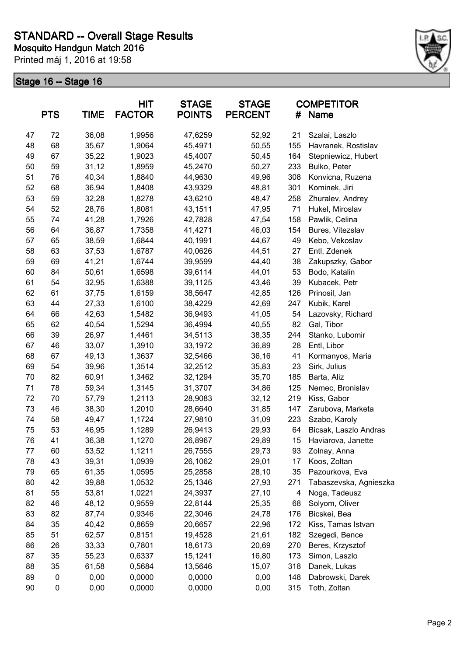

|    | <b>PTS</b> | <b>TIME</b> | <b>HIT</b><br><b>FACTOR</b> | <b>STAGE</b><br><b>POINTS</b> | <b>STAGE</b><br><b>PERCENT</b> | #   | <b>COMPETITOR</b><br>Name |
|----|------------|-------------|-----------------------------|-------------------------------|--------------------------------|-----|---------------------------|
| 47 | 72         | 36,08       | 1,9956                      | 47,6259                       | 52,92                          | 21  | Szalai, Laszlo            |
| 48 | 68         | 35,67       | 1,9064                      | 45,4971                       | 50,55                          | 155 | Havranek, Rostislav       |
| 49 | 67         | 35,22       | 1,9023                      | 45,4007                       | 50,45                          | 164 | Stepniewicz, Hubert       |
| 50 | 59         | 31,12       | 1,8959                      | 45,2470                       | 50,27                          | 233 | Bulko, Peter              |
| 51 | 76         | 40,34       | 1,8840                      | 44,9630                       | 49,96                          | 308 | Konvicna, Ruzena          |
| 52 | 68         | 36,94       | 1,8408                      | 43,9329                       | 48,81                          | 301 | Kominek, Jiri             |
| 53 | 59         | 32,28       | 1,8278                      | 43,6210                       | 48,47                          | 258 | Zhuralev, Andrey          |
| 54 | 52         | 28,76       | 1,8081                      | 43,1511                       | 47,95                          | 71  | Hukel, Miroslav           |
| 55 | 74         | 41,28       | 1,7926                      | 42,7828                       | 47,54                          | 158 | Pawlik, Celina            |
| 56 | 64         | 36,87       | 1,7358                      | 41,4271                       | 46,03                          | 154 | Bures, Vitezslav          |
| 57 | 65         | 38,59       | 1,6844                      | 40,1991                       | 44,67                          | 49  | Kebo, Vekoslav            |
| 58 | 63         | 37,53       | 1,6787                      | 40,0626                       | 44,51                          | 27  | Entl, Zdenek              |
| 59 | 69         | 41,21       | 1,6744                      | 39,9599                       | 44,40                          | 38  | Zakupszky, Gabor          |
| 60 | 84         | 50,61       | 1,6598                      | 39,6114                       | 44,01                          | 53  | Bodo, Katalin             |
| 61 | 54         | 32,95       | 1,6388                      | 39,1125                       | 43,46                          | 39  | Kubacek, Petr             |
| 62 | 61         | 37,75       | 1,6159                      | 38,5647                       | 42,85                          | 126 | Prinosil, Jan             |
| 63 | 44         | 27,33       | 1,6100                      | 38,4229                       | 42,69                          | 247 | Kubik, Karel              |
| 64 | 66         | 42,63       | 1,5482                      | 36,9493                       | 41,05                          | 54  | Lazovsky, Richard         |
| 65 | 62         | 40,54       | 1,5294                      | 36,4994                       | 40,55                          | 82  | Gal, Tibor                |
| 66 | 39         | 26,97       | 1,4461                      | 34,5113                       | 38,35                          | 244 | Stanko, Lubomir           |
| 67 | 46         | 33,07       | 1,3910                      | 33,1972                       | 36,89                          | 28  | Entl, Libor               |
| 68 | 67         | 49,13       | 1,3637                      | 32,5466                       | 36,16                          | 41  | Kormanyos, Maria          |
| 69 | 54         | 39,96       | 1,3514                      | 32,2512                       | 35,83                          | 23  | Sirk, Julius              |
| 70 | 82         | 60,91       | 1,3462                      | 32,1294                       | 35,70                          | 185 | Barta, Aliz               |
| 71 | 78         | 59,34       | 1,3145                      | 31,3707                       | 34,86                          | 125 | Nemec, Bronislav          |
| 72 | 70         | 57,79       | 1,2113                      | 28,9083                       | 32,12                          | 219 | Kiss, Gabor               |
| 73 | 46         | 38,30       | 1,2010                      | 28,6640                       | 31,85                          | 147 | Zarubova, Marketa         |
| 74 | 58         | 49,47       | 1,1724                      | 27,9810                       | 31,09                          | 223 | Szabo, Karoly             |
| 75 | 53         | 46,95       | 1,1289                      | 26,9413                       | 29,93                          | 64  | Bicsak, Laszlo Andras     |
| 76 | 41         | 36,38       | 1,1270                      | 26,8967                       | 29,89                          | 15  | Haviarova, Janette        |
| 77 | 60         | 53,52       | 1,1211                      | 26,7555                       | 29,73                          | 93  | Zolnay, Anna              |
| 78 | 43         | 39,31       | 1,0939                      | 26,1062                       | 29,01                          | 17  | Koos, Zoltan              |
| 79 | 65         | 61,35       | 1,0595                      | 25,2858                       | 28,10                          | 35  | Pazourkova, Eva           |
| 80 | 42         | 39,88       | 1,0532                      | 25,1346                       | 27,93                          | 271 | Tabaszevska, Agnieszka    |
| 81 | 55         | 53,81       | 1,0221                      | 24,3937                       | 27,10                          | 4   | Noga, Tadeusz             |
| 82 | 46         | 48,12       | 0,9559                      | 22,8144                       | 25,35                          | 68  | Solyom, Oliver            |
| 83 | 82         | 87,74       | 0,9346                      | 22,3046                       | 24,78                          | 176 | Bicskei, Bea              |
| 84 | 35         | 40,42       | 0,8659                      | 20,6657                       | 22,96                          | 172 | Kiss, Tamas Istvan        |
| 85 | 51         | 62,57       | 0,8151                      | 19,4528                       | 21,61                          | 182 | Szegedi, Bence            |
| 86 | 26         | 33,33       | 0,7801                      | 18,6173                       | 20,69                          | 270 | Beres, Krzysztof          |
| 87 | 35         | 55,23       | 0,6337                      | 15,1241                       | 16,80                          | 173 | Simon, Laszlo             |
| 88 | 35         | 61,58       | 0,5684                      | 13,5646                       | 15,07                          | 318 | Danek, Lukas              |
| 89 | 0          | 0,00        | 0,0000                      | 0,0000                        | 0,00                           | 148 | Dabrowski, Darek          |
| 90 | 0          | 0,00        | 0,0000                      | 0,0000                        | 0,00                           | 315 | Toth, Zoltan              |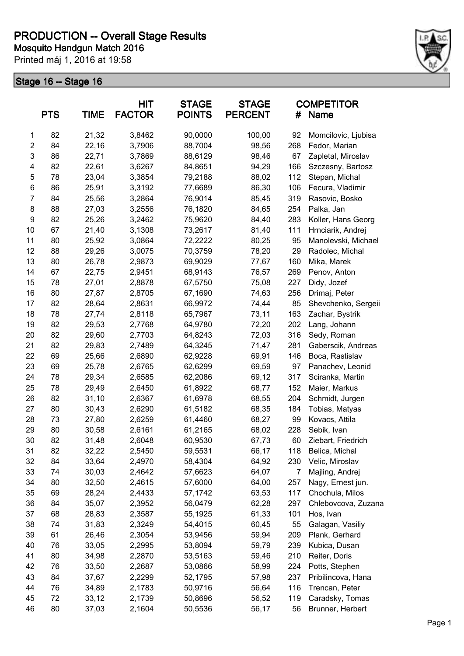

|                | <b>PTS</b> | <b>TIME</b> | <b>HIT</b><br><b>FACTOR</b> | <b>STAGE</b><br><b>POINTS</b> | <b>STAGE</b><br><b>PERCENT</b> | #   | <b>COMPETITOR</b><br>Name |
|----------------|------------|-------------|-----------------------------|-------------------------------|--------------------------------|-----|---------------------------|
| 1              | 82         | 21,32       | 3,8462                      | 90,0000                       | 100,00                         | 92  | Momcilovic, Ljubisa       |
| $\overline{2}$ | 84         | 22,16       | 3,7906                      | 88,7004                       | 98,56                          | 268 | Fedor, Marian             |
| 3              | 86         | 22,71       | 3,7869                      | 88,6129                       | 98,46                          | 67  | Zapletal, Miroslav        |
| 4              | 82         | 22,61       | 3,6267                      | 84,8651                       | 94,29                          | 166 | Szczesny, Bartosz         |
| 5              | 78         | 23,04       | 3,3854                      | 79,2188                       | 88,02                          | 112 | Stepan, Michal            |
| 6              | 86         | 25,91       | 3,3192                      | 77,6689                       | 86,30                          | 106 | Fecura, Vladimir          |
| $\overline{7}$ | 84         | 25,56       | 3,2864                      | 76,9014                       | 85,45                          | 319 | Rasovic, Bosko            |
| 8              | 88         | 27,03       | 3,2556                      | 76,1820                       | 84,65                          | 254 | Palka, Jan                |
| 9              | 82         | 25,26       | 3,2462                      | 75,9620                       | 84,40                          | 283 | Koller, Hans Georg        |
| 10             | 67         | 21,40       | 3,1308                      | 73,2617                       | 81,40                          | 111 | Hrnciarik, Andrej         |
| 11             | 80         | 25,92       | 3,0864                      | 72,2222                       | 80,25                          | 95  | Manolevski, Michael       |
| 12             | 88         | 29,26       | 3,0075                      | 70,3759                       | 78,20                          | 29  | Radolec, Michal           |
| 13             | 80         | 26,78       | 2,9873                      | 69,9029                       | 77,67                          | 160 | Mika, Marek               |
| 14             | 67         | 22,75       | 2,9451                      | 68,9143                       | 76,57                          | 269 | Penov, Anton              |
| 15             | 78         | 27,01       | 2,8878                      | 67,5750                       | 75,08                          | 227 | Didy, Jozef               |
| 16             | 80         | 27,87       | 2,8705                      | 67,1690                       | 74,63                          | 256 | Drimaj, Peter             |
| 17             | 82         | 28,64       | 2,8631                      | 66,9972                       | 74,44                          | 85  | Shevchenko, Sergeii       |
| 18             | 78         | 27,74       | 2,8118                      | 65,7967                       | 73,11                          | 163 | Zachar, Bystrik           |
| 19             | 82         | 29,53       | 2,7768                      | 64,9780                       | 72,20                          | 202 | Lang, Johann              |
| 20             | 82         | 29,60       | 2,7703                      | 64,8243                       | 72,03                          | 316 | Sedy, Roman               |
| 21             | 82         | 29,83       | 2,7489                      | 64,3245                       | 71,47                          | 281 | Gaberscik, Andreas        |
| 22             | 69         | 25,66       | 2,6890                      | 62,9228                       | 69,91                          | 146 | Boca, Rastislav           |
| 23             | 69         | 25,78       | 2,6765                      | 62,6299                       | 69,59                          | 97  | Panachev, Leonid          |
| 24             | 78         | 29,34       | 2,6585                      | 62,2086                       | 69,12                          | 317 | Sciranka, Martin          |
| 25             | 78         | 29,49       | 2,6450                      | 61,8922                       | 68,77                          | 152 | Maier, Markus             |
| 26             | 82         | 31,10       | 2,6367                      | 61,6978                       | 68,55                          | 204 | Schmidt, Jurgen           |
| 27             | 80         | 30,43       | 2,6290                      | 61,5182                       | 68,35                          | 184 | Tobias, Matyas            |
| 28             | 73         | 27,80       | 2,6259                      | 61,4460                       | 68,27                          | 99  | Kovacs, Attila            |
| 29             | 80         | 30,58       | 2,6161                      | 61,2165                       | 68,02                          | 228 | Sebik, Ivan               |
| 30             | 82         | 31,48       | 2,6048                      | 60,9530                       | 67,73                          | 60  | Ziebart, Friedrich        |
| 31             | 82         | 32,22       | 2,5450                      | 59,5531                       | 66,17                          | 118 | Belica, Michal            |
| 32             | 84         | 33,64       | 2,4970                      | 58,4304                       | 64,92                          | 230 | Velic, Miroslav           |
| 33             | 74         | 30,03       | 2,4642                      | 57,6623                       | 64,07                          | 7   | Majling, Andrej           |
| 34             | 80         | 32,50       | 2,4615                      | 57,6000                       | 64,00                          | 257 | Nagy, Ernest jun.         |
| 35             | 69         | 28,24       | 2,4433                      | 57,1742                       | 63,53                          | 117 | Chochula, Milos           |
| 36             | 84         | 35,07       | 2,3952                      | 56,0479                       | 62,28                          | 297 | Chlebovcova, Zuzana       |
| 37             | 68         | 28,83       | 2,3587                      | 55,1925                       | 61,33                          | 101 | Hos, Ivan                 |
| 38             | 74         | 31,83       | 2,3249                      | 54,4015                       | 60,45                          | 55  | Galagan, Vasiliy          |
| 39             | 61         | 26,46       | 2,3054                      | 53,9456                       | 59,94                          | 209 | Plank, Gerhard            |
| 40             | 76         | 33,05       | 2,2995                      | 53,8094                       | 59,79                          | 239 | Kubica, Dusan             |
| 41             | 80         | 34,98       | 2,2870                      | 53,5163                       | 59,46                          | 210 | Reiter, Doris             |
| 42             | 76         | 33,50       | 2,2687                      | 53,0866                       | 58,99                          | 224 | Potts, Stephen            |
| 43             | 84         | 37,67       | 2,2299                      | 52,1795                       | 57,98                          | 237 | Pribilincova, Hana        |
| 44             | 76         | 34,89       | 2,1783                      | 50,9716                       | 56,64                          | 116 | Trencan, Peter            |
| 45             | 72         | 33,12       | 2,1739                      | 50,8696                       | 56,52                          | 119 | Caradsky, Tomas           |
| 46             | 80         | 37,03       | 2,1604                      | 50,5536                       | 56,17                          | 56  | Brunner, Herbert          |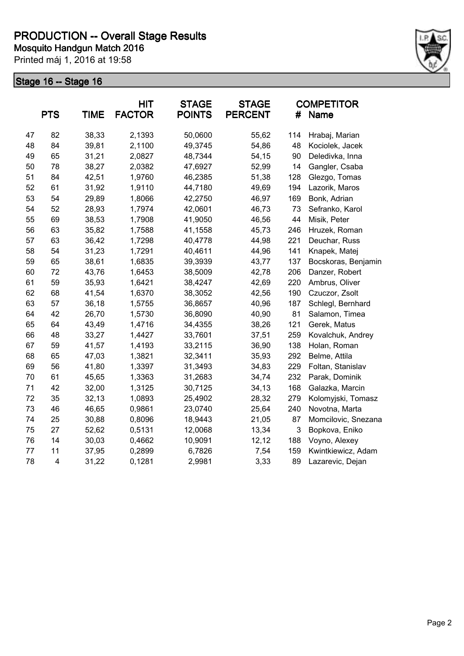

|    | <b>PTS</b> | <b>TIME</b> | <b>HIT</b><br><b>FACTOR</b> | <b>STAGE</b><br><b>POINTS</b> | <b>STAGE</b><br><b>PERCENT</b> | #   | <b>COMPETITOR</b><br>Name |
|----|------------|-------------|-----------------------------|-------------------------------|--------------------------------|-----|---------------------------|
| 47 | 82         | 38,33       | 2,1393                      | 50,0600                       | 55,62                          | 114 | Hrabaj, Marian            |
| 48 | 84         | 39,81       | 2,1100                      | 49,3745                       | 54,86                          | 48  | Kociolek, Jacek           |
| 49 | 65         | 31,21       | 2,0827                      | 48,7344                       | 54,15                          | 90  | Deledivka, Inna           |
| 50 | 78         | 38,27       | 2,0382                      | 47,6927                       | 52,99                          | 14  | Gangler, Csaba            |
| 51 | 84         | 42,51       | 1,9760                      | 46,2385                       | 51,38                          | 128 | Glezgo, Tomas             |
| 52 | 61         | 31,92       | 1,9110                      | 44,7180                       | 49,69                          | 194 | Lazorik, Maros            |
| 53 | 54         | 29,89       | 1,8066                      | 42,2750                       | 46,97                          | 169 | Bonk, Adrian              |
| 54 | 52         | 28,93       | 1,7974                      | 42,0601                       | 46,73                          | 73  | Sefranko, Karol           |
| 55 | 69         | 38,53       | 1,7908                      | 41,9050                       | 46,56                          | 44  | Misik, Peter              |
| 56 | 63         | 35,82       | 1,7588                      | 41,1558                       | 45,73                          | 246 | Hruzek, Roman             |
| 57 | 63         | 36,42       | 1,7298                      | 40,4778                       | 44,98                          | 221 | Deuchar, Russ             |
| 58 | 54         | 31,23       | 1,7291                      | 40,4611                       | 44,96                          | 141 | Knapek, Matej             |
| 59 | 65         | 38,61       | 1,6835                      | 39,3939                       | 43,77                          | 137 | Bocskoras, Benjamin       |
| 60 | 72         | 43,76       | 1,6453                      | 38,5009                       | 42,78                          | 206 | Danzer, Robert            |
| 61 | 59         | 35,93       | 1,6421                      | 38,4247                       | 42,69                          | 220 | Ambrus, Oliver            |
| 62 | 68         | 41,54       | 1,6370                      | 38,3052                       | 42,56                          | 190 | Czuczor, Zsolt            |
| 63 | 57         | 36,18       | 1,5755                      | 36,8657                       | 40,96                          | 187 | Schlegl, Bernhard         |
| 64 | 42         | 26,70       | 1,5730                      | 36,8090                       | 40,90                          | 81  | Salamon, Timea            |
| 65 | 64         | 43,49       | 1,4716                      | 34,4355                       | 38,26                          | 121 | Gerek, Matus              |
| 66 | 48         | 33,27       | 1,4427                      | 33,7601                       | 37,51                          | 259 | Kovalchuk, Andrey         |
| 67 | 59         | 41,57       | 1,4193                      | 33,2115                       | 36,90                          | 138 | Holan, Roman              |
| 68 | 65         | 47,03       | 1,3821                      | 32,3411                       | 35,93                          | 292 | Belme, Attila             |
| 69 | 56         | 41,80       | 1,3397                      | 31,3493                       | 34,83                          | 229 | Foltan, Stanislav         |
| 70 | 61         | 45,65       | 1,3363                      | 31,2683                       | 34,74                          | 232 | Parak, Dominik            |
| 71 | 42         | 32,00       | 1,3125                      | 30,7125                       | 34,13                          | 168 | Galazka, Marcin           |
| 72 | 35         | 32,13       | 1,0893                      | 25,4902                       | 28,32                          | 279 | Kolomyjski, Tomasz        |
| 73 | 46         | 46,65       | 0,9861                      | 23,0740                       | 25,64                          | 240 | Novotna, Marta            |
| 74 | 25         | 30,88       | 0,8096                      | 18,9443                       | 21,05                          | 87  | Momcilovic, Snezana       |
| 75 | 27         | 52,62       | 0,5131                      | 12,0068                       | 13,34                          | 3   | Bopkova, Eniko            |
| 76 | 14         | 30,03       | 0,4662                      | 10,9091                       | 12, 12                         | 188 | Voyno, Alexey             |
| 77 | 11         | 37,95       | 0,2899                      | 6,7826                        | 7,54                           | 159 | Kwintkiewicz, Adam        |
| 78 | 4          | 31,22       | 0,1281                      | 2,9981                        | 3,33                           | 89  | Lazarevic, Dejan          |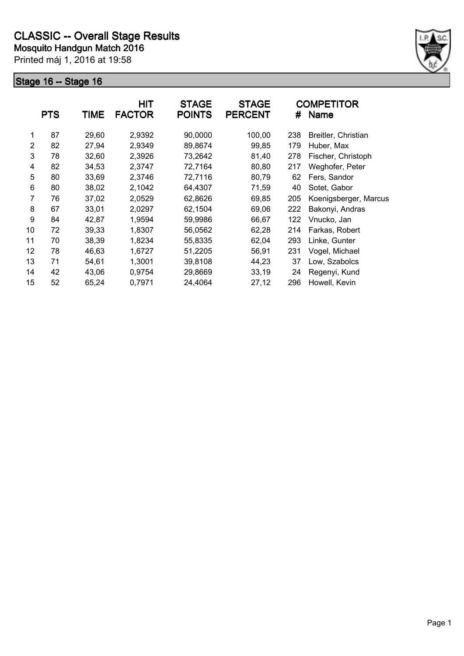

|    | <b>PTS</b> | <b>TIME</b> | <b>HIT</b><br><b>FACTOR</b> | <b>STAGE</b><br><b>POINTS</b> | <b>STAGE</b><br><b>PERCENT</b> | #   | <b>COMPETITOR</b><br>Name |
|----|------------|-------------|-----------------------------|-------------------------------|--------------------------------|-----|---------------------------|
| 1  | 87         | 29,60       | 2,9392                      | 90,0000                       | 100,00                         | 238 | Breitler, Christian       |
| 2  | 82         | 27,94       | 2,9349                      | 89,8674                       | 99,85                          | 179 | Huber, Max                |
| 3  | 78         | 32,60       | 2,3926                      | 73,2642                       | 81,40                          | 278 | Fischer, Christoph        |
| 4  | 82         | 34,53       | 2,3747                      | 72,7164                       | 80,80                          | 217 | Weghofer, Peter           |
| 5  | 80         | 33,69       | 2,3746                      | 72,7116                       | 80,79                          | 62  | Fers, Sandor              |
| 6  | 80         | 38,02       | 2,1042                      | 64,4307                       | 71,59                          | 40  | Sotet, Gabor              |
| 7  | 76         | 37,02       | 2,0529                      | 62,8626                       | 69,85                          | 205 | Koenigsberger, Marcus     |
| 8  | 67         | 33,01       | 2,0297                      | 62,1504                       | 69,06                          | 222 | Bakonyi, Andras           |
| 9  | 84         | 42,87       | 1,9594                      | 59,9986                       | 66,67                          | 122 | Vnucko, Jan               |
| 10 | 72         | 39,33       | 1,8307                      | 56,0562                       | 62,28                          | 214 | Farkas, Robert            |
| 11 | 70         | 38,39       | 1,8234                      | 55,8335                       | 62,04                          | 293 | Linke, Gunter             |
| 12 | 78         | 46,63       | 1,6727                      | 51,2205                       | 56,91                          | 231 | Vogel, Michael            |
| 13 | 71         | 54,61       | 1,3001                      | 39,8108                       | 44,23                          | 37  | Low, Szabolcs             |
| 14 | 42         | 43,06       | 0,9754                      | 29,8669                       | 33,19                          | 24  | Regenyi, Kund             |
| 15 | 52         | 65,24       | 0,7971                      | 24,4064                       | 27,12                          | 296 | Howell, Kevin             |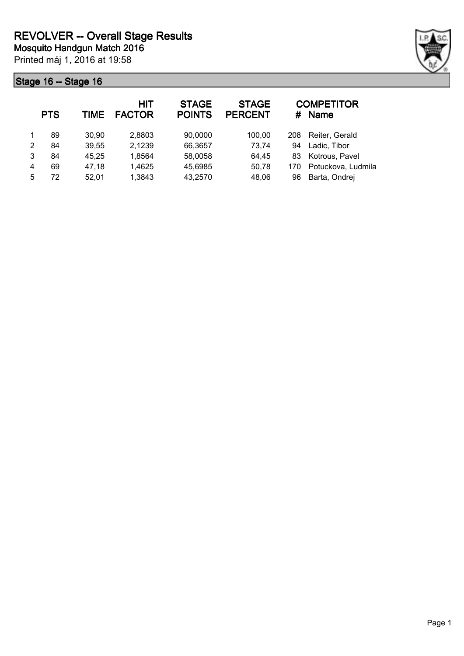

|   | <b>PTS</b> | TIME  | <b>HIT</b><br><b>FACTOR</b> | <b>STAGE</b><br><b>POINTS</b> | <b>STAGE</b><br><b>PERCENT</b> | #   | <b>COMPETITOR</b><br><b>Name</b> |
|---|------------|-------|-----------------------------|-------------------------------|--------------------------------|-----|----------------------------------|
|   | 89         | 30,90 | 2,8803                      | 90,0000                       | 100,00                         | 208 | Reiter, Gerald                   |
| 2 | 84         | 39,55 | 2,1239                      | 66,3657                       | 73,74                          | 94  | Ladic, Tibor                     |
| 3 | 84         | 45,25 | 1,8564                      | 58,0058                       | 64,45                          | 83  | Kotrous, Pavel                   |
| 4 | 69         | 47,18 | 1,4625                      | 45,6985                       | 50,78                          | 170 | Potuckova, Ludmila               |
| 5 | 72         | 52,01 | 1,3843                      | 43,2570                       | 48,06                          | 96  | Barta, Ondrej                    |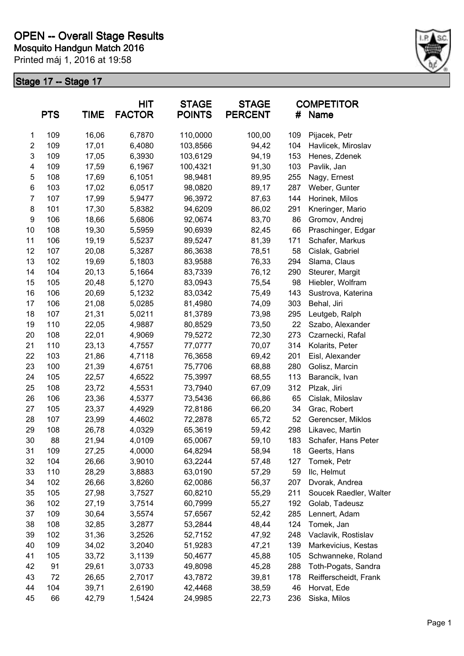

|                | <b>PTS</b> | <b>TIME</b> | <b>HIT</b><br><b>FACTOR</b> | <b>STAGE</b><br><b>POINTS</b> | <b>STAGE</b><br><b>PERCENT</b> | #   | <b>COMPETITOR</b><br>Name |
|----------------|------------|-------------|-----------------------------|-------------------------------|--------------------------------|-----|---------------------------|
| 1              | 109        | 16,06       | 6,7870                      | 110,0000                      | 100,00                         | 109 | Pijacek, Petr             |
| $\overline{c}$ | 109        | 17,01       | 6,4080                      | 103,8566                      | 94,42                          | 104 | Havlicek, Miroslav        |
| 3              | 109        | 17,05       | 6,3930                      | 103,6129                      | 94,19                          | 153 | Henes, Zdenek             |
| 4              | 109        | 17,59       | 6,1967                      | 100,4321                      | 91,30                          | 103 | Pavlik, Jan               |
| 5              | 108        | 17,69       | 6,1051                      | 98,9481                       | 89,95                          | 255 | Nagy, Ernest              |
| 6              | 103        | 17,02       | 6,0517                      | 98,0820                       | 89,17                          | 287 | Weber, Gunter             |
| $\overline{7}$ | 107        | 17,99       | 5,9477                      | 96,3972                       | 87,63                          | 144 | Horinek, Milos            |
| 8              | 101        | 17,30       | 5,8382                      | 94,6209                       | 86,02                          | 291 | Kneringer, Mario          |
| 9              | 106        | 18,66       | 5,6806                      | 92,0674                       | 83,70                          | 86  | Gromov, Andrej            |
| 10             | 108        | 19,30       | 5,5959                      | 90,6939                       | 82,45                          | 66  | Praschinger, Edgar        |
| 11             | 106        | 19,19       | 5,5237                      | 89,5247                       | 81,39                          | 171 | Schafer, Markus           |
| 12             | 107        | 20,08       | 5,3287                      | 86,3638                       | 78,51                          | 58  | Cislak, Gabriel           |
| 13             | 102        | 19,69       | 5,1803                      | 83,9588                       | 76,33                          | 294 | Slama, Claus              |
| 14             | 104        | 20,13       | 5,1664                      | 83,7339                       | 76,12                          | 290 | Steurer, Margit           |
| 15             | 105        | 20,48       | 5,1270                      | 83,0943                       | 75,54                          | 98  | Hiebler, Wolfram          |
| 16             | 106        | 20,69       | 5,1232                      | 83,0342                       | 75,49                          | 143 | Sustrova, Katerina        |
| 17             | 106        | 21,08       | 5,0285                      | 81,4980                       | 74,09                          | 303 | Behal, Jiri               |
| 18             | 107        | 21,31       | 5,0211                      | 81,3789                       | 73,98                          | 295 | Leutgeb, Ralph            |
| 19             | 110        | 22,05       | 4,9887                      | 80,8529                       | 73,50                          | 22  | Szabo, Alexander          |
| 20             | 108        | 22,01       | 4,9069                      | 79,5272                       | 72,30                          | 273 | Czarnecki, Rafal          |
| 21             | 110        | 23,13       | 4,7557                      | 77,0777                       | 70,07                          | 314 | Kolarits, Peter           |
| 22             | 103        | 21,86       | 4,7118                      | 76,3658                       | 69,42                          | 201 | Eisl, Alexander           |
| 23             | 100        | 21,39       | 4,6751                      | 75,7706                       | 68,88                          | 280 | Golisz, Marcin            |
| 24             | 105        | 22,57       | 4,6522                      | 75,3997                       | 68,55                          | 113 | Barancik, Ivan            |
| 25             | 108        | 23,72       | 4,5531                      | 73,7940                       | 67,09                          | 312 | Plzak, Jiri               |
| 26             | 106        | 23,36       | 4,5377                      | 73,5436                       | 66,86                          | 65  | Cislak, Miloslav          |
| 27             | 105        | 23,37       | 4,4929                      | 72,8186                       | 66,20                          | 34  | Grac, Robert              |
| 28             | 107        | 23,99       | 4,4602                      | 72,2878                       | 65,72                          | 52  | Gerencser, Miklos         |
| 29             | 108        | 26,78       | 4,0329                      | 65,3619                       | 59,42                          | 298 | Likavec, Martin           |
| 30             | 88         | 21,94       | 4,0109                      | 65,0067                       | 59,10                          | 183 | Schafer, Hans Peter       |
| 31             | 109        | 27,25       | 4,0000                      | 64,8294                       | 58,94                          | 18  | Geerts, Hans              |
| 32             | 104        | 26,66       | 3,9010                      | 63,2244                       | 57,48                          | 127 | Tomek, Petr               |
| 33             | 110        | 28,29       | 3,8883                      | 63,0190                       | 57,29                          | 59  | Ilc, Helmut               |
| 34             | 102        | 26,66       | 3,8260                      | 62,0086                       | 56,37                          | 207 | Dvorak, Andrea            |
| 35             | 105        | 27,98       | 3,7527                      | 60,8210                       | 55,29                          | 211 | Soucek Raedler, Walter    |
| 36             | 102        | 27,19       | 3,7514                      | 60,7999                       | 55,27                          | 192 | Golab, Tadeusz            |
| 37             | 109        | 30,64       | 3,5574                      | 57,6567                       | 52,42                          | 285 | Lennert, Adam             |
| 38             | 108        | 32,85       | 3,2877                      | 53,2844                       | 48,44                          | 124 | Tomek, Jan                |
| 39             | 102        | 31,36       | 3,2526                      | 52,7152                       | 47,92                          | 248 | Vaclavik, Rostislav       |
| 40             | 109        | 34,02       | 3,2040                      | 51,9283                       | 47,21                          | 139 | Markevicius, Kestas       |
| 41             | 105        | 33,72       | 3,1139                      | 50,4677                       | 45,88                          | 105 | Schwanneke, Roland        |
| 42             | 91         | 29,61       | 3,0733                      | 49,8098                       | 45,28                          | 288 | Toth-Pogats, Sandra       |
| 43             | 72         | 26,65       | 2,7017                      | 43,7872                       | 39,81                          | 178 | Reifferscheidt, Frank     |
| 44             | 104        | 39,71       | 2,6190                      | 42,4468                       | 38,59                          | 46  | Horvat, Ede               |
| 45             | 66         | 42,79       | 1,5424                      | 24,9985                       | 22,73                          | 236 | Siska, Milos              |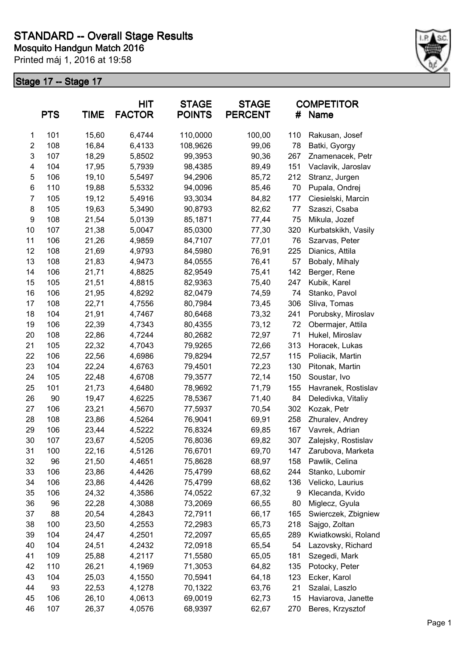

|                | <b>PTS</b> | <b>TIME</b> | HIT<br><b>FACTOR</b> | <b>STAGE</b><br><b>POINTS</b> | <b>STAGE</b><br><b>PERCENT</b> | #   | <b>COMPETITOR</b><br>Name |
|----------------|------------|-------------|----------------------|-------------------------------|--------------------------------|-----|---------------------------|
| 1              | 101        | 15,60       | 6,4744               | 110,0000                      | 100,00                         | 110 | Rakusan, Josef            |
| $\overline{2}$ | 108        | 16,84       | 6,4133               | 108,9626                      | 99,06                          | 78  | Batki, Gyorgy             |
| 3              | 107        | 18,29       | 5,8502               | 99,3953                       | 90,36                          | 267 | Znamenacek, Petr          |
| 4              | 104        | 17,95       | 5,7939               | 98,4385                       | 89,49                          | 151 | Vaclavik, Jaroslav        |
| 5              | 106        | 19,10       | 5,5497               | 94,2906                       | 85,72                          | 212 | Stranz, Jurgen            |
| 6              | 110        | 19,88       | 5,5332               | 94,0096                       | 85,46                          | 70  | Pupala, Ondrej            |
| $\overline{7}$ | 105        | 19,12       | 5,4916               | 93,3034                       | 84,82                          | 177 | Ciesielski, Marcin        |
| 8              | 105        | 19,63       | 5,3490               | 90,8793                       | 82,62                          | 77  | Szaszi, Csaba             |
| 9              | 108        | 21,54       | 5,0139               | 85,1871                       | 77,44                          | 75  | Mikula, Jozef             |
| 10             | 107        | 21,38       | 5,0047               | 85,0300                       | 77,30                          | 320 | Kurbatskikh, Vasily       |
| 11             | 106        | 21,26       | 4,9859               | 84,7107                       | 77,01                          | 76  | Szarvas, Peter            |
| 12             | 108        | 21,69       | 4,9793               | 84,5980                       | 76,91                          | 225 | Dianics, Attila           |
| 13             | 108        | 21,83       | 4,9473               | 84,0555                       | 76,41                          | 57  | Bobaly, Mihaly            |
| 14             | 106        | 21,71       | 4,8825               | 82,9549                       | 75,41                          | 142 | Berger, Rene              |
| 15             | 105        | 21,51       | 4,8815               | 82,9363                       | 75,40                          | 247 | Kubik, Karel              |
| 16             | 106        | 21,95       | 4,8292               | 82,0479                       | 74,59                          | 74  | Stanko, Pavol             |
| 17             | 108        | 22,71       | 4,7556               | 80,7984                       | 73,45                          | 306 | Sliva, Tomas              |
| 18             | 104        | 21,91       | 4,7467               | 80,6468                       | 73,32                          | 241 | Porubsky, Miroslav        |
| 19             | 106        | 22,39       | 4,7343               | 80,4355                       | 73,12                          | 72  | Obermajer, Attila         |
| 20             | 108        | 22,86       | 4,7244               | 80,2682                       | 72,97                          | 71  | Hukel, Miroslav           |
| 21             | 105        | 22,32       | 4,7043               | 79,9265                       | 72,66                          | 313 | Horacek, Lukas            |
| 22             | 106        | 22,56       | 4,6986               | 79,8294                       | 72,57                          | 115 | Poliacik, Martin          |
| 23             | 104        | 22,24       | 4,6763               | 79,4501                       | 72,23                          | 130 | Pitonak, Martin           |
| 24             | 105        | 22,48       | 4,6708               | 79,3577                       | 72,14                          | 150 | Soustar, Ivo              |
| 25             | 101        | 21,73       | 4,6480               | 78,9692                       | 71,79                          | 155 | Havranek, Rostislav       |
| 26             | 90         | 19,47       | 4,6225               | 78,5367                       | 71,40                          | 84  | Deledivka, Vitaliy        |
| 27             | 106        | 23,21       | 4,5670               | 77,5937                       | 70,54                          | 302 | Kozak, Petr               |
| 28             | 108        | 23,86       | 4,5264               | 76,9041                       | 69,91                          | 258 | Zhuralev, Andrey          |
| 29             | 106        | 23,44       | 4,5222               | 76,8324                       | 69,85                          | 167 | Vavrek, Adrian            |
| 30             | 107        | 23,67       | 4,5205               | 76,8036                       | 69,82                          | 307 | Zalejsky, Rostislav       |
| 31             | 100        | 22,16       | 4,5126               | 76,6701                       | 69,70                          | 147 | Zarubova, Marketa         |
| 32             | 96         | 21,50       | 4,4651               | 75,8628                       | 68,97                          | 158 | Pawlik, Celina            |
| 33             | 106        | 23,86       | 4,4426               | 75,4799                       | 68,62                          | 244 | Stanko, Lubomir           |
| 34             | 106        | 23,86       | 4,4426               | 75,4799                       | 68,62                          | 136 | Velicko, Laurius          |
| 35             | 106        | 24,32       | 4,3586               | 74,0522                       | 67,32                          | 9   | Klecanda, Kvido           |
| 36             | 96         | 22,28       | 4,3088               | 73,2069                       | 66,55                          | 80  | Miglecz, Gyula            |
| 37             | 88         | 20,54       | 4,2843               | 72,7911                       | 66,17                          | 165 | Swierczek, Zbigniew       |
| 38             | 100        | 23,50       | 4,2553               | 72,2983                       | 65,73                          | 218 | Sajgo, Zoltan             |
| 39             | 104        | 24,47       | 4,2501               | 72,2097                       | 65,65                          | 289 | Kwiatkowski, Roland       |
| 40             | 104        | 24,51       | 4,2432               | 72,0918                       | 65,54                          | 54  | Lazovsky, Richard         |
| 41             | 109        | 25,88       | 4,2117               | 71,5580                       | 65,05                          | 181 | Szegedi, Mark             |
| 42             | 110        | 26,21       | 4,1969               | 71,3053                       | 64,82                          | 135 | Potocky, Peter            |
| 43             | 104        | 25,03       | 4,1550               | 70,5941                       | 64,18                          | 123 | Ecker, Karol              |
| 44             | 93         | 22,53       | 4,1278               | 70,1322                       | 63,76                          | 21  | Szalai, Laszlo            |
| 45             | 106        | 26,10       | 4,0613               | 69,0019                       | 62,73                          | 15  | Haviarova, Janette        |
| 46             | 107        | 26,37       | 4,0576               | 68,9397                       | 62,67                          | 270 | Beres, Krzysztof          |
|                |            |             |                      |                               |                                |     |                           |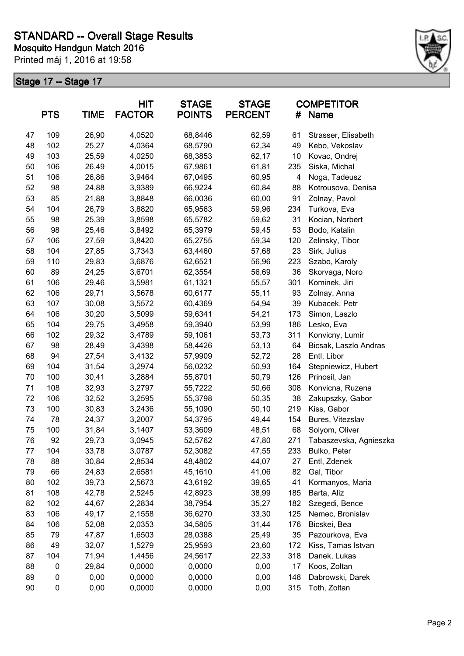

|    | <b>PTS</b> | <b>TIME</b> | <b>HIT</b><br><b>FACTOR</b> | <b>STAGE</b><br><b>POINTS</b> | <b>STAGE</b><br><b>PERCENT</b> | #   | <b>COMPETITOR</b><br>Name |
|----|------------|-------------|-----------------------------|-------------------------------|--------------------------------|-----|---------------------------|
| 47 | 109        | 26,90       | 4,0520                      | 68,8446                       | 62,59                          | 61  | Strasser, Elisabeth       |
| 48 | 102        | 25,27       | 4,0364                      | 68,5790                       | 62,34                          | 49  | Kebo, Vekoslav            |
| 49 | 103        | 25,59       | 4,0250                      | 68,3853                       | 62,17                          | 10  | Kovac, Ondrej             |
| 50 | 106        | 26,49       | 4,0015                      | 67,9861                       | 61,81                          | 235 | Siska, Michal             |
| 51 | 106        | 26,86       | 3,9464                      | 67,0495                       | 60,95                          | 4   | Noga, Tadeusz             |
| 52 | 98         | 24,88       | 3,9389                      | 66,9224                       | 60,84                          | 88  | Kotrousova, Denisa        |
| 53 | 85         | 21,88       | 3,8848                      | 66,0036                       | 60,00                          | 91  | Zolnay, Pavol             |
| 54 | 104        | 26,79       | 3,8820                      | 65,9563                       | 59,96                          | 234 | Turkova, Eva              |
| 55 | 98         | 25,39       | 3,8598                      | 65,5782                       | 59,62                          | 31  | Kocian, Norbert           |
| 56 | 98         | 25,46       | 3,8492                      | 65,3979                       | 59,45                          | 53  | Bodo, Katalin             |
| 57 | 106        | 27,59       | 3,8420                      | 65,2755                       | 59,34                          | 120 | Zelinsky, Tibor           |
| 58 | 104        | 27,85       | 3,7343                      | 63,4460                       | 57,68                          | 23  | Sirk, Julius              |
| 59 | 110        | 29,83       | 3,6876                      | 62,6521                       | 56,96                          | 223 | Szabo, Karoly             |
| 60 | 89         | 24,25       | 3,6701                      | 62,3554                       | 56,69                          | 36  | Skorvaga, Noro            |
| 61 | 106        | 29,46       | 3,5981                      | 61,1321                       | 55,57                          | 301 | Kominek, Jiri             |
| 62 | 106        | 29,71       | 3,5678                      | 60,6177                       | 55,11                          | 93  | Zolnay, Anna              |
| 63 | 107        | 30,08       | 3,5572                      | 60,4369                       | 54,94                          | 39  | Kubacek, Petr             |
| 64 | 106        | 30,20       | 3,5099                      | 59,6341                       | 54,21                          | 173 | Simon, Laszlo             |
| 65 | 104        | 29,75       | 3,4958                      | 59,3940                       | 53,99                          | 186 | Lesko, Eva                |
| 66 | 102        | 29,32       | 3,4789                      | 59,1061                       | 53,73                          | 311 | Konvicny, Lumir           |
| 67 | 98         | 28,49       | 3,4398                      | 58,4426                       | 53,13                          | 64  | Bicsak, Laszlo Andras     |
| 68 | 94         | 27,54       | 3,4132                      | 57,9909                       | 52,72                          | 28  | Entl, Libor               |
| 69 | 104        | 31,54       | 3,2974                      | 56,0232                       | 50,93                          | 164 | Stepniewicz, Hubert       |
| 70 | 100        | 30,41       | 3,2884                      | 55,8701                       | 50,79                          | 126 | Prinosil, Jan             |
| 71 | 108        | 32,93       | 3,2797                      | 55,7222                       | 50,66                          | 308 | Konvicna, Ruzena          |
| 72 | 106        | 32,52       | 3,2595                      | 55,3798                       | 50,35                          | 38  | Zakupszky, Gabor          |
| 73 | 100        | 30,83       | 3,2436                      | 55,1090                       | 50, 10                         | 219 | Kiss, Gabor               |
| 74 | 78         | 24,37       | 3,2007                      | 54,3795                       | 49,44                          | 154 | Bures, Vitezslav          |
| 75 | 100        | 31,84       | 3,1407                      | 53,3609                       | 48,51                          | 68  | Solyom, Oliver            |
| 76 | 92         | 29,73       | 3,0945                      | 52,5762                       | 47,80                          | 271 | Tabaszevska, Agnieszka    |
| 77 | 104        | 33,78       | 3,0787                      | 52,3082                       | 47,55                          | 233 | Bulko, Peter              |
| 78 | 88         | 30,84       | 2,8534                      | 48,4802                       | 44,07                          | 27  | Entl, Zdenek              |
| 79 | 66         | 24,83       | 2,6581                      | 45,1610                       | 41,06                          | 82  | Gal, Tibor                |
| 80 | 102        | 39,73       | 2,5673                      | 43,6192                       | 39,65                          | 41  | Kormanyos, Maria          |
| 81 | 108        | 42,78       | 2,5245                      | 42,8923                       | 38,99                          | 185 | Barta, Aliz               |
| 82 | 102        | 44,67       | 2,2834                      | 38,7954                       | 35,27                          | 182 | Szegedi, Bence            |
| 83 | 106        | 49,17       | 2,1558                      | 36,6270                       | 33,30                          | 125 | Nemec, Bronislav          |
| 84 | 106        | 52,08       | 2,0353                      | 34,5805                       | 31,44                          | 176 | Bicskei, Bea              |
| 85 | 79         | 47,87       | 1,6503                      | 28,0388                       | 25,49                          | 35  | Pazourkova, Eva           |
| 86 | 49         | 32,07       | 1,5279                      | 25,9593                       | 23,60                          | 172 | Kiss, Tamas Istvan        |
| 87 | 104        | 71,94       | 1,4456                      | 24,5617                       | 22,33                          | 318 | Danek, Lukas              |
| 88 | 0          | 29,84       | 0,0000                      | 0,0000                        | 0,00                           | 17  | Koos, Zoltan              |
| 89 | 0          | 0,00        | 0,0000                      | 0,0000                        | 0,00                           | 148 | Dabrowski, Darek          |
| 90 | $\pmb{0}$  | 0,00        | 0,0000                      | 0,0000                        | 0,00                           | 315 | Toth, Zoltan              |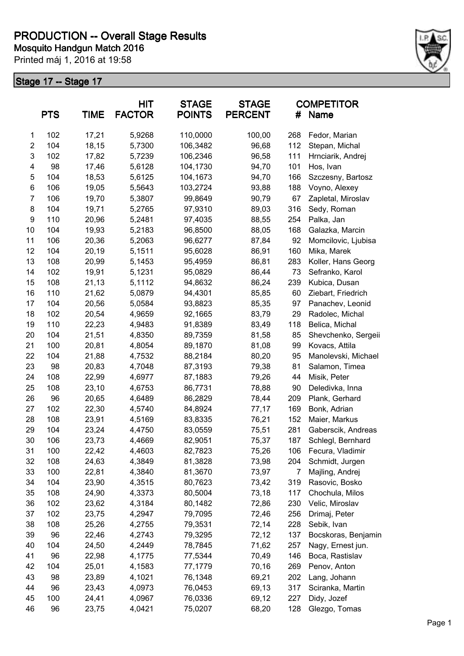

|                | <b>PTS</b> | <b>TIME</b> | <b>HIT</b><br><b>FACTOR</b> | <b>STAGE</b><br><b>POINTS</b> | <b>STAGE</b><br><b>PERCENT</b> | #   | <b>COMPETITOR</b><br><b>Name</b> |
|----------------|------------|-------------|-----------------------------|-------------------------------|--------------------------------|-----|----------------------------------|
| 1              | 102        | 17,21       | 5,9268                      | 110,0000                      | 100,00                         | 268 | Fedor, Marian                    |
| $\overline{2}$ | 104        | 18,15       | 5,7300                      | 106,3482                      | 96,68                          | 112 | Stepan, Michal                   |
| 3              | 102        | 17,82       | 5,7239                      | 106,2346                      | 96,58                          | 111 | Hrnciarik, Andrej                |
| 4              | 98         | 17,46       | 5,6128                      | 104,1730                      | 94,70                          | 101 | Hos, Ivan                        |
| 5              | 104        | 18,53       | 5,6125                      | 104,1673                      | 94,70                          | 166 | Szczesny, Bartosz                |
| 6              | 106        | 19,05       | 5,5643                      | 103,2724                      | 93,88                          | 188 | Voyno, Alexey                    |
| $\overline{7}$ | 106        | 19,70       | 5,3807                      | 99,8649                       | 90,79                          | 67  | Zapletal, Miroslav               |
| 8              | 104        | 19,71       | 5,2765                      | 97,9310                       | 89,03                          | 316 | Sedy, Roman                      |
| 9              | 110        | 20,96       | 5,2481                      | 97,4035                       | 88,55                          | 254 | Palka, Jan                       |
| 10             | 104        | 19,93       | 5,2183                      | 96,8500                       | 88,05                          | 168 | Galazka, Marcin                  |
| 11             | 106        | 20,36       | 5,2063                      | 96,6277                       | 87,84                          | 92  | Momcilovic, Ljubisa              |
| 12             | 104        | 20,19       | 5,1511                      | 95,6028                       | 86,91                          | 160 | Mika, Marek                      |
| 13             | 108        | 20,99       | 5,1453                      | 95,4959                       | 86,81                          | 283 | Koller, Hans Georg               |
| 14             | 102        | 19,91       | 5,1231                      | 95,0829                       | 86,44                          | 73  | Sefranko, Karol                  |
| 15             | 108        | 21,13       | 5,1112                      | 94,8632                       | 86,24                          | 239 | Kubica, Dusan                    |
| 16             | 110        | 21,62       | 5,0879                      | 94,4301                       | 85,85                          | 60  | Ziebart, Friedrich               |
| 17             | 104        | 20,56       | 5,0584                      | 93,8823                       | 85,35                          | 97  | Panachev, Leonid                 |
| 18             | 102        | 20,54       | 4,9659                      | 92,1665                       | 83,79                          | 29  | Radolec, Michal                  |
| 19             | 110        | 22,23       | 4,9483                      | 91,8389                       | 83,49                          | 118 | Belica, Michal                   |
| 20             | 104        | 21,51       | 4,8350                      | 89,7359                       | 81,58                          | 85  | Shevchenko, Sergeii              |
| 21             | 100        | 20,81       | 4,8054                      | 89,1870                       | 81,08                          | 99  | Kovacs, Attila                   |
| 22             | 104        | 21,88       | 4,7532                      | 88,2184                       | 80,20                          | 95  | Manolevski, Michael              |
| 23             | 98         | 20,83       | 4,7048                      | 87,3193                       | 79,38                          | 81  | Salamon, Timea                   |
| 24             | 108        | 22,99       | 4,6977                      | 87,1883                       | 79,26                          | 44  | Misik, Peter                     |
| 25             | 108        | 23,10       | 4,6753                      | 86,7731                       | 78,88                          | 90  | Deledivka, Inna                  |
| 26             | 96         | 20,65       | 4,6489                      | 86,2829                       | 78,44                          | 209 | Plank, Gerhard                   |
| 27             | 102        | 22,30       | 4,5740                      | 84,8924                       | 77,17                          | 169 | Bonk, Adrian                     |
| 28             | 108        | 23,91       | 4,5169                      | 83,8335                       | 76,21                          | 152 | Maier, Markus                    |
| 29             | 104        | 23,24       | 4,4750                      | 83,0559                       | 75,51                          | 281 | Gaberscik, Andreas               |
| 30             | 106        | 23,73       | 4,4669                      | 82,9051                       | 75,37                          | 187 | Schlegl, Bernhard                |
| 31             | 100        | 22,42       | 4,4603                      | 82,7823                       | 75,26                          | 106 | Fecura, Vladimir                 |
| 32             | 108        | 24,63       | 4,3849                      | 81,3828                       | 73,98                          | 204 | Schmidt, Jurgen                  |
| 33             | 100        | 22,81       | 4,3840                      | 81,3670                       | 73,97                          | 7   | Majling, Andrej                  |
| 34             | 104        | 23,90       | 4,3515                      | 80,7623                       | 73,42                          | 319 | Rasovic, Bosko                   |
| 35             | 108        | 24,90       | 4,3373                      | 80,5004                       | 73,18                          | 117 | Chochula, Milos                  |
| 36             | 102        | 23,62       | 4,3184                      | 80,1482                       | 72,86                          | 230 | Velic, Miroslav                  |
| 37             | 102        | 23,75       | 4,2947                      | 79,7095                       | 72,46                          | 256 | Drimaj, Peter                    |
| 38             | 108        | 25,26       | 4,2755                      | 79,3531                       | 72,14                          | 228 | Sebik, Ivan                      |
| 39             | 96         | 22,46       | 4,2743                      | 79,3295                       | 72,12                          | 137 | Bocskoras, Benjamin              |
| 40             | 104        | 24,50       | 4,2449                      | 78,7845                       | 71,62                          | 257 | Nagy, Ernest jun.                |
| 41             | 96         | 22,98       | 4,1775                      | 77,5344                       | 70,49                          | 146 | Boca, Rastislav                  |
| 42             | 104        | 25,01       | 4,1583                      | 77,1779                       | 70,16                          | 269 | Penov, Anton                     |
| 43             | 98         | 23,89       | 4,1021                      | 76,1348                       | 69,21                          | 202 | Lang, Johann                     |
| 44             | 96         | 23,43       | 4,0973                      | 76,0453                       | 69,13                          | 317 | Sciranka, Martin                 |
| 45             | 100        | 24,41       | 4,0967                      | 76,0336                       | 69,12                          | 227 | Didy, Jozef                      |
| 46             | 96         | 23,75       | 4,0421                      | 75,0207                       | 68,20                          | 128 | Glezgo, Tomas                    |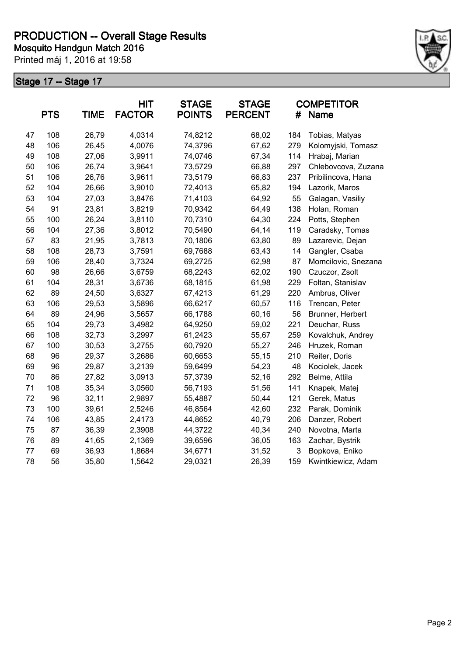

|    | <b>PTS</b> | <b>TIME</b> | <b>HIT</b><br><b>FACTOR</b> | <b>STAGE</b><br><b>POINTS</b> | <b>STAGE</b><br><b>PERCENT</b> | #   | <b>COMPETITOR</b><br>Name |
|----|------------|-------------|-----------------------------|-------------------------------|--------------------------------|-----|---------------------------|
| 47 | 108        | 26,79       | 4,0314                      | 74,8212                       | 68,02                          | 184 | Tobias, Matyas            |
| 48 | 106        | 26,45       | 4,0076                      | 74,3796                       | 67,62                          | 279 | Kolomyjski, Tomasz        |
| 49 | 108        | 27,06       | 3,9911                      | 74,0746                       | 67,34                          | 114 | Hrabaj, Marian            |
| 50 | 106        | 26,74       | 3,9641                      | 73,5729                       | 66,88                          | 297 | Chlebovcova, Zuzana       |
| 51 | 106        | 26,76       | 3,9611                      | 73,5179                       | 66,83                          | 237 | Pribilincova, Hana        |
| 52 | 104        | 26,66       | 3,9010                      | 72,4013                       | 65,82                          | 194 | Lazorik, Maros            |
| 53 | 104        | 27,03       | 3,8476                      | 71,4103                       | 64,92                          | 55  | Galagan, Vasiliy          |
| 54 | 91         | 23,81       | 3,8219                      | 70,9342                       | 64,49                          | 138 | Holan, Roman              |
| 55 | 100        | 26,24       | 3,8110                      | 70,7310                       | 64,30                          | 224 | Potts, Stephen            |
| 56 | 104        | 27,36       | 3,8012                      | 70,5490                       | 64,14                          | 119 | Caradsky, Tomas           |
| 57 | 83         | 21,95       | 3,7813                      | 70,1806                       | 63,80                          | 89  | Lazarevic, Dejan          |
| 58 | 108        | 28,73       | 3,7591                      | 69,7688                       | 63,43                          | 14  | Gangler, Csaba            |
| 59 | 106        | 28,40       | 3,7324                      | 69,2725                       | 62,98                          | 87  | Momcilovic, Snezana       |
| 60 | 98         | 26,66       | 3,6759                      | 68,2243                       | 62,02                          | 190 | Czuczor, Zsolt            |
| 61 | 104        | 28,31       | 3,6736                      | 68,1815                       | 61,98                          | 229 | Foltan, Stanislav         |
| 62 | 89         | 24,50       | 3,6327                      | 67,4213                       | 61,29                          | 220 | Ambrus, Oliver            |
| 63 | 106        | 29,53       | 3,5896                      | 66,6217                       | 60,57                          | 116 | Trencan, Peter            |
| 64 | 89         | 24,96       | 3,5657                      | 66,1788                       | 60,16                          | 56  | Brunner, Herbert          |
| 65 | 104        | 29,73       | 3,4982                      | 64,9250                       | 59,02                          | 221 | Deuchar, Russ             |
| 66 | 108        | 32,73       | 3,2997                      | 61,2423                       | 55,67                          | 259 | Kovalchuk, Andrey         |
| 67 | 100        | 30,53       | 3,2755                      | 60,7920                       | 55,27                          | 246 | Hruzek, Roman             |
| 68 | 96         | 29,37       | 3,2686                      | 60,6653                       | 55,15                          | 210 | Reiter, Doris             |
| 69 | 96         | 29,87       | 3,2139                      | 59,6499                       | 54,23                          | 48  | Kociolek, Jacek           |
| 70 | 86         | 27,82       | 3,0913                      | 57,3739                       | 52,16                          | 292 | Belme, Attila             |
| 71 | 108        | 35,34       | 3,0560                      | 56,7193                       | 51,56                          | 141 | Knapek, Matej             |
| 72 | 96         | 32,11       | 2,9897                      | 55,4887                       | 50,44                          | 121 | Gerek, Matus              |
| 73 | 100        | 39,61       | 2,5246                      | 46,8564                       | 42,60                          | 232 | Parak, Dominik            |
| 74 | 106        | 43,85       | 2,4173                      | 44,8652                       | 40,79                          | 206 | Danzer, Robert            |
| 75 | 87         | 36,39       | 2,3908                      | 44,3722                       | 40,34                          | 240 | Novotna, Marta            |
| 76 | 89         | 41,65       | 2,1369                      | 39,6596                       | 36,05                          | 163 | Zachar, Bystrik           |
| 77 | 69         | 36,93       | 1,8684                      | 34,6771                       | 31,52                          | 3   | Bopkova, Eniko            |
| 78 | 56         | 35,80       | 1,5642                      | 29,0321                       | 26,39                          | 159 | Kwintkiewicz, Adam        |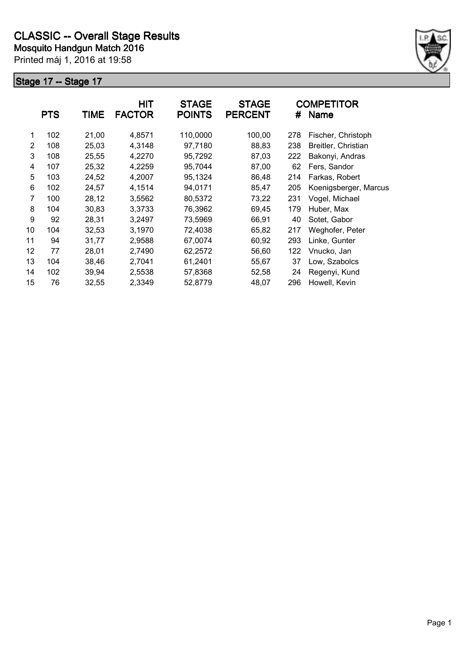

|    | <b>PTS</b> | <b>TIME</b> | <b>HIT</b><br><b>FACTOR</b> | <b>STAGE</b><br><b>POINTS</b> | <b>STAGE</b><br><b>PERCENT</b> | #   | <b>COMPETITOR</b><br><b>Name</b> |
|----|------------|-------------|-----------------------------|-------------------------------|--------------------------------|-----|----------------------------------|
| 1  | 102        | 21,00       | 4,8571                      | 110,0000                      | 100,00                         | 278 | Fischer, Christoph               |
| 2  | 108        | 25,03       | 4,3148                      | 97,7180                       | 88,83                          | 238 | Breitler, Christian              |
| 3  | 108        | 25,55       | 4,2270                      | 95,7292                       | 87,03                          | 222 | Bakonyi, Andras                  |
| 4  | 107        | 25,32       | 4,2259                      | 95,7044                       | 87,00                          | 62  | Fers, Sandor                     |
| 5  | 103        | 24,52       | 4,2007                      | 95,1324                       | 86,48                          | 214 | Farkas, Robert                   |
| 6  | 102        | 24,57       | 4,1514                      | 94,0171                       | 85,47                          | 205 | Koenigsberger, Marcus            |
| 7  | 100        | 28,12       | 3,5562                      | 80,5372                       | 73,22                          | 231 | Vogel, Michael                   |
| 8  | 104        | 30,83       | 3,3733                      | 76,3962                       | 69,45                          | 179 | Huber, Max                       |
| 9  | 92         | 28,31       | 3,2497                      | 73,5969                       | 66,91                          | 40  | Sotet, Gabor                     |
| 10 | 104        | 32,53       | 3,1970                      | 72,4038                       | 65,82                          | 217 | Weghofer, Peter                  |
| 11 | 94         | 31,77       | 2,9588                      | 67,0074                       | 60,92                          | 293 | Linke, Gunter                    |
| 12 | 77         | 28,01       | 2,7490                      | 62,2572                       | 56,60                          | 122 | Vnucko, Jan                      |
| 13 | 104        | 38,46       | 2,7041                      | 61,2401                       | 55,67                          | 37  | Low, Szabolcs                    |
| 14 | 102        | 39,94       | 2,5538                      | 57,8368                       | 52,58                          | 24  | Regenyi, Kund                    |
| 15 | 76         | 32,55       | 2,3349                      | 52,8779                       | 48,07                          | 296 | Howell, Kevin                    |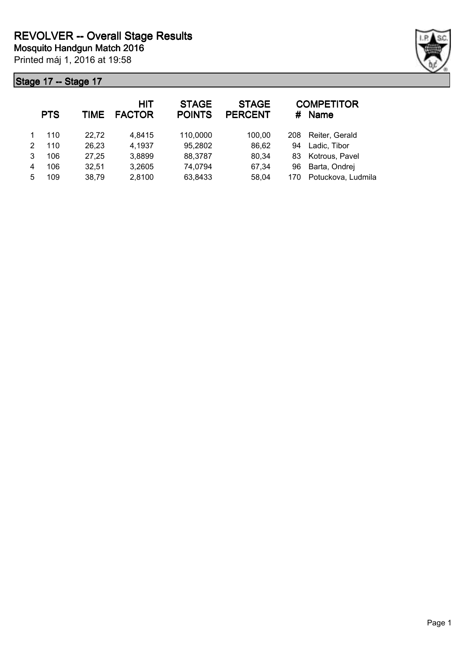

|   | <b>PTS</b> | TIME  | <b>HIT</b><br><b>FACTOR</b> | <b>STAGE</b><br><b>POINTS</b> | <b>STAGE</b><br><b>PERCENT</b> | #   | <b>COMPETITOR</b><br><b>Name</b> |
|---|------------|-------|-----------------------------|-------------------------------|--------------------------------|-----|----------------------------------|
|   | 110        | 22,72 | 4,8415                      | 110,0000                      | 100,00                         | 208 | Reiter, Gerald                   |
| 2 | 110        | 26,23 | 4,1937                      | 95,2802                       | 86,62                          | 94  | Ladic, Tibor                     |
| 3 | 106        | 27,25 | 3,8899                      | 88,3787                       | 80,34                          | 83  | Kotrous, Pavel                   |
| 4 | 106        | 32,51 | 3,2605                      | 74,0794                       | 67,34                          | 96  | Barta, Ondrej                    |
| 5 | 109        | 38,79 | 2,8100                      | 63,8433                       | 58,04                          | 170 | Potuckova, Ludmila               |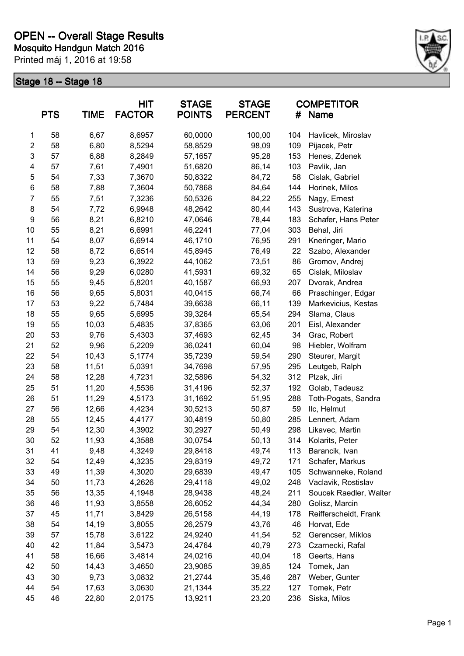

|                | <b>PTS</b> | <b>TIME</b> | <b>HIT</b><br><b>FACTOR</b> | <b>STAGE</b><br><b>POINTS</b> | <b>STAGE</b><br><b>PERCENT</b> | <b>COMPETITOR</b><br><b>Name</b><br># |                        |
|----------------|------------|-------------|-----------------------------|-------------------------------|--------------------------------|---------------------------------------|------------------------|
| 1              | 58         | 6,67        | 8,6957                      | 60,0000                       | 100,00                         | 104                                   | Havlicek, Miroslav     |
| $\overline{c}$ | 58         | 6,80        | 8,5294                      | 58,8529                       | 98,09                          | 109                                   | Pijacek, Petr          |
| 3              | 57         | 6,88        | 8,2849                      | 57,1657                       | 95,28                          | 153                                   | Henes, Zdenek          |
| 4              | 57         | 7,61        | 7,4901                      | 51,6820                       | 86,14                          | 103                                   | Pavlik, Jan            |
| 5              | 54         | 7,33        | 7,3670                      | 50,8322                       | 84,72                          | 58                                    | Cislak, Gabriel        |
| 6              | 58         | 7,88        | 7,3604                      | 50,7868                       | 84,64                          | 144                                   | Horinek, Milos         |
| 7              | 55         | 7,51        | 7,3236                      | 50,5326                       | 84,22                          | 255                                   | Nagy, Ernest           |
| 8              | 54         | 7,72        | 6,9948                      | 48,2642                       | 80,44                          | 143                                   | Sustrova, Katerina     |
| 9              | 56         | 8,21        | 6,8210                      | 47,0646                       | 78,44                          | 183                                   | Schafer, Hans Peter    |
| 10             | 55         | 8,21        | 6,6991                      | 46,2241                       | 77,04                          | 303                                   | Behal, Jiri            |
| 11             | 54         | 8,07        | 6,6914                      | 46,1710                       | 76,95                          | 291                                   | Kneringer, Mario       |
| 12             | 58         | 8,72        | 6,6514                      | 45,8945                       | 76,49                          | 22                                    | Szabo, Alexander       |
| 13             | 59         | 9,23        | 6,3922                      | 44,1062                       | 73,51                          | 86                                    | Gromov, Andrej         |
| 14             | 56         | 9,29        | 6,0280                      | 41,5931                       | 69,32                          | 65                                    | Cislak, Miloslav       |
| 15             | 55         | 9,45        | 5,8201                      | 40,1587                       | 66,93                          | 207                                   | Dvorak, Andrea         |
| 16             | 56         | 9,65        | 5,8031                      | 40,0415                       | 66,74                          | 66                                    | Praschinger, Edgar     |
| 17             | 53         | 9,22        | 5,7484                      | 39,6638                       | 66,11                          | 139                                   | Markevicius, Kestas    |
| 18             | 55         | 9,65        | 5,6995                      | 39,3264                       | 65,54                          | 294                                   | Slama, Claus           |
| 19             | 55         | 10,03       | 5,4835                      | 37,8365                       | 63,06                          | 201                                   | Eisl, Alexander        |
| 20             | 53         | 9,76        | 5,4303                      | 37,4693                       | 62,45                          | 34                                    | Grac, Robert           |
| 21             | 52         | 9,96        | 5,2209                      | 36,0241                       | 60,04                          | 98                                    | Hiebler, Wolfram       |
| 22             | 54         | 10,43       | 5,1774                      | 35,7239                       | 59,54                          | 290                                   | Steurer, Margit        |
| 23             | 58         | 11,51       | 5,0391                      | 34,7698                       | 57,95                          | 295                                   | Leutgeb, Ralph         |
| 24             | 58         | 12,28       | 4,7231                      | 32,5896                       | 54,32                          | 312                                   | Plzak, Jiri            |
| 25             | 51         | 11,20       | 4,5536                      | 31,4196                       | 52,37                          | 192                                   | Golab, Tadeusz         |
| 26             | 51         | 11,29       | 4,5173                      | 31,1692                       | 51,95                          | 288                                   | Toth-Pogats, Sandra    |
| 27             | 56         | 12,66       | 4,4234                      | 30,5213                       | 50,87                          | 59                                    | Ilc, Helmut            |
| 28             | 55         | 12,45       | 4,4177                      | 30,4819                       | 50,80                          | 285                                   | Lennert, Adam          |
| 29             | 54         | 12,30       | 4,3902                      | 30,2927                       | 50,49                          | 298                                   | Likavec, Martin        |
| 30             | 52         | 11,93       | 4,3588                      | 30,0754                       | 50,13                          | 314                                   | Kolarits, Peter        |
| 31             | 41         | 9,48        | 4,3249                      | 29,8418                       | 49,74                          | 113                                   | Barancik, Ivan         |
| 32             | 54         | 12,49       | 4,3235                      | 29,8319                       | 49,72                          | 171                                   | Schafer, Markus        |
| 33             | 49         | 11,39       | 4,3020                      | 29,6839                       | 49,47                          | 105                                   | Schwanneke, Roland     |
| 34             | 50         | 11,73       | 4,2626                      | 29,4118                       | 49,02                          | 248                                   | Vaclavik, Rostislav    |
| 35             | 56         | 13,35       | 4,1948                      | 28,9438                       | 48,24                          | 211                                   | Soucek Raedler, Walter |
| 36             | 46         | 11,93       | 3,8558                      | 26,6052                       | 44,34                          | 280                                   | Golisz, Marcin         |
| 37             | 45         | 11,71       | 3,8429                      | 26,5158                       | 44,19                          | 178                                   | Reifferscheidt, Frank  |
| 38             | 54         | 14,19       | 3,8055                      | 26,2579                       | 43,76                          | 46                                    | Horvat, Ede            |
| 39             | 57         | 15,78       | 3,6122                      | 24,9240                       | 41,54                          | 52                                    | Gerencser, Miklos      |
| 40             | 42         | 11,84       | 3,5473                      | 24,4764                       | 40,79                          | 273                                   | Czarnecki, Rafal       |
| 41             | 58         | 16,66       | 3,4814                      | 24,0216                       | 40,04                          | 18                                    | Geerts, Hans           |
| 42             | 50         | 14,43       | 3,4650                      | 23,9085                       | 39,85                          | 124                                   | Tomek, Jan             |
| 43             | 30         | 9,73        | 3,0832                      | 21,2744                       | 35,46                          | 287                                   | Weber, Gunter          |
| 44             | 54         | 17,63       | 3,0630                      | 21,1344                       | 35,22                          | 127                                   | Tomek, Petr            |
| 45             | 46         | 22,80       | 2,0175                      | 13,9211                       | 23,20                          | 236                                   | Siska, Milos           |
|                |            |             |                             |                               |                                |                                       |                        |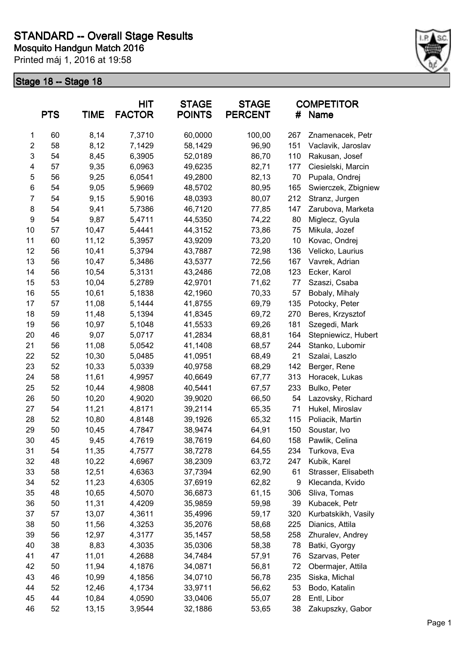

|                | <b>PTS</b> | <b>TIME</b> | <b>HIT</b><br><b>FACTOR</b> | <b>STAGE</b><br><b>POINTS</b> | <b>STAGE</b><br><b>PERCENT</b> | #   | <b>COMPETITOR</b><br>Name |
|----------------|------------|-------------|-----------------------------|-------------------------------|--------------------------------|-----|---------------------------|
| 1              | 60         | 8,14        | 7,3710                      | 60,0000                       | 100,00                         | 267 | Znamenacek, Petr          |
| $\overline{c}$ | 58         | 8,12        | 7,1429                      | 58,1429                       | 96,90                          | 151 | Vaclavik, Jaroslav        |
| 3              | 54         | 8,45        | 6,3905                      | 52,0189                       | 86,70                          | 110 | Rakusan, Josef            |
| 4              | 57         | 9,35        | 6,0963                      | 49,6235                       | 82,71                          | 177 | Ciesielski, Marcin        |
| 5              | 56         | 9,25        | 6,0541                      | 49,2800                       | 82,13                          | 70  | Pupala, Ondrej            |
| 6              | 54         | 9,05        | 5,9669                      | 48,5702                       | 80,95                          | 165 | Swierczek, Zbigniew       |
| $\overline{7}$ | 54         | 9,15        | 5,9016                      | 48,0393                       | 80,07                          | 212 | Stranz, Jurgen            |
| 8              | 54         | 9,41        | 5,7386                      | 46,7120                       | 77,85                          | 147 | Zarubova, Marketa         |
| 9              | 54         | 9,87        | 5,4711                      | 44,5350                       | 74,22                          | 80  | Miglecz, Gyula            |
| 10             | 57         | 10,47       | 5,4441                      | 44,3152                       | 73,86                          | 75  | Mikula, Jozef             |
| 11             | 60         | 11,12       | 5,3957                      | 43,9209                       | 73,20                          | 10  | Kovac, Ondrej             |
| 12             | 56         | 10,41       | 5,3794                      | 43,7887                       | 72,98                          | 136 | Velicko, Laurius          |
| 13             | 56         | 10,47       | 5,3486                      | 43,5377                       | 72,56                          | 167 | Vavrek, Adrian            |
| 14             | 56         | 10,54       | 5,3131                      | 43,2486                       | 72,08                          | 123 | Ecker, Karol              |
| 15             | 53         | 10,04       | 5,2789                      | 42,9701                       | 71,62                          | 77  | Szaszi, Csaba             |
| 16             | 55         | 10,61       | 5,1838                      | 42,1960                       | 70,33                          | 57  | Bobaly, Mihaly            |
| 17             | 57         | 11,08       | 5,1444                      | 41,8755                       | 69,79                          | 135 | Potocky, Peter            |
| 18             | 59         | 11,48       | 5,1394                      | 41,8345                       | 69,72                          | 270 | Beres, Krzysztof          |
| 19             | 56         | 10,97       | 5,1048                      | 41,5533                       | 69,26                          | 181 | Szegedi, Mark             |
| 20             | 46         | 9,07        | 5,0717                      | 41,2834                       | 68,81                          | 164 | Stepniewicz, Hubert       |
| 21             | 56         | 11,08       | 5,0542                      | 41,1408                       | 68,57                          | 244 | Stanko, Lubomir           |
| 22             | 52         | 10,30       | 5,0485                      | 41,0951                       | 68,49                          | 21  | Szalai, Laszlo            |
| 23             | 52         | 10,33       | 5,0339                      | 40,9758                       | 68,29                          | 142 | Berger, Rene              |
| 24             | 58         | 11,61       | 4,9957                      | 40,6649                       | 67,77                          | 313 | Horacek, Lukas            |
| 25             | 52         | 10,44       | 4,9808                      | 40,5441                       | 67,57                          | 233 | Bulko, Peter              |
| 26             | 50         | 10,20       | 4,9020                      | 39,9020                       | 66,50                          | 54  | Lazovsky, Richard         |
| 27             | 54         | 11,21       | 4,8171                      | 39,2114                       | 65,35                          | 71  | Hukel, Miroslav           |
| 28             | 52         | 10,80       | 4,8148                      | 39,1926                       | 65,32                          | 115 | Poliacik, Martin          |
| 29             | 50         | 10,45       | 4,7847                      | 38,9474                       | 64,91                          | 150 | Soustar, Ivo              |
| 30             | 45         | 9,45        | 4,7619                      | 38,7619                       | 64,60                          | 158 | Pawlik, Celina            |
| 31             | 54         | 11,35       | 4,7577                      | 38,7278                       | 64,55                          | 234 | Turkova, Eva              |
| 32             | 48         | 10,22       | 4,6967                      | 38,2309                       | 63,72                          | 247 | Kubik, Karel              |
| 33             | 58         | 12,51       | 4,6363                      | 37,7394                       | 62,90                          | 61  | Strasser, Elisabeth       |
| 34             | 52         | 11,23       | 4,6305                      | 37,6919                       | 62,82                          | 9   | Klecanda, Kvido           |
| 35             | 48         | 10,65       | 4,5070                      | 36,6873                       | 61,15                          | 306 | Sliva, Tomas              |
| 36             | 50         | 11,31       | 4,4209                      | 35,9859                       | 59,98                          | 39  | Kubacek, Petr             |
| 37             | 57         | 13,07       | 4,3611                      | 35,4996                       | 59,17                          | 320 | Kurbatskikh, Vasily       |
| 38             | 50         | 11,56       | 4,3253                      | 35,2076                       | 58,68                          | 225 | Dianics, Attila           |
| 39             | 56         | 12,97       | 4,3177                      | 35,1457                       | 58,58                          | 258 | Zhuralev, Andrey          |
| 40             | 38         | 8,83        | 4,3035                      | 35,0306                       | 58,38                          | 78  | Batki, Gyorgy             |
| 41             | 47         | 11,01       | 4,2688                      | 34,7484                       | 57,91                          | 76  | Szarvas, Peter            |
| 42             | 50         | 11,94       | 4,1876                      | 34,0871                       | 56,81                          | 72  | Obermajer, Attila         |
| 43             | 46         | 10,99       | 4,1856                      | 34,0710                       | 56,78                          | 235 | Siska, Michal             |
| 44             | 52         | 12,46       | 4,1734                      | 33,9711                       | 56,62                          | 53  | Bodo, Katalin             |
| 45             | 44         | 10,84       | 4,0590                      | 33,0406                       | 55,07                          | 28  | Entl, Libor               |
| 46             | 52         | 13,15       | 3,9544                      | 32,1886                       | 53,65                          | 38  | Zakupszky, Gabor          |
|                |            |             |                             |                               |                                |     |                           |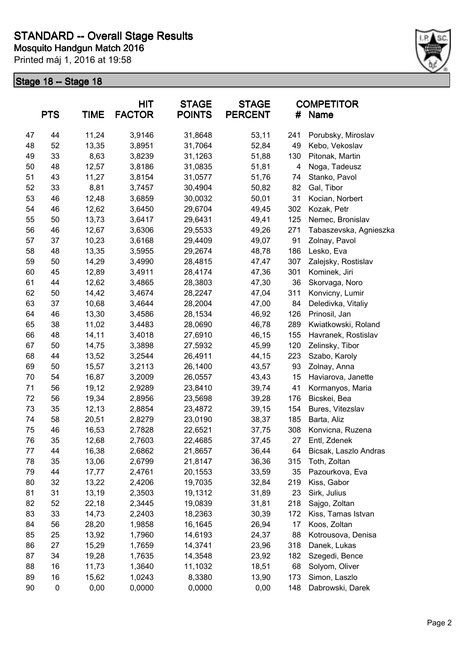

| <b>PTS</b> |    | <b>TIME</b> | <b>HIT</b><br><b>FACTOR</b> | <b>STAGE</b><br><b>POINTS</b> | <b>STAGE</b><br><b>PERCENT</b> | <b>COMPETITOR</b><br>#<br>Name |                        |  |
|------------|----|-------------|-----------------------------|-------------------------------|--------------------------------|--------------------------------|------------------------|--|
| 47         | 44 | 11,24       | 3,9146                      | 31,8648                       | 53,11                          | 241                            | Porubsky, Miroslav     |  |
| 48         | 52 | 13,35       | 3,8951                      | 31,7064                       | 52,84                          | 49                             | Kebo, Vekoslav         |  |
| 49         | 33 | 8,63        | 3,8239                      | 31,1263                       | 51,88                          | 130                            | Pitonak, Martin        |  |
| 50         | 48 | 12,57       | 3,8186                      | 31,0835                       | 51,81                          | 4                              | Noga, Tadeusz          |  |
| 51         | 43 | 11,27       | 3,8154                      | 31,0577                       | 51,76                          | 74                             | Stanko, Pavol          |  |
| 52         | 33 | 8,81        | 3,7457                      | 30,4904                       | 50,82                          | 82                             | Gal, Tibor             |  |
| 53         | 46 | 12,48       | 3,6859                      | 30,0032                       | 50,01                          | 31                             | Kocian, Norbert        |  |
| 54         | 46 | 12,62       | 3,6450                      | 29,6704                       | 49,45                          | 302                            | Kozak, Petr            |  |
| 55         | 50 | 13,73       | 3,6417                      | 29,6431                       | 49,41                          | 125                            | Nemec, Bronislav       |  |
| 56         | 46 | 12,67       | 3,6306                      | 29,5533                       | 49,26                          | 271                            | Tabaszevska, Agnieszka |  |
| 57         | 37 | 10,23       | 3,6168                      | 29,4409                       | 49,07                          | 91                             | Zolnay, Pavol          |  |
| 58         | 48 | 13,35       | 3,5955                      | 29,2674                       | 48,78                          | 186                            | Lesko, Eva             |  |
| 59         | 50 | 14,29       | 3,4990                      | 28,4815                       | 47,47                          | 307                            | Zalejsky, Rostislav    |  |
| 60         | 45 | 12,89       | 3,4911                      | 28,4174                       | 47,36                          | 301                            | Kominek, Jiri          |  |
| 61         | 44 | 12,62       | 3,4865                      | 28,3803                       | 47,30                          | 36                             | Skorvaga, Noro         |  |
| 62         | 50 | 14,42       | 3,4674                      | 28,2247                       | 47,04                          | 311                            | Konvicny, Lumir        |  |
| 63         | 37 | 10,68       | 3,4644                      | 28,2004                       | 47,00                          | 84                             | Deledivka, Vitaliy     |  |
| 64         | 46 | 13,30       | 3,4586                      | 28,1534                       | 46,92                          | 126                            | Prinosil, Jan          |  |
| 65         | 38 | 11,02       | 3,4483                      | 28,0690                       | 46,78                          | 289                            | Kwiatkowski, Roland    |  |
| 66         | 48 | 14,11       | 3,4018                      | 27,6910                       | 46,15                          | 155                            | Havranek, Rostislav    |  |
| 67         | 50 | 14,75       | 3,3898                      | 27,5932                       | 45,99                          | 120                            | Zelinsky, Tibor        |  |
| 68         | 44 | 13,52       | 3,2544                      | 26,4911                       | 44,15                          | 223                            | Szabo, Karoly          |  |
| 69         | 50 | 15,57       | 3,2113                      | 26,1400                       | 43,57                          | 93                             | Zolnay, Anna           |  |
| 70         | 54 | 16,87       | 3,2009                      | 26,0557                       | 43,43                          | 15                             | Haviarova, Janette     |  |
| 71         | 56 | 19,12       | 2,9289                      | 23,8410                       | 39,74                          | 41                             | Kormanyos, Maria       |  |
| 72         | 56 | 19,34       | 2,8956                      | 23,5698                       | 39,28                          | 176                            | Bicskei, Bea           |  |
| 73         | 35 | 12,13       | 2,8854                      | 23,4872                       | 39,15                          | 154                            | Bures, Vitezslav       |  |
| 74         | 58 | 20,51       | 2,8279                      | 23,0190                       | 38,37                          | 185                            | Barta, Aliz            |  |
| 75         | 46 | 16,53       | 2,7828                      | 22,6521                       | 37,75                          | 308                            | Konvicna, Ruzena       |  |
| 76         | 35 | 12,68       | 2,7603                      | 22,4685                       | 37,45                          | 27                             | Entl, Zdenek           |  |
| 77         | 44 | 16,38       | 2,6862                      | 21,8657                       | 36,44                          | 64                             | Bicsak, Laszlo Andras  |  |
| 78         | 35 | 13,06       | 2,6799                      | 21,8147                       | 36,36                          | 315                            | Toth, Zoltan           |  |
| 79         | 44 | 17,77       | 2,4761                      | 20,1553                       | 33,59                          | 35                             | Pazourkova, Eva        |  |
| 80         | 32 | 13,22       | 2,4206                      | 19,7035                       | 32,84                          | 219                            | Kiss, Gabor            |  |
| 81         | 31 | 13,19       | 2,3503                      | 19,1312                       | 31,89                          | 23                             | Sirk, Julius           |  |
| 82         | 52 | 22,18       | 2,3445                      | 19,0839                       | 31,81                          | 218                            | Sajgo, Zoltan          |  |
| 83         | 33 | 14,73       | 2,2403                      | 18,2363                       | 30,39                          | 172                            | Kiss, Tamas Istvan     |  |
| 84         | 56 | 28,20       | 1,9858                      | 16,1645                       | 26,94                          | 17                             | Koos, Zoltan           |  |
| 85         | 25 | 13,92       | 1,7960                      | 14,6193                       | 24,37                          | 88                             | Kotrousova, Denisa     |  |
| 86         | 27 | 15,29       | 1,7659                      | 14,3741                       | 23,96                          | 318                            | Danek, Lukas           |  |
| 87         | 34 | 19,28       | 1,7635                      | 14,3548                       | 23,92                          | 182                            | Szegedi, Bence         |  |
| 88         | 16 | 11,73       | 1,3640                      | 11,1032                       | 18,51                          | 68                             | Solyom, Oliver         |  |
| 89         | 16 | 15,62       | 1,0243                      | 8,3380                        | 13,90                          | 173                            | Simon, Laszlo          |  |
| 90         | 0  | 0,00        | 0,0000                      | 0,0000                        | 0,00                           | 148                            | Dabrowski, Darek       |  |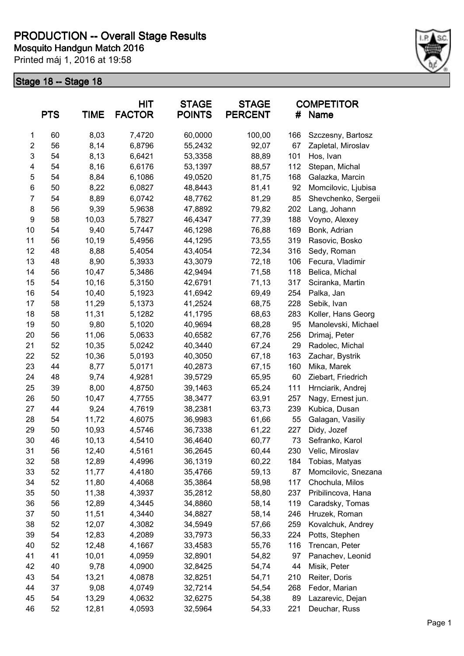

|                         | <b>PTS</b> | <b>TIME</b> | <b>HIT</b><br><b>FACTOR</b> | <b>STAGE</b><br><b>POINTS</b> | <b>STAGE</b><br><b>PERCENT</b> | #   | <b>COMPETITOR</b><br><b>Name</b> |
|-------------------------|------------|-------------|-----------------------------|-------------------------------|--------------------------------|-----|----------------------------------|
| 1                       | 60         | 8,03        | 7,4720                      | 60,0000                       | 100,00                         | 166 | Szczesny, Bartosz                |
| $\overline{\mathbf{c}}$ | 56         | 8,14        | 6,8796                      | 55,2432                       | 92,07                          | 67  | Zapletal, Miroslav               |
| 3                       | 54         | 8,13        | 6,6421                      | 53,3358                       | 88,89                          | 101 | Hos, Ivan                        |
| 4                       | 54         | 8,16        | 6,6176                      | 53,1397                       | 88,57                          | 112 | Stepan, Michal                   |
| 5                       | 54         | 8,84        | 6,1086                      | 49,0520                       | 81,75                          | 168 | Galazka, Marcin                  |
| 6                       | 50         | 8,22        | 6,0827                      | 48,8443                       | 81,41                          | 92  | Momcilovic, Ljubisa              |
| $\overline{7}$          | 54         | 8,89        | 6,0742                      | 48,7762                       | 81,29                          | 85  | Shevchenko, Sergeii              |
| 8                       | 56         | 9,39        | 5,9638                      | 47,8892                       | 79,82                          | 202 | Lang, Johann                     |
| 9                       | 58         | 10,03       | 5,7827                      | 46,4347                       | 77,39                          | 188 | Voyno, Alexey                    |
| 10                      | 54         | 9,40        | 5,7447                      | 46,1298                       | 76,88                          | 169 | Bonk, Adrian                     |
| 11                      | 56         | 10,19       | 5,4956                      | 44,1295                       | 73,55                          | 319 | Rasovic, Bosko                   |
| 12                      | 48         | 8,88        | 5,4054                      | 43,4054                       | 72,34                          | 316 | Sedy, Roman                      |
| 13                      | 48         | 8,90        | 5,3933                      | 43,3079                       | 72,18                          | 106 | Fecura, Vladimir                 |
| 14                      | 56         | 10,47       | 5,3486                      | 42,9494                       | 71,58                          | 118 | Belica, Michal                   |
| 15                      | 54         | 10,16       | 5,3150                      | 42,6791                       | 71,13                          | 317 | Sciranka, Martin                 |
| 16                      | 54         | 10,40       | 5,1923                      | 41,6942                       | 69,49                          | 254 | Palka, Jan                       |
| 17                      | 58         | 11,29       | 5,1373                      | 41,2524                       | 68,75                          | 228 | Sebik, Ivan                      |
| 18                      | 58         | 11,31       | 5,1282                      | 41,1795                       | 68,63                          | 283 | Koller, Hans Georg               |
| 19                      | 50         | 9,80        | 5,1020                      | 40,9694                       | 68,28                          | 95  | Manolevski, Michael              |
| 20                      | 56         | 11,06       | 5,0633                      | 40,6582                       | 67,76                          | 256 | Drimaj, Peter                    |
| 21                      | 52         | 10,35       | 5,0242                      | 40,3440                       | 67,24                          | 29  | Radolec, Michal                  |
| 22                      | 52         | 10,36       | 5,0193                      | 40,3050                       | 67,18                          | 163 | Zachar, Bystrik                  |
| 23                      | 44         | 8,77        | 5,0171                      | 40,2873                       | 67,15                          | 160 | Mika, Marek                      |
| 24                      | 48         | 9,74        | 4,9281                      | 39,5729                       | 65,95                          | 60  | Ziebart, Friedrich               |
| 25                      | 39         | 8,00        | 4,8750                      | 39,1463                       | 65,24                          | 111 | Hrnciarik, Andrej                |
| 26                      | 50         | 10,47       | 4,7755                      | 38,3477                       | 63,91                          | 257 | Nagy, Ernest jun.                |
| 27                      | 44         | 9,24        | 4,7619                      | 38,2381                       | 63,73                          | 239 | Kubica, Dusan                    |
| 28                      | 54         | 11,72       | 4,6075                      | 36,9983                       | 61,66                          | 55  | Galagan, Vasiliy                 |
| 29                      | 50         | 10,93       | 4,5746                      | 36,7338                       | 61,22                          | 227 | Didy, Jozef                      |
| 30                      | 46         | 10,13       | 4,5410                      | 36,4640                       | 60,77                          | 73  | Sefranko, Karol                  |
| 31                      | 56         | 12,40       | 4,5161                      | 36,2645                       | 60,44                          | 230 | Velic, Miroslav                  |
| 32                      | 58         | 12,89       | 4,4996                      | 36,1319                       | 60,22                          | 184 | Tobias, Matyas                   |
| 33                      | 52         | 11,77       | 4,4180                      | 35,4766                       | 59,13                          | 87  | Momcilovic, Snezana              |
| 34                      | 52         | 11,80       | 4,4068                      | 35,3864                       | 58,98                          | 117 | Chochula, Milos                  |
| 35                      | 50         | 11,38       | 4,3937                      | 35,2812                       | 58,80                          | 237 | Pribilincova, Hana               |
| 36                      | 56         | 12,89       | 4,3445                      | 34,8860                       | 58,14                          | 119 | Caradsky, Tomas                  |
| 37                      | 50         | 11,51       | 4,3440                      | 34,8827                       | 58,14                          | 246 | Hruzek, Roman                    |
| 38                      | 52         | 12,07       | 4,3082                      | 34,5949                       | 57,66                          | 259 | Kovalchuk, Andrey                |
| 39                      | 54         | 12,83       | 4,2089                      | 33,7973                       | 56,33                          | 224 | Potts, Stephen                   |
| 40                      | 52         | 12,48       | 4,1667                      | 33,4583                       | 55,76                          | 116 | Trencan, Peter                   |
| 41                      | 41         | 10,01       | 4,0959                      | 32,8901                       | 54,82                          | 97  | Panachev, Leonid                 |
| 42                      | 40         | 9,78        | 4,0900                      | 32,8425                       | 54,74                          | 44  | Misik, Peter                     |
| 43                      | 54         | 13,21       | 4,0878                      | 32,8251                       | 54,71                          | 210 | Reiter, Doris                    |
| 44                      | 37         | 9,08        | 4,0749                      | 32,7214                       | 54,54                          | 268 | Fedor, Marian                    |
| 45                      | 54         | 13,29       | 4,0632                      | 32,6275                       | 54,38                          | 89  | Lazarevic, Dejan                 |
| 46                      | 52         | 12,81       | 4,0593                      | 32,5964                       | 54,33                          | 221 | Deuchar, Russ                    |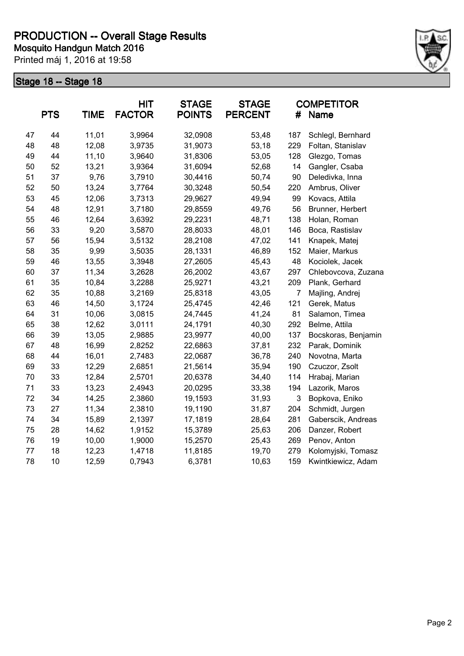

|    | <b>PTS</b> | <b>TIME</b> | <b>HIT</b><br><b>FACTOR</b> | <b>STAGE</b><br><b>POINTS</b> | <b>STAGE</b><br><b>PERCENT</b> | #              | <b>COMPETITOR</b><br>Name |
|----|------------|-------------|-----------------------------|-------------------------------|--------------------------------|----------------|---------------------------|
| 47 | 44         | 11,01       | 3,9964                      | 32,0908                       | 53,48                          | 187            | Schlegl, Bernhard         |
| 48 | 48         | 12,08       | 3,9735                      | 31,9073                       | 53,18                          | 229            | Foltan, Stanislav         |
| 49 | 44         | 11,10       | 3,9640                      | 31,8306                       | 53,05                          | 128            | Glezgo, Tomas             |
| 50 | 52         | 13,21       | 3,9364                      | 31,6094                       | 52,68                          | 14             | Gangler, Csaba            |
| 51 | 37         | 9,76        | 3,7910                      | 30,4416                       | 50,74                          | 90             | Deledivka, Inna           |
| 52 | 50         | 13,24       | 3,7764                      | 30,3248                       | 50,54                          | 220            | Ambrus, Oliver            |
| 53 | 45         | 12,06       | 3,7313                      | 29,9627                       | 49,94                          | 99             | Kovacs, Attila            |
| 54 | 48         | 12,91       | 3,7180                      | 29,8559                       | 49,76                          | 56             | Brunner, Herbert          |
| 55 | 46         | 12,64       | 3,6392                      | 29,2231                       | 48,71                          | 138            | Holan, Roman              |
| 56 | 33         | 9,20        | 3,5870                      | 28,8033                       | 48,01                          | 146            | Boca, Rastislav           |
| 57 | 56         | 15,94       | 3,5132                      | 28,2108                       | 47,02                          | 141            | Knapek, Matej             |
| 58 | 35         | 9,99        | 3,5035                      | 28,1331                       | 46,89                          | 152            | Maier, Markus             |
| 59 | 46         | 13,55       | 3,3948                      | 27,2605                       | 45,43                          | 48             | Kociolek, Jacek           |
| 60 | 37         | 11,34       | 3,2628                      | 26,2002                       | 43,67                          | 297            | Chlebovcova, Zuzana       |
| 61 | 35         | 10,84       | 3,2288                      | 25,9271                       | 43,21                          | 209            | Plank, Gerhard            |
| 62 | 35         | 10,88       | 3,2169                      | 25,8318                       | 43,05                          | $\overline{7}$ | Majling, Andrej           |
| 63 | 46         | 14,50       | 3,1724                      | 25,4745                       | 42,46                          | 121            | Gerek, Matus              |
| 64 | 31         | 10,06       | 3,0815                      | 24,7445                       | 41,24                          | 81             | Salamon, Timea            |
| 65 | 38         | 12,62       | 3,0111                      | 24,1791                       | 40,30                          | 292            | Belme, Attila             |
| 66 | 39         | 13,05       | 2,9885                      | 23,9977                       | 40,00                          | 137            | Bocskoras, Benjamin       |
| 67 | 48         | 16,99       | 2,8252                      | 22,6863                       | 37,81                          | 232            | Parak, Dominik            |
| 68 | 44         | 16,01       | 2,7483                      | 22,0687                       | 36,78                          | 240            | Novotna, Marta            |
| 69 | 33         | 12,29       | 2,6851                      | 21,5614                       | 35,94                          | 190            | Czuczor, Zsolt            |
| 70 | 33         | 12,84       | 2,5701                      | 20,6378                       | 34,40                          | 114            | Hrabaj, Marian            |
| 71 | 33         | 13,23       | 2,4943                      | 20,0295                       | 33,38                          | 194            | Lazorik, Maros            |
| 72 | 34         | 14,25       | 2,3860                      | 19,1593                       | 31,93                          | 3              | Bopkova, Eniko            |
| 73 | 27         | 11,34       | 2,3810                      | 19,1190                       | 31,87                          | 204            | Schmidt, Jurgen           |
| 74 | 34         | 15,89       | 2,1397                      | 17,1819                       | 28,64                          | 281            | Gaberscik, Andreas        |
| 75 | 28         | 14,62       | 1,9152                      | 15,3789                       | 25,63                          | 206            | Danzer, Robert            |
| 76 | 19         | 10,00       | 1,9000                      | 15,2570                       | 25,43                          | 269            | Penov, Anton              |
| 77 | 18         | 12,23       | 1,4718                      | 11,8185                       | 19,70                          | 279            | Kolomyjski, Tomasz        |
| 78 | 10         | 12,59       | 0,7943                      | 6,3781                        | 10,63                          | 159            | Kwintkiewicz, Adam        |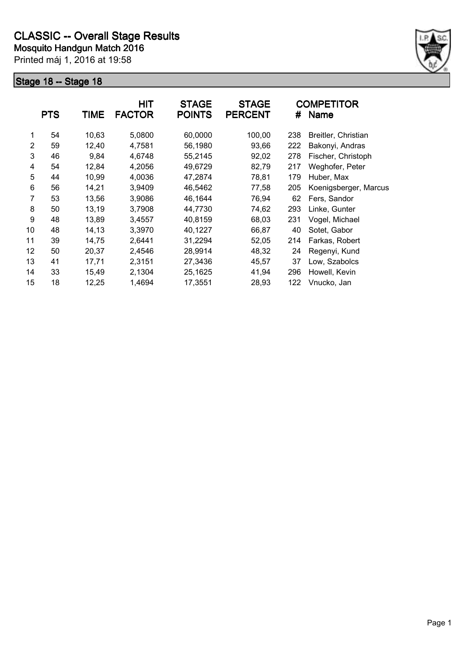

|                | <b>PTS</b> | <b>TIME</b> | <b>HIT</b><br><b>FACTOR</b> | <b>STAGE</b><br><b>POINTS</b> | <b>STAGE</b><br><b>PERCENT</b> | #   | <b>COMPETITOR</b><br><b>Name</b> |
|----------------|------------|-------------|-----------------------------|-------------------------------|--------------------------------|-----|----------------------------------|
| 1              | 54         | 10,63       | 5,0800                      | 60,0000                       | 100,00                         | 238 | Breitler, Christian              |
| $\overline{2}$ | 59         | 12,40       | 4,7581                      | 56,1980                       | 93,66                          | 222 | Bakonyi, Andras                  |
| 3              | 46         | 9,84        | 4,6748                      | 55,2145                       | 92,02                          | 278 | Fischer, Christoph               |
| 4              | 54         | 12,84       | 4,2056                      | 49,6729                       | 82,79                          | 217 | Weghofer, Peter                  |
| 5              | 44         | 10,99       | 4,0036                      | 47,2874                       | 78,81                          | 179 | Huber, Max                       |
| 6              | 56         | 14,21       | 3,9409                      | 46,5462                       | 77,58                          | 205 | Koenigsberger, Marcus            |
| 7              | 53         | 13,56       | 3,9086                      | 46,1644                       | 76,94                          | 62  | Fers, Sandor                     |
| 8              | 50         | 13,19       | 3,7908                      | 44,7730                       | 74,62                          | 293 | Linke, Gunter                    |
| 9              | 48         | 13,89       | 3,4557                      | 40,8159                       | 68,03                          | 231 | Vogel, Michael                   |
| 10             | 48         | 14,13       | 3,3970                      | 40,1227                       | 66,87                          | 40  | Sotet, Gabor                     |
| 11             | 39         | 14,75       | 2,6441                      | 31,2294                       | 52,05                          | 214 | Farkas, Robert                   |
| 12             | 50         | 20,37       | 2,4546                      | 28,9914                       | 48,32                          | 24  | Regenyi, Kund                    |
| 13             | 41         | 17,71       | 2,3151                      | 27,3436                       | 45,57                          | 37  | Low, Szabolcs                    |
| 14             | 33         | 15,49       | 2,1304                      | 25,1625                       | 41,94                          | 296 | Howell, Kevin                    |
| 15             | 18         | 12,25       | 1,4694                      | 17,3551                       | 28,93                          | 122 | Vnucko, Jan                      |
|                |            |             |                             |                               |                                |     |                                  |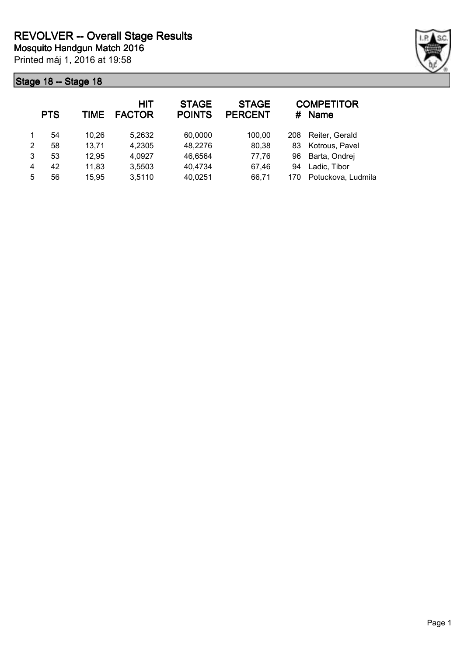

|   | <b>PTS</b> | TIME  | <b>HIT</b><br><b>FACTOR</b> | <b>STAGE</b><br><b>POINTS</b> | <b>STAGE</b><br><b>PERCENT</b> | #   | <b>COMPETITOR</b><br><b>Name</b> |
|---|------------|-------|-----------------------------|-------------------------------|--------------------------------|-----|----------------------------------|
|   | 54         | 10,26 | 5,2632                      | 60,0000                       | 100,00                         | 208 | Reiter, Gerald                   |
| 2 | 58         | 13,71 | 4,2305                      | 48,2276                       | 80,38                          | 83  | Kotrous, Pavel                   |
| 3 | 53         | 12,95 | 4,0927                      | 46,6564                       | 77,76                          | 96  | Barta, Ondrej                    |
| 4 | 42         | 11,83 | 3,5503                      | 40,4734                       | 67,46                          | 94  | Ladic, Tibor                     |
| 5 | 56         | 15,95 | 3,5110                      | 40,0251                       | 66,71                          | 170 | Potuckova, Ludmila               |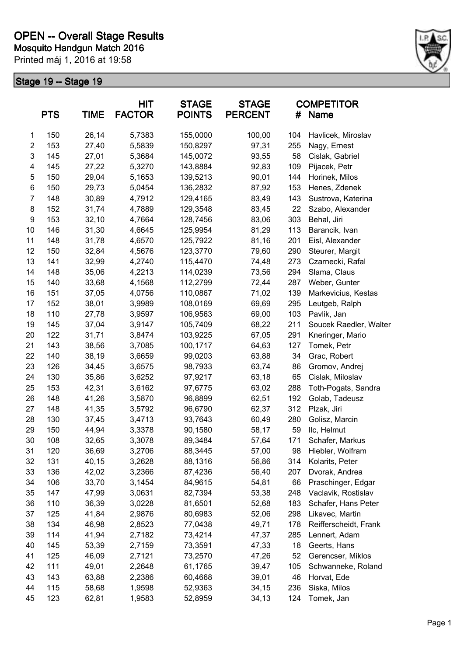

|                         | <b>PTS</b> | <b>TIME</b> | <b>HIT</b><br><b>FACTOR</b> | <b>STAGE</b><br><b>POINTS</b> | <b>STAGE</b><br><b>PERCENT</b> | #   | <b>COMPETITOR</b><br><b>Name</b> |
|-------------------------|------------|-------------|-----------------------------|-------------------------------|--------------------------------|-----|----------------------------------|
| 1                       | 150        | 26,14       | 5,7383                      | 155,0000                      | 100,00                         | 104 | Havlicek, Miroslav               |
| $\overline{\mathbf{c}}$ | 153        | 27,40       | 5,5839                      | 150,8297                      | 97,31                          | 255 | Nagy, Ernest                     |
| 3                       | 145        | 27,01       | 5,3684                      | 145,0072                      | 93,55                          | 58  | Cislak, Gabriel                  |
| 4                       | 145        | 27,22       | 5,3270                      | 143,8884                      | 92,83                          | 109 | Pijacek, Petr                    |
| 5                       | 150        | 29,04       | 5,1653                      | 139,5213                      | 90,01                          | 144 | Horinek, Milos                   |
| 6                       | 150        | 29,73       | 5,0454                      | 136,2832                      | 87,92                          | 153 | Henes, Zdenek                    |
| $\overline{7}$          | 148        | 30,89       | 4,7912                      | 129,4165                      | 83,49                          | 143 | Sustrova, Katerina               |
| 8                       | 152        | 31,74       | 4,7889                      | 129,3548                      | 83,45                          | 22  | Szabo, Alexander                 |
| $\boldsymbol{9}$        | 153        | 32,10       | 4,7664                      | 128,7456                      | 83,06                          | 303 | Behal, Jiri                      |
| 10                      | 146        | 31,30       | 4,6645                      | 125,9954                      | 81,29                          | 113 | Barancik, Ivan                   |
| 11                      | 148        | 31,78       | 4,6570                      | 125,7922                      | 81,16                          | 201 | Eisl, Alexander                  |
| 12                      | 150        | 32,84       | 4,5676                      | 123,3770                      | 79,60                          | 290 | Steurer, Margit                  |
| 13                      | 141        | 32,99       | 4,2740                      | 115,4470                      | 74,48                          | 273 | Czarnecki, Rafal                 |
| 14                      | 148        | 35,06       | 4,2213                      | 114,0239                      | 73,56                          | 294 | Slama, Claus                     |
| 15                      | 140        | 33,68       | 4,1568                      | 112,2799                      | 72,44                          | 287 | Weber, Gunter                    |
| 16                      | 151        | 37,05       | 4,0756                      | 110,0867                      | 71,02                          | 139 | Markevicius, Kestas              |
| 17                      | 152        | 38,01       | 3,9989                      | 108,0169                      | 69,69                          | 295 | Leutgeb, Ralph                   |
| 18                      | 110        | 27,78       | 3,9597                      | 106,9563                      | 69,00                          | 103 | Pavlik, Jan                      |
| 19                      | 145        | 37,04       | 3,9147                      | 105,7409                      | 68,22                          | 211 | Soucek Raedler, Walter           |
| 20                      | 122        | 31,71       | 3,8474                      | 103,9225                      | 67,05                          | 291 | Kneringer, Mario                 |
| 21                      | 143        | 38,56       | 3,7085                      | 100,1717                      | 64,63                          | 127 | Tomek, Petr                      |
| 22                      | 140        | 38,19       | 3,6659                      | 99,0203                       | 63,88                          | 34  | Grac, Robert                     |
| 23                      | 126        | 34,45       | 3,6575                      | 98,7933                       | 63,74                          | 86  | Gromov, Andrej                   |
| 24                      | 130        | 35,86       | 3,6252                      | 97,9217                       | 63,18                          | 65  | Cislak, Miloslav                 |
| 25                      | 153        | 42,31       | 3,6162                      | 97,6775                       | 63,02                          | 288 | Toth-Pogats, Sandra              |
| 26                      | 148        | 41,26       | 3,5870                      | 96,8899                       | 62,51                          | 192 | Golab, Tadeusz                   |
| 27                      | 148        | 41,35       | 3,5792                      | 96,6790                       | 62,37                          | 312 | Plzak, Jiri                      |
| 28                      | 130        | 37,45       | 3,4713                      | 93,7643                       | 60,49                          | 280 | Golisz, Marcin                   |
| 29                      | 150        | 44,94       | 3,3378                      | 90,1580                       | 58,17                          | 59  | Ilc, Helmut                      |
| 30                      | 108        | 32,65       | 3,3078                      | 89,3484                       | 57,64                          | 171 | Schafer, Markus                  |
| 31                      | 120        | 36,69       | 3,2706                      | 88,3445                       | 57,00                          | 98  | Hiebler, Wolfram                 |
| 32                      | 131        | 40,15       | 3,2628                      | 88,1316                       | 56,86                          | 314 | Kolarits, Peter                  |
| 33                      | 136        | 42,02       | 3,2366                      | 87,4236                       | 56,40                          | 207 | Dvorak, Andrea                   |
| 34                      | 106        | 33,70       | 3,1454                      | 84,9615                       | 54,81                          | 66  | Praschinger, Edgar               |
| 35                      | 147        | 47,99       | 3,0631                      | 82,7394                       | 53,38                          | 248 | Vaclavik, Rostislav              |
| 36                      | 110        | 36,39       | 3,0228                      | 81,6501                       | 52,68                          | 183 | Schafer, Hans Peter              |
| 37                      | 125        | 41,84       | 2,9876                      | 80,6983                       | 52,06                          | 298 | Likavec, Martin                  |
| 38                      | 134        | 46,98       | 2,8523                      | 77,0438                       | 49,71                          | 178 | Reifferscheidt, Frank            |
| 39                      | 114        | 41,94       | 2,7182                      | 73,4214                       | 47,37                          | 285 | Lennert, Adam                    |
| 40                      | 145        | 53,39       | 2,7159                      | 73,3591                       | 47,33                          | 18  | Geerts, Hans                     |
| 41                      | 125        | 46,09       | 2,7121                      | 73,2570                       | 47,26                          | 52  | Gerencser, Miklos                |
| 42                      | 111        | 49,01       | 2,2648                      | 61,1765                       | 39,47                          | 105 | Schwanneke, Roland               |
| 43                      | 143        | 63,88       | 2,2386                      | 60,4668                       | 39,01                          | 46  | Horvat, Ede                      |
| 44                      | 115        | 58,68       | 1,9598                      | 52,9363                       | 34,15                          | 236 | Siska, Milos                     |
| 45                      | 123        | 62,81       | 1,9583                      | 52,8959                       | 34,13                          | 124 | Tomek, Jan                       |
|                         |            |             |                             |                               |                                |     |                                  |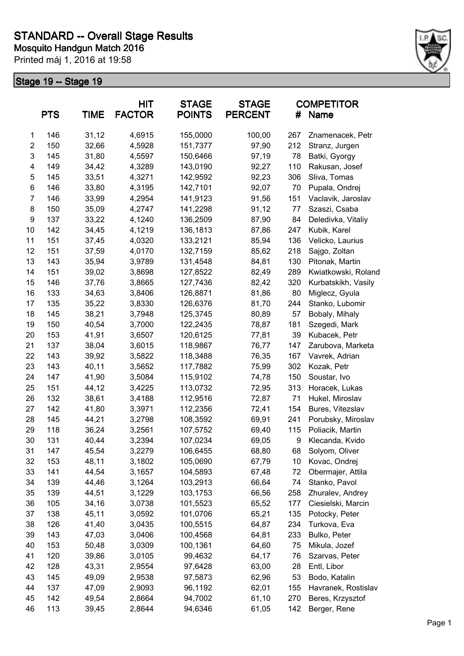

|                | <b>PTS</b> | <b>TIME</b> | HIT<br><b>FACTOR</b> | <b>STAGE</b><br><b>POINTS</b> | <b>STAGE</b><br><b>PERCENT</b> | #   | <b>COMPETITOR</b><br>Name |
|----------------|------------|-------------|----------------------|-------------------------------|--------------------------------|-----|---------------------------|
| $\mathbf{1}$   | 146        | 31,12       | 4,6915               | 155,0000                      | 100,00                         | 267 | Znamenacek, Petr          |
| $\overline{c}$ | 150        | 32,66       | 4,5928               | 151,7377                      | 97,90                          | 212 | Stranz, Jurgen            |
| 3              | 145        | 31,80       | 4,5597               | 150,6466                      | 97,19                          | 78  | Batki, Gyorgy             |
| 4              | 149        | 34,42       | 4,3289               | 143,0190                      | 92,27                          | 110 | Rakusan, Josef            |
| 5              | 145        | 33,51       | 4,3271               | 142,9592                      | 92,23                          | 306 | Sliva, Tomas              |
| 6              | 146        | 33,80       | 4,3195               | 142,7101                      | 92,07                          | 70  | Pupala, Ondrej            |
| $\overline{7}$ | 146        | 33,99       | 4,2954               | 141,9123                      | 91,56                          | 151 | Vaclavik, Jaroslav        |
| 8              | 150        | 35,09       | 4,2747               | 141,2298                      | 91,12                          | 77  | Szaszi, Csaba             |
| 9              | 137        | 33,22       | 4,1240               | 136,2509                      | 87,90                          | 84  | Deledivka, Vitaliy        |
| 10             | 142        | 34,45       | 4,1219               | 136,1813                      | 87,86                          | 247 | Kubik, Karel              |
| 11             | 151        | 37,45       | 4,0320               | 133,2121                      | 85,94                          | 136 | Velicko, Laurius          |
| 12             | 151        | 37,59       | 4,0170               | 132,7159                      | 85,62                          | 218 | Sajgo, Zoltan             |
| 13             | 143        | 35,94       | 3,9789               | 131,4548                      | 84,81                          | 130 | Pitonak, Martin           |
| 14             | 151        | 39,02       | 3,8698               | 127,8522                      | 82,49                          | 289 | Kwiatkowski, Roland       |
| 15             | 146        | 37,76       | 3,8665               | 127,7436                      | 82,42                          | 320 | Kurbatskikh, Vasily       |
| 16             | 133        | 34,63       | 3,8406               | 126,8871                      | 81,86                          | 80  | Miglecz, Gyula            |
| 17             | 135        | 35,22       | 3,8330               | 126,6376                      | 81,70                          | 244 | Stanko, Lubomir           |
| 18             | 145        | 38,21       | 3,7948               | 125,3745                      | 80,89                          | 57  | Bobaly, Mihaly            |
| 19             | 150        | 40,54       | 3,7000               | 122,2435                      | 78,87                          | 181 | Szegedi, Mark             |
| 20             | 153        | 41,91       | 3,6507               | 120,6125                      | 77,81                          | 39  | Kubacek, Petr             |
| 21             | 137        | 38,04       | 3,6015               | 118,9867                      | 76,77                          | 147 | Zarubova, Marketa         |
| 22             | 143        | 39,92       | 3,5822               | 118,3488                      | 76,35                          | 167 | Vavrek, Adrian            |
| 23             | 143        | 40,11       | 3,5652               | 117,7882                      | 75,99                          | 302 | Kozak, Petr               |
| 24             | 147        | 41,90       | 3,5084               | 115,9102                      | 74,78                          | 150 | Soustar, Ivo              |
| 25             | 151        | 44,12       | 3,4225               | 113,0732                      | 72,95                          | 313 | Horacek, Lukas            |
| 26             | 132        | 38,61       | 3,4188               | 112,9516                      | 72,87                          | 71  | Hukel, Miroslav           |
| 27             | 142        | 41,80       | 3,3971               | 112,2356                      | 72,41                          | 154 | Bures, Vitezslav          |
| 28             | 145        | 44,21       | 3,2798               | 108,3592                      | 69,91                          | 241 | Porubsky, Miroslav        |
| 29             | 118        | 36,24       | 3,2561               | 107,5752                      | 69,40                          | 115 | Poliacik, Martin          |
| 30             | 131        | 40,44       | 3,2394               | 107,0234                      | 69,05                          | 9   | Klecanda, Kvido           |
| 31             | 147        | 45,54       | 3,2279               | 106,6455                      | 68,80                          | 68  | Solyom, Oliver            |
| 32             | 153        | 48,11       | 3,1802               | 105,0690                      | 67,79                          | 10  | Kovac, Ondrej             |
| 33             | 141        | 44,54       | 3,1657               | 104,5893                      | 67,48                          | 72  | Obermajer, Attila         |
| 34             | 139        | 44,46       | 3,1264               | 103,2913                      | 66,64                          | 74  | Stanko, Pavol             |
| 35             | 139        | 44,51       | 3,1229               | 103,1753                      | 66,56                          | 258 | Zhuralev, Andrey          |
| 36             | 105        | 34,16       | 3,0738               | 101,5523                      | 65,52                          | 177 | Ciesielski, Marcin        |
| 37             | 138        | 45,11       | 3,0592               | 101,0706                      | 65,21                          | 135 | Potocky, Peter            |
| 38             | 126        | 41,40       | 3,0435               | 100,5515                      | 64,87                          | 234 | Turkova, Eva              |
| 39             | 143        | 47,03       | 3,0406               | 100,4568                      | 64,81                          | 233 | Bulko, Peter              |
| 40             | 153        | 50,48       | 3,0309               | 100,1361                      | 64,60                          | 75  | Mikula, Jozef             |
| 41             | 120        | 39,86       | 3,0105               | 99,4632                       | 64,17                          | 76  | Szarvas, Peter            |
| 42             | 128        | 43,31       | 2,9554               | 97,6428                       | 63,00                          | 28  | Entl, Libor               |
| 43             | 145        | 49,09       | 2,9538               | 97,5873                       | 62,96                          | 53  | Bodo, Katalin             |
| 44             | 137        | 47,09       | 2,9093               | 96,1192                       | 62,01                          | 155 | Havranek, Rostislav       |
| 45             | 142        | 49,54       | 2,8664               | 94,7002                       | 61,10                          | 270 | Beres, Krzysztof          |
| 46             | 113        | 39,45       | 2,8644               | 94,6346                       | 61,05                          | 142 | Berger, Rene              |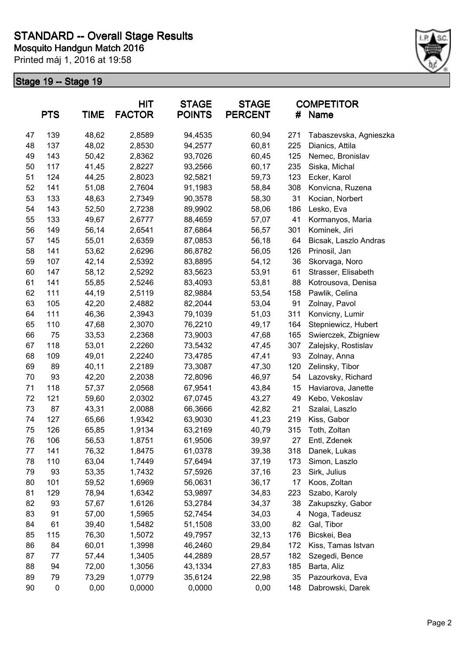

| <b>PTS</b><br><b>TIME</b> |     | <b>HIT</b><br><b>FACTOR</b> | <b>STAGE</b><br><b>POINTS</b> | <b>STAGE</b><br><b>PERCENT</b> | #     | <b>COMPETITOR</b><br>Name |                        |
|---------------------------|-----|-----------------------------|-------------------------------|--------------------------------|-------|---------------------------|------------------------|
| 47                        | 139 | 48,62                       | 2,8589                        | 94,4535                        | 60,94 | 271                       | Tabaszevska, Agnieszka |
| 48                        | 137 | 48,02                       | 2,8530                        | 94,2577                        | 60,81 | 225                       | Dianics, Attila        |
| 49                        | 143 | 50,42                       | 2,8362                        | 93,7026                        | 60,45 | 125                       | Nemec, Bronislav       |
| 50                        | 117 | 41,45                       | 2,8227                        | 93,2566                        | 60,17 | 235                       | Siska, Michal          |
| 51                        | 124 | 44,25                       | 2,8023                        | 92,5821                        | 59,73 | 123                       | Ecker, Karol           |
| 52                        | 141 | 51,08                       | 2,7604                        | 91,1983                        | 58,84 | 308                       | Konvicna, Ruzena       |
| 53                        | 133 | 48,63                       | 2,7349                        | 90,3578                        | 58,30 | 31                        | Kocian, Norbert        |
| 54                        | 143 | 52,50                       | 2,7238                        | 89,9902                        | 58,06 | 186                       | Lesko, Eva             |
| 55                        | 133 | 49,67                       | 2,6777                        | 88,4659                        | 57,07 | 41                        | Kormanyos, Maria       |
| 56                        | 149 | 56,14                       | 2,6541                        | 87,6864                        | 56,57 | 301                       | Kominek, Jiri          |
| 57                        | 145 | 55,01                       | 2,6359                        | 87,0853                        | 56,18 | 64                        | Bicsak, Laszlo Andras  |
| 58                        | 141 | 53,62                       | 2,6296                        | 86,8782                        | 56,05 | 126                       | Prinosil, Jan          |
| 59                        | 107 | 42,14                       | 2,5392                        | 83,8895                        | 54,12 | 36                        | Skorvaga, Noro         |
| 60                        | 147 | 58,12                       | 2,5292                        | 83,5623                        | 53,91 | 61                        | Strasser, Elisabeth    |
| 61                        | 141 | 55,85                       | 2,5246                        | 83,4093                        | 53,81 | 88                        | Kotrousova, Denisa     |
| 62                        | 111 | 44,19                       | 2,5119                        | 82,9884                        | 53,54 | 158                       | Pawlik, Celina         |
| 63                        | 105 | 42,20                       | 2,4882                        | 82,2044                        | 53,04 | 91                        | Zolnay, Pavol          |
| 64                        | 111 | 46,36                       | 2,3943                        | 79,1039                        | 51,03 | 311                       | Konvicny, Lumir        |
| 65                        | 110 | 47,68                       | 2,3070                        | 76,2210                        | 49,17 | 164                       | Stepniewicz, Hubert    |
| 66                        | 75  | 33,53                       | 2,2368                        | 73,9003                        | 47,68 | 165                       | Swierczek, Zbigniew    |
| 67                        | 118 | 53,01                       | 2,2260                        | 73,5432                        | 47,45 | 307                       | Zalejsky, Rostislav    |
| 68                        | 109 | 49,01                       | 2,2240                        | 73,4785                        | 47,41 | 93                        | Zolnay, Anna           |
| 69                        | 89  | 40,11                       | 2,2189                        | 73,3087                        | 47,30 | 120                       | Zelinsky, Tibor        |
| 70                        | 93  | 42,20                       | 2,2038                        | 72,8096                        | 46,97 | 54                        | Lazovsky, Richard      |
| 71                        | 118 | 57,37                       | 2,0568                        | 67,9541                        | 43,84 | 15                        | Haviarova, Janette     |
| 72                        | 121 | 59,60                       | 2,0302                        | 67,0745                        | 43,27 | 49                        | Kebo, Vekoslav         |
| 73                        | 87  | 43,31                       | 2,0088                        | 66,3666                        | 42,82 | 21                        | Szalai, Laszlo         |
| 74                        | 127 | 65,66                       | 1,9342                        | 63,9030                        | 41,23 | 219                       | Kiss, Gabor            |
| 75                        | 126 | 65,85                       | 1,9134                        | 63,2169                        | 40,79 | 315                       | Toth, Zoltan           |
| 76                        | 106 | 56,53                       | 1,8751                        | 61,9506                        | 39,97 | 27                        | Entl, Zdenek           |
| 77                        | 141 | 76,32                       | 1,8475                        | 61,0378                        | 39,38 | 318                       | Danek, Lukas           |
| 78                        | 110 | 63,04                       | 1,7449                        | 57,6494                        | 37,19 | 173                       | Simon, Laszlo          |
| 79                        | 93  | 53,35                       | 1,7432                        | 57,5926                        | 37,16 | 23                        | Sirk, Julius           |
| 80                        | 101 | 59,52                       | 1,6969                        | 56,0631                        | 36,17 | 17                        | Koos, Zoltan           |
| 81                        | 129 | 78,94                       | 1,6342                        | 53,9897                        | 34,83 | 223                       | Szabo, Karoly          |
| 82                        | 93  | 57,67                       | 1,6126                        | 53,2784                        | 34,37 | 38                        | Zakupszky, Gabor       |
| 83                        | 91  | 57,00                       | 1,5965                        | 52,7454                        | 34,03 | 4                         | Noga, Tadeusz          |
| 84                        | 61  | 39,40                       | 1,5482                        | 51,1508                        | 33,00 | 82                        | Gal, Tibor             |
| 85                        | 115 | 76,30                       | 1,5072                        | 49,7957                        | 32,13 | 176                       | Bicskei, Bea           |
| 86                        | 84  | 60,01                       | 1,3998                        | 46,2460                        | 29,84 | 172                       | Kiss, Tamas Istvan     |
| 87                        | 77  | 57,44                       | 1,3405                        | 44,2889                        | 28,57 | 182                       | Szegedi, Bence         |
| 88                        | 94  | 72,00                       | 1,3056                        | 43,1334                        | 27,83 | 185                       | Barta, Aliz            |
| 89                        | 79  | 73,29                       | 1,0779                        | 35,6124                        | 22,98 | 35                        | Pazourkova, Eva        |
| 90                        | 0   | 0,00                        | 0,0000                        | 0,0000                         | 0,00  | 148                       | Dabrowski, Darek       |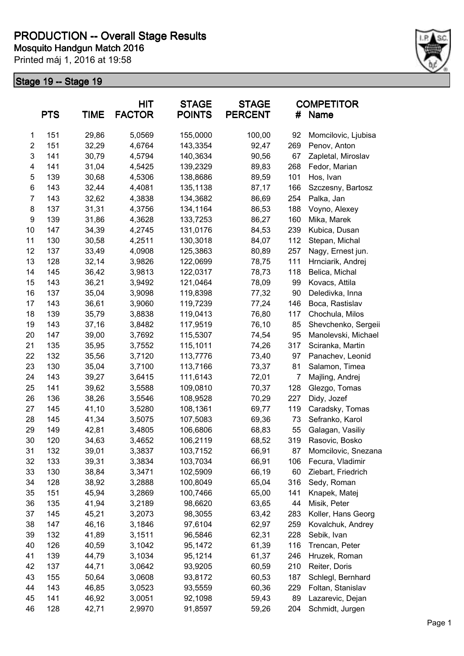

|                | <b>PTS</b> | <b>TIME</b> | <b>HIT</b><br><b>FACTOR</b> | <b>STAGE</b><br><b>POINTS</b> | <b>STAGE</b><br><b>PERCENT</b> | #              | <b>COMPETITOR</b><br><b>Name</b> |
|----------------|------------|-------------|-----------------------------|-------------------------------|--------------------------------|----------------|----------------------------------|
| 1              | 151        | 29,86       | 5,0569                      | 155,0000                      | 100,00                         | 92             | Momcilovic, Ljubisa              |
| $\overline{c}$ | 151        | 32,29       | 4,6764                      | 143,3354                      | 92,47                          | 269            | Penov, Anton                     |
| 3              | 141        | 30,79       | 4,5794                      | 140,3634                      | 90,56                          | 67             | Zapletal, Miroslav               |
| 4              | 141        | 31,04       | 4,5425                      | 139,2329                      | 89,83                          | 268            | Fedor, Marian                    |
| 5              | 139        | 30,68       | 4,5306                      | 138,8686                      | 89,59                          | 101            | Hos, Ivan                        |
| 6              | 143        | 32,44       | 4,4081                      | 135,1138                      | 87,17                          | 166            | Szczesny, Bartosz                |
| $\overline{7}$ | 143        | 32,62       | 4,3838                      | 134,3682                      | 86,69                          | 254            | Palka, Jan                       |
| 8              | 137        | 31,31       | 4,3756                      | 134,1164                      | 86,53                          | 188            | Voyno, Alexey                    |
| 9              | 139        | 31,86       | 4,3628                      | 133,7253                      | 86,27                          | 160            | Mika, Marek                      |
| 10             | 147        | 34,39       | 4,2745                      | 131,0176                      | 84,53                          | 239            | Kubica, Dusan                    |
| 11             | 130        | 30,58       | 4,2511                      | 130,3018                      | 84,07                          | 112            | Stepan, Michal                   |
| 12             | 137        | 33,49       | 4,0908                      | 125,3863                      | 80,89                          | 257            | Nagy, Ernest jun.                |
| 13             | 128        | 32,14       | 3,9826                      | 122,0699                      | 78,75                          | 111            | Hrnciarik, Andrej                |
| 14             | 145        | 36,42       | 3,9813                      | 122,0317                      | 78,73                          | 118            | Belica, Michal                   |
| 15             | 143        | 36,21       | 3,9492                      | 121,0464                      | 78,09                          | 99             | Kovacs, Attila                   |
| 16             | 137        | 35,04       | 3,9098                      | 119,8398                      | 77,32                          | 90             | Deledivka, Inna                  |
| 17             | 143        | 36,61       | 3,9060                      | 119,7239                      | 77,24                          | 146            | Boca, Rastislav                  |
| 18             | 139        | 35,79       | 3,8838                      | 119,0413                      | 76,80                          | 117            | Chochula, Milos                  |
| 19             | 143        | 37,16       | 3,8482                      | 117,9519                      | 76,10                          | 85             | Shevchenko, Sergeii              |
| 20             | 147        | 39,00       | 3,7692                      | 115,5307                      | 74,54                          | 95             | Manolevski, Michael              |
| 21             | 135        | 35,95       | 3,7552                      | 115,1011                      | 74,26                          | 317            | Sciranka, Martin                 |
| 22             | 132        | 35,56       | 3,7120                      | 113,7776                      | 73,40                          | 97             | Panachev, Leonid                 |
| 23             | 130        | 35,04       | 3,7100                      | 113,7166                      | 73,37                          | 81             | Salamon, Timea                   |
| 24             | 143        | 39,27       | 3,6415                      | 111,6143                      | 72,01                          | $\overline{7}$ | Majling, Andrej                  |
| 25             | 141        | 39,62       | 3,5588                      | 109,0810                      | 70,37                          | 128            | Glezgo, Tomas                    |
| 26             | 136        | 38,26       | 3,5546                      | 108,9528                      | 70,29                          | 227            | Didy, Jozef                      |
| 27             | 145        | 41,10       | 3,5280                      | 108,1361                      | 69,77                          | 119            | Caradsky, Tomas                  |
| 28             | 145        | 41,34       | 3,5075                      | 107,5083                      | 69,36                          | 73             | Sefranko, Karol                  |
| 29             | 149        | 42,81       | 3,4805                      | 106,6806                      | 68,83                          | 55             | Galagan, Vasiliy                 |
| 30             | 120        | 34,63       | 3,4652                      | 106,2119                      | 68,52                          | 319            | Rasovic, Bosko                   |
| 31             | 132        | 39,01       | 3,3837                      | 103,7152                      | 66,91                          | 87             | Momcilovic, Snezana              |
| 32             | 133        | 39,31       | 3,3834                      | 103,7034                      | 66,91                          | 106            | Fecura, Vladimir                 |
| 33             | 130        | 38,84       | 3,3471                      | 102,5909                      | 66,19                          | 60             | Ziebart, Friedrich               |
| 34             | 128        | 38,92       | 3,2888                      | 100,8049                      | 65,04                          | 316            | Sedy, Roman                      |
| 35             | 151        | 45,94       | 3,2869                      | 100,7466                      | 65,00                          | 141            | Knapek, Matej                    |
| 36             | 135        | 41,94       | 3,2189                      | 98,6620                       | 63,65                          | 44             | Misik, Peter                     |
| 37             | 145        | 45,21       | 3,2073                      | 98,3055                       | 63,42                          | 283            | Koller, Hans Georg               |
| 38             | 147        | 46,16       | 3,1846                      | 97,6104                       | 62,97                          | 259            | Kovalchuk, Andrey                |
| 39             | 132        | 41,89       | 3,1511                      | 96,5846                       | 62,31                          | 228            | Sebik, Ivan                      |
| 40             | 126        | 40,59       | 3,1042                      | 95,1472                       | 61,39                          | 116            | Trencan, Peter                   |
| 41             | 139        | 44,79       | 3,1034                      | 95,1214                       | 61,37                          | 246            | Hruzek, Roman                    |
| 42             | 137        | 44,71       | 3,0642                      | 93,9205                       | 60,59                          | 210            | Reiter, Doris                    |
| 43             | 155        | 50,64       | 3,0608                      | 93,8172                       | 60,53                          | 187            | Schlegl, Bernhard                |
| 44             | 143        | 46,85       | 3,0523                      | 93,5559                       | 60,36                          | 229            | Foltan, Stanislav                |
| 45             | 141        | 46,92       | 3,0051                      | 92,1098                       | 59,43                          | 89             | Lazarevic, Dejan                 |
| 46             | 128        | 42,71       | 2,9970                      | 91,8597                       | 59,26                          | 204            | Schmidt, Jurgen                  |
|                |            |             |                             |                               |                                |                |                                  |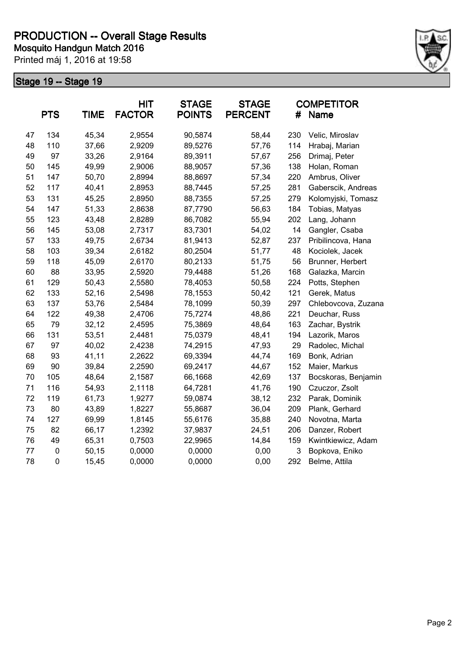

|    | <b>PTS</b>  | <b>TIME</b> | <b>HIT</b><br><b>FACTOR</b> | <b>STAGE</b><br><b>POINTS</b> | <b>STAGE</b><br><b>PERCENT</b> | #   | <b>COMPETITOR</b><br>Name |
|----|-------------|-------------|-----------------------------|-------------------------------|--------------------------------|-----|---------------------------|
| 47 | 134         | 45,34       | 2,9554                      | 90,5874                       | 58,44                          | 230 | Velic, Miroslav           |
| 48 | 110         | 37,66       | 2,9209                      | 89,5276                       | 57,76                          | 114 | Hrabaj, Marian            |
| 49 | 97          | 33,26       | 2,9164                      | 89,3911                       | 57,67                          | 256 | Drimaj, Peter             |
| 50 | 145         | 49,99       | 2,9006                      | 88,9057                       | 57,36                          | 138 | Holan, Roman              |
| 51 | 147         | 50,70       | 2,8994                      | 88,8697                       | 57,34                          | 220 | Ambrus, Oliver            |
| 52 | 117         | 40,41       | 2,8953                      | 88,7445                       | 57,25                          | 281 | Gaberscik, Andreas        |
| 53 | 131         | 45,25       | 2,8950                      | 88,7355                       | 57,25                          | 279 | Kolomyjski, Tomasz        |
| 54 | 147         | 51,33       | 2,8638                      | 87,7790                       | 56,63                          | 184 | Tobias, Matyas            |
| 55 | 123         | 43,48       | 2,8289                      | 86,7082                       | 55,94                          | 202 | Lang, Johann              |
| 56 | 145         | 53,08       | 2,7317                      | 83,7301                       | 54,02                          | 14  | Gangler, Csaba            |
| 57 | 133         | 49,75       | 2,6734                      | 81,9413                       | 52,87                          | 237 | Pribilincova, Hana        |
| 58 | 103         | 39,34       | 2,6182                      | 80,2504                       | 51,77                          | 48  | Kociolek, Jacek           |
| 59 | 118         | 45,09       | 2,6170                      | 80,2133                       | 51,75                          | 56  | Brunner, Herbert          |
| 60 | 88          | 33,95       | 2,5920                      | 79,4488                       | 51,26                          | 168 | Galazka, Marcin           |
| 61 | 129         | 50,43       | 2,5580                      | 78,4053                       | 50,58                          | 224 | Potts, Stephen            |
| 62 | 133         | 52,16       | 2,5498                      | 78,1553                       | 50,42                          | 121 | Gerek, Matus              |
| 63 | 137         | 53,76       | 2,5484                      | 78,1099                       | 50,39                          | 297 | Chlebovcova, Zuzana       |
| 64 | 122         | 49,38       | 2,4706                      | 75,7274                       | 48,86                          | 221 | Deuchar, Russ             |
| 65 | 79          | 32,12       | 2,4595                      | 75,3869                       | 48,64                          | 163 | Zachar, Bystrik           |
| 66 | 131         | 53,51       | 2,4481                      | 75,0379                       | 48,41                          | 194 | Lazorik, Maros            |
| 67 | 97          | 40,02       | 2,4238                      | 74,2915                       | 47,93                          | 29  | Radolec, Michal           |
| 68 | 93          | 41,11       | 2,2622                      | 69,3394                       | 44,74                          | 169 | Bonk, Adrian              |
| 69 | 90          | 39,84       | 2,2590                      | 69,2417                       | 44,67                          | 152 | Maier, Markus             |
| 70 | 105         | 48,64       | 2,1587                      | 66,1668                       | 42,69                          | 137 | Bocskoras, Benjamin       |
| 71 | 116         | 54,93       | 2,1118                      | 64,7281                       | 41,76                          | 190 | Czuczor, Zsolt            |
| 72 | 119         | 61,73       | 1,9277                      | 59,0874                       | 38,12                          | 232 | Parak, Dominik            |
| 73 | 80          | 43,89       | 1,8227                      | 55,8687                       | 36,04                          | 209 | Plank, Gerhard            |
| 74 | 127         | 69,99       | 1,8145                      | 55,6176                       | 35,88                          | 240 | Novotna, Marta            |
| 75 | 82          | 66,17       | 1,2392                      | 37,9837                       | 24,51                          | 206 | Danzer, Robert            |
| 76 | 49          | 65,31       | 0,7503                      | 22,9965                       | 14,84                          | 159 | Kwintkiewicz, Adam        |
| 77 | $\pmb{0}$   | 50,15       | 0,0000                      | 0,0000                        | 0,00                           | 3   | Bopkova, Eniko            |
| 78 | $\mathsf 0$ | 15,45       | 0,0000                      | 0,0000                        | 0,00                           | 292 | Belme, Attila             |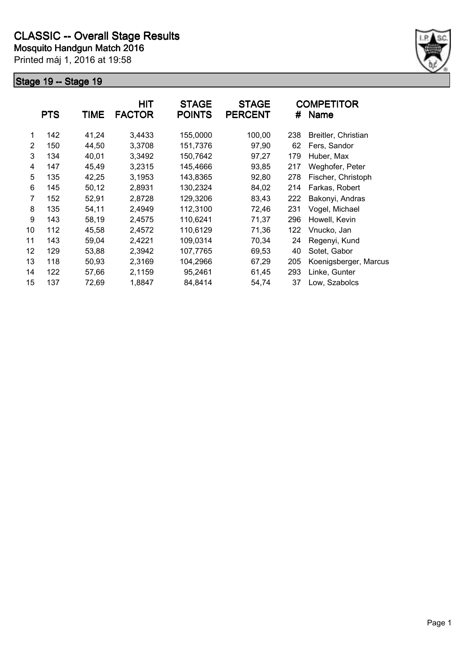

|    | <b>PTS</b> | <b>TIME</b> | <b>HIT</b><br><b>FACTOR</b> | <b>STAGE</b><br><b>POINTS</b> | <b>STAGE</b><br><b>PERCENT</b> | #   | <b>COMPETITOR</b><br><b>Name</b> |
|----|------------|-------------|-----------------------------|-------------------------------|--------------------------------|-----|----------------------------------|
| 1  | 142        | 41,24       | 3,4433                      | 155,0000                      | 100,00                         | 238 | Breitler, Christian              |
| 2  | 150        | 44,50       | 3,3708                      | 151,7376                      | 97,90                          | 62  | Fers, Sandor                     |
| 3  | 134        | 40,01       | 3,3492                      | 150,7642                      | 97,27                          | 179 | Huber, Max                       |
| 4  | 147        | 45,49       | 3,2315                      | 145,4666                      | 93,85                          | 217 | Weghofer, Peter                  |
| 5  | 135        | 42,25       | 3,1953                      | 143,8365                      | 92,80                          | 278 | Fischer, Christoph               |
| 6  | 145        | 50,12       | 2,8931                      | 130,2324                      | 84,02                          | 214 | Farkas, Robert                   |
| 7  | 152        | 52,91       | 2,8728                      | 129,3206                      | 83,43                          | 222 | Bakonyi, Andras                  |
| 8  | 135        | 54,11       | 2,4949                      | 112,3100                      | 72,46                          | 231 | Vogel, Michael                   |
| 9  | 143        | 58,19       | 2,4575                      | 110,6241                      | 71,37                          | 296 | Howell, Kevin                    |
| 10 | 112        | 45,58       | 2,4572                      | 110,6129                      | 71,36                          | 122 | Vnucko, Jan                      |
| 11 | 143        | 59,04       | 2,4221                      | 109,0314                      | 70,34                          | 24  | Regenyi, Kund                    |
| 12 | 129        | 53,88       | 2,3942                      | 107,7765                      | 69,53                          | 40  | Sotet, Gabor                     |
| 13 | 118        | 50,93       | 2,3169                      | 104,2966                      | 67,29                          | 205 | Koenigsberger, Marcus            |
| 14 | 122        | 57,66       | 2,1159                      | 95,2461                       | 61,45                          | 293 | Linke, Gunter                    |
| 15 | 137        | 72,69       | 1,8847                      | 84,8414                       | 54,74                          | 37  | Low, Szabolcs                    |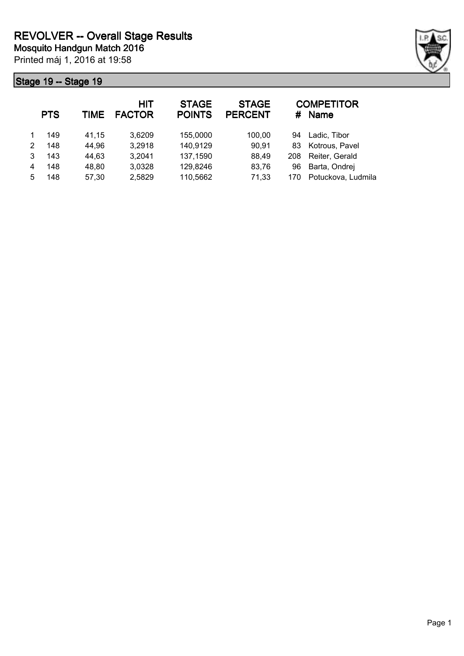

|   | <b>PTS</b> | TIME  | <b>HIT</b><br><b>FACTOR</b> | <b>STAGE</b><br><b>POINTS</b> | <b>STAGE</b><br><b>PERCENT</b> | #   | <b>COMPETITOR</b><br><b>Name</b> |
|---|------------|-------|-----------------------------|-------------------------------|--------------------------------|-----|----------------------------------|
|   | 149        | 41,15 | 3,6209                      | 155,0000                      | 100,00                         | 94  | Ladic, Tibor                     |
| 2 | 148        | 44,96 | 3,2918                      | 140,9129                      | 90,91                          | 83  | Kotrous, Pavel                   |
| 3 | 143        | 44,63 | 3,2041                      | 137,1590                      | 88,49                          | 208 | Reiter, Gerald                   |
| 4 | 148        | 48,80 | 3,0328                      | 129,8246                      | 83,76                          | 96  | Barta, Ondrej                    |
| 5 | 148        | 57,30 | 2,5829                      | 110,5662                      | 71,33                          | 170 | Potuckova, Ludmila               |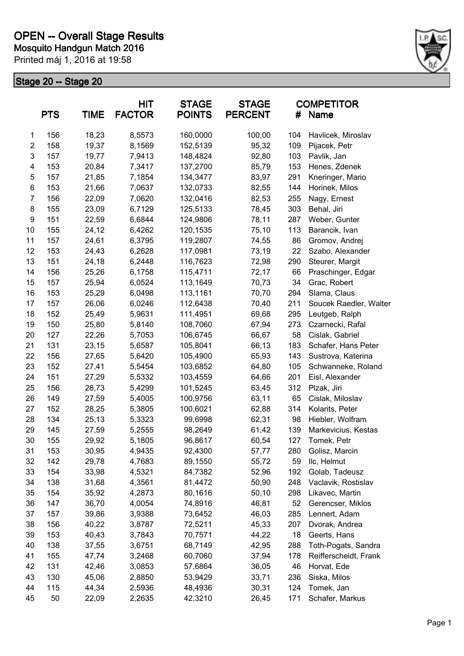

|                         | <b>PTS</b> | <b>TIME</b> | <b>HIT</b><br><b>FACTOR</b> | <b>STAGE</b><br><b>POINTS</b> | <b>STAGE</b><br><b>PERCENT</b> | #   | <b>COMPETITOR</b><br><b>Name</b> |
|-------------------------|------------|-------------|-----------------------------|-------------------------------|--------------------------------|-----|----------------------------------|
| 1                       | 156        | 18,23       | 8,5573                      | 160,0000                      | 100,00                         | 104 | Havlicek, Miroslav               |
| $\overline{\mathbf{c}}$ | 158        | 19,37       | 8,1569                      | 152,5139                      | 95,32                          | 109 | Pijacek, Petr                    |
| 3                       | 157        | 19,77       | 7,9413                      | 148,4824                      | 92,80                          | 103 | Pavlik, Jan                      |
| 4                       | 153        | 20,84       | 7,3417                      | 137,2700                      | 85,79                          | 153 | Henes, Zdenek                    |
| 5                       | 157        | 21,85       | 7,1854                      | 134,3477                      | 83,97                          | 291 | Kneringer, Mario                 |
| 6                       | 153        | 21,66       | 7,0637                      | 132,0733                      | 82,55                          | 144 | Horinek, Milos                   |
| $\overline{7}$          | 156        | 22,09       | 7,0620                      | 132,0416                      | 82,53                          | 255 | Nagy, Ernest                     |
| 8                       | 155        | 23,09       | 6,7129                      | 125,5133                      | 78,45                          | 303 | Behal, Jiri                      |
| $\boldsymbol{9}$        | 151        | 22,59       | 6,6844                      | 124,9806                      | 78,11                          | 287 | Weber, Gunter                    |
| 10                      | 155        | 24,12       | 6,4262                      | 120,1535                      | 75,10                          | 113 | Barancik, Ivan                   |
| 11                      | 157        | 24,61       | 6,3795                      | 119,2807                      | 74,55                          | 86  | Gromov, Andrej                   |
| 12                      | 153        | 24,43       | 6,2628                      | 117,0981                      | 73,19                          | 22  | Szabo, Alexander                 |
| 13                      | 151        | 24,18       | 6,2448                      | 116,7623                      | 72,98                          | 290 | Steurer, Margit                  |
| 14                      | 156        | 25,26       | 6,1758                      | 115,4711                      | 72,17                          | 66  | Praschinger, Edgar               |
| 15                      | 157        | 25,94       | 6,0524                      | 113,1649                      | 70,73                          | 34  | Grac, Robert                     |
| 16                      | 153        | 25,29       | 6,0498                      | 113,1161                      | 70,70                          | 294 | Slama, Claus                     |
| 17                      | 157        | 26,06       | 6,0246                      | 112,6438                      | 70,40                          | 211 | Soucek Raedler, Walter           |
| 18                      | 152        | 25,49       | 5,9631                      | 111,4951                      | 69,68                          | 295 | Leutgeb, Ralph                   |
| 19                      | 150        | 25,80       | 5,8140                      | 108,7060                      | 67,94                          | 273 | Czarnecki, Rafal                 |
| 20                      | 127        | 22,26       | 5,7053                      | 106,6745                      | 66,67                          | 58  | Cislak, Gabriel                  |
| 21                      | 131        | 23,15       | 5,6587                      | 105,8041                      | 66,13                          | 183 | Schafer, Hans Peter              |
| 22                      | 156        | 27,65       | 5,6420                      | 105,4900                      | 65,93                          | 143 | Sustrova, Katerina               |
| 23                      | 152        | 27,41       | 5,5454                      | 103,6852                      | 64,80                          | 105 | Schwanneke, Roland               |
| 24                      | 151        | 27,29       | 5,5332                      | 103,4559                      | 64,66                          | 201 | Eisl, Alexander                  |
| 25                      | 156        | 28,73       | 5,4299                      | 101,5245                      | 63,45                          | 312 | Plzak, Jiri                      |
| 26                      | 149        | 27,59       | 5,4005                      | 100,9756                      | 63,11                          | 65  | Cislak, Miloslav                 |
| 27                      | 152        | 28,25       | 5,3805                      | 100,6021                      | 62,88                          | 314 | Kolarits, Peter                  |
| 28                      | 134        | 25,13       | 5,3323                      | 99,6998                       | 62,31                          | 98  | Hiebler, Wolfram                 |
| 29                      | 145        | 27,59       | 5,2555                      | 98,2649                       | 61,42                          | 139 | Markevicius, Kestas              |
| 30                      | 155        | 29,92       | 5,1805                      | 96,8617                       | 60,54                          | 127 | Tomek, Petr                      |
| 31                      | 153        | 30,95       | 4,9435                      | 92,4300                       | 57,77                          | 280 | Golisz, Marcin                   |
| 32                      | 142        | 29,78       | 4,7683                      | 89,1550                       | 55,72                          | 59  | IIc, Helmut                      |
| 33                      | 154        | 33,98       | 4,5321                      | 84,7382                       | 52,96                          | 192 | Golab, Tadeusz                   |
| 34                      | 138        | 31,68       | 4,3561                      | 81,4472                       | 50,90                          | 248 | Vaclavik, Rostislav              |
| 35                      | 154        | 35,92       | 4,2873                      | 80,1616                       | 50,10                          | 298 | Likavec, Martin                  |
| 36                      | 147        | 36,70       | 4,0054                      | 74,8916                       | 46,81                          | 52  | Gerencser, Miklos                |
| 37                      | 157        | 39,86       | 3,9388                      | 73,6452                       | 46,03                          | 285 | Lennert, Adam                    |
| 38                      | 156        | 40,22       | 3,8787                      | 72,5211                       | 45,33                          | 207 | Dvorak, Andrea                   |
| 39                      | 153        | 40,43       | 3,7843                      | 70,7571                       | 44,22                          | 18  | Geerts, Hans                     |
| 40                      | 138        | 37,55       | 3,6751                      | 68,7149                       | 42,95                          | 288 | Toth-Pogats, Sandra              |
| 41                      | 155        | 47,74       | 3,2468                      | 60,7060                       | 37,94                          | 178 | Reifferscheidt, Frank            |
| 42                      | 131        | 42,46       | 3,0853                      | 57,6864                       | 36,05                          | 46  | Horvat, Ede                      |
| 43                      | 130        | 45,06       | 2,8850                      | 53,9429                       | 33,71                          | 236 | Siska, Milos                     |
| 44                      | 115        | 44,34       | 2,5936                      | 48,4936                       | 30,31                          | 124 | Tomek, Jan                       |
| 45                      | 50         | 22,09       | 2,2635                      | 42,3210                       | 26,45                          | 171 | Schafer, Markus                  |
|                         |            |             |                             |                               |                                |     |                                  |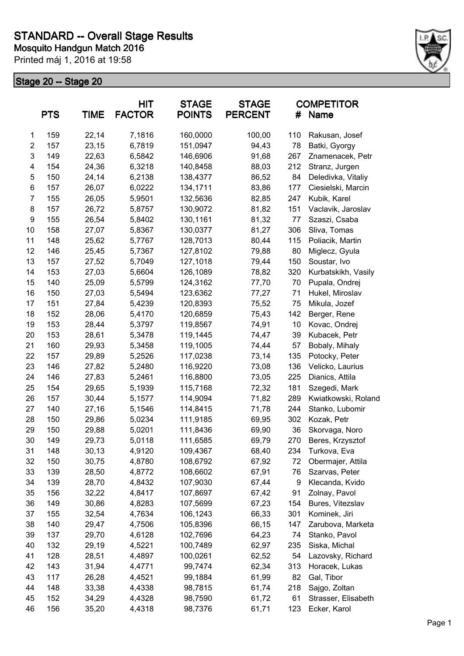

|                | <b>PTS</b> | <b>TIME</b> | HIT<br><b>FACTOR</b> | <b>STAGE</b><br><b>POINTS</b> | <b>STAGE</b><br><b>PERCENT</b> | #   | <b>COMPETITOR</b><br>Name |
|----------------|------------|-------------|----------------------|-------------------------------|--------------------------------|-----|---------------------------|
| 1              | 159        | 22,14       | 7,1816               | 160,0000                      | 100,00                         | 110 | Rakusan, Josef            |
| $\overline{2}$ | 157        | 23,15       | 6,7819               | 151,0947                      | 94,43                          | 78  | Batki, Gyorgy             |
| 3              | 149        | 22,63       | 6,5842               | 146,6906                      | 91,68                          | 267 | Znamenacek, Petr          |
| 4              | 154        | 24,36       | 6,3218               | 140,8458                      | 88,03                          | 212 | Stranz, Jurgen            |
| 5              | 150        | 24,14       | 6,2138               | 138,4377                      | 86,52                          | 84  | Deledivka, Vitaliy        |
| 6              | 157        | 26,07       | 6,0222               | 134,1711                      | 83,86                          | 177 | Ciesielski, Marcin        |
| 7              | 155        | 26,05       | 5,9501               | 132,5636                      | 82,85                          | 247 | Kubik, Karel              |
| 8              | 157        | 26,72       | 5,8757               | 130,9072                      | 81,82                          | 151 | Vaclavik, Jaroslav        |
| 9              | 155        | 26,54       | 5,8402               | 130,1161                      | 81,32                          | 77  | Szaszi, Csaba             |
| 10             | 158        | 27,07       | 5,8367               | 130,0377                      | 81,27                          | 306 | Sliva, Tomas              |
| 11             | 148        | 25,62       | 5,7767               | 128,7013                      | 80,44                          | 115 | Poliacik, Martin          |
| 12             | 146        | 25,45       | 5,7367               | 127,8102                      | 79,88                          | 80  | Miglecz, Gyula            |
| 13             | 157        | 27,52       | 5,7049               | 127,1018                      | 79,44                          | 150 | Soustar, Ivo              |
| 14             | 153        | 27,03       | 5,6604               | 126,1089                      | 78,82                          | 320 | Kurbatskikh, Vasily       |
| 15             | 140        | 25,09       | 5,5799               | 124,3162                      | 77,70                          | 70  | Pupala, Ondrej            |
| 16             | 150        | 27,03       | 5,5494               | 123,6362                      | 77,27                          | 71  | Hukel, Miroslav           |
| 17             | 151        | 27,84       | 5,4239               | 120,8393                      | 75,52                          | 75  | Mikula, Jozef             |
| 18             | 152        | 28,06       | 5,4170               | 120,6859                      | 75,43                          | 142 | Berger, Rene              |
| 19             | 153        | 28,44       | 5,3797               | 119,8567                      | 74,91                          | 10  | Kovac, Ondrej             |
| 20             | 153        | 28,61       | 5,3478               | 119,1445                      | 74,47                          | 39  | Kubacek, Petr             |
| 21             | 160        | 29,93       | 5,3458               | 119,1005                      | 74,44                          | 57  | Bobaly, Mihaly            |
| 22             | 157        | 29,89       | 5,2526               | 117,0238                      | 73,14                          | 135 | Potocky, Peter            |
| 23             | 146        | 27,82       | 5,2480               | 116,9220                      | 73,08                          | 136 | Velicko, Laurius          |
| 24             | 146        | 27,83       | 5,2461               | 116,8800                      | 73,05                          | 225 | Dianics, Attila           |
| 25             | 154        | 29,65       | 5,1939               | 115,7168                      | 72,32                          | 181 | Szegedi, Mark             |
| 26             | 157        | 30,44       | 5,1577               | 114,9094                      | 71,82                          | 289 | Kwiatkowski, Roland       |
| 27             | 140        | 27,16       | 5,1546               | 114,8415                      | 71,78                          | 244 | Stanko, Lubomir           |
| 28             | 150        | 29,86       | 5,0234               | 111,9185                      | 69,95                          | 302 | Kozak, Petr               |
| 29             | 150        | 29,88       | 5,0201               | 111,8436                      | 69,90                          | 36  | Skorvaga, Noro            |
| 30             | 149        | 29,73       | 5,0118               | 111,6585                      | 69,79                          | 270 | Beres, Krzysztof          |
| 31             | 148        | 30,13       | 4,9120               | 109,4367                      | 68,40                          | 234 | Turkova, Eva              |
| 32             | 150        | 30,75       | 4,8780               | 108,6792                      | 67,92                          | 72  | Obermajer, Attila         |
| 33             | 139        | 28,50       | 4,8772               | 108,6602                      | 67,91                          | 76  | Szarvas, Peter            |
| 34             | 139        | 28,70       | 4,8432               | 107,9030                      | 67,44                          | 9   | Klecanda, Kvido           |
| 35             | 156        | 32,22       | 4,8417               | 107,8697                      | 67,42                          | 91  | Zolnay, Pavol             |
| 36             | 149        | 30,86       | 4,8283               | 107,5699                      | 67,23                          | 154 | Bures, Vitezslav          |
| 37             | 155        | 32,54       | 4,7634               | 106,1243                      | 66,33                          | 301 | Kominek, Jiri             |
| 38             | 140        | 29,47       | 4,7506               | 105,8396                      | 66,15                          | 147 | Zarubova, Marketa         |
| 39             | 137        | 29,70       | 4,6128               | 102,7696                      | 64,23                          | 74  | Stanko, Pavol             |
| 40             | 132        | 29,19       | 4,5221               | 100,7489                      | 62,97                          | 235 | Siska, Michal             |
| 41             | 128        | 28,51       | 4,4897               | 100,0261                      | 62,52                          | 54  | Lazovsky, Richard         |
| 42             | 143        | 31,94       | 4,4771               | 99,7474                       | 62,34                          | 313 | Horacek, Lukas            |
| 43             | 117        | 26,28       | 4,4521               | 99,1884                       | 61,99                          | 82  | Gal, Tibor                |
| 44             | 148        | 33,38       | 4,4338               | 98,7815                       | 61,74                          | 218 | Sajgo, Zoltan             |
| 45             | 152        | 34,29       | 4,4328               | 98,7590                       | 61,72                          | 61  | Strasser, Elisabeth       |
| 46             | 156        | 35,20       | 4,4318               | 98,7376                       | 61,71                          | 123 | Ecker, Karol              |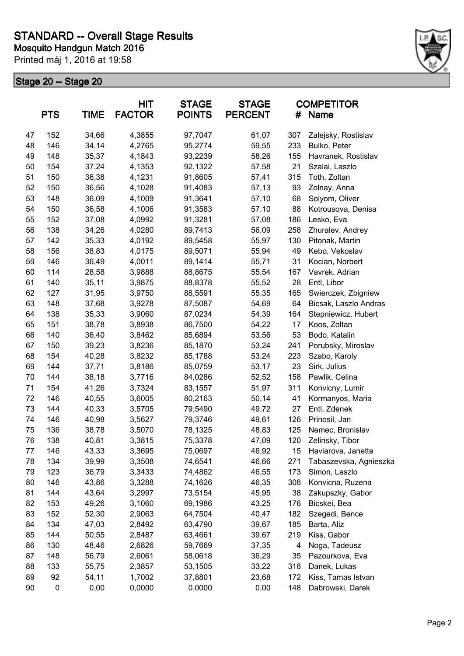

|    | <b>PTS</b> | <b>TIME</b> | <b>HIT</b><br><b>FACTOR</b> | <b>STAGE</b><br><b>POINTS</b> | <b>STAGE</b><br><b>PERCENT</b> | #   | <b>COMPETITOR</b><br>Name |
|----|------------|-------------|-----------------------------|-------------------------------|--------------------------------|-----|---------------------------|
| 47 | 152        | 34,66       | 4,3855                      | 97,7047                       | 61,07                          | 307 | Zalejsky, Rostislav       |
| 48 | 146        | 34,14       | 4,2765                      | 95,2774                       | 59,55                          | 233 | Bulko, Peter              |
| 49 | 148        | 35,37       | 4,1843                      | 93,2239                       | 58,26                          | 155 | Havranek, Rostislav       |
| 50 | 154        | 37,24       | 4,1353                      | 92,1322                       | 57,58                          | 21  | Szalai, Laszlo            |
| 51 | 150        | 36,38       | 4,1231                      | 91,8605                       | 57,41                          | 315 | Toth, Zoltan              |
| 52 | 150        | 36,56       | 4,1028                      | 91,4083                       | 57,13                          | 93  | Zolnay, Anna              |
| 53 | 148        | 36,09       | 4,1009                      | 91,3641                       | 57,10                          | 68  | Solyom, Oliver            |
| 54 | 150        | 36,58       | 4,1006                      | 91,3583                       | 57,10                          | 88  | Kotrousova, Denisa        |
| 55 | 152        | 37,08       | 4,0992                      | 91,3281                       | 57,08                          | 186 | Lesko, Eva                |
| 56 | 138        | 34,26       | 4,0280                      | 89,7413                       | 56,09                          | 258 | Zhuralev, Andrey          |
| 57 | 142        | 35,33       | 4,0192                      | 89,5458                       | 55,97                          | 130 | Pitonak, Martin           |
| 58 | 156        | 38,83       | 4,0175                      | 89,5071                       | 55,94                          | 49  | Kebo, Vekoslav            |
| 59 | 146        | 36,49       | 4,0011                      | 89,1414                       | 55,71                          | 31  | Kocian, Norbert           |
| 60 | 114        | 28,58       | 3,9888                      | 88,8675                       | 55,54                          | 167 | Vavrek, Adrian            |
| 61 | 140        | 35,11       | 3,9875                      | 88,8378                       | 55,52                          | 28  | Entl, Libor               |
| 62 | 127        | 31,95       | 3,9750                      | 88,5591                       | 55,35                          | 165 | Swierczek, Zbigniew       |
| 63 | 148        | 37,68       | 3,9278                      | 87,5087                       | 54,69                          | 64  | Bicsak, Laszlo Andras     |
| 64 | 138        | 35,33       | 3,9060                      | 87,0234                       | 54,39                          | 164 | Stepniewicz, Hubert       |
| 65 | 151        | 38,78       | 3,8938                      | 86,7500                       | 54,22                          | 17  | Koos, Zoltan              |
| 66 | 140        | 36,40       | 3,8462                      | 85,6894                       | 53,56                          | 53  | Bodo, Katalin             |
| 67 | 150        | 39,23       | 3,8236                      | 85,1870                       | 53,24                          | 241 | Porubsky, Miroslav        |
| 68 | 154        | 40,28       | 3,8232                      | 85,1788                       | 53,24                          | 223 | Szabo, Karoly             |
| 69 | 144        | 37,71       | 3,8186                      | 85,0759                       | 53,17                          | 23  | Sirk, Julius              |
| 70 | 144        | 38,18       | 3,7716                      | 84,0286                       | 52,52                          | 158 | Pawlik, Celina            |
| 71 | 154        | 41,26       | 3,7324                      | 83,1557                       | 51,97                          | 311 | Konvicny, Lumir           |
| 72 | 146        | 40,55       | 3,6005                      | 80,2163                       | 50,14                          | 41  | Kormanyos, Maria          |
| 73 | 144        | 40,33       | 3,5705                      | 79,5490                       | 49,72                          | 27  | Entl, Zdenek              |
| 74 | 146        | 40,98       | 3,5627                      | 79,3746                       | 49,61                          | 126 | Prinosil, Jan             |
| 75 | 136        | 38,78       | 3,5070                      | 78,1325                       | 48,83                          | 125 | Nemec, Bronislav          |
| 76 | 138        | 40,81       | 3,3815                      | 75,3378                       | 47,09                          | 120 | Zelinsky, Tibor           |
| 77 | 146        | 43,33       | 3,3695                      | 75,0697                       | 46,92                          | 15  | Haviarova, Janette        |
| 78 | 134        | 39,99       | 3,3508                      | 74,6541                       | 46,66                          | 271 | Tabaszevska, Agnieszka    |
| 79 | 123        | 36,79       | 3,3433                      | 74,4862                       | 46,55                          | 173 | Simon, Laszlo             |
| 80 | 146        | 43,86       | 3,3288                      | 74,1626                       | 46,35                          | 308 | Konvicna, Ruzena          |
| 81 | 144        | 43,64       | 3,2997                      | 73,5154                       | 45,95                          | 38  | Zakupszky, Gabor          |
| 82 | 153        | 49,26       | 3,1060                      | 69,1986                       | 43,25                          | 176 | Bicskei, Bea              |
| 83 | 152        | 52,30       | 2,9063                      | 64,7504                       | 40,47                          | 182 | Szegedi, Bence            |
| 84 | 134        | 47,03       | 2,8492                      | 63,4790                       | 39,67                          | 185 | Barta, Aliz               |
| 85 | 144        | 50,55       | 2,8487                      | 63,4661                       | 39,67                          | 219 | Kiss, Gabor               |
| 86 | 130        | 48,46       | 2,6826                      | 59,7669                       | 37,35                          | 4   | Noga, Tadeusz             |
| 87 | 148        | 56,79       | 2,6061                      | 58,0618                       | 36,29                          | 35  | Pazourkova, Eva           |
| 88 | 133        | 55,75       | 2,3857                      | 53,1505                       | 33,22                          | 318 | Danek, Lukas              |
| 89 | 92         | 54,11       | 1,7002                      | 37,8801                       | 23,68                          | 172 | Kiss, Tamas Istvan        |
| 90 | 0          | 0,00        | 0,0000                      | 0,0000                        | 0,00                           | 148 | Dabrowski, Darek          |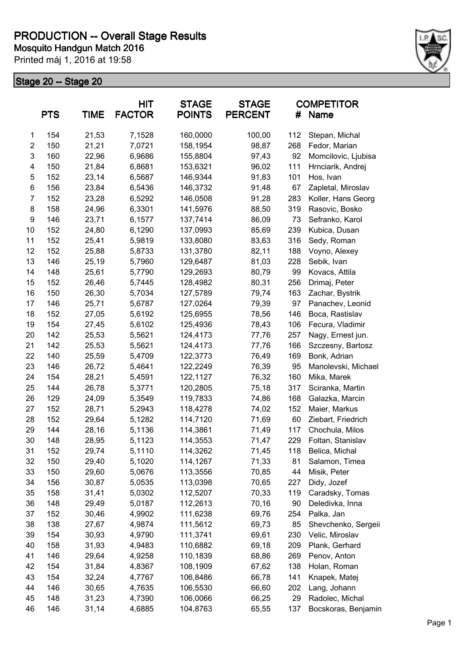

| <b>PTS</b>     |     | <b>TIME</b> | <b>HIT</b><br><b>FACTOR</b> | <b>STAGE</b><br><b>POINTS</b> | <b>STAGE</b><br><b>PERCENT</b> | #   | <b>COMPETITOR</b><br>Name |
|----------------|-----|-------------|-----------------------------|-------------------------------|--------------------------------|-----|---------------------------|
| 1              | 154 | 21,53       | 7,1528                      | 160,0000                      | 100,00                         | 112 | Stepan, Michal            |
| $\overline{2}$ | 150 | 21,21       | 7,0721                      | 158,1954                      | 98,87                          | 268 | Fedor, Marian             |
| 3              | 160 | 22,96       | 6,9686                      | 155,8804                      | 97,43                          | 92  | Momcilovic, Ljubisa       |
| 4              | 150 | 21,84       | 6,8681                      | 153,6321                      | 96,02                          | 111 | Hrnciarik, Andrej         |
| 5              | 152 | 23,14       | 6,5687                      | 146,9344                      | 91,83                          | 101 | Hos, Ivan                 |
| 6              | 156 | 23,84       | 6,5436                      | 146,3732                      | 91,48                          | 67  | Zapletal, Miroslav        |
| $\overline{7}$ | 152 | 23,28       | 6,5292                      | 146,0508                      | 91,28                          | 283 | Koller, Hans Georg        |
| 8              | 158 | 24,96       | 6,3301                      | 141,5976                      | 88,50                          | 319 | Rasovic, Bosko            |
| 9              | 146 | 23,71       | 6,1577                      | 137,7414                      | 86,09                          | 73  | Sefranko, Karol           |
| 10             | 152 | 24,80       | 6,1290                      | 137,0993                      | 85,69                          | 239 | Kubica, Dusan             |
| 11             | 152 | 25,41       | 5,9819                      | 133,8080                      | 83,63                          | 316 | Sedy, Roman               |
| 12             | 152 | 25,88       | 5,8733                      | 131,3780                      | 82,11                          | 188 | Voyno, Alexey             |
| 13             | 146 | 25,19       | 5,7960                      | 129,6487                      | 81,03                          | 228 | Sebik, Ivan               |
| 14             | 148 | 25,61       | 5,7790                      | 129,2693                      | 80,79                          | 99  | Kovacs, Attila            |
| 15             | 152 | 26,46       | 5,7445                      | 128,4982                      | 80,31                          | 256 | Drimaj, Peter             |
| 16             | 150 | 26,30       | 5,7034                      | 127,5789                      | 79,74                          | 163 | Zachar, Bystrik           |
| 17             | 146 | 25,71       | 5,6787                      | 127,0264                      | 79,39                          | 97  | Panachev, Leonid          |
| 18             | 152 | 27,05       | 5,6192                      | 125,6955                      | 78,56                          | 146 | Boca, Rastislav           |
| 19             | 154 | 27,45       | 5,6102                      | 125,4936                      | 78,43                          | 106 | Fecura, Vladimir          |
| 20             | 142 | 25,53       | 5,5621                      | 124,4173                      | 77,76                          | 257 | Nagy, Ernest jun.         |
| 21             | 142 | 25,53       | 5,5621                      | 124,4173                      | 77,76                          | 166 | Szczesny, Bartosz         |
| 22             | 140 | 25,59       | 5,4709                      | 122,3773                      | 76,49                          | 169 | Bonk, Adrian              |
| 23             | 146 | 26,72       | 5,4641                      | 122,2249                      | 76,39                          | 95  | Manolevski, Michael       |
| 24             | 154 | 28,21       | 5,4591                      | 122,1127                      | 76,32                          | 160 | Mika, Marek               |
| 25             | 144 | 26,78       | 5,3771                      | 120,2805                      | 75,18                          | 317 | Sciranka, Martin          |
| 26             | 129 | 24,09       | 5,3549                      | 119,7833                      | 74,86                          | 168 | Galazka, Marcin           |
| 27             | 152 | 28,71       | 5,2943                      | 118,4278                      | 74,02                          | 152 | Maier, Markus             |
| 28             | 152 | 29,64       | 5,1282                      | 114,7120                      | 71,69                          | 60  | Ziebart, Friedrich        |
| 29             | 144 | 28,16       | 5,1136                      | 114,3861                      | 71,49                          | 117 | Chochula, Milos           |
| 30             | 148 | 28,95       | 5,1123                      | 114,3553                      | 71,47                          | 229 | Foltan, Stanislav         |
| 31             | 152 | 29,74       | 5,1110                      | 114,3262                      | 71,45                          | 118 | Belica, Michal            |
| 32             | 150 | 29,40       | 5,1020                      | 114,1267                      | 71,33                          | 81  | Salamon, Timea            |
| 33             | 150 | 29,60       | 5,0676                      | 113,3556                      | 70,85                          | 44  | Misik, Peter              |
| 34             | 156 | 30,87       | 5,0535                      | 113,0398                      | 70,65                          | 227 | Didy, Jozef               |
| 35             | 158 | 31,41       | 5,0302                      | 112,5207                      | 70,33                          | 119 | Caradsky, Tomas           |
| 36             | 148 | 29,49       | 5,0187                      | 112,2613                      | 70,16                          | 90  | Deledivka, Inna           |
| 37             | 152 | 30,46       | 4,9902                      | 111,6238                      | 69,76                          | 254 | Palka, Jan                |
| 38             | 138 | 27,67       | 4,9874                      | 111,5612                      | 69,73                          | 85  | Shevchenko, Sergeii       |
| 39             | 154 | 30,93       | 4,9790                      | 111,3741                      | 69,61                          | 230 | Velic, Miroslav           |
| 40             | 158 | 31,93       | 4,9483                      | 110,6882                      | 69,18                          | 209 | Plank, Gerhard            |
| 41             | 146 | 29,64       | 4,9258                      | 110,1839                      | 68,86                          | 269 | Penov, Anton              |
| 42             | 154 | 31,84       | 4,8367                      | 108,1909                      | 67,62                          | 138 | Holan, Roman              |
| 43             | 154 | 32,24       | 4,7767                      | 106,8486                      | 66,78                          | 141 | Knapek, Matej             |
| 44             | 146 | 30,65       | 4,7635                      | 106,5530                      | 66,60                          | 202 | Lang, Johann              |
| 45             | 148 | 31,23       | 4,7390                      | 106,0066                      | 66,25                          | 29  | Radolec, Michal           |
| 46             | 146 | 31,14       | 4,6885                      | 104,8763                      | 65,55                          | 137 | Bocskoras, Benjamin       |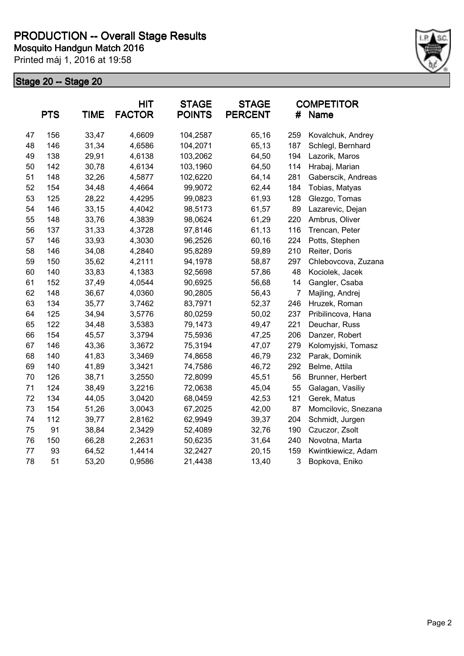

|    | <b>PTS</b> | <b>TIME</b> | <b>HIT</b><br><b>FACTOR</b> | <b>STAGE</b><br><b>POINTS</b> | <b>STAGE</b><br><b>PERCENT</b> | #                         | <b>COMPETITOR</b><br><b>Name</b> |
|----|------------|-------------|-----------------------------|-------------------------------|--------------------------------|---------------------------|----------------------------------|
| 47 | 156        | 33,47       | 4,6609                      | 104,2587                      | 65,16                          | 259                       | Kovalchuk, Andrey                |
| 48 | 146        | 31,34       | 4,6586                      | 104,2071                      | 65,13                          | 187                       | Schlegl, Bernhard                |
| 49 | 138        | 29,91       | 4,6138                      | 103,2062                      | 64,50                          | 194                       | Lazorik, Maros                   |
| 50 | 142        | 30,78       | 4,6134                      | 103,1960                      | 64,50                          | 114                       | Hrabaj, Marian                   |
| 51 | 148        | 32,26       | 4,5877                      | 102,6220                      | 64,14                          | 281                       | Gaberscik, Andreas               |
| 52 | 154        | 34,48       | 4,4664                      | 99,9072                       | 62,44                          | 184                       | Tobias, Matyas                   |
| 53 | 125        | 28,22       | 4,4295                      | 99,0823                       | 61,93                          | 128                       | Glezgo, Tomas                    |
| 54 | 146        | 33,15       | 4,4042                      | 98,5173                       | 61,57                          | 89                        | Lazarevic, Dejan                 |
| 55 | 148        | 33,76       | 4,3839                      | 98,0624                       | 61,29                          | 220                       | Ambrus, Oliver                   |
| 56 | 137        | 31,33       | 4,3728                      | 97,8146                       | 61,13                          | 116                       | Trencan, Peter                   |
| 57 | 146        | 33,93       | 4,3030                      | 96,2526                       | 60,16                          | 224                       | Potts, Stephen                   |
| 58 | 146        | 34,08       | 4,2840                      | 95,8289                       | 59,89                          | 210                       | Reiter, Doris                    |
| 59 | 150        | 35,62       | 4,2111                      | 94,1978                       | 58,87                          | 297                       | Chlebovcova, Zuzana              |
| 60 | 140        | 33,83       | 4,1383                      | 92,5698                       | 57,86                          | 48                        | Kociolek, Jacek                  |
| 61 | 152        | 37,49       | 4,0544                      | 90,6925                       | 56,68                          | 14                        | Gangler, Csaba                   |
| 62 | 148        | 36,67       | 4,0360                      | 90,2805                       | 56,43                          | $\overline{7}$            | Majling, Andrej                  |
| 63 | 134        | 35,77       | 3,7462                      | 83,7971                       | 52,37                          | 246                       | Hruzek, Roman                    |
| 64 | 125        | 34,94       | 3,5776                      | 80,0259                       | 50,02                          | 237                       | Pribilincova, Hana               |
| 65 | 122        | 34,48       | 3,5383                      | 79,1473                       | 49,47                          | 221                       | Deuchar, Russ                    |
| 66 | 154        | 45,57       | 3,3794                      | 75,5936                       | 47,25                          | 206                       | Danzer, Robert                   |
| 67 | 146        | 43,36       | 3,3672                      | 75,3194                       | 47,07                          | 279                       | Kolomyjski, Tomasz               |
| 68 | 140        | 41,83       | 3,3469                      | 74,8658                       | 46,79                          | 232                       | Parak, Dominik                   |
| 69 | 140        | 41,89       | 3,3421                      | 74,7586                       | 46,72                          | 292                       | Belme, Attila                    |
| 70 | 126        | 38,71       | 3,2550                      | 72,8099                       | 45,51                          | 56                        | Brunner, Herbert                 |
| 71 | 124        | 38,49       | 3,2216                      | 72,0638                       | 45,04                          | 55                        | Galagan, Vasiliy                 |
| 72 | 134        | 44,05       | 3,0420                      | 68,0459                       | 42,53                          | 121                       | Gerek, Matus                     |
| 73 | 154        | 51,26       | 3,0043                      | 67,2025                       | 42,00                          | 87                        | Momcilovic, Snezana              |
| 74 | 112        | 39,77       | 2,8162                      | 62,9949                       | 39,37                          | 204                       | Schmidt, Jurgen                  |
| 75 | 91         | 38,84       | 2,3429                      | 52,4089                       | 32,76                          | 190                       | Czuczor, Zsolt                   |
| 76 | 150        | 66,28       | 2,2631                      | 50,6235                       | 31,64                          | 240                       | Novotna, Marta                   |
| 77 | 93         | 64,52       | 1,4414                      | 32,2427                       | 20,15                          | 159                       | Kwintkiewicz, Adam               |
| 78 | 51         | 53,20       | 0,9586                      | 21,4438                       | 13,40                          | $\ensuremath{\mathsf{3}}$ | Bopkova, Eniko                   |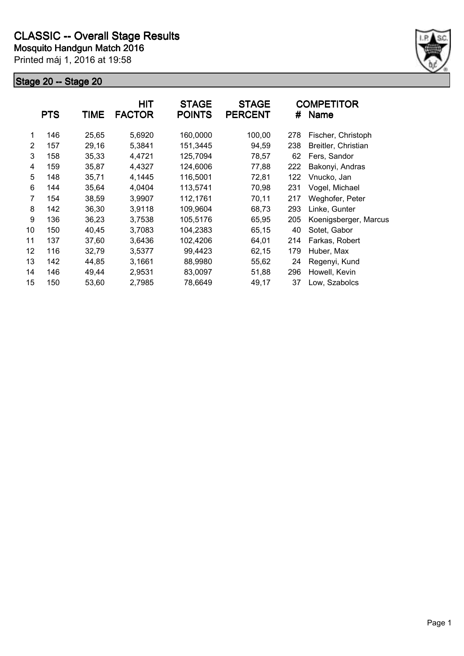

|    | <b>PTS</b> | <b>TIME</b> | <b>HIT</b><br><b>FACTOR</b> | <b>STAGE</b><br><b>POINTS</b> | <b>STAGE</b><br><b>PERCENT</b> | #   | <b>COMPETITOR</b><br><b>Name</b> |
|----|------------|-------------|-----------------------------|-------------------------------|--------------------------------|-----|----------------------------------|
| 1  | 146        | 25,65       | 5,6920                      | 160,0000                      | 100,00                         | 278 | Fischer, Christoph               |
| 2  | 157        | 29,16       | 5,3841                      | 151,3445                      | 94,59                          | 238 | Breitler, Christian              |
| 3  | 158        | 35,33       | 4,4721                      | 125,7094                      | 78,57                          | 62  | Fers, Sandor                     |
| 4  | 159        | 35,87       | 4,4327                      | 124,6006                      | 77,88                          | 222 | Bakonyi, Andras                  |
| 5  | 148        | 35,71       | 4,1445                      | 116,5001                      | 72,81                          | 122 | Vnucko, Jan                      |
| 6  | 144        | 35,64       | 4,0404                      | 113,5741                      | 70,98                          | 231 | Vogel, Michael                   |
| 7  | 154        | 38,59       | 3,9907                      | 112,1761                      | 70,11                          | 217 | Weghofer, Peter                  |
| 8  | 142        | 36,30       | 3,9118                      | 109,9604                      | 68,73                          | 293 | Linke, Gunter                    |
| 9  | 136        | 36,23       | 3,7538                      | 105,5176                      | 65,95                          | 205 | Koenigsberger, Marcus            |
| 10 | 150        | 40,45       | 3,7083                      | 104,2383                      | 65,15                          | 40  | Sotet, Gabor                     |
| 11 | 137        | 37,60       | 3,6436                      | 102,4206                      | 64,01                          | 214 | Farkas, Robert                   |
| 12 | 116        | 32,79       | 3,5377                      | 99,4423                       | 62,15                          | 179 | Huber, Max                       |
| 13 | 142        | 44,85       | 3,1661                      | 88,9980                       | 55,62                          | 24  | Regenyi, Kund                    |
| 14 | 146        | 49,44       | 2,9531                      | 83,0097                       | 51,88                          | 296 | Howell, Kevin                    |
| 15 | 150        | 53,60       | 2,7985                      | 78,6649                       | 49,17                          | 37  | Low, Szabolcs                    |